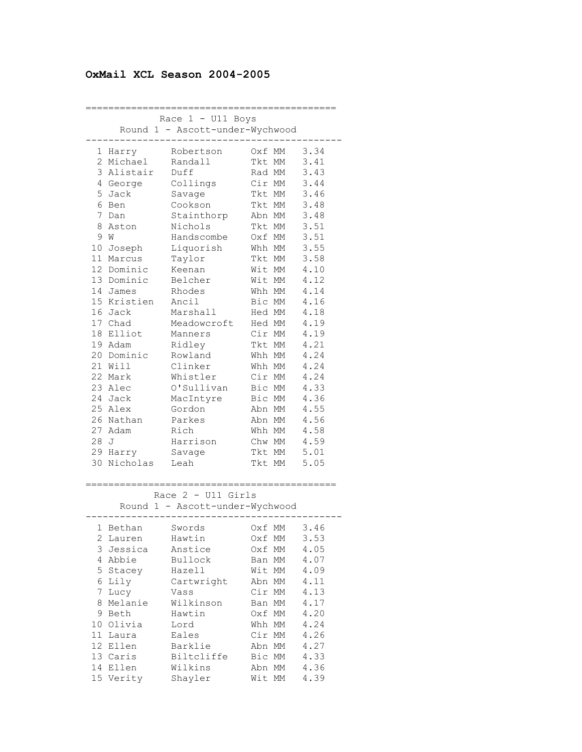## **OxMail XCL Season 2004-2005**

|              | Race $1 - U11$ Boys             |                                 |        |          |                       |  |
|--------------|---------------------------------|---------------------------------|--------|----------|-----------------------|--|
|              | Round 1 - Ascott-under-Wychwood |                                 |        |          |                       |  |
|              |                                 |                                 |        |          |                       |  |
| 1            | Harry                           | Robertson                       | 0xf    | MM       | 3.34                  |  |
| $\mathbf{2}$ | Michael                         | Randall                         | Tkt MM |          | 3.41                  |  |
| 3            | Alistair                        | Duff                            | Rad MM |          | 3.43                  |  |
|              | 4 George                        | Collings                        | Cir MM |          | 3.44                  |  |
| 5            | Jack                            | Savage                          | Tkt MM |          | 3.46                  |  |
| 6            | Ben                             | Cookson                         | Tkt MM |          | 3.48                  |  |
| 7            | Dan                             | Stainthorp                      | Abn MM |          | 3.48                  |  |
| 8            | Aston                           | Nichols                         | Tkt MM |          | 3.51                  |  |
| 9            | W                               | Handscombe                      | Oxf MM |          | 3.51                  |  |
| 10           | Joseph                          | Liquorish                       | Whh MM |          | 3.55                  |  |
| 11           | Marcus                          | Taylor                          | Tkt MM |          | 3.58                  |  |
| 12           | Dominic                         | Keenan                          | Wit MM |          | 4.10                  |  |
|              | 13 Dominic                      | Belcher                         | Wit MM |          | 4.12                  |  |
|              | 14 James                        | Rhodes                          | Whh MM |          | 4.14                  |  |
|              | 15 Kristien                     | Ancil                           | Bic MM |          | 4.16                  |  |
|              | 16 Jack                         | Marshall                        | Hed MM |          | 4.18                  |  |
|              | 17 Chad                         | Meadowcroft                     | Hed MM |          | 4.19                  |  |
| 18           | Elliot                          | Manners                         | Cir MM |          | 4.19                  |  |
| 19           | Adam                            | Ridley                          | Tkt MM |          | 4.21                  |  |
| 20           | Dominic                         | Rowland                         | Whh MM |          | 4.24                  |  |
|              | 21 Will                         | Clinker                         | Whh MM |          | 4.24                  |  |
|              | 22 Mark                         | Whistler                        | Cir MM |          | 4.24                  |  |
|              | 23 Alec                         | O'Sullivan                      | Bic MM |          | 4.33                  |  |
|              | 24 Jack                         | MacIntyre                       | Bic MM |          | 4.36                  |  |
|              | 25 Alex                         | Gordon                          | Abn MM |          | 4.55                  |  |
| 26           | Nathan                          | Parkes                          | Abn MM |          | 4.56                  |  |
| 27           | Adam                            | Rich                            | Whh MM |          | 4.58                  |  |
| 28           | J                               | Harrison                        | Chw MM |          | 4.59                  |  |
| 29           | Harry                           | Savage                          | Tkt MM |          | 5.01                  |  |
| 30           | Nicholas                        | Leah                            | Tkt MM |          | 5.05                  |  |
|              |                                 | ----------------                |        |          |                       |  |
|              |                                 | Race $2 - 011$ Girls            |        |          | ===================== |  |
|              |                                 | Round 1 - Ascott-under-Wychwood |        |          |                       |  |
|              |                                 |                                 |        |          |                       |  |
|              | l Bethan                        | Swords                          | Oxf MM |          | 3.46                  |  |
| 2            | Lauren                          | Hawtin                          | Oxf    | МM       | 3.53                  |  |
| 3            | Jessica                         | Anstice                         | Oxf    | МM       | 4.05                  |  |
| 4            | Abbie                           | Bullock                         | Ban    | МM       | 4.07                  |  |
| 5            | Stacey                          | Hazell                          | Wit    | МM       | 4.09                  |  |
| 6            | Lily                            | Cartwright                      | Abn    | МM       | 4.11                  |  |
| 7            |                                 |                                 | Cir    | МM       | 4.13                  |  |
| 8            | Lucy<br>Melanie                 | Vass<br>Wilkinson               | Ban    | МM       | 4.17                  |  |
| 9            | Beth                            | Hawtin                          | Oxf    | МM       | 4.20                  |  |
| 10           | Olivia                          | Lord                            | Whh    |          | 4.24                  |  |
| 11           |                                 | Eales                           | Cir    | МM       | 4.26                  |  |
| 12           | Laura<br>Ellen                  | Barklie                         | Abn    | МM<br>МM | 4.27                  |  |
|              | 13 Caris                        | Biltcliffe                      | Bic    | МM       | 4.33                  |  |
| 14           | Ellen                           | Wilkins                         | Abn MM |          | 4.36                  |  |
| 15           | Verity                          | Shayler                         | Wit    | МM       | 4.39                  |  |
|              |                                 |                                 |        |          |                       |  |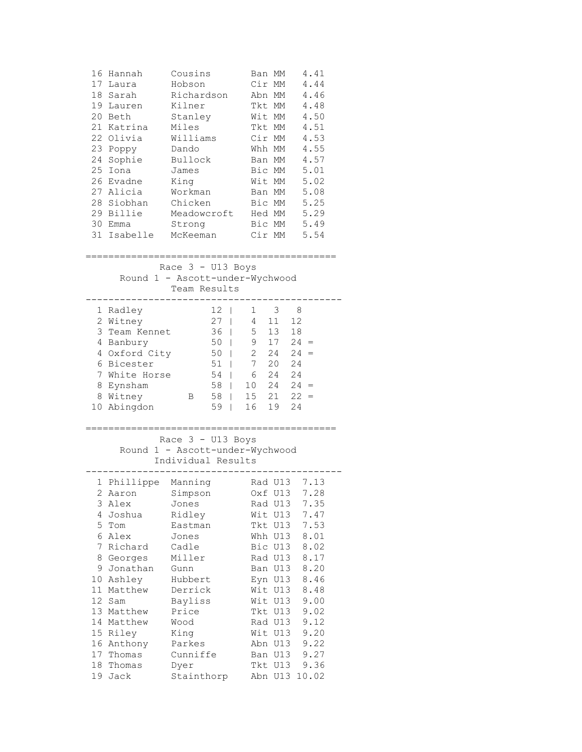| 16              | Hannah<br>17 Laura<br>18 Sarah<br>19 Lauren<br>20 Beth<br>21 Katrina Miles<br>22 Olivia<br>23 Poppy                                         | Cousins<br>Hobson<br>Richardson<br>Kilner<br>Stanley<br>Williams<br>Dando |                  |          | Ban MM<br>Cir MM<br>Abn MM<br>Tkt MM<br>Wit MM<br>Tkt MM<br>Cir MM<br>Whh MM | 4.41<br>4.44<br>4.46<br>4.48<br>4.50<br>4.51<br>4.53<br>4.55 |  |
|-----------------|---------------------------------------------------------------------------------------------------------------------------------------------|---------------------------------------------------------------------------|------------------|----------|------------------------------------------------------------------------------|--------------------------------------------------------------|--|
|                 | 24 Sophie<br>25 Iona                                                                                                                        | Bullock<br>James                                                          |                  |          | Ban MM<br>Bic MM                                                             | 4.57<br>5.01                                                 |  |
|                 | 26 Evadne                                                                                                                                   | King                                                                      |                  |          | Wit MM                                                                       | 5.02                                                         |  |
|                 | 27 Alicia                                                                                                                                   | Workman                                                                   |                  |          | Ban MM                                                                       | 5.08                                                         |  |
|                 | 28 Siobhan Chicken                                                                                                                          |                                                                           |                  |          | Bic MM                                                                       | 5.25                                                         |  |
|                 | 29 Billie Meadowcroft Hed MM 5.29                                                                                                           |                                                                           |                  |          |                                                                              |                                                              |  |
|                 | 30 Emma                                                                                                                                     | Strong                                                                    |                  |          |                                                                              | Bic MM 5.49                                                  |  |
|                 | 31 Isabelle McKeeman Cir MM 5.54                                                                                                            |                                                                           |                  |          |                                                                              |                                                              |  |
|                 | ==========================<br>=================<br>Race $3 - U13$ Boys<br>Round 1 - Ascott-under-Wychwood<br>Team Results<br>-------------- |                                                                           |                  |          |                                                                              |                                                              |  |
|                 | 1 Radley                                                                                                                                    |                                                                           | $12-1$           |          | $1 \quad 3 \quad 8$                                                          |                                                              |  |
|                 | 2 Witney                                                                                                                                    |                                                                           | $27$   $4$ 11 12 |          |                                                                              |                                                              |  |
|                 | 3 Team Kennet                                                                                                                               |                                                                           | $36$  <br>$50$   |          | $5 \quad 13 \quad 18$                                                        |                                                              |  |
|                 | 4 Banbury<br>4 Oxford City                                                                                                                  |                                                                           | $50 \mid$        |          |                                                                              | $9$ 17 24 =<br>2 24 24 =                                     |  |
|                 | 6 Bicester                                                                                                                                  |                                                                           | $51$             |          |                                                                              |                                                              |  |
|                 | 7 White Horse                                                                                                                               |                                                                           | 54   6 24 24     |          |                                                                              |                                                              |  |
|                 | 8 Eynsham                                                                                                                                   |                                                                           | 58               |          |                                                                              | $10 \t24 \t24 =$                                             |  |
|                 | 8 Witney                                                                                                                                    | $\overline{B}$                                                            | 58               |          |                                                                              | $15$ $21$ $22 =$                                             |  |
|                 | 10 Abingdon                                                                                                                                 |                                                                           | 59               | 16 19 24 |                                                                              |                                                              |  |
|                 | ____________________________<br>:==================<br>Race $3 - U13$ Boys<br>Round 1 - Ascott-under-Wychwood<br>Individual Results         |                                                                           |                  |          |                                                                              |                                                              |  |
|                 | 1 Phillippe Manning Rad U13 7.13                                                                                                            |                                                                           |                  |          |                                                                              |                                                              |  |
| 3               | 2 Aaron Simpson Oxf U13 7.28                                                                                                                |                                                                           |                  |          |                                                                              | 7.35                                                         |  |
| 4               | Alex<br>Joshua                                                                                                                              | Jones<br>Ridley                                                           |                  |          | Rad U13<br>Wit U13                                                           | 7.47                                                         |  |
| 5               | Tom                                                                                                                                         | Eastman                                                                   |                  |          | Tkt U13                                                                      | 7.53                                                         |  |
| 6               | Alex                                                                                                                                        | Jones                                                                     |                  |          | Whh U13                                                                      | 8.01                                                         |  |
| 7               | Richard                                                                                                                                     | Cadle                                                                     |                  |          | Bic U13                                                                      | 8.02                                                         |  |
|                 | 8 Georges                                                                                                                                   | Miller                                                                    |                  |          | Rad U13                                                                      | 8.17                                                         |  |
|                 | 9 Jonathan                                                                                                                                  | Gunn                                                                      |                  | Ban      | U13                                                                          | 8.20                                                         |  |
| 11 <sup>1</sup> | 10 Ashley<br>Matthew                                                                                                                        | Hubbert<br>Derrick                                                        |                  |          | Eyn U13<br>Wit U13                                                           | 8.46<br>8.48                                                 |  |
| 12              | Sam                                                                                                                                         | Bayliss                                                                   |                  |          | Wit U13                                                                      | 9.00                                                         |  |
| 13              | Matthew                                                                                                                                     | Price                                                                     |                  |          | Tkt U13                                                                      | 9.02                                                         |  |
|                 | 14 Matthew                                                                                                                                  | Wood                                                                      |                  |          | Rad U13                                                                      | 9.12                                                         |  |
| 15              | Riley                                                                                                                                       | King                                                                      |                  |          | Wit U13                                                                      | 9.20                                                         |  |
|                 | 16 Anthony                                                                                                                                  | Parkes                                                                    |                  |          | Abn U13                                                                      | 9.22                                                         |  |
| 18              | 17 Thomas<br>Thomas                                                                                                                         | Cunniffe<br>Dyer                                                          |                  |          | Ban U13<br>Tkt U13                                                           | 9.27<br>9.36                                                 |  |
| 19              | Jack                                                                                                                                        | Stainthorp                                                                |                  |          | Abn U13                                                                      | 10.02                                                        |  |
|                 |                                                                                                                                             |                                                                           |                  |          |                                                                              |                                                              |  |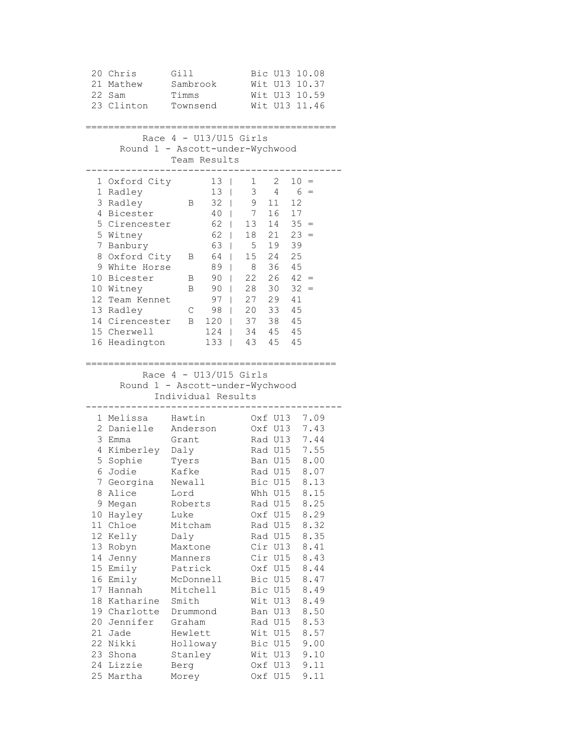| 20 Chris<br>21 Mathew<br>22 Sam<br>23 Clinton                                                                                                                                                                                                                                                                                                                                     | Gill<br>Sambrook<br>Timms<br>Townsend                                                                                                                                                                                                             | Bic U13 10.08<br>Wit U13 10.37<br>Wit U13 10.59<br>Wit U13 11.46                                                                                                                                                                                                                                                                                                                                                                                                                                       |
|-----------------------------------------------------------------------------------------------------------------------------------------------------------------------------------------------------------------------------------------------------------------------------------------------------------------------------------------------------------------------------------|---------------------------------------------------------------------------------------------------------------------------------------------------------------------------------------------------------------------------------------------------|--------------------------------------------------------------------------------------------------------------------------------------------------------------------------------------------------------------------------------------------------------------------------------------------------------------------------------------------------------------------------------------------------------------------------------------------------------------------------------------------------------|
|                                                                                                                                                                                                                                                                                                                                                                                   | Race $4 - U13/U15$ Girls<br>Round 1 - Ascott-under-Wychwood<br>Team Results                                                                                                                                                                       |                                                                                                                                                                                                                                                                                                                                                                                                                                                                                                        |
| 1 Oxford City<br>1 Radley<br>3 Radley<br>4 Bicester<br>5 Cirencester<br>5 Witney<br>7 Banbury<br>8 Oxford City<br>9 White Horse<br>10 Bicester<br>10 Witney<br>12 Team Kennet<br>13 Radley<br>14 Cirencester B 120  <br>15 Cherwell<br>16 Headington                                                                                                                              | $13-1$<br>13 <sup>7</sup><br>T<br>32<br>В<br>$\overline{1}$<br>40<br>T<br>62<br>$\mathbf{I}$<br>62<br>T<br>63<br>L<br>64<br>В<br>T<br>89<br>T<br>90<br>L<br>В<br>90<br>В<br>T<br>97<br>$\overline{1}$<br>98<br>C<br>$\mathbf{I}$<br>124           | $\overline{2}$<br>1<br>$10 =$<br>3<br>4<br>$6 =$<br>9<br>12<br>11<br>7 16<br>17<br>13 14<br>$35 =$<br>$18$ $21$ $23 =$<br>5 19<br>39<br>25<br>15 24<br>36 45<br>8<br>$22$ $26$ $42 =$<br>$28$ $30$ $32 =$<br>27  29  41<br>20 33 45<br>37 38 45<br>1344545<br>133   43 45 45                                                                                                                                                                                                                           |
|                                                                                                                                                                                                                                                                                                                                                                                   | Race $4 - U13/U15$ Girls<br>Round 1 - Ascott-under-Wychwood<br>Individual Results                                                                                                                                                                 |                                                                                                                                                                                                                                                                                                                                                                                                                                                                                                        |
| 1 Melissa<br>2 Danielle<br>3 Emma<br>4 Kimberley Daly<br>5 Sophie<br>6 Jodie<br>7 Georgina<br>Alice<br>8<br>9<br>Megan<br>10<br>Hayley<br>11<br>Chloe<br>12<br>Kelly<br>13<br>Robyn<br>14<br>Jenny<br>15<br>Emily<br>Emily<br>16<br>17<br>Hannah<br>18<br>Katharine<br>19<br>Charlotte<br>20<br>Jennifer<br>21<br>Jade<br>22<br>Nikki<br>23<br>Shona<br>24<br>Lizzie<br>25 Martha | Hawtin<br>Anderson<br>Grant<br>Tyers<br>Kafke<br>Newall<br>Lord<br>Roberts<br>Luke<br>Mitcham<br>Daly<br>Maxtone<br>Manners<br>Patrick<br>McDonnell<br>Mitchell<br>Smith<br>Drummond<br>Graham<br>Hewlett<br>Holloway<br>Stanley<br>Berg<br>Morey | 7.09<br>Oxf U13<br>Oxf U13<br>7.43<br>Rad U13 7.44<br>Rad U15<br>7.55<br>Ban U15<br>8.00<br>Rad U15 8.07<br>8.13<br>Bic U15<br>8.15<br>Whh U15<br>8.25<br>Rad U15<br>Oxf U15<br>8.29<br>Rad U15<br>8.32<br>8.35<br>Rad U15<br>Cir U13<br>8.41<br>Cir U15<br>8.43<br>Oxf U15<br>8.44<br>8.47<br>Bic U15<br>8.49<br>Bic U15<br>Wit<br>U13<br>8.49<br>U13<br>8.50<br>Ban<br>8.53<br>Rad U15<br>Wit<br>U15<br>8.57<br>Bic<br>U15<br>9.00<br>Wit<br>U13<br>9.10<br>9.11<br>U13<br>Oxf<br>U15<br>9.11<br>Oxf |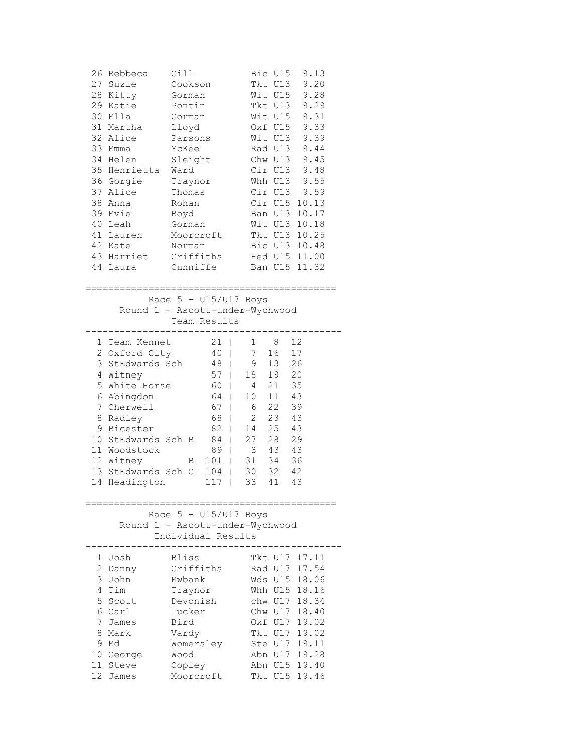| 26 Rebbeca<br>27 Suzie<br>28 Kitty<br>29 Katie<br>30 Ella<br>31 Martha<br>32 Alice<br>33 Emma<br>34 Helen<br>35 Henrietta<br>36 Gorgie<br>37 Alice<br>38<br>Anna<br>39 Evie<br>40 Leah<br>41 Lauren<br>42 Kate<br>43 Harriet<br>44 Laura | Gill<br>Cookson<br>Gorman<br>Pontin<br>Gorman<br>Lloyd<br>Parsons<br>McKee<br>Sleight<br>Ward<br>Traynor<br>Thomas<br>Rohan<br>Boyd<br>Gorman<br>Moorcroft<br>Norman<br>Griffiths<br>Cunniffe | Bic U15<br>9.13<br>9.20<br>Tkt U13<br>Wit U15<br>9.28<br>Tkt U13<br>9.29<br>9.31<br>Wit U15<br>9.33<br>Oxf U15<br>Wit U13<br>9.39<br>Rad U13<br>9.44<br>Chw U13<br>9.45<br>Cir U13<br>9.48<br>9.55<br>Whh U13<br>9.59<br>Cir U13<br>Cir U15<br>10.13<br>Ban U13<br>10.17<br>Wit U13<br>10.18<br>Tkt U13 10.25<br>Bic U13 10.48<br>Hed U15 11.00<br>Ban U15 11.32      |
|------------------------------------------------------------------------------------------------------------------------------------------------------------------------------------------------------------------------------------------|-----------------------------------------------------------------------------------------------------------------------------------------------------------------------------------------------|-----------------------------------------------------------------------------------------------------------------------------------------------------------------------------------------------------------------------------------------------------------------------------------------------------------------------------------------------------------------------|
|                                                                                                                                                                                                                                          | Race $5 - U15/U17$ Boys<br>Team Results                                                                                                                                                       | Round 1 - Ascott-under-Wychwood                                                                                                                                                                                                                                                                                                                                       |
| 1 Team Kennet<br>2 Oxford City<br>3 StEdwards Sch<br>4 Witney<br>5 White Horse<br>6 Abingdon<br>7 Cherwell<br>8 Radley<br>9 Bicester<br>10 StEdwards Sch B<br>11 Woodstock<br>12 Witney<br>13 StEdwards Sch C<br>14<br>Headington        | 21  <br>$40$  <br>48<br>57<br>60<br>64<br>67<br>68<br>82<br>84<br>89<br>$\mathbf{B}$<br>101<br>104<br>117                                                                                     | 12<br>1<br>8<br>7<br>17<br>16<br>13<br>26<br>9<br>T<br>19<br>18<br>20<br>$\mathbf{L}$<br>21<br>35<br>4<br>L<br>11<br>43<br>10 <sub>1</sub><br>L<br>22<br>6<br>39<br>L<br>$\overline{2}$<br>23 43<br>L<br>25<br>43<br>14<br>$\mathbb{R}^n$<br>27<br>$\frac{1}{28}$<br>29<br>L<br>43<br>3<br>43<br>L<br>34<br>31<br>36<br>I.<br>32 42<br>30<br>L<br>33<br>41<br>43<br>I |
|                                                                                                                                                                                                                                          | Race $5 - U15/U17$ Boys<br>Round 1 - Ascott-under-Wychwood<br>Individual Results                                                                                                              |                                                                                                                                                                                                                                                                                                                                                                       |
| 1 Josh<br>2 Danny<br>3 John<br>4 Tim<br>5<br>Scott<br>6 Carl<br>7 James<br>Mark<br>8.<br>9<br>Ed<br>10 George<br>11 Steve<br>12 James                                                                                                    | Bliss<br>Griffiths<br>Ewbank<br>Traynor<br>Devonish<br>Tucker<br>Bird<br>Vardy<br>Womersley<br>Wood<br>Copley<br>Moorcroft                                                                    | Tkt U17 17.11<br>17.54<br>Rad U17<br>Wds U15<br>18.06<br>Whh U15<br>18.16<br>chw U17<br>18.34<br>Chw U17<br>18.40<br>19.02<br>Oxf U17<br>19.02<br>Tkt U17<br>19.11<br>Ste U17<br>19.28<br>Abn U17<br>Abn U15<br>19.40<br>Tkt U15<br>19.46                                                                                                                             |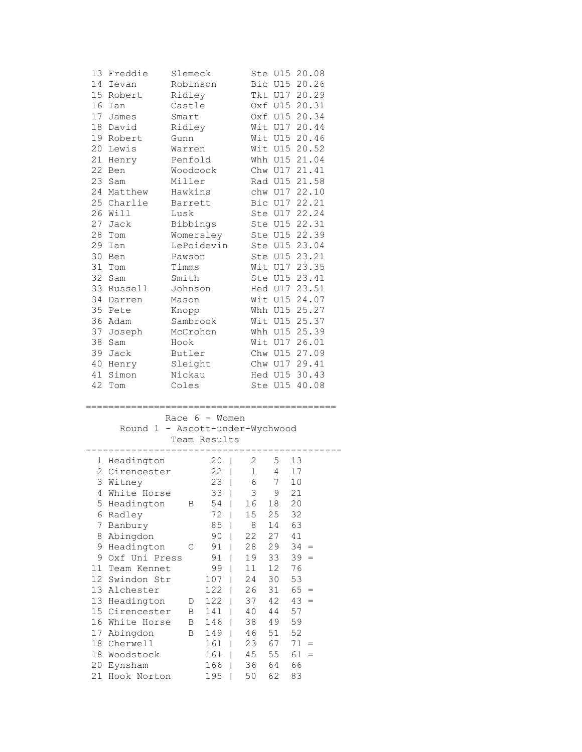| 13     | Freddie                         | Slemeck   |                                |              |                 | Ste U15 20.08 |  |
|--------|---------------------------------|-----------|--------------------------------|--------------|-----------------|---------------|--|
|        | 14 Ievan                        | Robinson  |                                |              |                 | Bic U15 20.26 |  |
|        | 15 Robert                       | Ridley    |                                |              |                 | Tkt U17 20.29 |  |
| 16     | Ian                             | Castle    |                                |              |                 | Oxf U15 20.31 |  |
|        | 17 James                        | Smart     |                                |              |                 | Oxf U15 20.34 |  |
| 18     | David                           | Ridley    |                                |              |                 | Wit U17 20.44 |  |
|        | 19 Robert                       | Gunn      |                                |              |                 | Wit U15 20.46 |  |
| 20     | Lewis                           | Warren    |                                |              |                 | Wit U15 20.52 |  |
|        | 21 Henry                        | Penfold   |                                |              |                 | Whh U15 21.04 |  |
|        | 22 Ben                          | Woodcock  |                                |              |                 | Chw U17 21.41 |  |
|        | 23 Sam                          | Miller    |                                |              |                 | Rad U15 21.58 |  |
|        | 24 Matthew                      | Hawkins   |                                |              |                 | chw U17 22.10 |  |
|        | 25 Charlie                      | Barrett   |                                |              |                 | Bic U17 22.21 |  |
|        |                                 |           |                                |              |                 |               |  |
|        | 26 Will                         | Lusk      |                                |              |                 | Ste U17 22.24 |  |
|        | 27 Jack                         | Bibbings  |                                |              |                 | Ste U15 22.31 |  |
| 28     | Tom                             | Womersley |                                |              |                 | Ste U15 22.39 |  |
| 29     | Ian                             |           | LePoidevin                     |              |                 | Ste U15 23.04 |  |
| 30     | Ben                             | Pawson    |                                |              |                 | Ste U15 23.21 |  |
| 31     | Tom                             | Timms     |                                |              |                 | Wit U17 23.35 |  |
| 32     | Sam                             | Smith     |                                |              |                 | Ste U15 23.41 |  |
| 33     | Russell                         | Johnson   |                                |              |                 | Hed U17 23.51 |  |
| 34     | Darren                          | Mason     |                                |              |                 | Wit U15 24.07 |  |
| 35     | Pete                            | Knopp     |                                |              |                 | Whh U15 25.27 |  |
|        | 36 Adam                         | Sambrook  |                                |              |                 | Wit U15 25.37 |  |
|        | 37 Joseph                       | McCrohon  |                                |              |                 | Whh U15 25.39 |  |
| 38     | Sam                             | Hook      |                                |              |                 | Wit U17 26.01 |  |
|        | 39 Jack                         | Butler    |                                |              |                 | Chw U15 27.09 |  |
|        | 40 Henry                        | Sleight   |                                |              |                 | Chw U17 29.41 |  |
|        |                                 |           |                                |              |                 |               |  |
|        |                                 |           |                                |              |                 |               |  |
| 41     | Simon                           | Nickau    |                                |              |                 | Hed U15 30.43 |  |
|        | 42 Tom                          | Coles     |                                |              |                 | Ste U15 40.08 |  |
|        |                                 |           | ========                       |              |                 |               |  |
|        |                                 |           | Race $6 -$ Women               |              |                 |               |  |
|        |                                 |           |                                |              |                 |               |  |
|        | Round 1 - Ascott-under-Wychwood |           |                                |              |                 |               |  |
|        |                                 |           | Team Results<br>-----          |              |                 |               |  |
|        |                                 |           |                                | $\mathbf{2}$ |                 |               |  |
|        | 1 Headington                    |           | $20 \mid$                      |              | 5               | 13            |  |
|        | 2 Cirencester                   |           | $22 \mid$                      | $\mathbf 1$  | $4\overline{ }$ | $17$          |  |
| 3      | Witney                          |           | 23<br>$\overline{\phantom{a}}$ | 6            | 7 <sup>7</sup>  | 10            |  |
|        | 4 White Horse                   |           | 33                             | 3            | 9               | 21            |  |
| 5      | Headington                      | В         | 54                             | 16           | 18              | 20            |  |
| 6      | Radley                          |           | 72                             | 15           | 25              | 32            |  |
| 7      | Banbury                         |           | 85                             | 8            | 14              | 63            |  |
| 8      | Abingdon                        |           | 90                             | 22           | 27              | 41            |  |
| 9      | Headington                      | С         | 91                             | 28           | 29              | 34<br>$=$     |  |
| 9      | Oxf Uni Press                   |           | 91<br>I                        | 19           | 33              | 39<br>$=$     |  |
| 11     | Team Kennet                     |           | 99                             | 11           | 12              | 76            |  |
| 12     | Swindon Str                     |           | 107                            | 24           | 30              | 53            |  |
| 13     | Alchester                       |           | 122                            | 26           | 31              | 65<br>$=$     |  |
| 13     | Headington                      | D         | 122                            | 37           | 42              | 43<br>$=$     |  |
| 15     | Cirencester                     | В         | 141                            | 40           | 44              | 57            |  |
| 16     | White Horse                     | В         | 146                            | 38           | 49              | 59            |  |
| $17\,$ | Abingdon                        | В         | 149                            | 46           | 51              | 52            |  |
| 18     | Cherwell                        |           | 161<br>I                       | 23           | 67              | 71<br>$=$     |  |
| 18     | Woodstock                       |           | 161                            | 45           | 55              | 61<br>$=$     |  |
| 20     | Eynsham<br>Hook Norton          |           | 166                            | 36           | 64              | 66            |  |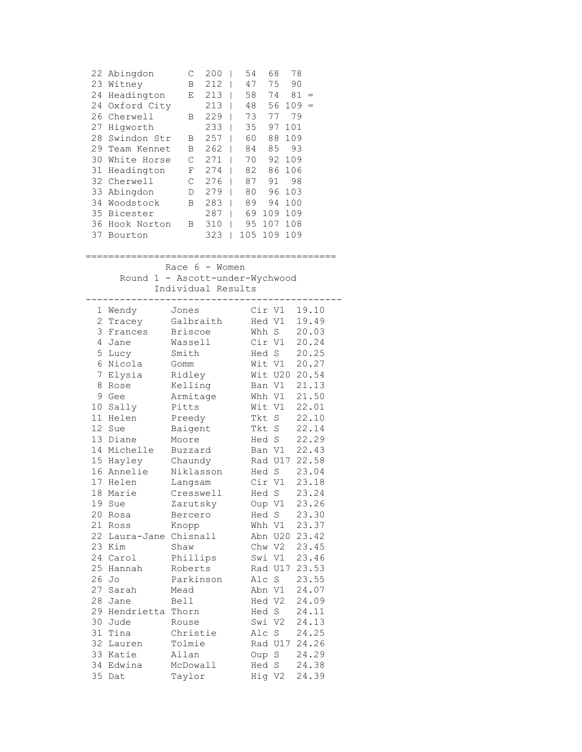|    | 22 Abingdon | С | 200 | 54  | 68  | 78  |     |
|----|-------------|---|-----|-----|-----|-----|-----|
| 23 | Witney      | B | 212 | 47  | 75  | 90  |     |
| 24 | Headington  | Ε | 213 | 58  | 74  | 81  | $=$ |
| 24 | Oxford City |   | 213 | 48  | 56  | 109 |     |
| 26 | Cherwell    | В | 229 | 73  | 77  | 79  |     |
| 27 | Hiqworth    |   | 233 | 35  | 97  | 101 |     |
| 28 | Swindon Str | В | 257 | 60  | 88  | 109 |     |
| 29 | Team Kennet | B | 262 | 84  | 85  | 93  |     |
| 30 | White Horse | С | 271 | 70  | 92  | 109 |     |
| 31 | Headington  | F | 274 | 82  | 86  | 106 |     |
| 32 | Cherwell    | С | 276 | 87  | 91  | 98  |     |
| 33 | Abingdon    | D | 279 | 80  | 96  | 103 |     |
| 34 | Woodstock   | B | 283 | 89  | 94  | 100 |     |
| 35 | Bicester    |   | 287 | 69  | 109 | 109 |     |
| 36 | Hook Norton | В | 310 | 95  | 107 | 108 |     |
| 37 | Bourton     |   | 323 | 105 | 109 | 109 |     |
|    |             |   |     |     |     |     |     |

|                                                                                                 | 37 Bourton                                           | 373   102 103 103                             |  |  |                                               |  |
|-------------------------------------------------------------------------------------------------|------------------------------------------------------|-----------------------------------------------|--|--|-----------------------------------------------|--|
| Race $6 -$ Women<br>Round 1 - Ascott-under-Wychwood<br>Individual Results<br>__________________ |                                                      |                                               |  |  |                                               |  |
|                                                                                                 | 1 Wendy Jones                                        | 2 Tracey Galbraith Hed V1 19.49               |  |  | Cir V1 19.10                                  |  |
|                                                                                                 | 3 Frances Briscoe<br>4 Jane                          | Wassell                                       |  |  | Whh S 20.03<br>Cir V1 20.24<br>Hed S 20.25    |  |
|                                                                                                 | 5 Lucy<br>6 Nicola Gomm                              | <br>Smith                                     |  |  | Wit V1 20.27                                  |  |
|                                                                                                 | 7 Elysia Ridley<br>8 Rose Kelling                    |                                               |  |  | Wit U20 20.54<br>Ban V1 21.13                 |  |
|                                                                                                 | 9 Gee<br>10 Sally                                    | Armitage<br>Pitts                             |  |  | Whh V1 21.50<br>Wit V1 22.01                  |  |
|                                                                                                 | 11 Helen<br>12 Sue                                   | Preedy<br>Baigent                             |  |  | Tkt S 22.10<br>Tkt S 22.14                    |  |
|                                                                                                 | 13 Diane<br>14 Michelle Buzzard<br>15 Hayley Chaundy | Moore                                         |  |  | Hed S 22.29<br>Ban V1 22.43                   |  |
|                                                                                                 |                                                      | 16 Annelie Niklasson Hed S 23.04              |  |  | Rad U17 22.58                                 |  |
|                                                                                                 | 17 Helen<br>18 Marie                                 | Langsam<br>Cresswell                          |  |  | Cir V1 23.18<br>Hed S 23.24                   |  |
|                                                                                                 | 19 Sue<br>20 Rosa<br>21 Ross                         | Zarutsky<br>Bercero                           |  |  | Oup V1 23.26<br>$Hed S$ 23.30<br>Whh V1 23.37 |  |
|                                                                                                 |                                                      | Knopp<br>22 Laura-Jane Chisnall Abn U20 23.42 |  |  |                                               |  |
|                                                                                                 | 23 Kim Shaw<br>24 Carol Phillips<br>25 Hannah        | Roberts                                       |  |  | Chw V2 23.45<br>Swi V1 23.46<br>Rad U17 23.53 |  |
|                                                                                                 | 26 Jo<br>27 Sarah                                    | Parkinson<br>Mead                             |  |  | Alc S 23.55<br>Abn V1 24.07                   |  |
|                                                                                                 | 28 Jane<br>29 Hendrietta Thorn                       | Bell                                          |  |  | Hed V2 24.09<br>Hed S 24.11                   |  |
|                                                                                                 | 30 Jude<br>31 Tina Christie                          | Rouse                                         |  |  | Swi V2 24.13<br>Alc S 24.25                   |  |
|                                                                                                 | 32 Lauren Tolmie<br>33 Katie                         | Allan                                         |  |  | Rad U17 24.26                                 |  |
|                                                                                                 | 34 Edwina<br>35 Dat                                  | McDowall<br>Taylor                            |  |  | Oup S 24.29<br>Hed S 24.38<br>Hig V2 24.39    |  |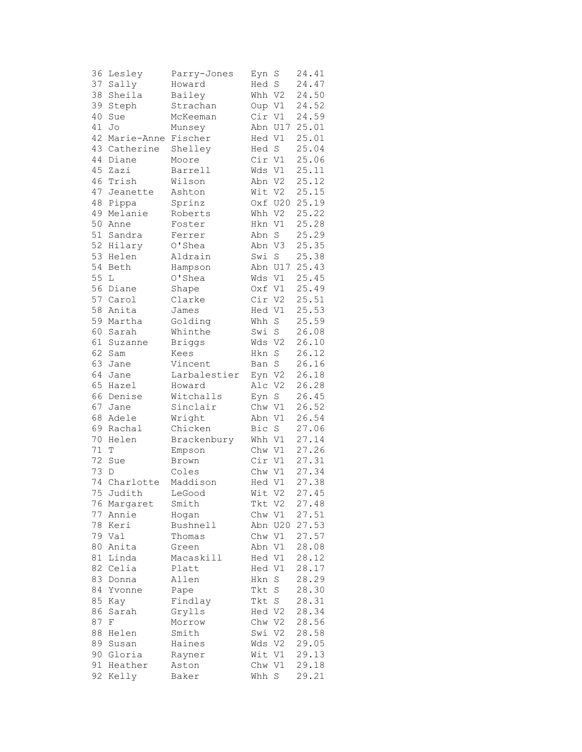| 36 | Lesley       | Parry-Jones   | Eyn    | S              | 24.41 |
|----|--------------|---------------|--------|----------------|-------|
| 37 | Sally        | Howard        | Hed S  |                | 24.47 |
| 38 | Sheila       | Bailey        | Whh V2 |                | 24.50 |
| 39 | Steph        | Strachan      | Oup V1 |                | 24.52 |
| 40 | Sue          | McKeeman      | Cir    | V1             | 24.59 |
| 41 | Jo           | Munsey        | Abn    | U17            | 25.01 |
| 42 | Marie-Anne   | Fischer       | Hed V1 |                | 25.01 |
|    | 43 Catherine | Shelley       | Hed S  |                | 25.04 |
| 44 | Diane        | Moore         | Cir V1 |                | 25.06 |
| 45 | Zazi         | Barrell       | Wds V1 |                | 25.11 |
| 46 | Trish        | Wilson        | Abn V2 |                | 25.12 |
| 47 | Jeanette     | Ashton        | Wit V2 |                | 25.15 |
| 48 | Pippa        | Sprinz        | Oxf    | U20            | 25.19 |
| 49 | Melanie      | Roberts       | Whh    | V2             | 25.22 |
| 50 | Anne         | Foster        | Hkn    | V1             | 25.28 |
| 51 | Sandra       | Ferrer        | Abn    | S              | 25.29 |
| 52 | Hilary       | O'Shea        | Abn V3 |                | 25.35 |
| 53 | Helen        | Aldrain       | Swi    | $\mathbf S$    | 25.38 |
| 54 | Beth         | Hampson       |        | Abn U17        | 25.43 |
| 55 | L            | O'Shea        | Wds    | V1             | 25.45 |
| 56 | Diane        | Shape         | Oxf V1 |                | 25.49 |
| 57 | Carol        | Clarke        | Cir V2 |                | 25.51 |
| 58 | Anita        | James         | Hed V1 |                | 25.53 |
| 59 | Martha       |               | Whh    |                |       |
|    |              | Golding       |        | $\rm S$        | 25.59 |
| 60 | Sarah        | Whinthe       | Swi    | $\mathbf S$    | 26.08 |
| 61 | Suzanne      | <b>Briggs</b> | Wds V2 |                | 26.10 |
| 62 | Sam          | Kees          | Hkn    | $\rm S$        | 26.12 |
| 63 | Jane         | Vincent       | Ban S  |                | 26.16 |
| 64 | Jane         | Larbalestier  | Eyn V2 |                | 26.18 |
| 65 | Hazel        | Howard        | Alc V2 |                | 26.28 |
| 66 | Denise       | Witchalls     | Eyn    | $\rm S$        | 26.45 |
| 67 | Jane         | Sinclair      | Chw    | V1             | 26.52 |
| 68 | Adele        | Wright        | Abn    | V1             | 26.54 |
| 69 | Rachal       | Chicken       | Bic    | S              | 27.06 |
| 70 | Helen        | Brackenbury   | Whh V1 |                | 27.14 |
| 71 | T            | Empson        | Chw V1 |                | 27.26 |
| 72 | Sue          | Brown         | Cir V1 |                | 27.31 |
| 73 | D            | Coles         | Chw V1 |                | 27.34 |
| 74 | Charlotte    | Maddison      | Hed V1 |                | 27.38 |
|    | 75 Judith    | LeGood        | Wit V2 |                | 27.45 |
| 76 | Margaret     | Smith         | Tkt    | V <sub>2</sub> | 27.48 |
| 77 | Annie        | Hogan         | Chw    | V1             | 27.51 |
| 78 | Keri         | Bushnell      | Abn    | U20            | 27.53 |
|    | 79 Val       | Thomas        | Chw V1 |                | 27.57 |
| 80 | Anita        | Green         | Abn    | V1             | 28.08 |
| 81 | Linda        | Macaskill     | Hed V1 |                | 28.12 |
| 82 | Celia        | Platt         | Hed    | V1             | 28.17 |
| 83 | Donna        | Allen         | Hkn    | $\rm S$        | 28.29 |
| 84 | Yvonne       | Pape          | Tkt    | S              | 28.30 |
| 85 | Kay          | Findlay       | Tkt    | S              | 28.31 |
| 86 | Sarah        | Grylls        | Hed V2 |                | 28.34 |
| 87 | F            | Morrow        | Chw V2 |                | 28.56 |
| 88 | Helen        | Smith         | Swi V2 |                | 28.58 |
| 89 | Susan        | Haines        | Wds    | V <sub>2</sub> | 29.05 |
| 90 | Gloria       | Rayner        | Wit    | V1             | 29.13 |
| 91 | Heather      | Aston         | Chw V1 |                | 29.18 |
| 92 | Kelly        | Baker         | Whh    | $\mathbf S$    | 29.21 |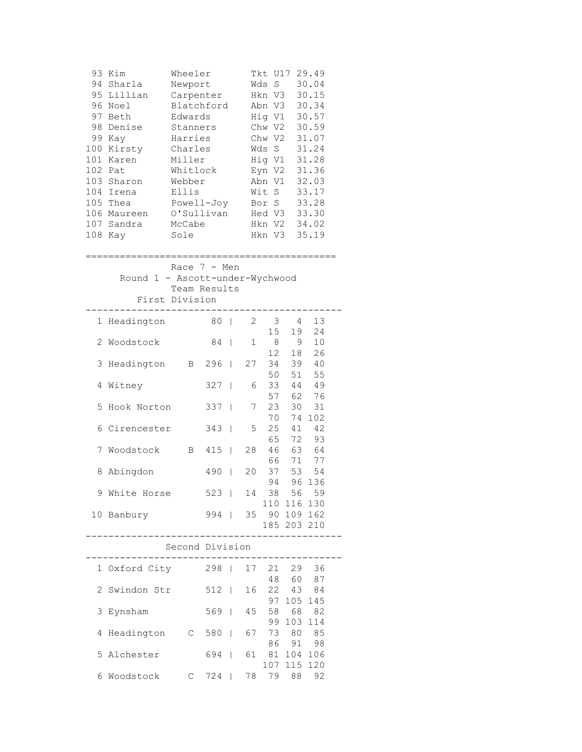| 93<br>95<br>96<br>97<br>98 | Kim<br>94 Sharla<br>Lillian<br>Noel<br>Beth<br>Denise<br>99 Kay<br>100 Kirsty<br>101 Karen<br>102 Pat<br>103 Sharon<br>104 Irena<br>105 Thea<br>106 Maureen<br>107 Sandra<br>108 Kay | Wheeler<br>Newport<br>Carpenter<br>Blatchford<br>Edwards<br>Stanners<br>Harries<br>Charles<br>Miller<br>Whitlock<br>Webber<br>Ellis<br>Powell-Joy<br>O'Sullivan<br>McCabe<br>Sole |         |                          |              | Tkt U17<br>$\rm S$<br>Wds<br>Hkn V3<br>Abn V3<br>Hig V1 30.57<br>Chw V2 30.59<br>Chw V2<br>Wds S<br>Hig V1<br>Eyn V2<br>Abn V1<br>Wit S<br>Bor S<br>Hed V3 33.30<br>Hkn V2 34.02<br>Hkn V3 35.19 |                            | 29.49<br>30.04<br>30.15<br>30.34<br>31.07<br>31.24<br>31.28<br>31.36<br>32.03<br>33.17<br>33.28 |  |
|----------------------------|--------------------------------------------------------------------------------------------------------------------------------------------------------------------------------------|-----------------------------------------------------------------------------------------------------------------------------------------------------------------------------------|---------|--------------------------|--------------|--------------------------------------------------------------------------------------------------------------------------------------------------------------------------------------------------|----------------------------|-------------------------------------------------------------------------------------------------|--|
|                            |                                                                                                                                                                                      |                                                                                                                                                                                   |         |                          |              |                                                                                                                                                                                                  |                            |                                                                                                 |  |
|                            | Race $7 - Men$<br>Round 1 - Ascott-under-Wychwood<br>Team Results<br>First Division                                                                                                  |                                                                                                                                                                                   |         |                          |              |                                                                                                                                                                                                  |                            |                                                                                                 |  |
| 1                          | Headington                                                                                                                                                                           |                                                                                                                                                                                   | 80      | $\overline{\phantom{0}}$ | $\mathbf{2}$ | 3                                                                                                                                                                                                | 4                          | 13                                                                                              |  |
| 2                          | Woodstock                                                                                                                                                                            |                                                                                                                                                                                   | 84      | $\overline{\phantom{a}}$ | 1            | 15<br>8                                                                                                                                                                                          | 19<br>9                    | 24<br>10                                                                                        |  |
| 3                          | Headington                                                                                                                                                                           | $\mathbf{B}$                                                                                                                                                                      | 296     | $\mathbf{I}$             | 27           | 12 <sup>7</sup><br>34                                                                                                                                                                            | 18<br>39                   | 26<br>40                                                                                        |  |
| 4                          | Witney                                                                                                                                                                               |                                                                                                                                                                                   | 327     | $\overline{\phantom{a}}$ | 6            | 50<br>33                                                                                                                                                                                         | 51<br>44                   | 55<br>49                                                                                        |  |
| 5                          | Hook Norton                                                                                                                                                                          |                                                                                                                                                                                   | 337     | $\overline{\phantom{a}}$ | 7            | 57<br>23                                                                                                                                                                                         | 62<br>30                   | 76<br>31                                                                                        |  |
| 6                          | Cirencester                                                                                                                                                                          |                                                                                                                                                                                   | 343     | $\mathbf{I}$             | 5            | 70<br>25                                                                                                                                                                                         | 74<br>41                   | 102<br>42                                                                                       |  |
| 7                          | Woodstock                                                                                                                                                                            | $\mathbf{B}$                                                                                                                                                                      | 415     | $\blacksquare$           | 28           | 65<br>46<br>66                                                                                                                                                                                   | 72<br>63                   | 93<br>64                                                                                        |  |
| 8                          | Abingdon                                                                                                                                                                             |                                                                                                                                                                                   | 490     | $\mathbf{I}$             | 20           | 37<br>94                                                                                                                                                                                         | 71<br>53                   | 77<br>54                                                                                        |  |
| 9                          | White Horse                                                                                                                                                                          |                                                                                                                                                                                   | $523$   |                          | 14           | 38                                                                                                                                                                                               | 96<br>56                   | 136<br>59                                                                                       |  |
|                            | 10 Banbury                                                                                                                                                                           |                                                                                                                                                                                   | 994     |                          |              | 35 90 109 162                                                                                                                                                                                    | 110 116 130<br>185 203 210 |                                                                                                 |  |
|                            |                                                                                                                                                                                      | Second Division                                                                                                                                                                   |         |                          |              |                                                                                                                                                                                                  |                            |                                                                                                 |  |
|                            | 1 Oxford City 298                                                                                                                                                                    |                                                                                                                                                                                   |         |                          | 17           |                                                                                                                                                                                                  | 21 29                      | 36                                                                                              |  |
|                            | 2 Swindon Str                                                                                                                                                                        |                                                                                                                                                                                   | $512$   |                          | 16           |                                                                                                                                                                                                  | 48 60 87<br>22 43 84       |                                                                                                 |  |
| 3                          | Eynsham                                                                                                                                                                              |                                                                                                                                                                                   | $569$   |                          | 45           |                                                                                                                                                                                                  | 97 105<br>58 68<br>99 103  | 145<br>82<br>114                                                                                |  |
| 4                          | Headington                                                                                                                                                                           |                                                                                                                                                                                   | $C$ 580 |                          | 67           |                                                                                                                                                                                                  | 73 80 85                   |                                                                                                 |  |
| 5                          | Alchester                                                                                                                                                                            |                                                                                                                                                                                   | 694     |                          | 61           | 86<br>81                                                                                                                                                                                         | 91<br>104<br>107 115       | 98<br>106<br>120                                                                                |  |
| 6                          | Woodstock                                                                                                                                                                            | $C$ 724                                                                                                                                                                           |         |                          |              | 78 79 88 92                                                                                                                                                                                      |                            |                                                                                                 |  |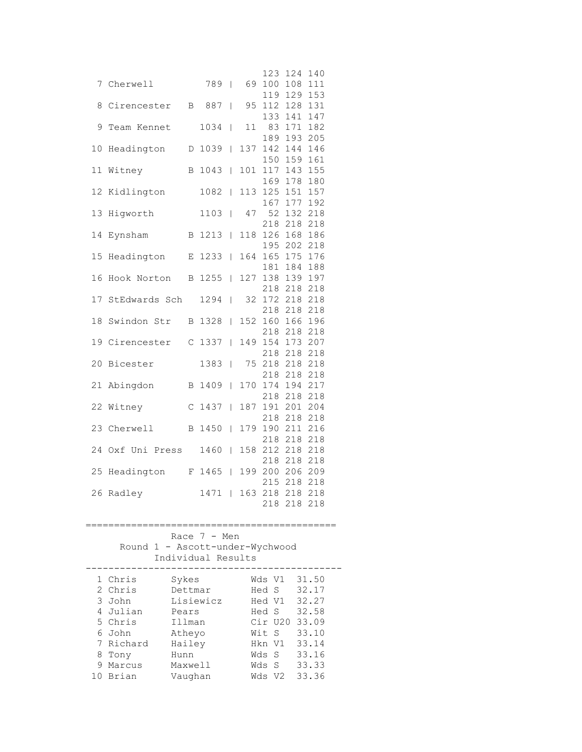|    |                                        |             |                       |                |         | 123 | 124 | 140 |  |
|----|----------------------------------------|-------------|-----------------------|----------------|---------|-----|-----|-----|--|
| 7  | Cherwell                               |             | 789                   | I              | 69      | 100 | 108 | 111 |  |
|    |                                        |             |                       |                |         | 119 | 129 | 153 |  |
| 8  | Cirencester                            | Β           | 887                   | $\overline{1}$ | 95      | 112 | 128 | 131 |  |
|    |                                        |             |                       |                |         | 133 | 141 | 147 |  |
| 9  | Team Kennet                            |             | 1034                  | T              | 11      | 83  | 171 | 182 |  |
|    |                                        |             |                       |                |         | 189 | 193 | 205 |  |
| 10 | Headington                             | D           | 1039                  | L              | 137     | 142 | 144 | 146 |  |
|    |                                        |             |                       |                |         | 150 | 159 | 161 |  |
| 11 | Witney                                 | B           | 1043                  | $\overline{1}$ | 101     | 117 | 143 | 155 |  |
|    |                                        |             |                       |                |         | 169 | 178 | 180 |  |
| 12 | Kidlington                             |             | 1082                  | L              | 113     | 125 | 151 | 157 |  |
|    |                                        |             |                       |                |         |     | 177 |     |  |
| 13 |                                        |             | 1103                  |                |         | 167 |     | 192 |  |
|    | Higworth                               |             |                       | T              | 47      | 52  | 132 | 218 |  |
|    |                                        |             |                       |                |         | 218 | 218 | 218 |  |
| 14 | Eynsham                                | B           | 1213                  | T              | 118     | 126 | 168 | 186 |  |
|    |                                        |             |                       |                |         | 195 | 202 | 218 |  |
| 15 | Headington                             | Е           | 1233                  | L              | 164     | 165 | 175 | 176 |  |
|    |                                        |             |                       |                |         | 181 | 184 | 188 |  |
| 16 | Hook Norton                            | B           | 1255                  | L              | 127     | 138 | 139 | 197 |  |
|    |                                        |             |                       |                |         | 218 | 218 | 218 |  |
| 17 | StEdwards Sch                          |             | 1294                  | L              | 32      | 172 | 218 | 218 |  |
|    |                                        |             |                       |                |         | 218 | 218 | 218 |  |
| 18 | Swindon Str                            | В           | 1328                  | T              | 152     | 160 | 166 | 196 |  |
|    |                                        |             |                       |                |         | 218 | 218 | 218 |  |
| 19 | Cirencester                            | C           | 1337                  | L              | 149     | 154 | 173 | 207 |  |
|    |                                        |             |                       |                |         | 218 | 218 | 218 |  |
| 20 | Bicester                               |             | 1383                  | L              | 75      | 218 | 218 | 218 |  |
|    |                                        |             |                       |                |         | 218 | 218 | 218 |  |
| 21 | Abingdon                               | В           | 1409                  | $\overline{1}$ | 170     | 174 | 194 | 217 |  |
|    |                                        |             |                       |                |         | 218 | 218 | 218 |  |
| 22 | Witney                                 | $\mathsf C$ | 1437                  | L              | 187     | 191 | 201 | 204 |  |
|    |                                        |             |                       |                |         | 218 | 218 | 218 |  |
| 23 | Cherwell                               | B           | 1450                  | L              | 179     | 190 | 211 | 216 |  |
|    |                                        |             |                       |                |         | 218 | 218 | 218 |  |
|    | 24 Oxf Uni Press                       |             | 1460                  | T              | 158     | 212 | 218 | 218 |  |
|    |                                        |             |                       |                |         | 218 | 218 | 218 |  |
| 25 | Headington                             | F           | 1465                  | L              | 199     | 200 | 206 | 209 |  |
|    |                                        |             |                       |                |         | 215 | 218 | 218 |  |
| 26 | Radley                                 |             | 1471                  | L              | 163     | 218 | 218 | 218 |  |
|    |                                        |             |                       |                |         | 218 | 218 | 218 |  |
|    |                                        |             |                       |                |         |     |     |     |  |
|    | -------------------------------------- |             |                       |                |         |     |     |     |  |
|    |                                        |             | Race $7 - Men$        |                |         |     |     |     |  |
|    | $1 -$<br>Round                         |             | Ascott-under-Wychwood |                |         |     |     |     |  |
|    | Individual                             |             |                       |                | Results |     |     |     |  |
|    |                                        |             |                       |                |         |     |     |     |  |

|   | 1 Chris   | Sykes     | Wds Vl  |                | 31.50 |
|---|-----------|-----------|---------|----------------|-------|
|   | 2 Chris   | Dettmar   | Hed S   |                | 32.17 |
|   | 3 John    | Lisiewicz | Hed V1  |                | 32.27 |
|   | 4 Julian  | Pears     | Hed S   |                | 32.58 |
|   | 5 Chris   | Illman    | Cir U20 |                | 33.09 |
|   | 6 John    | Atheyo    | Wit S   |                | 33.10 |
|   | 7 Richard | Hailey    | Hkn V1  |                | 33.14 |
|   | 8 Tony    | Hunn      | Wds S   |                | 33.16 |
| 9 | Marcus    | Maxwell   | Wds S   |                | 33.33 |
|   | Brian     | Vaughan   | Wds     | V <sub>2</sub> | 33.36 |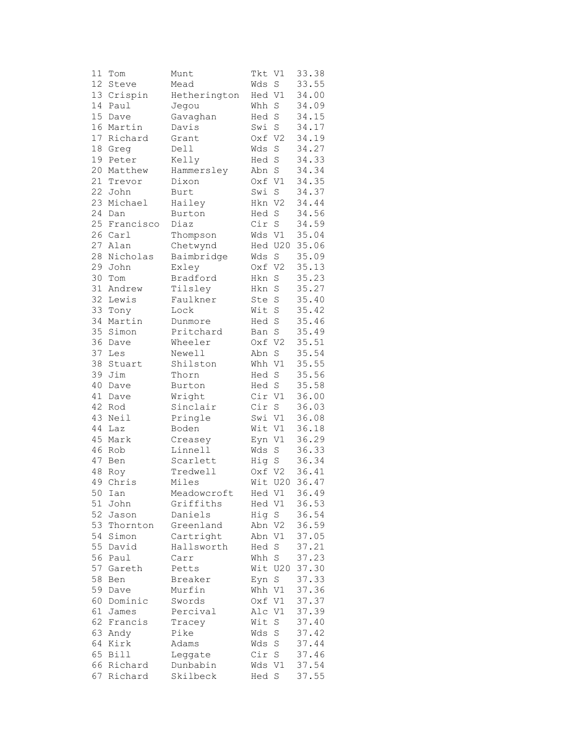| 11 | Tom         | Munt         | Tkt    | V1             | 33.38          |
|----|-------------|--------------|--------|----------------|----------------|
| 12 | Steve       | Mead         | Wds    | $\rm S$        | 33.55          |
| 13 | Crispin     | Hetherington | Hed V1 |                | 34.00          |
| 14 | Paul        | Jegou        | Whh    | S              | 34.09          |
| 15 | Dave        | Gavaghan     | Hed    | $\rm S$        | 34.15          |
| 16 | Martin      | Davis        | Swi    | S              | 34.17          |
| 17 | Richard     | Grant        | Oxf    | V <sub>2</sub> |                |
|    |             |              |        |                | 34.19          |
| 18 | Greg        | Dell         | Wds    | S              | 34.27          |
| 19 | Peter       | Kelly        | Hed    | $\mathbf S$    | 34.33          |
| 20 | Matthew     | Hammersley   | Abn    | $\mathbf S$    | 34.34          |
| 21 | Trevor      | Dixon        | Oxf V1 |                | 34.35          |
| 22 | John        | Burt         | Swi    | $\mathbf S$    | 34.37          |
| 23 | Michael     | Hailey       | Hkn    | V <sub>2</sub> | 34.44          |
| 24 | Dan         | Burton       | Hed    | $\mathbf S$    | 34.56          |
| 25 | Francisco   | Diaz         | Cir    | $\rm S$        | 34.59          |
| 26 | Carl        | Thompson     | Wds V1 |                | 35.04          |
| 27 | Alan        | Chetwynd     |        | Hed U20        | 35.06          |
| 28 | Nicholas    | Baimbridge   | Wds    | S              | 35.09          |
| 29 | John        | Exley        | Oxf    | V <sub>2</sub> | 35.13          |
| 30 | Tom         | Bradford     | Hkn    | S              | 35.23          |
| 31 | Andrew      | Tilsley      | Hkn    | S              | 35.27          |
| 32 |             |              |        |                |                |
|    | Lewis       | Faulkner     | Ste    | S              | 35.40          |
| 33 | Tony        | Lock         | Wit    | S              | 35.42          |
| 34 | Martin      | Dunmore      | Hed    | $\rm S$        | 35.46          |
| 35 | Simon       | Pritchard    | Ban    | S              | 35.49          |
| 36 | Dave        | Wheeler      | Oxf    | V <sub>2</sub> | 35.51          |
| 37 | Les         | Newell       | Abn    | $\rm S$        | 35.54          |
| 38 | Stuart      | Shilston     | Whh V1 |                | 35.55          |
| 39 | Jim         | Thorn        | Hed    | S              | 35.56          |
| 40 | Dave        | Burton       | Hed S  |                | 35.58          |
| 41 | Dave        | Wright       | Cir    | V1             | 36.00          |
| 42 | Rod         | Sinclair     | Cir    | $\mathbf S$    | 36.03          |
| 43 | Neil        | Pringle      | Swi    | V1             | 36.08          |
| 44 | Laz         | Boden        | Wit V1 |                | 36.18          |
| 45 | Mark        | Creasey      | Eyn V1 |                | 36.29          |
| 46 | Rob         | Linnell      | Wds    | $\rm S$        | 36.33          |
| 47 | Ben         | Scarlett     | Hig    | $\mathbf S$    | 36.34          |
| 48 | Roy         | Tredwell     | Oxf    | V <sub>2</sub> | 36.41          |
| 49 |             | Miles        |        | U20            |                |
|    | Chris       |              | Wit    |                | 36.47<br>36.49 |
|    | 50 Ian      | Meadowcroft  | Hed V1 |                |                |
| 51 | John        | Griffiths    | Hed V1 |                | 36.53          |
| 52 | Jason       | Daniels      | Hig    | S              | 36.54          |
| 53 | Thornton    | Greenland    | Abn    | V <sub>2</sub> | 36.59          |
| 54 | Simon       | Cartright    | Abn    | V1             | 37.05          |
| 55 | David       | Hallsworth   | Hed    | S              | 37.21          |
| 56 | Paul        | Carr         | Whh    | $\rm S$        | 37.23          |
| 57 | Gareth      | Petts        | Wit    | U20            | 37.30          |
| 58 | Ben         | Breaker      | Eyn    | $\rm S$        | 37.33          |
| 59 | Dave        | Murfin       | Whh    | V1             | 37.36          |
| 60 | Dominic     | Swords       | Oxf    | V1             | 37.37          |
| 61 | James       | Percival     | Alc    | $\rm V1$       | 37.39          |
| 62 | Francis     | Tracey       | Wit    | $\rm S$        | 37.40          |
| 63 | Andy        | Pike         | Wds    | S              | 37.42          |
| 64 | Kirk        | Adams        | Wds    | S              | 37.44          |
| 65 | <b>Bill</b> | Leggate      | Cir    | S              | 37.46          |
| 66 | Richard     | Dunbabin     | Wds    | V1             | 37.54          |
| 67 | Richard     | Skilbeck     | Hed S  |                | 37.55          |
|    |             |              |        |                |                |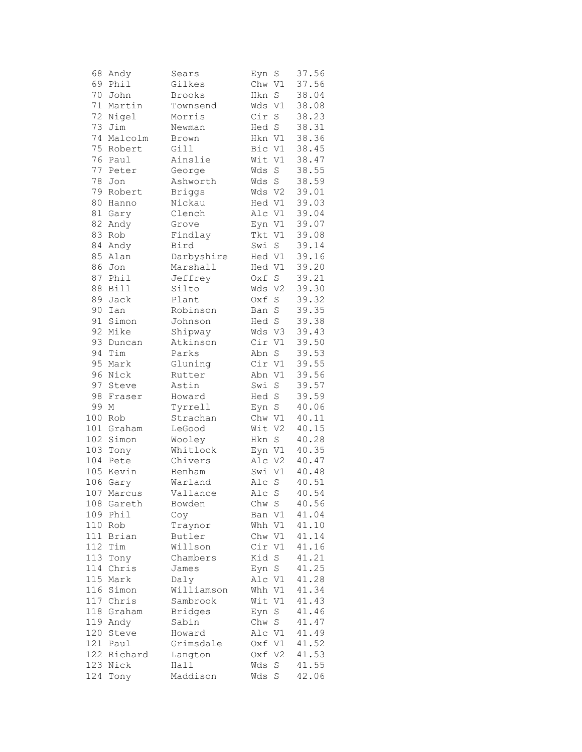| 68  | Andy       | Sears          | Eyn              | S              | 37.56 |
|-----|------------|----------------|------------------|----------------|-------|
| 69  | Phi1       | Gilkes         | Chw V1           |                | 37.56 |
| 70  | John       | Brooks         | Hkn              | $\mathbf S$    | 38.04 |
| 71  | Martin     | Townsend       | Wds              | V1             | 38.08 |
| 72  | Nigel      | Morris         | Cir              | $\rm S$        | 38.23 |
| 73  | Jim        | Newman         | Hed S            |                | 38.31 |
| 74  | Malcolm    | Brown          | Hkn V1           |                | 38.36 |
| 75  | Robert     | Gill           | Bic V1           |                | 38.45 |
| 76  | Paul       | Ainslie        | Wit V1           |                | 38.47 |
| 77  | Peter      | George         | Wds              | $\rm S$        | 38.55 |
| 78  | Jon        | Ashworth       | Wds              | $\mathbf S$    | 38.59 |
| 79  | Robert     | Briggs         | Wds V2           |                | 39.01 |
| 80  | Hanno      | Nickau         | Hed V1           |                | 39.03 |
| 81  | Gary       | Clench         | Alc V1           |                | 39.04 |
| 82  | Andy       | Grove          | Eyn V1           |                | 39.07 |
| 83  | Rob        | Findlay        | Tkt V1           |                | 39.08 |
| 84  | Andy       | Bird           | Swi              | S              | 39.14 |
| 85  | Alan       | Darbyshire     | Hed V1           |                | 39.16 |
| 86  | Jon        | Marshall       | Hed V1           |                | 39.20 |
| 87  | Phil       | Jeffrey        | Oxf              | $\rm S$        | 39.21 |
| 88  | Bill       | Silto          | Wds              | V <sub>2</sub> | 39.30 |
| 89  | Jack       | Plant          | Oxf              | $\rm S$        | 39.32 |
| 90  | Ian        | Robinson       | Ban              | $\mathbf S$    | 39.35 |
| 91  | Simon      | Johnson        | Hed S            |                |       |
|     |            |                |                  |                | 39.38 |
| 92  | Mike       | Shipway        | Wds V3<br>Cir V1 |                | 39.43 |
| 93  | Duncan     | Atkinson       |                  |                | 39.50 |
| 94  | Tim        | Parks          | Abn              | S              | 39.53 |
| 95  | Mark       | Gluning        | Cir V1           |                | 39.55 |
| 96  | Nick       | Rutter         | Abn V1           |                | 39.56 |
| 97  | Steve      | Astin          | Swi              | $\mathbf S$    | 39.57 |
| 98  | Fraser     | Howard         | Hed S            |                | 39.59 |
| 99  | М          | Tyrrell        | Eyn              | $\rm S$        | 40.06 |
| 100 | Rob        | Strachan       | Chw V1           |                | 40.11 |
|     | 101 Graham | LeGood         | Wit V2           |                | 40.15 |
| 102 | Simon      | Wooley         | Hkn              | S              | 40.28 |
|     | 103 Tony   | Whitlock       | Eyn V1           |                | 40.35 |
| 104 | Pete       | Chivers        | Alc V2           |                | 40.47 |
| 105 | Kevin      | Benham         | Swi              | V1             | 40.48 |
| 106 | Gary       | Warland        | Alc              | $\rm S$        | 40.51 |
| 107 | Marcus     | Vallance       | Alc S            |                | 40.54 |
| 108 | Gareth     | Bowden         | Chw              | S              | 40.56 |
| 109 | Phil       | Coy            | Ban              | V1             | 41.04 |
| 110 | Rob        | Traynor        | Whh              | V1             | 41.10 |
| 111 | Brian      | Butler         | Chw V1           |                | 41.14 |
| 112 | Tim        | Willson        | Cir              | V1             | 41.16 |
| 113 | Tony       | Chambers       | Kid              | $\rm S$        | 41.21 |
| 114 | Chris      | James          | Eyn              | $\rm S$        | 41.25 |
| 115 | Mark       | Daly           | Alc V1           |                | 41.28 |
| 116 | Simon      | Williamson     | Whh V1           |                | 41.34 |
| 117 | Chris      | Sambrook       | Wit              | V1             | 41.43 |
| 118 | Graham     | <b>Bridges</b> | Eyn              | $\rm S$        | 41.46 |
| 119 | Andy       | Sabin          | Chw              | $\mathbf S$    | 41.47 |
| 120 | Steve      | Howard         | Alc V1           |                | 41.49 |
|     | 121 Paul   | Grimsdale      | Oxf V1           |                | 41.52 |
| 122 | Richard    | Langton        | Oxf              | V <sub>2</sub> | 41.53 |
| 123 | Nick       | Hall           | Wds              | S              | 41.55 |
| 124 | Tony       | Maddison       | Wds              | S              | 42.06 |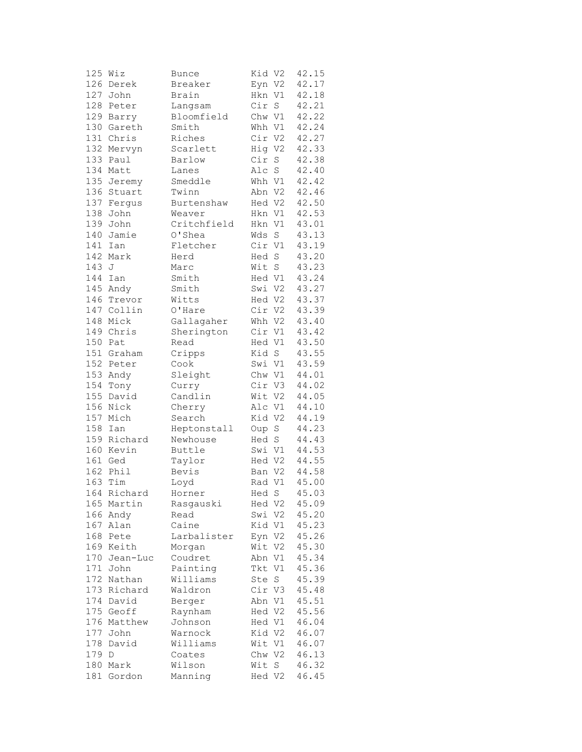|     | $125$ Wiz   | Bunce       | Kid V2 |                | 42.15 |
|-----|-------------|-------------|--------|----------------|-------|
|     | 126 Derek   | Breaker     | Eyn V2 |                | 42.17 |
| 127 | John        | Brain       | Hkn V1 |                | 42.18 |
|     | 128 Peter   | Langsam     | Cir    | S              | 42.21 |
|     | 129 Barry   | Bloomfield  | Chw V1 |                | 42.22 |
|     | 130 Gareth  | Smith       | Whh V1 |                | 42.24 |
|     | 131 Chris   | Riches      | Cir V2 |                | 42.27 |
|     | 132 Mervyn  | Scarlett    | Hig V2 |                | 42.33 |
|     | 133 Paul    | Barlow      | Cir    | $\rm S$        | 42.38 |
| 134 | Matt        | Lanes       | Alc    | $\rm S$        | 42.40 |
| 135 |             | Smeddle     | Whh V1 |                | 42.42 |
| 136 | Jeremy      |             |        |                |       |
|     | Stuart      | Twinn       | Abn V2 |                | 42.46 |
| 137 | Ferqus      | Burtenshaw  | Hed V2 |                | 42.50 |
| 138 | John        | Weaver      | Hkn V1 |                | 42.53 |
| 139 | John        | Critchfield | Hkn V1 |                | 43.01 |
| 140 | Jamie       | O'Shea      | Wds    | S              | 43.13 |
| 141 | Ian         | Fletcher    | Cir V1 |                | 43.19 |
| 142 | Mark        | Herd        | Hed    | $\rm S$        | 43.20 |
| 143 | J           | Marc        | Wit S  |                | 43.23 |
|     | 144 Ian     | Smith       | Hed V1 |                | 43.24 |
|     | 145 Andy    | Smith       | Swi V2 |                | 43.27 |
|     | 146 Trevor  | Witts       | Hed V2 |                | 43.37 |
|     | 147 Collin  | O'Hare      | Cir V2 |                | 43.39 |
|     | 148 Mick    | Gallagaher  | Whh V2 |                | 43.40 |
|     | 149 Chris   | Sherington  | Cir V1 |                | 43.42 |
|     | 150 Pat     | Read        | Hed V1 |                | 43.50 |
|     | 151 Graham  | Cripps      | Kid S  |                | 43.55 |
|     | 152 Peter   | Cook        | Swi V1 |                | 43.59 |
|     | 153 Andy    | Sleight     | Chw V1 |                | 44.01 |
|     |             |             |        |                |       |
| 154 | Tony        | Curry       | Cir V3 |                | 44.02 |
| 155 | David       | Candlin     | Wit V2 |                | 44.05 |
|     | 156 Nick    | Cherry      | Alc V1 |                | 44.10 |
| 157 | Mich        | Search      | Kid V2 |                | 44.19 |
| 158 | Ian         | Heptonstall | Oup    | $\mathbf S$    | 44.23 |
|     | 159 Richard | Newhouse    | Hed    | $\mathbf S$    | 44.43 |
|     | 160 Kevin   | Buttle      | Swi V1 |                | 44.53 |
|     | 161 Ged     | Taylor      | Hed V2 |                | 44.55 |
|     | 162 Phil    | Bevis       | Ban V2 |                | 44.58 |
|     | 163 Tim     | Loyd        | Rad V1 |                | 45.00 |
|     | 164 Richard | Horner      | Hed S  |                | 45.03 |
| 165 | Martin      | Rasgauski   | Hed V2 |                | 45.09 |
| 166 | Andy        | Read        | Swi V2 |                | 45.20 |
| 167 | Alan        | Caine       | Kid V1 |                | 45.23 |
| 168 | Pete        | Larbalister | Eyn V2 |                | 45.26 |
| 169 | Keith       | Morgan      | Wit    | V <sub>2</sub> | 45.30 |
| 170 | Jean-Luc    | Coudret     | Abn    | V1             | 45.34 |
| 171 | John        | Painting    | Tkt    | V1             | 45.36 |
| 172 | Nathan      | Williams    | Ste    | S              | 45.39 |
|     |             |             |        |                |       |
| 173 | Richard     | Waldron     | Cir V3 |                | 45.48 |
| 174 | David       | Berger      | Abn V1 |                | 45.51 |
|     | 175 Geoff   | Raynham     | Hed V2 |                | 45.56 |
| 176 | Matthew     | Johnson     | Hed V1 |                | 46.04 |
| 177 | John        | Warnock     | Kid V2 |                | 46.07 |
| 178 | David       | Williams    | Wit V1 |                | 46.07 |
| 179 | D           | Coates      | Chw V2 |                | 46.13 |
| 180 | Mark        | Wilson      | Wit    | S              | 46.32 |
| 181 | Gordon      | Manning     | Hed V2 |                | 46.45 |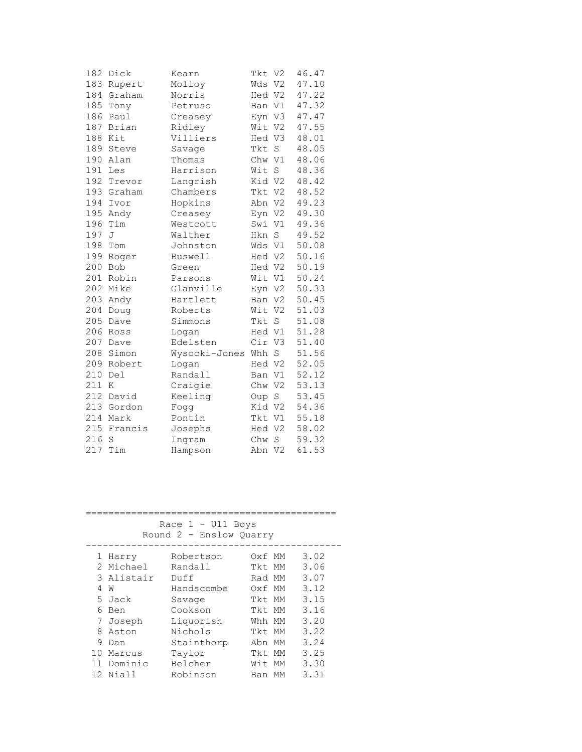| 183<br>Molloy<br>Wds V2<br>Rupert<br>184<br>Hed V2<br>Graham<br>Norris<br>185<br>V1<br>Tony<br>Petruso<br>Ban<br>186<br>Paul<br>Eyn V3<br>Creasey<br>187<br>Brian<br>Wit V2<br>Ridley<br>188<br>Kit<br>Villiers<br>Hed V3<br>189<br>Steve<br>Tkt<br>S<br>Savage<br>190<br>Chw V1<br>Thomas<br>Alan<br>191<br>Harrison<br>Wit<br>S<br>Les<br>192<br>Langrish<br>Kid V2<br>Trevor<br>193 Graham<br>Chambers<br>Tkt V2<br>194<br>Hopkins<br>Abn V2<br>Ivor<br>195<br>Andy<br>Creasey<br>Eyn V2<br>196<br>Tim<br>Westcott<br>Swi V1<br>197<br>S<br>J<br>Walther<br>Hkn<br>198<br>V1<br>Tom<br>Johnston<br>Wds<br>199<br>Roger<br>Hed V2<br>Buswell<br>200<br><b>Bob</b><br>Hed V2<br>Green<br>201<br>Robin<br>Wit<br>V1<br>Parsons<br>202<br>Glanville<br>Mike<br>Eyn V2<br>203<br>Bartlett<br>V2<br>Andy<br>Ban<br>204<br>V <sub>2</sub><br>Doug<br>Roberts<br>Wit<br>205<br>Tkt<br>$\rm S$<br>Dave<br>Simmons<br>206<br>Hed V1<br>Ross<br>Logan<br>207<br>Cir V3<br>Edelsten<br>Dave<br>208<br>Simon<br>Wysocki-Jones<br>Whh<br>$\mathbf S$<br>209<br>Hed V2<br>Robert<br>Logan<br>210<br>Del<br>Randall<br>Ban V1<br>211<br>Craigie<br>Chw V2<br>K<br>212<br>David<br>Keeling<br>S<br>Oup<br>213<br>Kid V2<br>Gordon<br>Fogg<br>214 Mark<br>Tkt V1<br>Pontin<br>215<br>Hed V2<br>Francis<br>Josephs<br>216<br>Chw S<br>S<br>Ingram<br>217<br>Tim<br>Hampson<br>Abn V2 | 182 | Dick | Kearn | Tkt V2 | 46.47 |
|----------------------------------------------------------------------------------------------------------------------------------------------------------------------------------------------------------------------------------------------------------------------------------------------------------------------------------------------------------------------------------------------------------------------------------------------------------------------------------------------------------------------------------------------------------------------------------------------------------------------------------------------------------------------------------------------------------------------------------------------------------------------------------------------------------------------------------------------------------------------------------------------------------------------------------------------------------------------------------------------------------------------------------------------------------------------------------------------------------------------------------------------------------------------------------------------------------------------------------------------------------------------------------------------------------------------------------------------------------------------|-----|------|-------|--------|-------|
|                                                                                                                                                                                                                                                                                                                                                                                                                                                                                                                                                                                                                                                                                                                                                                                                                                                                                                                                                                                                                                                                                                                                                                                                                                                                                                                                                                      |     |      |       |        | 47.10 |
|                                                                                                                                                                                                                                                                                                                                                                                                                                                                                                                                                                                                                                                                                                                                                                                                                                                                                                                                                                                                                                                                                                                                                                                                                                                                                                                                                                      |     |      |       |        | 47.22 |
|                                                                                                                                                                                                                                                                                                                                                                                                                                                                                                                                                                                                                                                                                                                                                                                                                                                                                                                                                                                                                                                                                                                                                                                                                                                                                                                                                                      |     |      |       |        | 47.32 |
|                                                                                                                                                                                                                                                                                                                                                                                                                                                                                                                                                                                                                                                                                                                                                                                                                                                                                                                                                                                                                                                                                                                                                                                                                                                                                                                                                                      |     |      |       |        | 47.47 |
|                                                                                                                                                                                                                                                                                                                                                                                                                                                                                                                                                                                                                                                                                                                                                                                                                                                                                                                                                                                                                                                                                                                                                                                                                                                                                                                                                                      |     |      |       |        | 47.55 |
|                                                                                                                                                                                                                                                                                                                                                                                                                                                                                                                                                                                                                                                                                                                                                                                                                                                                                                                                                                                                                                                                                                                                                                                                                                                                                                                                                                      |     |      |       |        | 48.01 |
|                                                                                                                                                                                                                                                                                                                                                                                                                                                                                                                                                                                                                                                                                                                                                                                                                                                                                                                                                                                                                                                                                                                                                                                                                                                                                                                                                                      |     |      |       |        | 48.05 |
|                                                                                                                                                                                                                                                                                                                                                                                                                                                                                                                                                                                                                                                                                                                                                                                                                                                                                                                                                                                                                                                                                                                                                                                                                                                                                                                                                                      |     |      |       |        | 48.06 |
|                                                                                                                                                                                                                                                                                                                                                                                                                                                                                                                                                                                                                                                                                                                                                                                                                                                                                                                                                                                                                                                                                                                                                                                                                                                                                                                                                                      |     |      |       |        | 48.36 |
|                                                                                                                                                                                                                                                                                                                                                                                                                                                                                                                                                                                                                                                                                                                                                                                                                                                                                                                                                                                                                                                                                                                                                                                                                                                                                                                                                                      |     |      |       |        | 48.42 |
|                                                                                                                                                                                                                                                                                                                                                                                                                                                                                                                                                                                                                                                                                                                                                                                                                                                                                                                                                                                                                                                                                                                                                                                                                                                                                                                                                                      |     |      |       |        | 48.52 |
|                                                                                                                                                                                                                                                                                                                                                                                                                                                                                                                                                                                                                                                                                                                                                                                                                                                                                                                                                                                                                                                                                                                                                                                                                                                                                                                                                                      |     |      |       |        | 49.23 |
|                                                                                                                                                                                                                                                                                                                                                                                                                                                                                                                                                                                                                                                                                                                                                                                                                                                                                                                                                                                                                                                                                                                                                                                                                                                                                                                                                                      |     |      |       |        | 49.30 |
|                                                                                                                                                                                                                                                                                                                                                                                                                                                                                                                                                                                                                                                                                                                                                                                                                                                                                                                                                                                                                                                                                                                                                                                                                                                                                                                                                                      |     |      |       |        | 49.36 |
|                                                                                                                                                                                                                                                                                                                                                                                                                                                                                                                                                                                                                                                                                                                                                                                                                                                                                                                                                                                                                                                                                                                                                                                                                                                                                                                                                                      |     |      |       |        | 49.52 |
|                                                                                                                                                                                                                                                                                                                                                                                                                                                                                                                                                                                                                                                                                                                                                                                                                                                                                                                                                                                                                                                                                                                                                                                                                                                                                                                                                                      |     |      |       |        | 50.08 |
|                                                                                                                                                                                                                                                                                                                                                                                                                                                                                                                                                                                                                                                                                                                                                                                                                                                                                                                                                                                                                                                                                                                                                                                                                                                                                                                                                                      |     |      |       |        | 50.16 |
|                                                                                                                                                                                                                                                                                                                                                                                                                                                                                                                                                                                                                                                                                                                                                                                                                                                                                                                                                                                                                                                                                                                                                                                                                                                                                                                                                                      |     |      |       |        | 50.19 |
|                                                                                                                                                                                                                                                                                                                                                                                                                                                                                                                                                                                                                                                                                                                                                                                                                                                                                                                                                                                                                                                                                                                                                                                                                                                                                                                                                                      |     |      |       |        | 50.24 |
|                                                                                                                                                                                                                                                                                                                                                                                                                                                                                                                                                                                                                                                                                                                                                                                                                                                                                                                                                                                                                                                                                                                                                                                                                                                                                                                                                                      |     |      |       |        | 50.33 |
|                                                                                                                                                                                                                                                                                                                                                                                                                                                                                                                                                                                                                                                                                                                                                                                                                                                                                                                                                                                                                                                                                                                                                                                                                                                                                                                                                                      |     |      |       |        | 50.45 |
|                                                                                                                                                                                                                                                                                                                                                                                                                                                                                                                                                                                                                                                                                                                                                                                                                                                                                                                                                                                                                                                                                                                                                                                                                                                                                                                                                                      |     |      |       |        | 51.03 |
|                                                                                                                                                                                                                                                                                                                                                                                                                                                                                                                                                                                                                                                                                                                                                                                                                                                                                                                                                                                                                                                                                                                                                                                                                                                                                                                                                                      |     |      |       |        | 51.08 |
|                                                                                                                                                                                                                                                                                                                                                                                                                                                                                                                                                                                                                                                                                                                                                                                                                                                                                                                                                                                                                                                                                                                                                                                                                                                                                                                                                                      |     |      |       |        | 51.28 |
|                                                                                                                                                                                                                                                                                                                                                                                                                                                                                                                                                                                                                                                                                                                                                                                                                                                                                                                                                                                                                                                                                                                                                                                                                                                                                                                                                                      |     |      |       |        | 51.40 |
|                                                                                                                                                                                                                                                                                                                                                                                                                                                                                                                                                                                                                                                                                                                                                                                                                                                                                                                                                                                                                                                                                                                                                                                                                                                                                                                                                                      |     |      |       |        | 51.56 |
|                                                                                                                                                                                                                                                                                                                                                                                                                                                                                                                                                                                                                                                                                                                                                                                                                                                                                                                                                                                                                                                                                                                                                                                                                                                                                                                                                                      |     |      |       |        | 52.05 |
|                                                                                                                                                                                                                                                                                                                                                                                                                                                                                                                                                                                                                                                                                                                                                                                                                                                                                                                                                                                                                                                                                                                                                                                                                                                                                                                                                                      |     |      |       |        | 52.12 |
|                                                                                                                                                                                                                                                                                                                                                                                                                                                                                                                                                                                                                                                                                                                                                                                                                                                                                                                                                                                                                                                                                                                                                                                                                                                                                                                                                                      |     |      |       |        | 53.13 |
|                                                                                                                                                                                                                                                                                                                                                                                                                                                                                                                                                                                                                                                                                                                                                                                                                                                                                                                                                                                                                                                                                                                                                                                                                                                                                                                                                                      |     |      |       |        | 53.45 |
|                                                                                                                                                                                                                                                                                                                                                                                                                                                                                                                                                                                                                                                                                                                                                                                                                                                                                                                                                                                                                                                                                                                                                                                                                                                                                                                                                                      |     |      |       |        | 54.36 |
|                                                                                                                                                                                                                                                                                                                                                                                                                                                                                                                                                                                                                                                                                                                                                                                                                                                                                                                                                                                                                                                                                                                                                                                                                                                                                                                                                                      |     |      |       |        | 55.18 |
|                                                                                                                                                                                                                                                                                                                                                                                                                                                                                                                                                                                                                                                                                                                                                                                                                                                                                                                                                                                                                                                                                                                                                                                                                                                                                                                                                                      |     |      |       |        | 58.02 |
|                                                                                                                                                                                                                                                                                                                                                                                                                                                                                                                                                                                                                                                                                                                                                                                                                                                                                                                                                                                                                                                                                                                                                                                                                                                                                                                                                                      |     |      |       |        | 59.32 |
|                                                                                                                                                                                                                                                                                                                                                                                                                                                                                                                                                                                                                                                                                                                                                                                                                                                                                                                                                                                                                                                                                                                                                                                                                                                                                                                                                                      |     |      |       |        | 61.53 |

| Race $1 - U11$ Boys<br>Round 2 - Enslow Quarry |            |            |  |        |      |  |  |  |
|------------------------------------------------|------------|------------|--|--------|------|--|--|--|
|                                                | 1 Harry    | Robertson  |  | Oxf MM | 3.02 |  |  |  |
|                                                | 2 Michael  | Randall    |  | Tkt MM | 3.06 |  |  |  |
|                                                | 3 Alistair | Duff       |  | Rad MM | 3.07 |  |  |  |
|                                                | 4 W        | Handscombe |  | Oxf MM | 3.12 |  |  |  |
|                                                | 5 Jack     | Savage     |  | Tkt MM | 3.15 |  |  |  |
|                                                | 6 Ben      | Cookson    |  | Tkt MM | 3.16 |  |  |  |
|                                                | 7 Joseph   | Liquorish  |  | Whh MM | 3.20 |  |  |  |
|                                                | 8 Aston    | Nichols    |  | Tkt MM | 3.22 |  |  |  |
|                                                | 9 Dan      | Stainthorp |  | Abn MM | 3.24 |  |  |  |
|                                                | 10 Marcus  | Taylor     |  | Tkt MM | 3.25 |  |  |  |
|                                                | 11 Dominic | Belcher    |  | Wit MM | 3.30 |  |  |  |
|                                                | 12 Niall   | Robinson   |  | Ban MM | 3.31 |  |  |  |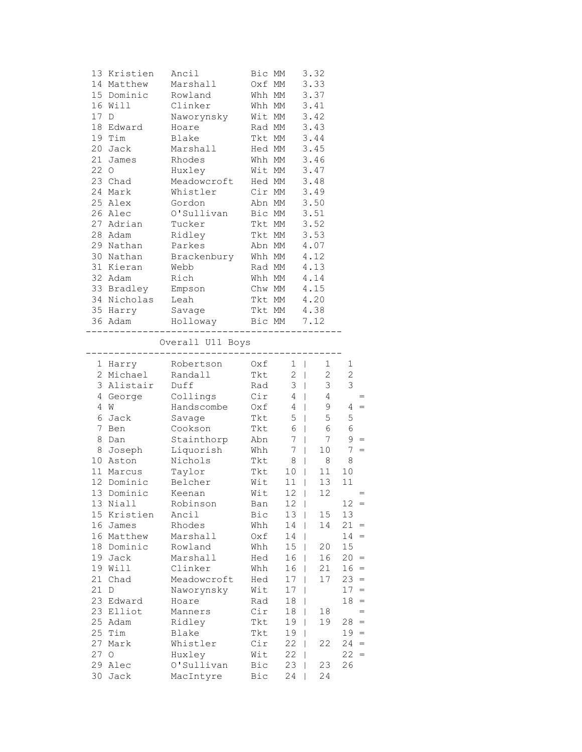|      | 13 Kristien | Ancil       | Bic MM |    | 3.32 |
|------|-------------|-------------|--------|----|------|
| 14   | Matthew     | Marshall    | Oxf MM |    | 3.33 |
|      | 15 Dominic  | Rowland     | Whh MM |    | 3.37 |
| 16   | Will        | Clinker     | Whh MM |    | 3.41 |
| 17 D |             | Naworynsky  | Wit MM |    | 3.42 |
|      | 18 Edward   | Hoare       | Rad MM |    | 3.43 |
| 19   | Tim         | Blake       | Tkt MM |    | 3.44 |
|      | 20 Jack     | Marshall    | Hed MM |    | 3.45 |
|      | 21 James    | Rhodes      | Whh MM |    | 3.46 |
| 22 0 |             | Huxley      | Wit MM |    | 3.47 |
|      | 23 Chad     | Meadowcroft | Hed MM |    | 3.48 |
| 24   | Mark        | Whistler    | Cir MM |    | 3.49 |
|      | 25 Alex     | Gordon      | Abn MM |    | 3.50 |
| 26   | Alec        | O'Sullivan  | Bic MM |    | 3.51 |
| 27   | Adrian      | Tucker      | Tkt MM |    | 3.52 |
| 28   | Adam        | Ridley      | Tkt    | MM | 3.53 |
|      | 29 Nathan   | Parkes      | Abn MM |    | 4.07 |
| 30   | Nathan      | Brackenbury | Whh MM |    | 4.12 |
|      | 31 Kieran   | Webb        | Rad MM |    | 4.13 |
| 32   | Adam        | Rich        | Whh MM |    | 4.14 |
|      | 33 Bradley  | Empson      | Chw MM |    | 4.15 |
|      | 34 Nicholas | Leah        | Tkt MM |    | 4.20 |
| 35   | Harry       | Savage      | Tkt MM |    | 4.38 |
|      | 36 Adam     | Holloway    | Bic MM |    | 7.12 |

Overall U11 Boys

---------------------------------------------

| 1              | Harry        | Robertson   | Oxf | 1              | I | 1              | 1              |     |
|----------------|--------------|-------------|-----|----------------|---|----------------|----------------|-----|
| $\mathfrak{D}$ | Michael      | Randall     | Tkt | $\overline{c}$ |   | $\overline{2}$ | $\overline{c}$ |     |
| 3              | Alistair     | Duff        | Rad | 3              |   | 3              | 3              |     |
| 4              | George       | Collings    | Cir | 4              |   | 4              |                | $=$ |
| 4              | W            | Handscombe  | Oxf | 4              |   | 9              | 4              | $=$ |
| 6              | Jack         | Savage      | Tkt | 5              |   | 5              | 5              |     |
| 7              | Ben          | Cookson     | Tkt | 6              |   | 6              | 6              |     |
| 8              | Dan          | Stainthorp  | Abn | 7              |   | 7              | 9              | $=$ |
| 8              | Joseph       | Liquorish   | Whh | 7              |   | 10             | 7              | $=$ |
| 10             | Aston        | Nichols     | Tkt | 8              |   | 8              | 8              |     |
| 11             | Marcus       | Taylor      | Tkt | 10             |   | 11             | 10             |     |
| 12             | Dominic      | Belcher     | Wit | 11             |   | 13             | 11             |     |
| 13             | Dominic      | Keenan      | Wit | 12             |   | 12             |                | $=$ |
| 13             | Niall        | Robinson    | Ban | 12             |   |                | 12             | $=$ |
| 15             | Kristien     | Ancil       | Bic | 13             |   | 15             | 13             |     |
| 16             | James        | Rhodes      | Whh | 14             |   | 14             | 21             | $=$ |
| 16             | Matthew      | Marshall    | Oxf | 14             |   |                | 14             | $=$ |
| 18             | Dominic      | Rowland     | Whh | 15             |   | 20             | 15             |     |
| 19             | Jack         | Marshall    | Hed | 16             | L | 16             | 20             | $=$ |
| 19             | Will         | Clinker     | Whh | 16             |   | 21             | 16             | $=$ |
| 21             | Chad         | Meadowcroft | Hed | 17             |   | 17             | 23             | $=$ |
| 21             | $\mathbb{D}$ | Naworynsky  | Wit | 17             |   |                | 17             | $=$ |
| 23             | Edward       | Hoare       | Rad | 18             |   |                | 18             | $=$ |
| 23             | Elliot       | Manners     | Cir | 18             |   | 18             |                | $=$ |
| 25             | Adam         | Ridley      | Tkt | 19             |   | 19             | 28             | $=$ |
| 25             | Tim          | Blake       | Tkt | 19             |   |                | 19             | $=$ |
| 27             | Mark         | Whistler    | Cir | 22             |   | 22             | 24             | $=$ |
| 27             | $\circ$      | Huxley      | Wit | 22             |   |                | 22             | $=$ |
| 29             | Alec         | O'Sullivan  | Bic | 23             |   | 23             | 26             |     |
| 30             | Jack         | MacIntyre   | Bic | 24             |   | 24             |                |     |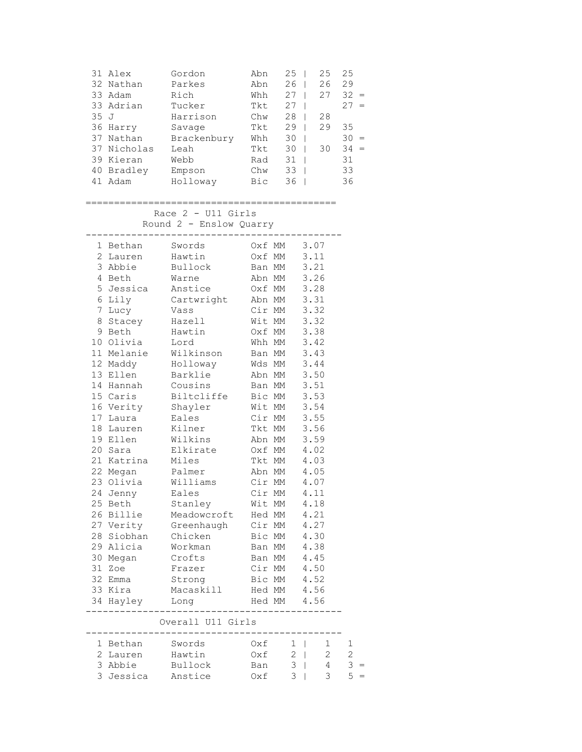|      | 31 Alex<br>32 Nathan<br>33 Adam | Gordon<br>Parkes<br>Rich                        | Abn<br>Abn<br>Whh | 25<br>26<br>$27 \mid$ | $\blacksquare$ | 25<br>26<br>27 | 25<br>29<br>$32 =$ |  |
|------|---------------------------------|-------------------------------------------------|-------------------|-----------------------|----------------|----------------|--------------------|--|
|      | 33 Adrian                       | Tucker                                          | Tkt               | $27 \mid$             |                |                | $27 =$             |  |
| 35 J |                                 | Harrison                                        | Chw               | $28$                  |                | 28             |                    |  |
|      | 36 Harry                        | Savage                                          | Tkt               | $29$                  |                | 29             | 35                 |  |
|      | 37 Nathan                       | Brackenbury                                     | Whh               | $30 \mid$             |                |                | $30 =$             |  |
|      | 37 Nicholas                     | Leah                                            | Tkt               | $30$                  |                | 30             | $34 =$             |  |
|      | 39 Kieran                       | Webb                                            | Rad               | $31$                  |                |                | 31                 |  |
|      | 40 Bradley                      | Empson                                          | Chw               | $33 \mid$             |                |                | 33                 |  |
|      | 41 Adam                         | Holloway                                        | Bic               | $36$                  |                |                | 36                 |  |
|      | -------                         |                                                 | ================  |                       |                |                |                    |  |
|      |                                 | Race $2 - U11$ Girls<br>Round 2 - Enslow Quarry |                   |                       |                |                |                    |  |
|      | 1 Bethan                        | Swords                                          | Oxf MM            |                       | 3.07           |                |                    |  |
|      | 2 Lauren                        | Hawtin                                          | Oxf MM            |                       | 3.11           |                |                    |  |
|      | 3 Abbie                         | Bullock                                         | Ban MM            |                       | 3.21           |                |                    |  |
|      | 4 Beth                          | Warne                                           | Abn MM            |                       | 3.26           |                |                    |  |
|      | 5 Jessica                       | Anstice                                         | Oxf MM            |                       | 3.28           |                |                    |  |
|      | 6 Lily                          | Cartwright                                      | Abn MM            |                       | 3.31           |                |                    |  |
| 7    | Lucy                            | Vass                                            | Cir MM            |                       | 3.32           |                |                    |  |
|      | 8 Stacey                        | Hazell                                          | Wit MM            |                       | 3.32           |                |                    |  |
|      | 9 Beth                          | Hawtin                                          | Oxf MM            |                       | 3.38           |                |                    |  |
|      | 10 Olivia                       | Lord                                            | Whh MM            |                       | 3.42           |                |                    |  |
|      | 11 Melanie<br>12 Maddy          | Wilkinson                                       | Ban MM<br>Wds MM  |                       | 3.43<br>3.44   |                |                    |  |
|      | 13 Ellen                        | Holloway<br>Barklie                             | Abn MM            |                       | 3.50           |                |                    |  |
|      | 14 Hannah                       | Cousins                                         | Ban MM            |                       | 3.51           |                |                    |  |
|      | 15 Caris                        | Biltcliffe                                      | Bic MM            |                       | 3.53           |                |                    |  |
|      | 16 Verity                       | Shayler                                         | Wit MM            |                       | 3.54           |                |                    |  |
|      | 17 Laura                        | Eales                                           | Cir MM            |                       | 3.55           |                |                    |  |
|      | 18 Lauren                       | Kilner                                          | Tkt MM            |                       | 3.56           |                |                    |  |
|      | 19 Ellen                        | Wilkins                                         | Abn MM            |                       | 3.59           |                |                    |  |
|      | 20 Sara                         | Elkirate                                        | Oxf MM            |                       | 4.02           |                |                    |  |
|      | 21 Katrina                      | Miles                                           | Tkt MM            |                       | 4.03           |                |                    |  |
|      | 22 Megan                        | Palmer                                          | Abn MM            |                       | 4.05           |                |                    |  |
|      | 23 Olivia                       | Williams                                        | Cir MM            |                       | 4.07           |                |                    |  |
|      | 24 Jenny                        | Eales                                           | Cir MM            |                       | 4.11           |                |                    |  |
|      | 25 Beth                         | Stanley                                         | Wit MM            |                       | 4.18           |                |                    |  |
|      | 26 Billie                       | Meadowcroft                                     | Hed MM            |                       | 4.21           |                |                    |  |
|      | 27 Verity                       | Greenhaugh                                      | Cir MM            |                       | 4.27           |                |                    |  |
|      | 28 Siobhan                      | Chicken                                         | Bic MM            |                       | 4.30           |                |                    |  |
|      | 29 Alicia                       | Workman                                         | Ban MM            |                       | 4.38           |                |                    |  |
|      | 30 Megan                        | Crofts                                          | Ban MM            |                       | 4.45           |                |                    |  |
|      | 31 Zoe                          | Frazer                                          | Cir MM            |                       | 4.50           |                |                    |  |
|      | 32 Emma                         | Strong                                          | Bic MM            |                       | 4.52           |                |                    |  |
|      | 33 Kira                         | Macaskill                                       | Hed MM            |                       | 4.56           |                |                    |  |
|      | 34 Hayley                       | Long                                            | Hed MM            |                       | 4.56           |                |                    |  |
|      |                                 | Overall U11 Girls                               |                   |                       |                |                |                    |  |
|      | 1 Bethan                        | Swords                                          | Oxf               |                       | $1 \mid$       | $\mathbf{1}$   | 1                  |  |
|      | 2 Lauren                        | Hawtin                                          | Oxf               |                       | $2 \mid$       | $\mathbf{2}$   | $\overline{c}$     |  |
|      | 3 Abbie                         | Bullock                                         | Ban               | 3                     | $\mathbf{I}$   | 4              | 3                  |  |
|      | 3 Jessica Anstice               |                                                 | Oxf               |                       | $3 \mid$       | 3              | 5                  |  |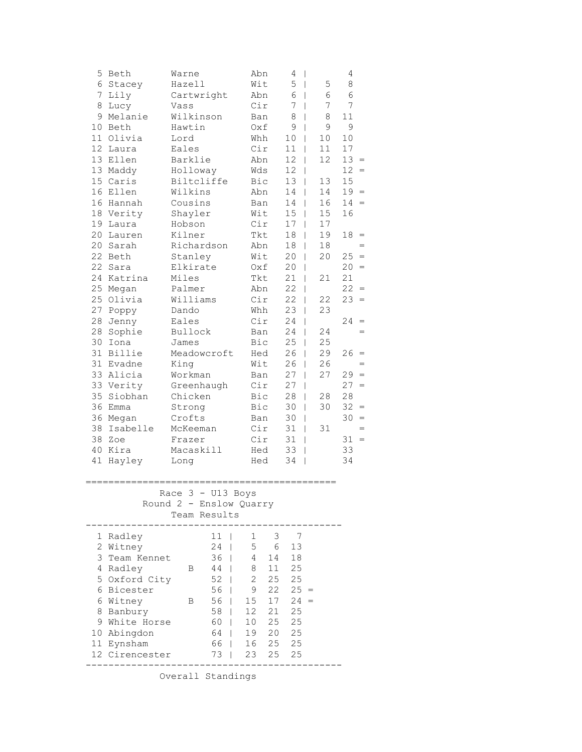| 5<br>6<br>7<br>8<br>9<br>13<br>13<br>15<br>16<br>19<br>20<br>20<br>22<br>22<br>24<br>25<br>25<br>27<br>28<br>28<br>30<br>31<br>31<br>33<br>35<br>36<br>38<br>38 | Beth<br>Stacey<br>Lily<br>Lucy<br>Melanie<br>10 Beth<br>11 Olivia<br>12 Laura<br>Ellen<br>Maddy<br>Caris<br>Ellen<br>16 Hannah<br>18 Verity<br>Laura<br>Lauren<br>Sarah<br>Beth<br>Sara<br>Katrina<br>Megan<br>Olivia<br>Poppy<br>Jenny<br>Sophie<br>Iona<br>Billie<br>Evadne<br>Alicia<br>33 Verity<br>Siobhan<br>Emma<br>36 Megan<br>Isabelle<br>Zoe | Warne<br>Hazell<br>Vass<br>Hawtin<br>Lord<br>Eales<br>Barklie<br>Holloway<br>Wilkins<br>Cousins<br>Shayler<br>Hobson<br>Kilner<br>Stanley<br>Elkirate<br>Miles<br>Palmer<br>Williams<br>Dando<br>Eales<br>Bullock<br>James<br>King<br>Workman<br>Chicken<br>Strong<br>Crofts<br>McKeeman<br>Frazer | Cartwright<br>Wilkinson<br>Biltcliffe<br>Richardson<br>Meadowcroft<br>Greenhaugh |                                                                      | Abn<br>Wit<br>Abn<br>Cir<br>Ban<br>0xf<br>Whh<br>Cir<br>Abn<br>Wds<br>Bic<br>Abn<br>Ban<br>Wit<br>Cir<br>Tkt<br>Abn<br>Wit<br>Oxf<br>Tkt<br>Abn<br>Cir<br>Whh<br>Cir<br>Ban<br>Bic<br>Hed<br>Wit<br>Ban<br>Cir<br>Bic<br>Bic<br>Ban<br>Cir<br>Cir | 4<br>$\mathbf{I}$<br>5<br>$\mathbf{I}$<br>6<br>$\perp$<br>7<br>$\mathbf{I}$<br>8<br>9<br>10<br>$\overline{1}$<br>11<br>12<br>12<br>13<br>14<br>14<br>15<br>17<br>$\overline{\phantom{a}}$<br>18<br>18<br>20<br>20<br>21<br>22<br>22<br>23<br>24<br>24<br>25<br>26<br>26<br>27<br>27<br>28<br>30<br>30<br>$\overline{\phantom{a}}$<br>31<br>$\mathbf{I}$<br>31<br>$\overline{\phantom{a}}$ | $\mathsf{I}$<br>$\overline{1}$<br>$\mathbf{I}$<br>T<br>T<br>L<br>$\mathbf{I}$<br>$\mathsf{I}$<br>$\mathsf{I}$<br>$\mathbf{I}$<br>T<br>T<br>$\mathbf{I}$<br>$\mathbf{I}$<br>$\overline{\phantom{a}}$<br>$\mathbf{I}$<br>$\mathbf{I}$<br>$\mathbf{I}$<br>L<br>T<br>$\mathbf{I}$<br>$\mathbf{I}$ | 5<br>6<br>7<br>8<br>9<br>10<br>11<br>12<br>13<br>14<br>16<br>15<br>17<br>19<br>18<br>20<br>21<br>22<br>23<br>24<br>25<br>29<br>26<br>27<br>28<br>30<br>31 | 4<br>8<br>6<br>7<br>11<br>9<br>10<br>17<br>$13 =$<br>$12 =$<br>15<br>$19 =$<br>$14 =$<br>16<br>18<br>$25 =$<br>$20 =$<br>21<br>22<br>23<br>24<br>26<br>$29 =$<br>$27 =$<br>28<br>$32 =$<br>$30 =$<br>$31 =$ | $=$<br>$=$<br>$\equiv$<br>$=$<br>$\equiv$<br>$=$<br>$=$<br>$=$ |
|-----------------------------------------------------------------------------------------------------------------------------------------------------------------|--------------------------------------------------------------------------------------------------------------------------------------------------------------------------------------------------------------------------------------------------------------------------------------------------------------------------------------------------------|----------------------------------------------------------------------------------------------------------------------------------------------------------------------------------------------------------------------------------------------------------------------------------------------------|----------------------------------------------------------------------------------|----------------------------------------------------------------------|---------------------------------------------------------------------------------------------------------------------------------------------------------------------------------------------------------------------------------------------------|-------------------------------------------------------------------------------------------------------------------------------------------------------------------------------------------------------------------------------------------------------------------------------------------------------------------------------------------------------------------------------------------|-----------------------------------------------------------------------------------------------------------------------------------------------------------------------------------------------------------------------------------------------------------------------------------------------|-----------------------------------------------------------------------------------------------------------------------------------------------------------|-------------------------------------------------------------------------------------------------------------------------------------------------------------------------------------------------------------|----------------------------------------------------------------|
| 40<br>41                                                                                                                                                        | Kira<br>Hayley                                                                                                                                                                                                                                                                                                                                         | Macaskill<br>Long                                                                                                                                                                                                                                                                                  |                                                                                  |                                                                      | Hed<br>Hed                                                                                                                                                                                                                                        | 33<br>34                                                                                                                                                                                                                                                                                                                                                                                  | $\mathbf{I}$<br>T                                                                                                                                                                                                                                                                             |                                                                                                                                                           | 33<br>34                                                                                                                                                                                                    |                                                                |
|                                                                                                                                                                 | :======================                                                                                                                                                                                                                                                                                                                                |                                                                                                                                                                                                                                                                                                    | Race 3 - U13 Boys<br>Round 2 - Enslow Quarry<br>Team Results                     |                                                                      | ======================                                                                                                                                                                                                                            |                                                                                                                                                                                                                                                                                                                                                                                           |                                                                                                                                                                                                                                                                                               |                                                                                                                                                           |                                                                                                                                                                                                             |                                                                |
| 1<br>3<br>4<br>8<br>9                                                                                                                                           | Radley<br>2 Witney<br>Team Kennet<br>Radley<br>5 Oxford City<br>6 Bicester<br>6 Witney<br>Banbury<br>White Horse<br>10 Abingdon<br>11 Eynsham<br>12 Cirencester                                                                                                                                                                                        | В<br>Β                                                                                                                                                                                                                                                                                             | 11<br>24<br>36<br>44<br>52<br>56<br>56<br>L<br>58<br>60<br>64<br>66<br>73        | 1<br>5<br>8<br>$\mathbf{2}$<br>9<br>15<br>12<br>10<br>19<br>16<br>23 | 3<br>6<br>4<br>14<br>11<br>25<br>22<br>17<br>21<br>25<br>20<br>25<br>25                                                                                                                                                                           | 7<br>13<br>18<br>25<br>25<br>$25 =$<br>$24 =$<br>25<br>25<br>25<br>25<br>25                                                                                                                                                                                                                                                                                                               |                                                                                                                                                                                                                                                                                               |                                                                                                                                                           |                                                                                                                                                                                                             |                                                                |

Overall Standings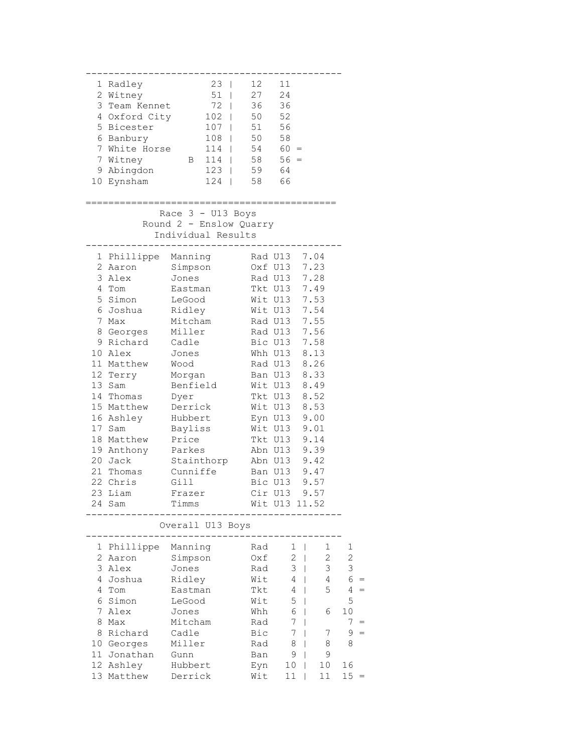|              | 1 Radley            | 23   12                                                                                    |              | 11                   |                     |                |
|--------------|---------------------|--------------------------------------------------------------------------------------------|--------------|----------------------|---------------------|----------------|
|              | 2 Witney            | 51   27                                                                                    |              | 24                   |                     |                |
|              |                     | 3 Team Kennet 72   36                                                                      |              | 36                   |                     |                |
|              |                     | 4 Oxford City 102   50 52                                                                  |              |                      |                     |                |
|              | 5 Bicester          | $107$                                                                                      | 51           | 56                   |                     |                |
|              |                     |                                                                                            |              |                      |                     |                |
|              |                     |                                                                                            |              |                      |                     |                |
|              |                     |                                                                                            |              | $-4$ 60 =<br>58 56 - |                     |                |
|              |                     |                                                                                            |              |                      |                     |                |
|              | 10 Eynsham          | 5 Bice.<br>6 Banbury<br>7 White Horse 114  <br>123   58 59 64<br>123   59 64<br>13   58 66 |              |                      |                     |                |
|              |                     |                                                                                            |              |                      |                     |                |
|              | ——————              |                                                                                            |              | :==========          |                     |                |
|              |                     | Race $3 - U13$ Boys                                                                        |              |                      |                     |                |
|              |                     | Round 2 - Enslow Quarry                                                                    |              |                      |                     |                |
|              |                     | Individual Results                                                                         |              |                      |                     |                |
|              |                     |                                                                                            |              |                      |                     |                |
|              | 1 Phillippe Manning |                                                                                            | Rad U13 7.04 |                      |                     |                |
|              | 2 Aaron             | Simpson                                                                                    |              | Oxf U13              | 7.23                |                |
|              | 3 Alex              | Jones                                                                                      |              | Rad U13 7.28         |                     |                |
|              | 4 Tom               | Eastman                                                                                    | Tkt U13 7.49 |                      |                     |                |
|              | 5 Simon LeGood      |                                                                                            |              | Wit U13 7.53         |                     |                |
|              | 6 Joshua Ridley     |                                                                                            | Wit U13 7.54 |                      |                     |                |
|              | 7 Max               | Mitcham                                                                                    | Rad U13 7.55 |                      |                     |                |
|              | 8 Georges Miller    |                                                                                            | Rad U13      |                      | 7.56                |                |
|              | 9 Richard           | Cadle                                                                                      |              | Bic U13              | 7.58                |                |
|              | 10 Alex             | Jones                                                                                      |              | Whh U13              | 8.13                |                |
|              | 11 Matthew          | Wood                                                                                       |              |                      | 8.26                |                |
|              | 12 Terry            | Morgan                                                                                     |              | Ban U13              | 8.33                |                |
|              | 13 Sam              | Benfield                                                                                   |              | Wit U13              | 8.49                |                |
|              | 14 Thomas           | Dyer                                                                                       |              | Tkt U13              | 8.52                |                |
|              | 15 Matthew          | Derrick                                                                                    |              | Wit U13 8.53         |                     |                |
|              | 16 Ashley           | Hubbert                                                                                    |              | Eyn U13 9.00         |                     |                |
|              | 17 Sam              | Bayliss                                                                                    |              | Wit U13              | 9.01                |                |
|              | 18 Matthew          | Price                                                                                      |              | Tkt U13              | 9.14                |                |
|              | 19 Anthony          |                                                                                            |              |                      |                     |                |
|              | 20 Jack             | Parkes Abn U13 9.39<br>Stainthorp Abn U13 9.42                                             |              |                      |                     |                |
|              | 21 Thomas           | Cunniffe                                                                                   |              | Ban U13 9.47         |                     |                |
|              | 22 Chris            | Gill                                                                                       |              | Bic U13 9.57         |                     |                |
|              | 23 Liam             | Frazer                                                                                     |              | Cir U13              | 9.57                |                |
|              | 24 Sam              | Timms                                                                                      |              | Wit U13 11.52        |                     |                |
|              |                     |                                                                                            |              |                      |                     |                |
|              |                     | Overall U13 Boys                                                                           |              |                      |                     |                |
|              |                     |                                                                                            |              |                      |                     |                |
| 1            | Phillippe           | Manning                                                                                    | Rad          | 1                    | 1                   | 1              |
| $\mathbf{2}$ | Aaron               | Simpson                                                                                    | Oxf          | $\mathbf{2}$         | $\overline{c}$<br>I | $\overline{c}$ |
| 3            | Alex                | Jones                                                                                      | Rad          | 3                    | 3<br>I              | 3              |
| 4            | Joshua              | Ridley                                                                                     | Wit          | 4                    | 4                   | 6              |
| 4            | Tom                 | Eastman                                                                                    | Tkt          | 4                    | 5                   | 4              |
| 6            | Simon               | LeGood                                                                                     | Wit          | 5                    |                     | 5              |
| 7            | Alex                | Jones                                                                                      | Whh          | 6                    | 6                   | 10             |
| 8            | Max                 | Mitcham                                                                                    | Rad          | 7                    |                     | 7              |
| 8            | Richard             | Cadle                                                                                      | Bic          | 7                    | 7                   | 9              |
|              | 10 Georges          | Miller                                                                                     | Rad          | 8                    | 8                   | 8              |
| 11           | Jonathan            | Gunn                                                                                       | Ban          | 9                    | 9                   |                |
|              | 12 Ashley           | Hubbert                                                                                    | Eyn          | 10                   | 10                  | 16             |
|              | 13 Matthew          | Derrick                                                                                    | Wit          | 11                   | 11                  | 15             |
|              |                     |                                                                                            |              |                      |                     |                |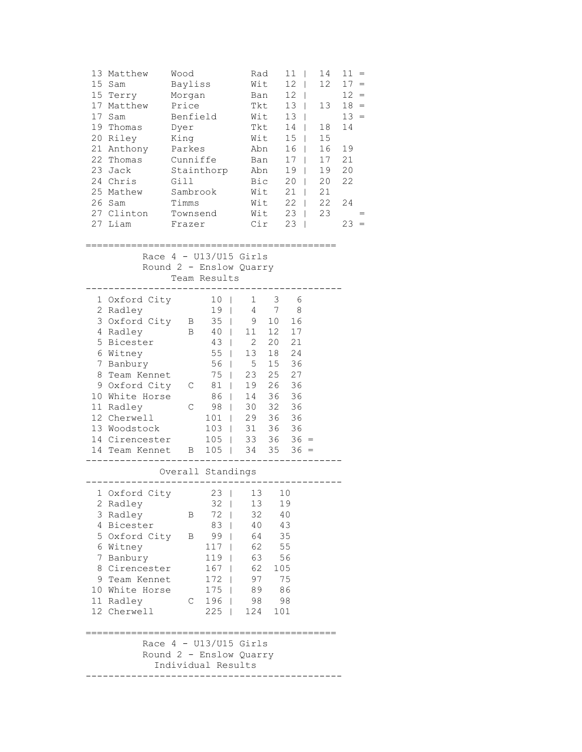| 13<br>15 <sub>1</sub><br>17<br>17 | Matthew<br>Sam<br>15 Terry<br>Matthew<br>Sam<br>19 Thomas<br>20 Riley<br>21 Anthony<br>22 Thomas<br>23 Jack<br>24 Chris<br>25 Mathew<br>26 Sam<br>27 Clinton | Wood<br>Bayliss<br>Morgan<br>Price<br>Benfield<br>Dyer<br>King<br>Parkes<br>Cunniffe<br>Gill<br>Sambrook<br>Timms<br>Townsend | Stainthorp                                                          | Rad<br>Wit<br>Tkt<br>Wit<br>Abn                         | Ban<br>Tkt<br>Wit<br>Ban<br>Abn<br>Bic<br>Wit<br>Wit<br>Wit | 11<br>12<br>$\mathbf{I}$<br>12<br>$\mathbf{I}$<br>13<br>$\mathbf{I}$<br>13<br>$\Box$<br>14<br>15 <sub>2</sub><br>16<br>17 <sub>1</sub><br>19<br>$20 \mid$<br>$21 \mid$<br>$22 \mid$<br>$23 \mid$ | L<br>$\mathbf{I}$<br>$\Box$<br>$\Box$ | 14<br>12<br>13<br>18<br>15<br>16<br>17<br>19<br>20<br>21<br>22<br>23 | $11 =$<br>$17 =$<br>12<br>$18 =$<br>$13 =$<br>14<br>19<br>21<br>20<br>22<br>24 | $=$ |
|-----------------------------------|--------------------------------------------------------------------------------------------------------------------------------------------------------------|-------------------------------------------------------------------------------------------------------------------------------|---------------------------------------------------------------------|---------------------------------------------------------|-------------------------------------------------------------|--------------------------------------------------------------------------------------------------------------------------------------------------------------------------------------------------|---------------------------------------|----------------------------------------------------------------------|--------------------------------------------------------------------------------|-----|
|                                   | 27 Liam                                                                                                                                                      | Frazer                                                                                                                        |                                                                     |                                                         | Cir                                                         | $23 \mid$                                                                                                                                                                                        |                                       |                                                                      | 23                                                                             |     |
|                                   |                                                                                                                                                              |                                                                                                                               | Race $4 - U13/U15$ Girls<br>Round 2 - Enslow Quarry<br>Team Results |                                                         |                                                             |                                                                                                                                                                                                  |                                       |                                                                      |                                                                                |     |
|                                   | 1 Oxford City<br>2 Radley<br>3 Oxford City                                                                                                                   | B                                                                                                                             | 10<br>19 <sub>1</sub><br>35                                         | $1 \quad \blacksquare$<br>$\mathbf{I}$<br>$\Box$<br>9   | 3<br>4 7<br>10                                              | 6<br>8<br>16                                                                                                                                                                                     |                                       |                                                                      |                                                                                |     |
| 5                                 | 4 Radley<br>Bicester                                                                                                                                         | B                                                                                                                             | 40<br>43                                                            | 11<br>$\mathbf{1}$<br>$\overline{2}$<br>$\mathbf{1}$    | 12<br>20                                                    | 17<br>21                                                                                                                                                                                         |                                       |                                                                      |                                                                                |     |
| 7                                 | 6 Witney<br>Banbury                                                                                                                                          |                                                                                                                               | 55<br>56                                                            | 13<br>$\mathbb{R}^n$<br>$5\overline{)}$<br>$\mathbb{R}$ | 18<br>15                                                    | 24<br>36                                                                                                                                                                                         |                                       |                                                                      |                                                                                |     |
| 8                                 | Team Kennet                                                                                                                                                  |                                                                                                                               | 75                                                                  | 23<br>$\mathbb{R}$                                      | 25                                                          | 27                                                                                                                                                                                               |                                       |                                                                      |                                                                                |     |
|                                   | 9 Oxford City<br>10 White Horse                                                                                                                              | C                                                                                                                             | 81<br>86                                                            | 19<br>$\Box$<br>14                                      | 26<br>36                                                    | 36<br>36                                                                                                                                                                                         |                                       |                                                                      |                                                                                |     |
|                                   | 11 Radley                                                                                                                                                    | $\mathsf C$                                                                                                                   | 98                                                                  | $\Box$<br>L                                             | 30 32                                                       | 36                                                                                                                                                                                               |                                       |                                                                      |                                                                                |     |
|                                   | 12 Cherwell                                                                                                                                                  |                                                                                                                               | 101                                                                 | 29<br>$\mathbf{L}$                                      | 36                                                          | 36                                                                                                                                                                                               |                                       |                                                                      |                                                                                |     |
|                                   | 13 Woodstock                                                                                                                                                 |                                                                                                                               | 103                                                                 | 31<br>$\Box$                                            | 36                                                          | 36                                                                                                                                                                                               |                                       |                                                                      |                                                                                |     |
|                                   | 14 Cirencester<br>14 Team Kennet                                                                                                                             | B                                                                                                                             | 105                                                                 | 33<br>$\mathbf{1}$<br>105   34 35                       |                                                             | $36 \quad 36 =$<br>$36 =$                                                                                                                                                                        |                                       |                                                                      |                                                                                |     |
|                                   |                                                                                                                                                              |                                                                                                                               | Overall Standings                                                   |                                                         |                                                             |                                                                                                                                                                                                  |                                       |                                                                      |                                                                                |     |
|                                   |                                                                                                                                                              |                                                                                                                               |                                                                     |                                                         |                                                             |                                                                                                                                                                                                  |                                       |                                                                      |                                                                                |     |
|                                   | 1 Oxford City 23   13 10<br>2 Radley                                                                                                                         |                                                                                                                               | 32                                                                  | 13                                                      |                                                             | 19                                                                                                                                                                                               |                                       |                                                                      |                                                                                |     |
|                                   | 3 Radley                                                                                                                                                     | Β                                                                                                                             | 72                                                                  | 32                                                      |                                                             | 40                                                                                                                                                                                               |                                       |                                                                      |                                                                                |     |
| 4                                 | Bicester                                                                                                                                                     |                                                                                                                               | 83                                                                  | 40                                                      |                                                             | 43                                                                                                                                                                                               |                                       |                                                                      |                                                                                |     |
|                                   | 5 Oxford City                                                                                                                                                | Β                                                                                                                             | 99                                                                  | 64                                                      |                                                             | 35                                                                                                                                                                                               |                                       |                                                                      |                                                                                |     |
| 6<br>7                            | Witney<br>Banbury                                                                                                                                            |                                                                                                                               | 117<br>119                                                          | 62<br>63                                                |                                                             | 55<br>56                                                                                                                                                                                         |                                       |                                                                      |                                                                                |     |
| 8                                 | Cirencester                                                                                                                                                  |                                                                                                                               | 167                                                                 | 62<br>$\mathbf{I}$                                      | 105                                                         |                                                                                                                                                                                                  |                                       |                                                                      |                                                                                |     |
| 9                                 | Team Kennet                                                                                                                                                  |                                                                                                                               | 172<br>- 1                                                          | 97                                                      |                                                             | 75                                                                                                                                                                                               |                                       |                                                                      |                                                                                |     |
|                                   | 10 White Horse                                                                                                                                               |                                                                                                                               | $175$                                                               | 89                                                      |                                                             | 86                                                                                                                                                                                               |                                       |                                                                      |                                                                                |     |
|                                   | 11 Radley                                                                                                                                                    | С                                                                                                                             | $196$                                                               | 98                                                      |                                                             | 98                                                                                                                                                                                               |                                       |                                                                      |                                                                                |     |
|                                   | 12 Cherwell                                                                                                                                                  |                                                                                                                               | 225<br>$\mathbf{1}$                                                 | 124                                                     |                                                             | 101                                                                                                                                                                                              |                                       |                                                                      |                                                                                |     |
|                                   |                                                                                                                                                              |                                                                                                                               | Race $4 - U13/U15$ Girls                                            |                                                         |                                                             |                                                                                                                                                                                                  |                                       |                                                                      |                                                                                |     |
|                                   |                                                                                                                                                              |                                                                                                                               | Round 2 - Enslow Quarry                                             |                                                         |                                                             |                                                                                                                                                                                                  |                                       |                                                                      |                                                                                |     |
|                                   |                                                                                                                                                              |                                                                                                                               | Individual Results                                                  |                                                         |                                                             |                                                                                                                                                                                                  |                                       |                                                                      |                                                                                |     |
|                                   |                                                                                                                                                              |                                                                                                                               |                                                                     |                                                         |                                                             |                                                                                                                                                                                                  |                                       |                                                                      |                                                                                |     |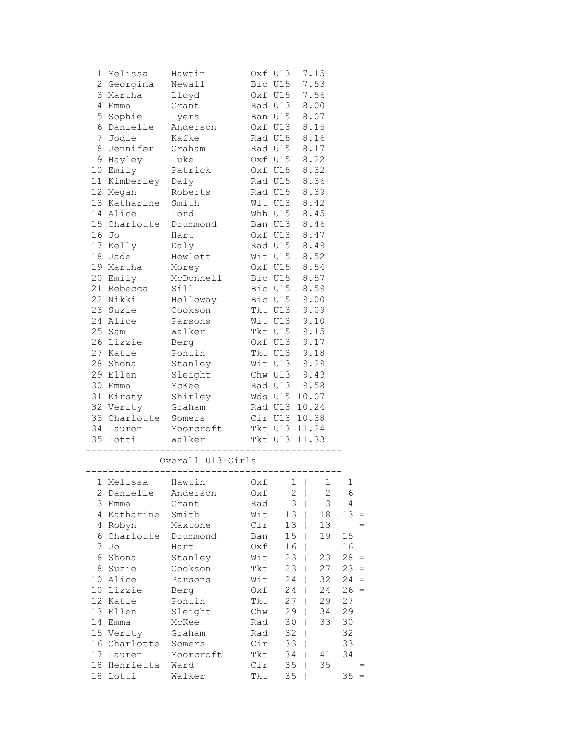|                 | 1 Melissa                         | Hawtin                                |                                                              | Oxf U13                      | 7.15 |              |
|-----------------|-----------------------------------|---------------------------------------|--------------------------------------------------------------|------------------------------|------|--------------|
|                 | 2 Georgina Newall                 |                                       |                                                              | Bic U15 7.53                 |      |              |
| 3               | Martha Lloyd                      |                                       |                                                              | Oxf U15 7.56                 |      |              |
| 4               | Emma                              | Grant                                 |                                                              | Rad U13 8.00                 |      |              |
| 5               | Sophie Tyers                      |                                       |                                                              | Ban U15 8.07                 |      |              |
| 6               |                                   | Danielle Anderson 0xf U13 8.15        |                                                              |                              |      |              |
| 7               | Jodie Kafke                       |                                       |                                                              | Rad U15 8.16                 |      |              |
| 8               | Jennifer Graham                   |                                       |                                                              |                              |      |              |
|                 |                                   |                                       |                                                              | Rad U15 8.17<br>Oxf U15 8.22 |      |              |
|                 | 9 Hayley Luke<br>10 Emily Patrick |                                       |                                                              | 0xf U15 8.32                 |      |              |
|                 | 11 Kimberley Daly                 |                                       |                                                              | Rad U15 8.36                 |      |              |
|                 |                                   | 12 Megan Roberts                      |                                                              | Rad U15 8.39                 |      |              |
|                 | 13 Katharine Smith                |                                       |                                                              | Wit U13 8.42                 |      |              |
|                 | 14 Alice Lord                     |                                       |                                                              | Whh U15 8.45                 |      |              |
|                 |                                   | 15 Charlotte Drummond Ban U13 8.46    |                                                              |                              |      |              |
|                 | 16 Jo                             |                                       |                                                              |                              |      |              |
|                 | 17 Kelly                          | Hart                                  | Oxf U13 8.47                                                 |                              |      |              |
|                 | 18 Jade                           | Daly                                  |                                                              | Rad U15 8.49<br>Wit U15 8.52 |      |              |
|                 |                                   | Hewlett                               |                                                              | 0xf U15 8.54                 |      |              |
|                 |                                   | 19 Martha Morey<br>20 Emily McDonnell | Bic U15 8.57                                                 |                              |      |              |
|                 |                                   |                                       |                                                              |                              |      |              |
|                 | 21 Rebecca Sill                   |                                       |                                                              | Bic U15 8.59                 |      |              |
|                 |                                   | 22 Nikki Holloway Bic U15 9.00        |                                                              |                              |      |              |
|                 |                                   | 23 Suzie Cookson Tkt U13 9.09         |                                                              |                              |      |              |
|                 |                                   | 24 Alice Parsons                      |                                                              | Wit U13 9.10                 |      |              |
|                 | 25 Sam                            | Walker                                | Tkt U15 9.15<br>Oxf U13 9.17<br>Tkt U13 9.18<br>Wit U13 9.29 |                              |      |              |
|                 | 26 Lizzie                         | Berg                                  |                                                              |                              |      |              |
|                 | 27 Katie                          | Pontin                                |                                                              |                              |      |              |
|                 | 28 Shona                          | ------<br>Stanley                     |                                                              |                              |      |              |
|                 | 29 Ellen                          | Sleight                               |                                                              | Chw U13 9.43                 |      |              |
|                 | 30 Emma McKee                     |                                       |                                                              | Rad U13 9.58                 |      |              |
|                 |                                   | 31 Kirsty Shirley                     |                                                              | Wds U15 10.07                |      |              |
|                 |                                   | 32 Verity Graham                      |                                                              | Rad U13 10.24                |      |              |
|                 | 33 Charlotte Somers               |                                       |                                                              | Cir U13 10.38                |      |              |
|                 |                                   | 34 Lauren Moorcroft                   | Tkt U13 11.24                                                |                              |      |              |
|                 |                                   | 35 Lotti Walker Tkt U13 11.33         |                                                              |                              |      |              |
|                 |                                   |                                       |                                                              |                              |      |              |
|                 |                                   | Overall U13 Girls                     |                                                              |                              |      |              |
|                 | 1 Melissa Hawtin                  |                                       | $0xf \t1 \t1$                                                |                              |      | $\mathbf{1}$ |
|                 |                                   | 2 Danielle Anderson 0xf 2   2 6       |                                                              |                              |      |              |
| 3               | Emma                              | Grant                                 | Rad                                                          | 3                            | 3    | 4            |
| 4               | Katharine                         | Smith                                 | Wit                                                          | 13                           | 18   | 13           |
| 4               | Robyn                             | Maxtone                               | Cir                                                          | 13                           | 13   |              |
| 6               | Charlotte                         | Drummond                              | Ban                                                          | 15                           | 19   | 15           |
| 7               | Jo                                | Hart                                  | Oxf                                                          | 16                           |      | 16           |
| 8               | Shona                             | Stanley                               | Wit                                                          | 23                           | 23   | 28<br>$=$    |
| 8               | Suzie                             | Cookson                               | Tkt                                                          | 23                           | 27   | 23<br>$=$    |
| 10              | Alice                             | Parsons                               | Wit                                                          | 24                           | 32   | 24<br>$=$    |
| 10 <sup>°</sup> | Lizzie                            | Berg                                  | Oxf                                                          | 24                           | 24   | 26<br>$=$    |
| 12              | Katie                             | Pontin                                | Tkt                                                          | 27                           | 29   | 27           |
| 13              | Ellen                             | Sleight                               | Chw                                                          | 29                           | 34   | 29           |
| 14              | Emma                              | McKee                                 | Rad                                                          | 30                           | 33   | 30           |
| 15              | Verity                            | Graham                                | Rad                                                          | 32                           |      | 32           |
| 16              | Charlotte                         | Somers                                | Cir                                                          | 33                           |      | 33           |
| 17              | Lauren                            | Moorcroft                             | Tkt                                                          | 34                           | 41   | 34           |
| 18              | Henrietta                         | Ward                                  | Cir                                                          | 35                           | 35   |              |
| 18              | Lotti                             | Walker                                | Tkt                                                          | 35                           |      | 35           |
|                 |                                   |                                       |                                                              |                              |      |              |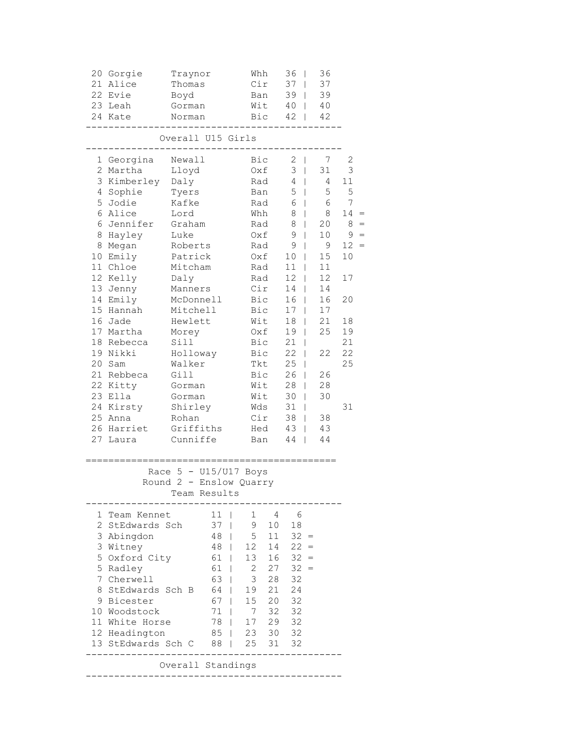| 21                                                                                                                                                                                                                                                                                                                                                                                                                                                                                                                                                                                                       | 20 Gorgie<br>Alice<br>22 Evie<br>23 Leah<br>24 Kate                                                                                                                                                                                                                               | Traynor<br>Thomas<br>Boyd<br>Gorman<br>Norman                                                                                                                                                                                                                               |                                | Whh<br>Cir<br>Ban<br>Wit<br>Bic                                                                                                                                                             |  | 36<br>37<br>39<br>40<br>42                                                                                                                                                   | T<br>T<br>$\mathbf{I}$                                                             | 36<br>37<br>39<br>40<br>42                                                                                                             |                                                                                                                 |     |
|----------------------------------------------------------------------------------------------------------------------------------------------------------------------------------------------------------------------------------------------------------------------------------------------------------------------------------------------------------------------------------------------------------------------------------------------------------------------------------------------------------------------------------------------------------------------------------------------------------|-----------------------------------------------------------------------------------------------------------------------------------------------------------------------------------------------------------------------------------------------------------------------------------|-----------------------------------------------------------------------------------------------------------------------------------------------------------------------------------------------------------------------------------------------------------------------------|--------------------------------|---------------------------------------------------------------------------------------------------------------------------------------------------------------------------------------------|--|------------------------------------------------------------------------------------------------------------------------------------------------------------------------------|------------------------------------------------------------------------------------|----------------------------------------------------------------------------------------------------------------------------------------|-----------------------------------------------------------------------------------------------------------------|-----|
|                                                                                                                                                                                                                                                                                                                                                                                                                                                                                                                                                                                                          |                                                                                                                                                                                                                                                                                   | Overall U15 Girls                                                                                                                                                                                                                                                           |                                |                                                                                                                                                                                             |  |                                                                                                                                                                              |                                                                                    |                                                                                                                                        |                                                                                                                 |     |
| $\overline{2}$<br>3<br>4<br>5<br>6<br>6<br>8<br>8<br>10<br>13<br>14<br>15<br>16<br>18<br>20<br>21<br>22<br>23<br>24<br>25<br>27                                                                                                                                                                                                                                                                                                                                                                                                                                                                          | 1 Georgina<br>Martha<br>Kimberley<br>Sophie<br>Jodie<br>Alice<br>Jennifer<br>Hayley<br>Megan<br>Emily<br>11 Chloe<br>12 Kelly<br>Jenny<br>Emily<br>Hannah<br>Jade<br>17 Martha<br>Rebecca<br>19 Nikki<br>Sam<br>Rebbeca<br>Kitty<br>Ella<br>Kirsty<br>Anna<br>26 Harriet<br>Laura | Newall<br>Lloyd<br>Daly<br>Tyers<br>Kafke<br>Lord<br>Graham<br>Luke<br>Roberts<br>Patrick<br>Mitcham<br>Daly<br>Manners<br>McDonnell<br>Mitchell<br>Hewlett<br>Morey<br>Sill<br>Holloway<br>Walker<br>Gill<br>Gorman<br>Gorman<br>Shirley<br>Rohan<br>Griffiths<br>Cunniffe |                                | Bic<br>Oxf<br>Rad<br>Ban<br>Rad<br>Whh<br>Rad<br>$0xf$<br>Rad<br>Oxf<br>Rad<br>Rad<br>Cir<br>Bic<br>Bic<br>Wit<br>Oxf<br>Bic<br>Bic<br>Tkt<br>Bic<br>Wit<br>Wit<br>Wds<br>Cir<br>Hed<br>Ban |  | 2<br>- 1<br>3<br>$\mathbf{I}$<br>4<br>5<br>6<br>8<br>8<br>9<br>9<br>10<br>11<br>12<br>14<br>16<br>17<br>18<br>19<br>21<br>22<br>25<br>26<br>28<br>30<br>31<br>38<br>43<br>44 | $\mathbf{I}$<br>L<br>L<br>L<br>L<br>L<br>T<br>T<br>T<br>L<br>L<br>I<br>L<br>I<br>T | 7<br>31<br>4<br>5<br>6<br>8<br>20<br>10<br>9<br>15<br>11<br>12<br>14<br>16<br>17<br>21<br>25<br>22<br>26<br>28<br>30<br>38<br>43<br>44 | 2<br>3<br>11<br>5<br>7<br>14<br>8<br>9<br>12 <sup>7</sup><br>10<br>17<br>20<br>18<br>19<br>21<br>22<br>25<br>31 | $=$ |
|                                                                                                                                                                                                                                                                                                                                                                                                                                                                                                                                                                                                          | Race 5<br>Round 2                                                                                                                                                                                                                                                                 | Team Results                                                                                                                                                                                                                                                                | $- U15/U17$<br>- Enslow Quarry | Boys                                                                                                                                                                                        |  |                                                                                                                                                                              |                                                                                    |                                                                                                                                        |                                                                                                                 |     |
| Team Kennet<br>11<br>4<br>6<br>1<br>1<br>2<br>StEdwards Sch<br>9<br>18<br>37<br>10<br>3<br>5<br>Abingdon<br>11<br>32<br>48<br>$=$<br>3<br>Witney<br>12<br>$22 =$<br>48<br>14<br>5<br>Oxford City<br>13<br>$32 =$<br>61<br>16<br>5<br>61<br>2<br>32<br>Radley<br>27<br>$=$<br>3<br>7<br>Cherwell<br>63<br>28<br>32<br>8<br>StEdwards Sch B<br>64<br>21<br>24<br>19<br>32<br>67<br>20<br>9.<br>Bicester<br>15<br>71<br>32<br>32<br>10 Woodstock<br>7<br>11 White Horse<br>29<br>32<br>78<br>17<br>12 Headington<br>85<br>32<br>23<br>30<br>13 StEdwards Sch C<br>25<br>88<br>31<br>32<br>Overall Standings |                                                                                                                                                                                                                                                                                   |                                                                                                                                                                                                                                                                             |                                |                                                                                                                                                                                             |  |                                                                                                                                                                              |                                                                                    |                                                                                                                                        |                                                                                                                 |     |
|                                                                                                                                                                                                                                                                                                                                                                                                                                                                                                                                                                                                          |                                                                                                                                                                                                                                                                                   |                                                                                                                                                                                                                                                                             |                                |                                                                                                                                                                                             |  |                                                                                                                                                                              |                                                                                    |                                                                                                                                        |                                                                                                                 |     |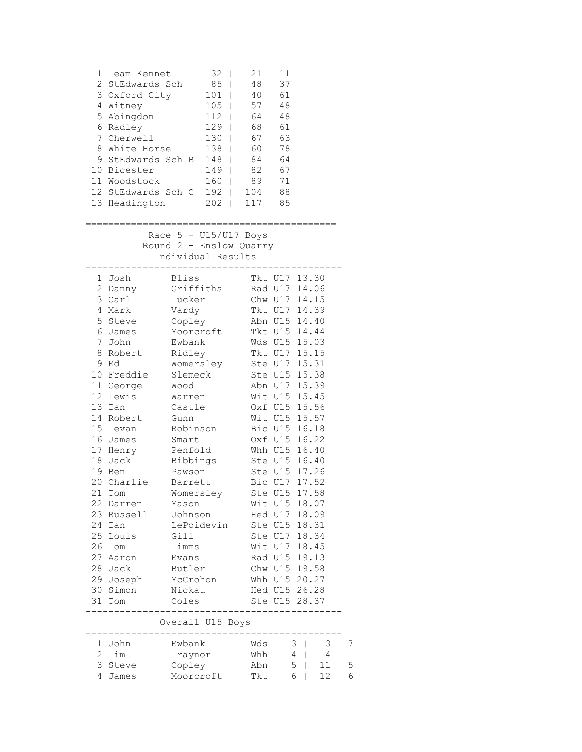| 1                                                                                                                                                                                                                                        | Team Kennet<br>2 StEdwards Sch<br>3 Oxford City<br>4 Witney<br>5 Abingdon<br>6 Radley<br>7 Cherwell<br>8 White Horse<br>9 StEdwards Sch B<br>10 Bicester<br>11 Woodstock<br>12 StEdwards Sch C 192   104<br>13 Headington |                                                                                                                                                                                                                                                                                                                                 | $32 \mid$<br>85  <br>$101$  <br>$105$   57<br>112   64<br>$129$  <br>$130$  <br>$138$  <br>148  <br>$149$  <br>$160$  <br>202   117 85 | 21<br>48<br>40<br>68<br>67<br>60<br>84<br>82<br>89 | 11<br>37<br>61<br>48<br>48<br>61<br>63<br>78<br>64<br>67<br>71<br>88                                                                                                                                                                                                                                                                                                                                                                                                                     |                                                          |                              |             |
|------------------------------------------------------------------------------------------------------------------------------------------------------------------------------------------------------------------------------------------|---------------------------------------------------------------------------------------------------------------------------------------------------------------------------------------------------------------------------|---------------------------------------------------------------------------------------------------------------------------------------------------------------------------------------------------------------------------------------------------------------------------------------------------------------------------------|----------------------------------------------------------------------------------------------------------------------------------------|----------------------------------------------------|------------------------------------------------------------------------------------------------------------------------------------------------------------------------------------------------------------------------------------------------------------------------------------------------------------------------------------------------------------------------------------------------------------------------------------------------------------------------------------------|----------------------------------------------------------|------------------------------|-------------|
|                                                                                                                                                                                                                                          |                                                                                                                                                                                                                           | Race $5 - U15/U17$ Boys<br>Round 2 - Enslow Quarry<br>Individual Results<br>----------------                                                                                                                                                                                                                                    |                                                                                                                                        |                                                    |                                                                                                                                                                                                                                                                                                                                                                                                                                                                                          |                                                          |                              |             |
| 1 Josh<br>6 James<br>7 John<br>9 Ed<br>11 George<br>12 Lewis<br>13 Ian<br>15 Ievan<br>16 James<br>17 Henry<br>18 Jack<br>19 Ben<br>21<br>22<br>23<br>24 Ian<br>25<br>26<br>Tom<br>27 Aaron<br>28 Jack<br>29 Joseph<br>30 Simon<br>31 Tom | 2 Danny<br>3 Carl<br>4 Mark<br>5 Steve<br>8 Robert<br>10 Freddie<br>14 Robert<br>20 Charlie<br>Tom<br>Darren<br>Russell<br>Louis                                                                                          | Bliss<br>Griffiths<br>Tucker<br>Vardy<br>Copley<br>Moorcroft<br>Ewbank<br>Ridley<br>Womersley<br>Slemeck<br>Wood<br>Warren<br>Castle<br>Gunn<br>Robinson<br>Smart<br>Penfold<br>Bibbings<br>Pawson<br>Barrett<br>Womersley<br>Mason<br>Johnson<br>LePoidevin<br>Gill<br>Timms<br>Evans<br>Butler<br>McCrohon<br>Nickau<br>Coles |                                                                                                                                        | Tkt U17 14.39<br>Tkt U17 15.15<br>Ste U17 15.31    | Tkt U17 13.30<br>Rad U17 14.06<br>Chw U17 14.15<br>Abn U15 14.40<br>Tkt U15 14.44<br>Wds U15 15.03<br>Ste U15 15.38<br>Abn U17 15.39<br>Wit U15 15.45<br>Oxf U15 15.56<br>Wit U15 15.57<br>Bic U15 16.18<br>Oxf U15 16.22<br>Whh U15 16.40<br>Ste U15 16.40<br>Ste U15 17.26<br>Bic U17 17.52<br>Ste U15 17.58<br>Wit U15 18.07<br>Hed U17 18.09<br>Ste U15 18.31<br>Ste U17 18.34<br>Wit U17 18.45<br>Rad U15 19.13<br>Chw U15 19.58<br>Whh U15 20.27<br>Hed U15 26.28<br>Ste U15 28.37 |                                                          |                              |             |
|                                                                                                                                                                                                                                          |                                                                                                                                                                                                                           | Overall U15 Boys                                                                                                                                                                                                                                                                                                                |                                                                                                                                        |                                                    |                                                                                                                                                                                                                                                                                                                                                                                                                                                                                          |                                                          |                              |             |
| 1 John<br>2 Tim<br>3 Steve<br>4 James                                                                                                                                                                                                    |                                                                                                                                                                                                                           | Ewbank<br>Traynor<br>Copley<br>Moorcroft                                                                                                                                                                                                                                                                                        |                                                                                                                                        | Wds<br>Whh<br>Abn<br>Tkt                           |                                                                                                                                                                                                                                                                                                                                                                                                                                                                                          | 3 <sup>1</sup><br>$4 \mid$<br>$5 \mid$<br>6 <sup>1</sup> | $\mathsf 3$<br>4<br>11<br>12 | 7<br>5<br>6 |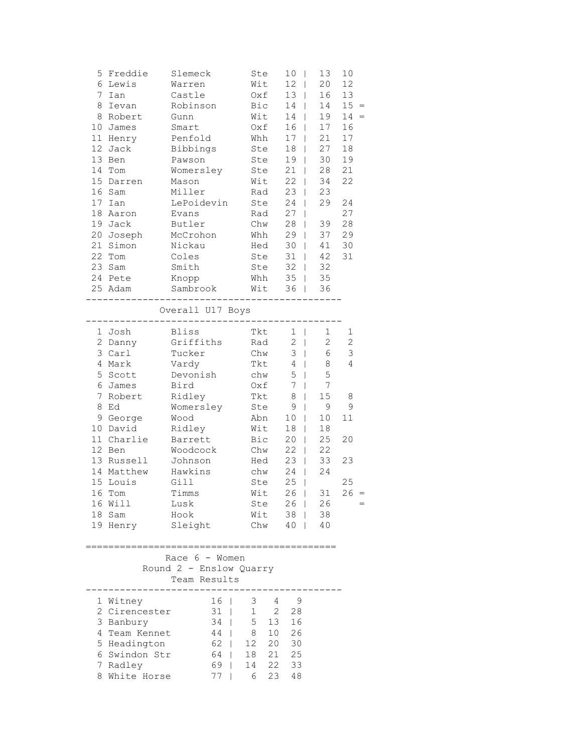| 5.<br>6<br>7<br>8<br>8<br>10 <sub>1</sub><br>11<br>16 | Freddie<br>Lewis<br>Ian<br>Ievan<br>Robert<br>James<br>Henry<br>12 Jack<br>13 Ben<br>14 Tom<br>15 Darren<br>Sam                                                                                               | Slemeck<br>Warren<br>Castle<br>Robinson<br>Gunn<br>Smart<br>Penfold<br>Bibbings<br>Pawson<br>Womersley<br>Mason<br>Miller                                                                               | Ste<br>Wit<br>Bic<br>Wit<br>Oxf<br>Whh<br>Wit                                                                                    | Oxf<br>Ste<br>Ste<br>Ste<br>Rad                                    | 10<br>T<br>12<br>$\mathbf{I}$<br>13<br>$\mathbf{I}$<br>14<br>$\mathbf{I}$<br>14<br>16<br>17<br>$\mathbf{I}$<br>18<br>$\mathbf{I}$<br>19<br>$\mathbf{I}$<br>$21$  <br>22<br>$\mathbf{I}$<br>23<br>$\mathbf{I}$                                                                                                                                | 13<br>20<br>16<br>14<br>19<br>17<br>L<br>21<br>27<br>30<br>28<br>34<br>23                                                                      | 10<br>12<br>13<br>15 <sub>1</sub><br>14<br>16<br>17<br>18<br>19<br>21<br>22 |
|-------------------------------------------------------|---------------------------------------------------------------------------------------------------------------------------------------------------------------------------------------------------------------|---------------------------------------------------------------------------------------------------------------------------------------------------------------------------------------------------------|----------------------------------------------------------------------------------------------------------------------------------|--------------------------------------------------------------------|----------------------------------------------------------------------------------------------------------------------------------------------------------------------------------------------------------------------------------------------------------------------------------------------------------------------------------------------|------------------------------------------------------------------------------------------------------------------------------------------------|-----------------------------------------------------------------------------|
| 17<br>18<br>21                                        | Ian<br>Aaron<br>19 Jack<br>20 Joseph<br>Simon<br>22 Tom<br>23 Sam<br>24 Pete<br>25 Adam                                                                                                                       | LePoidevin<br>Evans<br>Butler<br>McCrohon<br>Nickau<br>Coles<br>Smith<br>Knopp<br>Sambrook<br>Overall U17 Boys                                                                                          | Wit                                                                                                                              | Ste<br>Rad<br>Chw<br>Whh<br>Hed<br>Ste<br>Ste<br>Whh               | 24<br>$\mathbf{I}$<br>27<br>28<br>L<br>29<br>L<br>30<br>$\mathbf{I}$<br>31<br>$\mathbf{I}$<br>32<br>$\mathsf{I}$<br>35<br>$\mathbf{I}$<br>36<br>$\mathbf{I}$                                                                                                                                                                                 | 29<br>39<br>37<br>41<br>42<br>32<br>35<br>36                                                                                                   | 24<br>27<br>28<br>29<br>30<br>31                                            |
| 4<br>5<br>6<br>$7\phantom{.}$<br>8<br>15 <sub>1</sub> | 1 Josh<br>2 Danny<br>3 Carl<br>Mark<br>Scott<br>James<br>Robert<br>Ed<br>9 George<br>10 David<br>11 Charlie<br>12 Ben<br>13 Russell<br>14 Matthew<br>Louis<br>16 Tom<br>16 Will<br>18 Sam<br>19 Henry Sleight | ------------<br><b>Bliss</b><br>Griffiths<br>Tucker<br>Vardy<br>Devonish<br>Bird<br>Ridley<br>Womersley<br>Wood<br>Ridley<br>Barrett<br>Woodcock<br>Johnson<br>Hawkins<br>Gill<br>Timms<br>Lusk<br>Hook | Tkt<br>Tkt<br>Abn<br>Wit<br>Bic<br>Ste                                                                                           | Rad<br>Chw<br>Tkt<br>chw<br>Oxf<br>Ste<br>Chw<br>Hed<br>chw<br>Wit | $\mathbf{1}$<br>$\mathbf{I}$<br>$\mathbf{2}$<br>$\mathbb{R}$<br>3<br>$\perp$<br>$\overline{4}$<br>$\mathbf{I}$<br>5<br>$\mathbf{I}$<br>$7\phantom{.0}$<br>$\mathbf{I}$<br>8<br>$\mathbf{I}$<br>9<br>L<br>10<br>L<br>18<br>20<br>$\mathbf{I}$<br>22<br>$\mathsf{I}$<br>23<br>$\mathbf{I}$<br>24<br>$\mathbf{I}$<br>25<br>T<br>26 <sub>1</sub> | 1<br>$\overline{2}$<br>6<br>8<br>5<br>7<br>15<br>9<br>10<br>18<br>L<br>25<br>22<br>33<br>24<br>31<br>Ste 26   26<br>Wit 38   38<br>Chw 40   40 | 1<br>$\overline{c}$<br>3<br>4<br>8<br>9<br>11<br>20<br>23<br>25<br>26       |
|                                                       | 1 Witney<br>2 Cirencester<br>3 Banbury<br>4 Team Kennet<br>5 Headington<br>6 Swindon Str<br>7 Radley<br>8 White Horse                                                                                         | Race 6 - Women<br>Round 2 - Enslow Quarry<br>Team Results<br>-------------                                                                                                                              | 16   3 4 9<br>31   1 2 28<br>34   5 13 16<br>44   8 10 26<br>62   12 20 30<br>$64$   18 21 25<br>69   14 22 33<br>$77 \mid$<br>6 |                                                                    | 23 48                                                                                                                                                                                                                                                                                                                                        |                                                                                                                                                |                                                                             |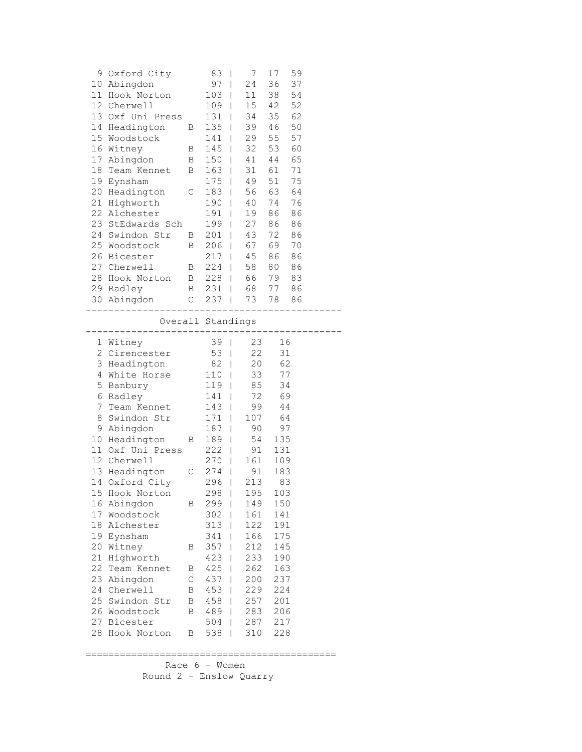|          | 9 Oxford City             |              | 83                |                | 7          | 17         | 59 |  |
|----------|---------------------------|--------------|-------------------|----------------|------------|------------|----|--|
|          | 10 Abingdon               |              | 97                | $\mathbb{R}^n$ | 24         | 36         | 37 |  |
|          | 11 Hook Norton            |              | $103$             |                | 11         | 38         | 54 |  |
|          | 12 Cherwell               |              | $109$             |                | 15         | 42         | 52 |  |
|          | 13 Oxf Uni Press          |              | 131   34          |                |            | 35         | 62 |  |
|          | 14 Headington             | $\mathbf{B}$ | 135   39          |                |            | 46         | 50 |  |
|          | 15 Woodstock              |              | $141$             |                | 29         | 55         | 57 |  |
|          | 16 Witney                 | B            | $145$             |                | 32         | 53         | 60 |  |
| 17       | Abingdon                  | $\mathbf{B}$ | $150$             |                | 41         | 44         | 65 |  |
|          | 18 Team Kennet B          |              | $163$             |                | 31         | 61         | 71 |  |
| 19       | Eynsham                   |              | 175   49          |                |            | 51         | 75 |  |
| 20       | Headington C              |              | 183   56          |                |            | 63         | 64 |  |
| 21       | Highworth                 |              | 190   40          |                |            | 74         | 76 |  |
| 22       | Alchester                 |              |                   |                |            |            |    |  |
|          |                           |              | 191               |                | 19         | 86         | 86 |  |
|          | 23 StEdwards Sch          |              | 199               |                | 27         | 86         | 86 |  |
|          | 24 Swindon Str            | $\mathbf{B}$ | $201$             |                | 43         | 72         | 86 |  |
|          | 25 Woodstock              | B            | $206$             |                | 67<br>45   | 69         | 70 |  |
|          | 26 Bicester               |              | $217$             |                |            | 86         | 86 |  |
|          | 27 Cherwell               |              | B 224   58        |                |            | 80         | 86 |  |
|          | 28 Hook Norton B 228   66 |              |                   |                |            | 79         | 83 |  |
|          | 29 Radley                 |              | B 231   68        |                |            | 77         | 86 |  |
|          | 30 Abingdon               |              | C 237   73 78 86  |                |            |            |    |  |
|          | ______________________    |              | ---------------   |                |            |            |    |  |
|          | ---------------           |              | Overall Standings |                |            |            |    |  |
|          | 1 Witney                  |              | 39                |                | 23         |            | 16 |  |
|          | 2 Cirencester             |              | 53                |                | 22         |            | 31 |  |
|          |                           |              |                   |                |            |            |    |  |
|          |                           |              |                   |                |            |            |    |  |
|          | 3 Headington              |              | $82$              |                | 20         |            | 62 |  |
|          | 4 White Horse             |              | $110  $           |                | 33         |            | 77 |  |
|          | 5 Banbury                 |              | 119   85          |                |            |            | 34 |  |
|          | 6 Radley                  |              | 141               |                |            | 72 69      |    |  |
|          | 7 Team Kennet 143         |              |                   |                | 99         |            | 44 |  |
|          | 8 Swindon Str             |              | $171$             |                | 107        | 64         |    |  |
|          | 9 Abingdon                |              | $187$             |                | 90         |            | 97 |  |
|          | 10 Headington             | B            | $189$             |                | 54         | 135        |    |  |
|          | 11 Oxf Uni Press          |              | $222$             |                | 91         | 131        |    |  |
|          | 12 Cherwell               |              | 270   161         |                |            | 109        |    |  |
|          | 13 Headington C           |              | 274   91          |                |            | 183        |    |  |
|          | 14 Oxford City            |              | 296   213         |                |            |            | 83 |  |
|          | 15 Hook Norton            |              | 298   195         |                |            | 103        |    |  |
| 16       | Abingdon                  | Β            | 299               | I              | 149        | 150        |    |  |
| 17       | Woodstock                 |              | 302               | L              | 161        | 141        |    |  |
| 18       | Alchester                 |              | 313               | L              | 122        | 191        |    |  |
|          | 19 Eynsham                |              | 341               | L              | 166        | 175        |    |  |
| 20       | Witney                    | В            | 357               | T              | 212        | 145        |    |  |
| 21       | Highworth                 |              | 423               | I              | 233        | 190        |    |  |
| 22       | Team Kennet               | Β            | 425               | I              | 262        | 163        |    |  |
| 23       | Abingdon                  | C            | 437               | T              | 200        | 237        |    |  |
| 24       | Cherwell                  | В            | 453               | T              | 229        | 224        |    |  |
|          | 25 Swindon Str            | В            |                   | T              |            | 201        |    |  |
|          |                           | Β            | 458               | T              | 257        |            |    |  |
|          | 26 Woodstock              |              | 489               | L              | 283        | 206        |    |  |
| 27<br>28 | Bicester<br>Hook Norton   | В            | 504<br>538        | T              | 287<br>310 | 217<br>228 |    |  |

============================================

 Race 6 - Women Round 2 - Enslow Quarry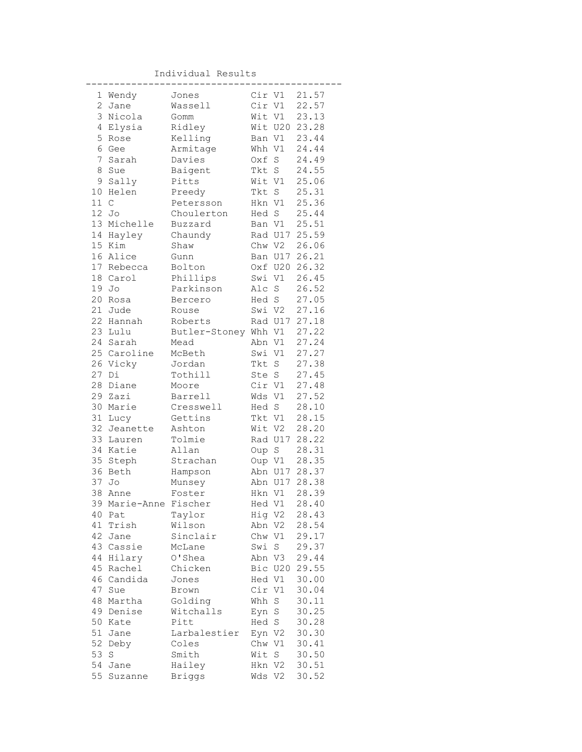Individual Results

|              | 1 Wendy               | Jones                |        | Cir V1  | 21.57          |
|--------------|-----------------------|----------------------|--------|---------|----------------|
| $\mathbf{2}$ | Jane                  | Wassell              |        | Cir V1  | 22.57          |
| 3            | Nicola                | Gomm                 |        | Wit V1  | 23.13          |
| 4            | Elysia                | Ridley               |        |         | Wit U20 23.28  |
| 5            | Rose                  | Kelling              |        | Ban V1  | 23.44          |
| 6            | Gee                   | Armitage             | Whh V1 |         | 24.44          |
| 7            | Sarah                 | Davies               | Oxf    | S       | 24.49          |
| 8            | Sue                   | Baigent              | Tkt S  |         | 24.55          |
| 9            | Sally                 | Pitts                | Wit V1 |         | 25.06          |
| 10           | Helen                 | Preedy               | Tkt S  |         | 25.31          |
| 11 C         |                       | Petersson            | Hkn V1 |         | 25.36          |
| 12           | Jo                    | Choulerton           |        | Hed S   | 25.44          |
|              | 13 Michelle           | Buzzard              |        | Ban V1  | 25.51          |
| 14           | Hayley                | Chaundy              |        |         | Rad U17 25.59  |
|              | 15 Kim                | Shaw                 |        | Chw V2  | 26.06          |
|              | 16 Alice              | Gunn                 |        |         | Ban U17 26.21  |
|              | 17 Rebecca            | Bolton               |        | Oxf U20 | 26.32          |
|              | 18 Carol              | Phillips             |        | Swi V1  | 26.45          |
| 19           | Jo                    | Parkinson            | Alc S  |         | 26.52          |
| 20           | Rosa                  | Bercero              |        | Hed S   | 27.05          |
| 21           | Jude                  | Rouse                |        | Swi V2  | 27.16          |
| 22           | Hannah                | Roberts              |        |         | Rad U17 27.18  |
|              | 23 Lulu               | Butler-Stoney Whh V1 |        |         | 27.22          |
|              | 24 Sarah              | Mead                 | Abn V1 |         | 27.24          |
|              | 25 Caroline           | McBeth               | Swi V1 |         | 27.27          |
|              | 26 Vicky              | Jordan               | Tkt S  |         | 27.38          |
| 27           | Di                    | Tothill              | Ste S  |         | 27.45          |
| 28           | Diane                 | Moore                |        | Cir V1  | 27.48          |
| 29           | Zazi                  | Barrell              |        | Wds V1  | 27.52          |
| 30           | Marie                 | Cresswell            |        | Hed S   | 28.10          |
| 31           | Lucy                  | Gettins              |        | Tkt V1  | 28.15          |
| 32           | Jeanette              | Ashton               |        | Wit V2  | 28.20          |
| 33           | Lauren                | Tolmie               |        | Rad U17 | 28.22          |
| 34           | Katie                 | Allan                | Oup S  |         | 28.31          |
| 35           | Steph                 | Strachan             | Oup V1 |         | 28.35          |
| 36           | Beth                  | Hampson              |        | Abn U17 | 28.37          |
| 37           | Jo                    | Munsey               |        | Abn U17 | 28.38          |
| 38           | Anne                  | Foster               |        | Hkn V1  | 28.39          |
|              | 39 Marie-Anne Fischer |                      |        |         | Hed V1 28.40   |
| 40           | Pat                   | Taylor               | Hig V2 |         | 28.43          |
| 41           | Trish                 | Wilson               | Abn V2 |         | 28.54          |
| 42           | Jane                  | Sinclair             | Chw V1 |         | 29.17          |
|              | 43 Cassie             | McLane               | Swi    | S       | 29.37          |
| 44           | Hilary                | O'Shea               | Abn V3 |         | 29.44          |
| 45           | Rachel                | Chicken              |        | Bic U20 | 29.55          |
| 46           | Candida               | Jones                | Hed V1 |         | 30.00          |
| 47           | Sue                   | Brown                | Cir V1 |         | 30.04          |
| 48           | Martha                | Golding              | Whh S  |         | 30.11          |
| 49           | Denise                | Witchalls            | Eyn S  |         | 30.25          |
| 50           | Kate                  | Pitt                 | Hed S  |         | 30.28          |
| 51           | Jane                  | Larbalestier         |        |         |                |
| 52           |                       |                      | Eyn V2 |         | 30.30          |
| 53           | Deby                  | Coles                | Chw V1 |         | 30.41<br>30.50 |
|              | $\rm S$               | Smith                | Wit    | S       |                |
| 54<br>55     | Jane                  | Hailey               | Hkn V2 |         | 30.51          |
|              | Suzanne               | <b>Briggs</b>        | Wds V2 |         | 30.52          |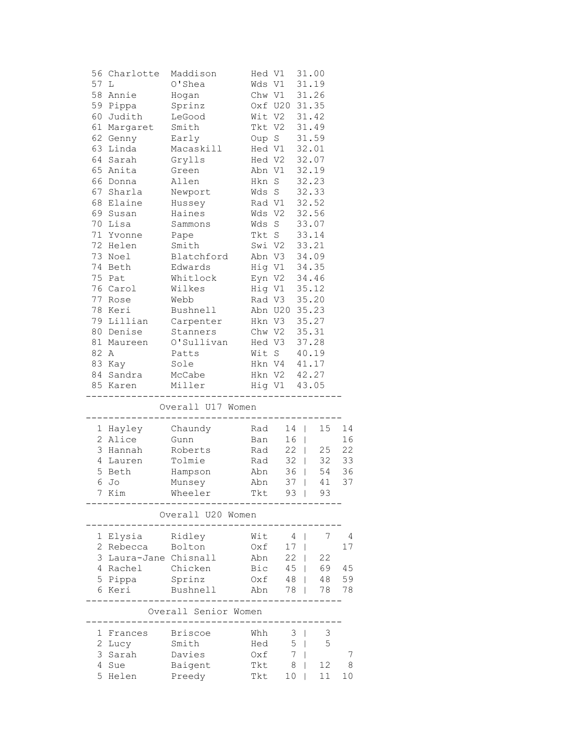| 56 | Charlotte           | Maddison             |               | Hed V1        |           | 31.00          |    |
|----|---------------------|----------------------|---------------|---------------|-----------|----------------|----|
| 57 | L                   | O'Shea               |               | Wds V1        |           | 31.19          |    |
| 58 | Annie               | Hogan                |               | Chw V1        |           | 31.26          |    |
|    | 59 Pippa            | Sprinz               |               | Oxf U20 31.35 |           |                |    |
|    | 60 Judith           | LeGood               |               | Wit V2        |           | 31.42          |    |
|    | 61 Margaret         | Smith                | Tkt V2        |               |           | 31.49          |    |
|    | 62 Genny            | Early                | Oup S         |               |           | 31.59          |    |
| 63 | Linda               | Macaskill            | Hed V1        |               |           | 32.01          |    |
|    | 64 Sarah            | Grylls               |               | Hed V2        |           | 32.07          |    |
|    | 65 Anita            | Green                |               | Abn V1        |           | 32.19          |    |
|    | 66 Donna            | Allen                |               | Hkn S         |           | 32.23          |    |
|    | 67 Sharla           | Newport              |               | Wds S         |           | 32.33          |    |
|    | 68 Elaine           | Hussey               | Rad V1        |               |           | 32.52          |    |
|    | 69 Susan            | Haines               | Wds V2        |               |           | 32.56          |    |
|    | 70 Lisa             | Sammons              | Wds S         |               |           | 33.07          |    |
|    | 71 Yvonne           | Pape                 | Tkt S         |               |           | 33.14          |    |
|    | 72 Helen            | Smith                |               | Swi V2        |           | 33.21          |    |
|    | 73 Noel             | Blatchford           |               | Abn V3        |           | 34.09          |    |
|    | 74 Beth             | Edwards              |               | Hig V1 34.35  |           |                |    |
|    | 75 Pat              | Whitlock             |               | Eyn V2 34.46  |           |                |    |
|    | 76 Carol            | Wilkes               |               | Hig V1        |           | 35.12          |    |
|    | 77 Rose             | Webb                 |               | Rad V3        |           | 35.20          |    |
|    | 78 Keri             | Bushnell             |               | Abn U20 35.23 |           |                |    |
|    | 79 Lillian          | Carpenter            |               | Hkn V3        |           | 35.27          |    |
|    | 80 Denise           | Stanners             | Chw V2        |               |           | 35.31          |    |
|    | 81 Maureen          | O'Sullivan           |               | Hed V3        |           | 37.28          |    |
| 82 | Α                   | Patts                |               | Wit S         |           | 40.19          |    |
|    | 83 Kay              | Sole                 |               | Hkn V4 41.17  |           |                |    |
|    | 84 Sandra           | McCabe               |               | Hkn V2 42.27  |           |                |    |
|    | 85 Karen            | Miller               |               | Hig V1 43.05  |           |                |    |
|    |                     | Overall U17 Women    |               |               |           |                |    |
|    |                     |                      | ------------- |               |           |                |    |
|    | 1 Hayley            | Chaundy              | Rad           |               | 14        | 15             | 14 |
|    | 2 Alice             | Gunn                 | Ban           |               | $16$      |                | 16 |
| 3  | Hannah              | Roberts              | Rad           |               | $22 \mid$ | 25             | 22 |
|    | 4 Lauren            | Tolmie               | Rad           |               | $32 \mid$ | 32             | 33 |
|    | 5 Beth              | Hampson              | Abn           |               | $36$      | 54             | 36 |
|    | 6 Jo                | Munsey               | Abn           |               | $37$      | 41             | 37 |
|    | 7 Kim               | Wheeler              | Tkt           |               | 93        | 93             |    |
|    |                     | Overall U20 Women    |               |               |           |                |    |
|    |                     |                      |               |               |           |                |    |
| 1  | Elysia              | Ridley               | Wit           | 4             |           | 7              | 4  |
| 2  | Rebecca             | Bolton               | Oxf           | 17            | I         |                | 17 |
| 3  | Laura-Jane Chisnall |                      | Abn           | 22            |           | 22             |    |
| 4  | Rachel              | Chicken              | Bic           | 45            |           | 69             | 45 |
| 5  | Pippa               | Sprinz               | Oxf           | 48            |           | 48             | 59 |
| 6  | Keri                | Bushnell             | Abn           | 78            |           | 78             | 78 |
|    |                     | Overall Senior Women |               |               |           |                |    |
| 1  |                     | <b>Briscoe</b>       | Whh           |               |           | $\mathfrak{Z}$ |    |
| 2  | Frances<br>Lucy     | Smith                | Hed           | 3<br>5        |           | 5              |    |
| 3  | Sarah               | Davies               | Oxf           | 7             |           |                | 7  |
| 4  | Sue                 | Baigent              | Tkt           | 8             |           | 12             | 8  |
| 5  | Helen               | Preedy               | Tkt           | 10            |           | 11             | 10 |
|    |                     |                      |               |               |           |                |    |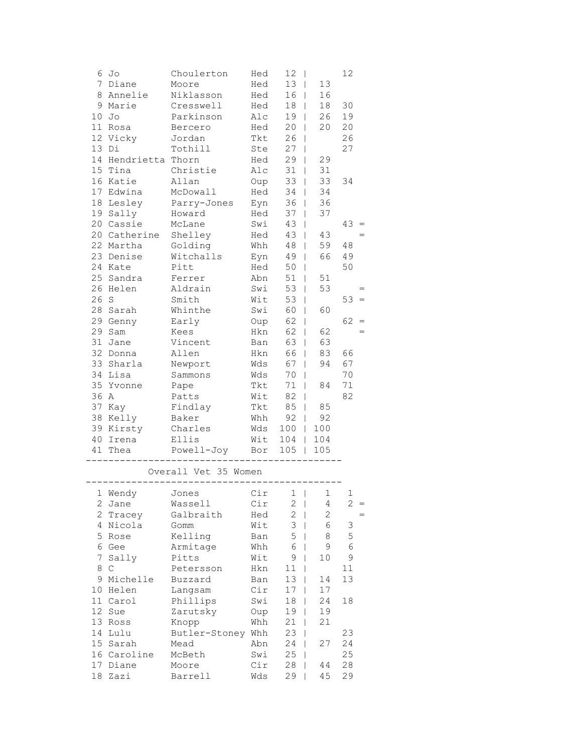|              | 6 Jo                | Choulerton                  | Hed | 12 <sup>°</sup><br>$\mathbf{I}$ |                   | 12         |
|--------------|---------------------|-----------------------------|-----|---------------------------------|-------------------|------------|
|              | 7 Diane             | Moore                       | Hed | 13                              | 13                |            |
|              | 8 Annelie           | Niklasson                   | Hed | 16 <sup>1</sup>                 | 16                |            |
|              | 9 Marie             | Cresswell                   | Hed | $18$                            | 18                | 30         |
|              | $10$ Jo             | Parkinson                   | Alc | 19 <sub>1</sub>                 | 26                | 19         |
|              | 11 Rosa             | Bercero                     | Hed | $20$                            | 20                | 20         |
|              | 12 Vicky            | Jordan                      | Tkt | 26<br>$\blacksquare$            |                   | 26         |
|              | 13 Di               | Tothill                     | Ste | 27<br>$\mathbf{I}$              |                   | 27         |
|              | 14 Hendrietta Thorn |                             | Hed | 29<br>$\Box$                    | 29                |            |
|              | 15 Tina             | Christie                    | Alc | $31$                            | 31                |            |
|              | 16 Katie            | Allan                       | Oup | $33 \mid$                       | 33                | 34         |
|              | 17 Edwina           | McDowall                    | Hed | $34$                            | 34                |            |
|              | 18 Lesley           | Parry-Jones                 | Eyn | $36$                            | 36                |            |
|              | 19 Sally            | Howard                      | Hed | $37 \mid$                       | 37                |            |
|              | 20 Cassie           | McLane                      | Swi | 43<br>$\mathbf{I}$              |                   | $43 =$     |
|              | 20 Catherine        | Shelley                     | Hed | 43<br>$\Box$                    | 43                | $=$        |
|              | 22 Martha           | Golding                     | Whh | 48<br>$\Box$                    | 59                | 48         |
|              | 23 Denise           | Witchalls                   | Eyn | 49 <sup>1</sup>                 | 66                | 49         |
|              | 24 Kate             | Pitt                        | Hed | $50$                            |                   | 50         |
|              | 25 Sandra           | Ferrer                      | Abn | $51$                            | 51                |            |
|              | 26 Helen            | Aldrain                     | Swi | $53$                            | 53                | $=$        |
| 26 S         |                     | Smith                       | Wit | $53$                            |                   | $53 =$     |
|              | 28 Sarah            | Whinthe                     | Swi | 60                              | 60                |            |
|              | 29 Genny            | Early                       | Oup | 62                              |                   | 62         |
|              | 29 Sam              | Kees                        | Hkn | 62<br>$\mathbf{I}$              | 62                | $=$        |
|              | 31 Jane             | Vincent                     | Ban | 63<br>$\overline{\phantom{0}}$  | 63                |            |
|              | 32 Donna            | Allen                       | Hkn | 66<br>$\blacksquare$            | 83                | 66         |
|              | 33 Sharla           |                             | Wds | $\Box$                          | 94                | 67         |
|              | 34 Lisa             | Newport                     | Wds | 67                              |                   | 70         |
|              |                     | Sammons                     |     | 70<br>$\mathbf{I}$              |                   |            |
|              | 35 Yvonne           | Pape                        | Tkt | $71$                            | 84                | 71         |
| 36 A         |                     | Patts                       | Wit | $82 \mid$<br>$85$               |                   | 82         |
|              | 37 Kay              | Findlay                     | Tkt |                                 | 85                |            |
|              | 38 Kelly            | Baker                       | Whh | 92                              | 92                |            |
|              | 39 Kirsty           | Charles                     | Wds | $100$                           | 100               |            |
|              | 40 Irena            | Ellis Wit<br>Powell-Joy Bor |     | $104$                           | 104               |            |
|              | 41 Thea             |                             |     | 105<br>$\mathbf{L}$             | 105               |            |
|              |                     | Overall Vet 35 Women        |     |                                 |                   |            |
|              |                     |                             |     |                                 |                   |            |
| $\mathbf{2}$ | 1 Wendy             | Jones<br>Wassell            | Cir | Cir 1                           | 1                 | 2          |
|              | Jane<br>2 Tracey    | Galbraith                   | Hed | 2<br>$\mathbf{2}$               | 4<br>$\mathbf{2}$ | $=$        |
|              | 4 Nicola            |                             |     | 3                               | 6                 | 3          |
|              |                     | Gomm                        | Wit | 5                               |                   |            |
|              | 5 Rose              | Kelling                     | Ban |                                 | 8                 | 5          |
|              | 6 Gee               | Armitage                    | Whh | 6                               | 9                 | $\epsilon$ |
| 7            | Sally               | Pitts                       | Wit | 9<br>$\overline{\phantom{a}}$   | 10                | 9          |
| 8            | $\mathsf C$         | Petersson                   | Hkn | 11<br>I                         |                   | 11         |
|              | 9 Michelle          | Buzzard                     | Ban | 13<br>I                         | 14                | 13         |
|              | 10 Helen            | Langsam                     | Cir | 17                              | 17                |            |
|              | 11 Carol            | Phillips                    | Swi | 18                              | 24                | 18         |
|              | 12 Sue              | Zarutsky                    | Oup | 19                              | 19                |            |
|              | 13 Ross             | Knopp                       | Whh | 21                              | 21                |            |
|              | 14 Lulu             | Butler-Stoney Whh           |     | 23                              |                   | 23         |
|              | 15 Sarah            | Mead                        | Abn | 24                              | 27                | 24         |
|              | 16 Caroline         | McBeth                      | Swi | 25                              |                   | 25         |
|              | 17 Diane            | Moore                       | Cir | 28                              | 44                | 28         |
|              | 18 Zazi             | Barrell                     | Wds | 29                              | 45                | 29         |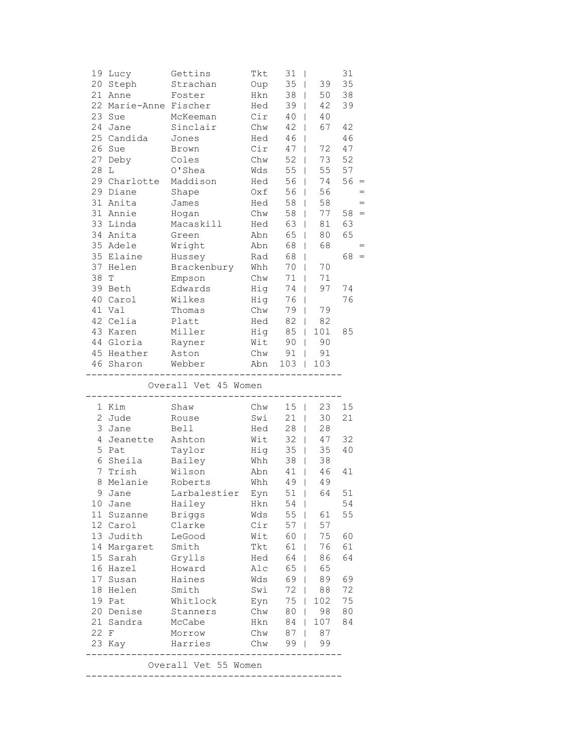|                | 19 Lucy               | Gettins                               | Tkt        | 31<br>$\overline{\phantom{a}}$ |                     | 31     |
|----------------|-----------------------|---------------------------------------|------------|--------------------------------|---------------------|--------|
|                | 20 Steph              | Strachan                              | Oup        | 35<br>$\mathbf{I}$             | 39                  | 35     |
|                | 21 Anne               | Foster                                | Hkn        | 38<br>$\mathbf{1}$             | 50                  | 38     |
|                | 22 Marie-Anne Fischer |                                       | Hed        | 39<br>$\mathbf{I}$             | 42                  | 39     |
|                | 23 Sue                | McKeeman                              | Cir        | 40<br>$\mathbf{I}$             | 40                  |        |
| 24             | Jane                  | Sinclair                              | Chw        | 42<br>$\mathbf{I}$             | 67                  | 42     |
|                | 25 Candida            | Jones                                 | Hed        | 46<br>$\mathbf{I}$             |                     | 46     |
|                | 26 Sue                | Brown                                 | Cir        | 47<br>$\mathbf{I}$             | 72                  | 47     |
| 27             | Deby                  | Coles                                 | Chw        | 52<br>$\mathbf{I}$             | 73                  | 52     |
| 28             | L                     | O'Shea                                | Wds        | 55<br>$\mathbf{I}$             | 55                  | 57     |
|                | 29 Charlotte          | Maddison                              | Hed        | 56<br>$\mathbf{I}$             | 74                  | $56 =$ |
|                | 29 Diane              | Shape                                 | Oxf        | 56<br>$\mathbf{I}$             | 56                  |        |
|                | 31 Anita              | James                                 | Hed        | 58<br>$\mathbf{I}$             | 58                  | $=$    |
|                | 31 Annie              | Hogan                                 | Chw        | 58<br>$\perp$                  | 77                  | $58 =$ |
|                | 33 Linda              | Macaskill                             | Hed        | 63<br>$\perp$                  | 81                  | 63     |
|                | 34 Anita              | Green                                 | Abn        | 65<br>$\mathbf{I}$             | 80                  | 65     |
|                | 35 Adele              | Wright                                | Abn        | 68                             | 68                  |        |
|                | 35 Elaine             |                                       |            | $\mathbf{I}$                   |                     | 68     |
|                |                       | Hussey                                | Rad        | 68<br>$\mathbf{I}$             |                     |        |
|                | 37 Helen              | Brackenbury                           | Whh        | 70                             | 70<br>$\mathbf{I}$  |        |
| 38             | T                     | Empson                                | Chw        | 71<br>$\perp$                  | 71                  |        |
|                | 39 Beth               | Edwards                               | Hig        | 74<br>$\mathbf{I}$             | 97                  | 74     |
|                | 40 Carol              | Wilkes                                | Hig        | 76<br>$\Box$                   |                     | 76     |
|                | 41 Val                | Thomas                                | Chw        | 79<br>$\mathbf{I}$             | 79                  |        |
|                | 42 Celia              | Platt                                 | Hed        | 82<br>$\perp$                  | 82                  |        |
|                | 43 Karen              | Miller                                | Hig        | 85                             | 101<br>$\mathbf{1}$ | 85     |
|                | 44 Gloria             | Rayner                                | Wit        | 90                             | 90<br>$\mathbf{L}$  |        |
|                | 45 Heather            | Aston                                 | Chw        | 91                             | 91<br>$\mathbf{L}$  |        |
|                | 46 Sharon             | Webber                                | Abn        | 103<br>$\mathbb{R}$            | 103                 |        |
|                |                       |                                       |            |                                |                     |        |
|                |                       | $- - - - - -$<br>Overall Vet 45 Women | -------    |                                |                     |        |
|                |                       |                                       |            |                                |                     |        |
|                | 1 Kim                 | Shaw                                  | Chw        | 15                             | 23                  | 15     |
| $\overline{2}$ | Jude                  | Rouse                                 | Swi        | $21 \mid$                      | 30                  | 21     |
| 3              | Jane                  | Bell                                  | Hed        | $28$                           | 28                  |        |
| 4              | Jeanette              | Ashton                                | Wit        | 32<br>$\mathbf{I}$             | 47                  | 32     |
| 5              | Pat                   | Taylor                                | Hig        | 35<br>$\mathbf{I}$             | 35                  | 40     |
|                | 6 Sheila              | Bailey                                | Whh        | 38<br>$\perp$                  | 38                  |        |
|                | 7 Trish               | Wilson                                | Abn        | 41                             | 46<br>$\mathbb{R}$  | 41     |
| 8              | Melanie               | Roberts                               | Whh        | 49                             | 49<br>$\mathbf{I}$  |        |
|                | 9 Jane                | Larbalestier Eyn                      |            | $51$                           | 64                  | $51\,$ |
|                | 10 Jane               | Hailey                                | Hkn        | 54                             |                     | 54     |
|                | 11 Suzanne Briggs     |                                       | Wds        |                                | 55   61 55          |        |
|                | 12 Carol              | Clarke                                | Cir        |                                | 57   57             |        |
|                | 13 Judith             | LeGood                                | Wit        |                                | 60   75             | 60     |
|                | 14 Margaret Smith     |                                       | Tkt        | 61                             | 76<br>$\mathbf{L}$  | 61     |
|                | 15 Sarah              | Grylls                                | Hed        | 64                             | 86                  | 64     |
|                | 16 Hazel              |                                       | Alc        | 65                             | 65                  |        |
|                | 17 Susan              | Howard<br>Haines                      | Wds        | 69                             | 89                  | 69     |
|                | 18 Helen              | Smith                                 | Swi        | $72 \quad  $                   | 88                  | 72     |
|                |                       |                                       |            |                                | 102                 |        |
|                | 19 Pat                | Whitlock<br>Stanners                  | Eyn<br>Chw | $75 \mid$                      |                     | 75     |
|                | 20 Denise             |                                       |            | $80 \mid$                      | 98                  | 80     |
|                | 21 Sandra             | McCabe                                | Hkn        | 84                             | 107                 | 84     |
| 22 F           |                       | Morrow                                | Chw        | $87 \mid$                      | 87                  |        |
|                | 23 Kay                | Harries                               | Chw        | $99$                           | 99                  |        |

---------------------------------------------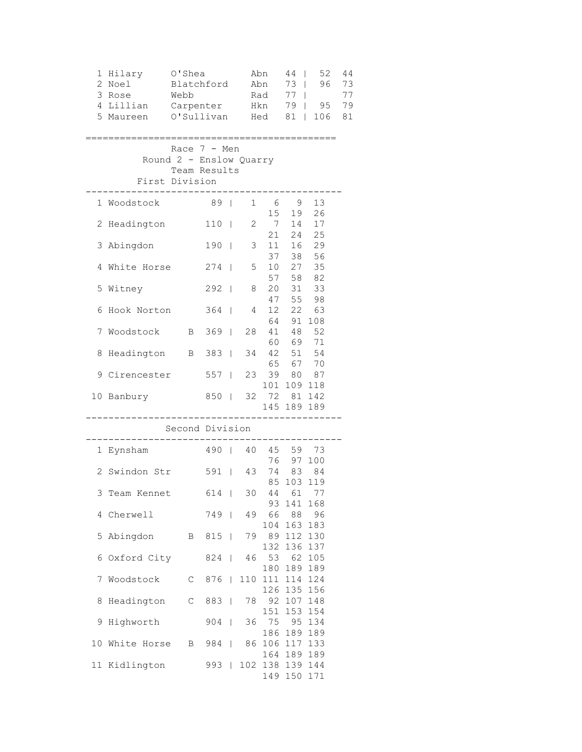| 2<br>3<br>4 | 1 Hilary<br>Noel<br>Rose<br>Lillian<br>5 Maureen | O'Shea<br>Blatchford<br>Webb<br>Carpenter<br>O'Sullivan                     |                     |              |                   | Abn<br>Abn<br>Rad<br>Hkn<br>Hed | $44$  <br>73<br>77<br>79  <br>81 | 52<br>96<br>$\mathbf{I}$<br>$\mathbf{I}$<br>95<br>106 | 44<br>73<br>77<br>79<br>81 |
|-------------|--------------------------------------------------|-----------------------------------------------------------------------------|---------------------|--------------|-------------------|---------------------------------|----------------------------------|-------------------------------------------------------|----------------------------|
|             |                                                  | Race $7 - Men$<br>Round 2 - Enslow Quarry<br>Team Results<br>First Division |                     |              |                   |                                 |                                  |                                                       |                            |
|             | 1 Woodstock                                      |                                                                             | 89                  |              | 1                 | 6                               | - 9                              | 13                                                    |                            |
| 2           | Headington                                       |                                                                             | $110$               |              | $\mathbf{2}$      | 15<br>7                         | 19<br>14                         | 26<br>17                                              |                            |
| 3           | Abingdon                                         |                                                                             | $190$               |              | 3 <sup>7</sup>    | 21<br>11                        | 24<br>16                         | 25<br>29                                              |                            |
| 4           | White Horse                                      |                                                                             | $274$               |              | 5 <sup>5</sup>    | 37                              | 10 27 35                         | 38 56                                                 |                            |
|             | 5 Witney                                         |                                                                             | $292$               |              | 8                 | 57<br>20                        |                                  | 58 82<br>31 33                                        |                            |
| 6           | Hook Norton                                      |                                                                             | $364$               |              | 4                 | 47<br>12                        | $64 - 91$                        | 55 98<br>22 63                                        |                            |
| 7           | Woodstock                                        | $\mathbf{B}$                                                                | $369$               |              | 28                | 41                              |                                  | 108<br>48 52                                          |                            |
| 8           | Headington                                       |                                                                             | B 383   34 42 51 54 |              |                   |                                 | 60 69 71                         |                                                       |                            |
|             | 9 Cirencester                                    |                                                                             | 557                 |              |                   | 23 39 80 87                     | 65 67 70                         |                                                       |                            |
|             | 10 Banbury                                       |                                                                             | 850                 |              |                   | 32 72 81 142                    | 101 109 118<br>145 189 189       |                                                       |                            |
|             |                                                  | ____________<br>Second Division                                             |                     |              |                   |                                 |                                  |                                                       |                            |
|             | 1 Eynsham                                        |                                                                             |                     |              | 490   40 45 59 73 |                                 |                                  |                                                       |                            |
|             | 2 Swindon Str                                    |                                                                             | 591   43            |              |                   |                                 | 76 97 100<br>74 83 84            |                                                       |                            |
|             | 3 Team Kennet                                    |                                                                             | 614                 |              | 30                |                                 | 85 103 119<br>44 61 77           |                                                       |                            |
| 4           | Cherwell                                         |                                                                             | 749                 |              | 49                | 93<br>66                        | 141<br>88                        | 168<br>96                                             |                            |
| 5           | Abingdon                                         | B                                                                           | 815                 |              | 79                | 104<br>89                       | 163<br>112                       | 183<br>130                                            |                            |
| 6           | Oxford City                                      |                                                                             | 824                 |              | 46                | 132<br>53                       | 136<br>62                        | 137<br>105                                            |                            |
| 7           | Woodstock                                        | $\mathsf C$                                                                 | 876                 |              | 110               | 180<br>111                      | 189<br>114                       | 189<br>124                                            |                            |
| 8           | Headington                                       | $\mathsf C$                                                                 | 883                 |              | 78                | 126<br>92                       | 135<br>107                       | 156<br>148                                            |                            |
| 9           | Highworth                                        |                                                                             | 904                 | $\mathbf{I}$ | 36                | 151<br>75                       | 153<br>95                        | 154<br>134                                            |                            |
| 10          | White Horse                                      | B                                                                           | 984                 | $\mathsf{I}$ | 86                | 186<br>106                      | 189<br>117                       | 189<br>133                                            |                            |
|             | 11 Kidlington                                    |                                                                             | 993                 | $\mathbf{I}$ | 102               | 164<br>138<br>149               | 189<br>150                       | 189<br>139 144<br>171                                 |                            |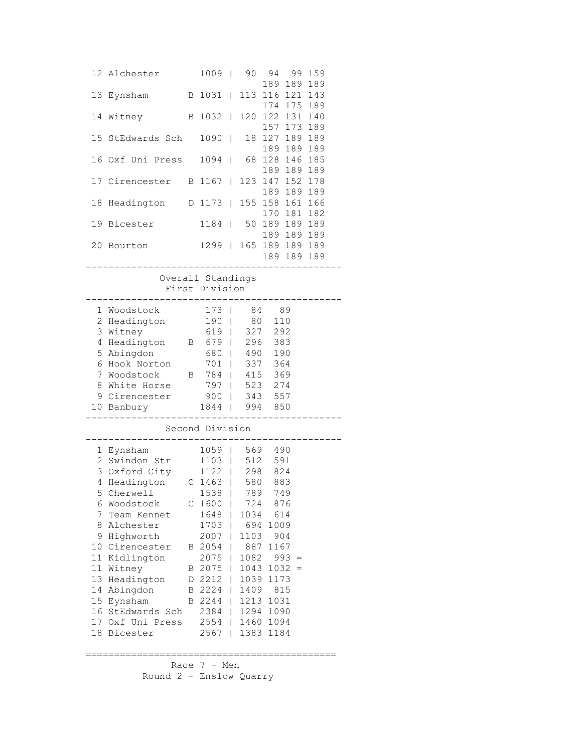|    | 12 Alchester                                                             |              | 1009                   |              | 90 —                |                | 94 99 159   |  |
|----|--------------------------------------------------------------------------|--------------|------------------------|--------------|---------------------|----------------|-------------|--|
|    |                                                                          |              |                        |              |                     |                | 189 189 189 |  |
|    | 13 Eynsham                                                               |              | B 1031                 |              | 113                 | 116 121 143    |             |  |
|    |                                                                          |              |                        |              |                     |                | 174 175 189 |  |
| 14 | Witney                                                                   |              | B 1032   120           |              |                     | 122 131 140    |             |  |
|    |                                                                          |              |                        |              |                     |                | 157 173 189 |  |
| 15 | StEdwards Sch                                                            |              | 1090                   |              |                     | 18 127 189 189 |             |  |
|    |                                                                          |              |                        |              |                     |                | 189 189 189 |  |
|    | 16 Oxf Uni Press                                                         |              | 1094                   |              | 68                  | 128 146 185    |             |  |
|    |                                                                          |              |                        |              |                     |                | 189 189 189 |  |
|    | 17 Cirencester                                                           |              | B 1167   123           |              |                     | 147 152 178    |             |  |
|    |                                                                          |              |                        |              |                     | 189 189 189    |             |  |
| 18 | Headington                                                               |              | D 1173   155           |              |                     | 158 161 166    |             |  |
|    |                                                                          |              |                        |              |                     | 170 181 182    |             |  |
|    | 19 Bicester                                                              |              | 1184   50              |              |                     | 189 189 189    |             |  |
|    | 20 Bourton                                                               |              | 1299   165 189 189 189 |              |                     | 189 189 189    |             |  |
|    |                                                                          |              |                        |              |                     | 189 189 189    |             |  |
|    |                                                                          |              |                        |              |                     |                | --------    |  |
|    |                                                                          |              | Overall Standings      |              |                     |                |             |  |
|    |                                                                          |              | First Division         |              |                     |                |             |  |
|    |                                                                          |              | -------------------    |              |                     |                |             |  |
|    | 1 Woodstock                                                              |              | $173$                  |              |                     | 84 89          |             |  |
|    | 2 Headington 190   80 110                                                |              |                        |              |                     |                |             |  |
|    |                                                                          |              |                        |              |                     |                |             |  |
|    |                                                                          |              |                        |              |                     |                |             |  |
|    | 3 Witney<br>4 Headington<br>5 Abingdon<br>6 Hook Norton<br>701   337 364 |              |                        |              |                     |                |             |  |
|    |                                                                          |              |                        |              |                     |                |             |  |
| 7  | Woodstock B 784   415 369                                                |              |                        |              |                     |                |             |  |
| 8  | White Horse                                                              |              | 797   523 274          |              |                     |                |             |  |
|    | 9 Cirencester 900   343 557                                              |              |                        |              |                     |                |             |  |
|    | 10 Banbury                                                               |              |                        |              |                     |                |             |  |
|    | . _ _ _ _ _ _ _ _ _ _ .                                                  |              | 1844   994 850         |              |                     |                |             |  |
|    |                                                                          |              | Second Division        |              |                     |                |             |  |
|    |                                                                          |              |                        |              |                     |                |             |  |
|    | 1 Eynsham                                                                |              | 1059   569 490         |              |                     |                |             |  |
|    | 2 Swindon Str 1103   512 591                                             |              |                        |              |                     |                |             |  |
|    | 3 Oxford City                                                            |              | 1122   298 824         |              |                     |                |             |  |
|    | 4 Headington C 1463   580 883                                            |              |                        |              |                     |                |             |  |
|    | 5 Cherwell                                                               |              | 1538   789             |              |                     | 749            |             |  |
| 6  | Woodstock                                                                | $\mathbb{C}$ | 1600                   | L            | 724                 | 876            |             |  |
| 7  | Team Kennet                                                              |              | 1648                   | L            | 1034                | 614            |             |  |
| 8  | Alchester                                                                |              | 1703                   | $\mathbf{L}$ | 694                 | 1009           |             |  |
| 9  | Highworth                                                                |              | $2007$                 |              | 1103                | 904            |             |  |
|    | 10 Cirencester                                                           |              | B 2054                 |              | 887<br>$\mathbf{L}$ | 1167           |             |  |
|    | 11 Kidlington                                                            |              | $2075$                 |              | 1082                |                | $993 =$     |  |
| 11 | Witney                                                                   |              | B 2075                 | $\mathbf{L}$ | 1043                |                | $1032 =$    |  |
| 13 | Headington                                                               |              | D 2212                 |              | 1039                | 1173           |             |  |
|    | 14 Abingdon                                                              |              | B 2224   1409          |              |                     | 815            |             |  |
|    | 15 Eynsham                                                               |              | B 2244   1213          |              |                     | 1031           |             |  |
|    | 16 StEdwards Sch                                                         |              | 2384   1294 1090       |              |                     |                |             |  |
|    | 17 Oxf Uni Press                                                         |              | 2554   1460 1094       |              |                     |                |             |  |
|    | 18 Bicester                                                              |              | $2567$                 |              | 1383                | 1184           |             |  |
|    |                                                                          |              |                        |              |                     |                |             |  |
|    |                                                                          |              |                        |              |                     |                |             |  |
|    |                                                                          |              | Race 7 - Men           |              |                     |                |             |  |
|    | Round 2 - Enslow Quarry                                                  |              |                        |              |                     |                |             |  |
|    |                                                                          |              |                        |              |                     |                |             |  |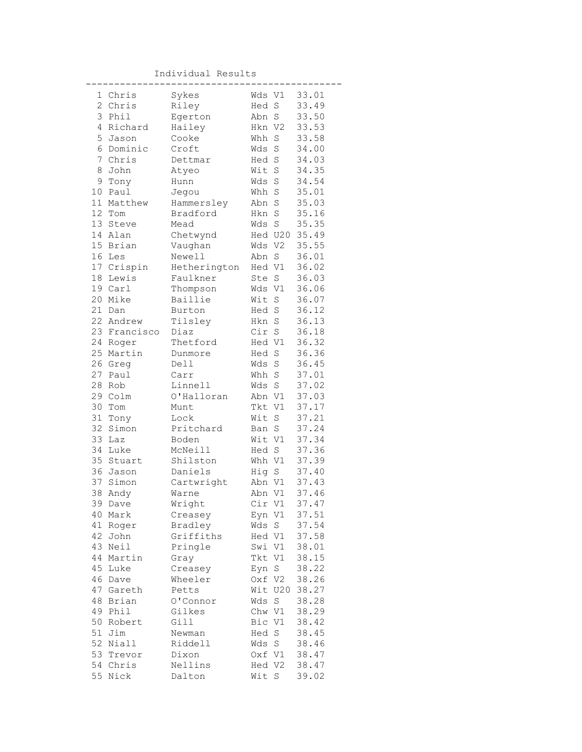Individual Results

|                | 1 Chris      | Sykes        | Wds V1 |             | 33.01 |
|----------------|--------------|--------------|--------|-------------|-------|
| $\overline{c}$ | Chris        | Riley        | Hed S  |             | 33.49 |
| 3              | Phil         | Egerton      | Abn S  |             | 33.50 |
| 4              | Richard      | Hailey       | Hkn V2 |             | 33.53 |
|                | 5 Jason      | Cooke        | Whh    | $\mathbf S$ | 33.58 |
|                | 6 Dominic    | Croft        | Wds    | S           | 34.00 |
| 7              | Chris        | Dettmar      | Hed S  |             | 34.03 |
| 8              | John         | Atyeo        | Wit S  |             | 34.35 |
| 9              | Tony         | Hunn         | Wds S  |             | 34.54 |
| 10             | Paul         | Jegou        | Whh S  |             | 35.01 |
| 11             | Matthew      | Hammersley   | Abn S  |             | 35.03 |
| 12             | Tom          | Bradford     | Hkn S  |             | 35.16 |
| 13             | Steve        | Mead         | Wds    | S           | 35.35 |
| 14             | Alan         | Chetwynd     |        | Hed U20     | 35.49 |
|                | 15 Brian     | Vaughan      | Wds V2 |             | 35.55 |
| 16             | Les          | Newell       | Abn S  |             | 36.01 |
|                | 17 Crispin   | Hetherington | Hed V1 |             | 36.02 |
| 18             | Lewis        | Faulkner     | Ste S  |             | 36.03 |
|                | 19 Carl      | Thompson     | Wds V1 |             | 36.06 |
| 20             | Mike         | Baillie      | Wit S  |             | 36.07 |
| 21             | Dan          | Burton       | Hed S  |             | 36.12 |
| 22             | Andrew       | Tilsley      | Hkn S  |             | 36.13 |
|                | 23 Francisco | Diaz         | Cir    | $\rm S$     | 36.18 |
| 24             | Roger        | Thetford     | Hed V1 |             | 36.32 |
| 25             | Martin       | Dunmore      | Hed S  |             | 36.36 |
|                | 26 Greg      | Dell1        | Wds S  |             | 36.45 |
| 27             | Paul         | Carr         | Whh S  |             | 37.01 |
| 28             | Rob          | Linnell      | Wds S  |             | 37.02 |
| 29             | Colm         | O'Halloran   | Abn V1 |             | 37.03 |
| 30             | Tom          | Munt         | Tkt V1 |             | 37.17 |
| 31             | Tony         | Lock         | Wit    | S           | 37.21 |
| 32             | Simon        | Pritchard    | Ban S  |             | 37.24 |
| 33             | Laz          | Boden        | Wit V1 |             | 37.34 |
| 34             | Luke         | McNeill      | Hed S  |             | 37.36 |
| 35             | Stuart       | Shilston     | Whh V1 |             | 37.39 |
|                | 36 Jason     | Daniels      | Hig S  |             | 37.40 |
| 37             | Simon        | Cartwright   | Abn V1 |             | 37.43 |
| 38             | Andy         | Warne        | Abn V1 |             | 37.46 |
| 39             | Dave         | Wright       | Cir V1 |             | 37.47 |
| 40             | Mark         | Creasey      | Eyn V1 |             | 37.51 |
| 41             | Roger        | Bradley      | Wds    | S           | 37.54 |
| 42             | John         | Griffiths    | Hed V1 |             | 37.58 |
| 43             | Neil         | Pringle      | Swi V1 |             | 38.01 |
| 44             | Martin       | Gray         | Tkt    | V1          | 38.15 |
| 45             | Luke         | Creasey      | Eyn S  |             | 38.22 |
| 46             | Dave         | Wheeler      | Oxf V2 |             | 38.26 |
| 47             | Gareth       | Petts        | Wit    | U20         | 38.27 |
| 48             | Brian        | 0'Connor     | Wds    | $\rm S$     | 38.28 |
| 49             | Phil         | Gilkes       | Chw V1 |             | 38.29 |
| 50             | Robert       | Gill         | Bic V1 |             | 38.42 |
| 51             | Jim          | Newman       | Hed S  |             | 38.45 |
|                | 52 Niall     | Riddell      | Wds S  |             | 38.46 |
|                | 53 Trevor    | Dixon        | Oxf V1 |             | 38.47 |
|                | 54 Chris     | Nellins      | Hed V2 |             | 38.47 |
| 55             | Nick         | Dalton       | Wit S  |             | 39.02 |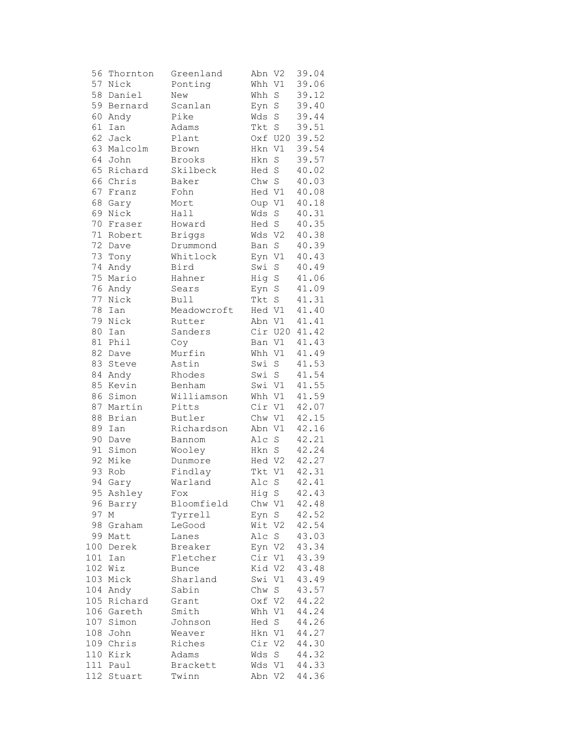| 56     | Thornton     | Greenland    | Abn V2 |             | 39.04 |
|--------|--------------|--------------|--------|-------------|-------|
| 57     | Nick         | Ponting      | Whh V1 |             | 39.06 |
| 58     | Daniel       | New          | Whh    | S           | 39.12 |
| 59     | Bernard      | Scanlan      | Eyn    | $\rm S$     | 39.40 |
| 60     | Andy         | Pike         | Wds    | S           | 39.44 |
| 61     | Ian          | Adams        | Tkt    | $\mathbf S$ | 39.51 |
| 62     | Jack         | Plant        |        | Oxf U20     | 39.52 |
| 63     | Malcolm      | Brown        | Hkn V1 |             | 39.54 |
|        | 64 John      | Brooks       | Hkn    | $\rm S$     | 39.57 |
| 65     | Richard      | Skilbeck     | Hed    | $\mathbf S$ | 40.02 |
| 66     | Chris        | Baker        | Chw    | $\mathbf S$ | 40.03 |
| 67     | Franz        | Fohn         | Hed V1 |             | 40.08 |
| 68     | Gary         | Mort         | Oup V1 |             | 40.18 |
| 69     | Nick         | Hall         | Wds    | $\rm S$     | 40.31 |
| 70     | Fraser       | Howard       | Hed    | $\mathbf S$ | 40.35 |
| $71$   | Robert       | Briggs       | Wds V2 |             | 40.38 |
| 72     |              | Drummond     | Ban    | $\rm S$     | 40.39 |
| 73     | Dave<br>Tony | Whitlock     | Eyn V1 |             | 40.43 |
|        |              |              |        |             |       |
| 74     | Andy         | Bird         | Swi    | $\rm S$     | 40.49 |
| 75     | Mario        | Hahner       | Hig    | $\rm S$     | 41.06 |
| 76     | Andy         | Sears        | Eyn    | $\mathbf S$ | 41.09 |
| 77     | Nick         | <b>Bull</b>  | Tkt    | $\rm S$     | 41.31 |
| 78     | Ian          | Meadowcroft  | Hed V1 |             | 41.40 |
| 79     | Nick         | Rutter       | Abn V1 |             | 41.41 |
| 80     | Ian          | Sanders      |        | Cir U20     | 41.42 |
| $8\,1$ | Phil         | Coy          | Ban V1 |             | 41.43 |
|        | 82 Dave      | Murfin       | Whh V1 |             | 41.49 |
| 83     | Steve        | Astin        | Swi    | $\rm S$     | 41.53 |
| 84     | Andy         | Rhodes       | Swi    | $\rm S$     | 41.54 |
| 85     | Kevin        | Benham       | Swi V1 |             | 41.55 |
| 86     | Simon        | Williamson   | Whh V1 |             | 41.59 |
| 87     | Martin       | Pitts        | Cir    | V1          | 42.07 |
| 88     | Brian        | Butler       | Chw V1 |             | 42.15 |
| 89     | Ian          | Richardson   | Abn V1 |             | 42.16 |
| 90     | Dave         | Bannom       | Alc    | $\rm S$     | 42.21 |
| 91     | Simon        | Wooley       | Hkn    | $\mathbf S$ | 42.24 |
| 92     | Mike         | Dunmore      | Hed V2 |             | 42.27 |
| 93     | Rob          | Findlay      | Tkt V1 |             | 42.31 |
| 94     | Gary         | Warland      | Alc    | $\rm S$     | 42.41 |
|        | 95 Ashley    | Fox          | Hig S  |             | 42.43 |
| 96     | Barry        | Bloomfield   | Chw V1 |             | 42.48 |
| 97     | Μ            | Tyrrell      | Eyn S  |             | 42.52 |
| 98     | Graham       | LeGood       | Wit V2 |             | 42.54 |
| 99     | Matt         | Lanes        | Alc    | S           | 43.03 |
|        | 100 Derek    | Breaker      | Eyn V2 |             | 43.34 |
|        | 101 Ian      | Fletcher     | Cir V1 |             | 43.39 |
|        | 102 Wiz      | <b>Bunce</b> | Kid V2 |             | 43.48 |
|        | 103 Mick     | Sharland     | Swi V1 |             | 43.49 |
|        | 104 Andy     | Sabin        | Chw S  |             | 43.57 |
|        | 105 Richard  | Grant        | Oxf V2 |             | 44.22 |
|        | 106 Gareth   | Smith        | Whh V1 |             | 44.24 |
|        | 107 Simon    | Johnson      | Hed S  |             | 44.26 |
|        | 108 John     | Weaver       | Hkn V1 |             | 44.27 |
|        | 109 Chris    | Riches       | Cir V2 |             | 44.30 |
|        | 110 Kirk     | Adams        | Wds    | S           | 44.32 |
|        | 111 Paul     | Brackett     | Wds V1 |             | 44.33 |
| 112    | Stuart       | Twinn        | Abn V2 |             | 44.36 |
|        |              |              |        |             |       |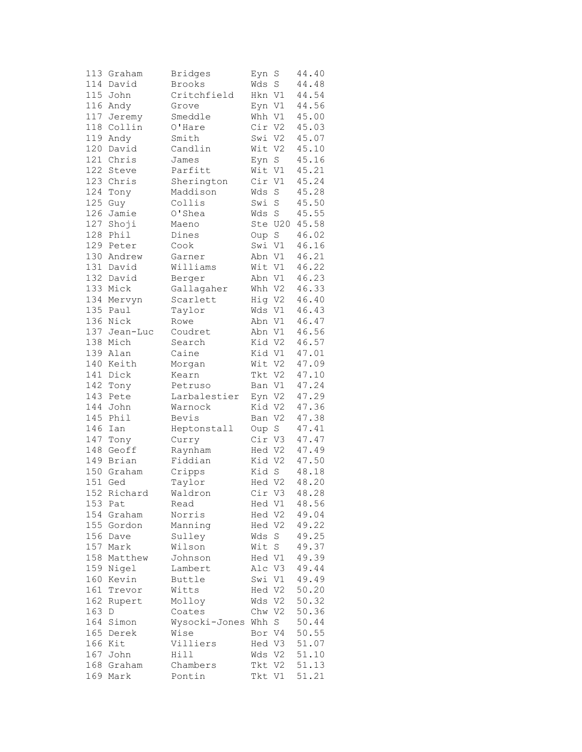|     | 113 Graham  | <b>Bridges</b> | Eyn    | S       | 44.40 |
|-----|-------------|----------------|--------|---------|-------|
|     | 114 David   | Brooks         | Wds    | S       | 44.48 |
| 115 | John        | Critchfield    | Hkn V1 |         | 44.54 |
|     | 116 Andy    | Grove          |        | Eyn V1  | 44.56 |
| 117 | Jeremy      | Smeddle        | Whh V1 |         | 45.00 |
| 118 | Collin      | O'Hare         | Cir V2 |         | 45.03 |
| 119 | Andy        | Smith          | Swi V2 |         | 45.07 |
|     | 120 David   | Candlin        | Wit V2 |         | 45.10 |
|     | 121 Chris   | James          | Eyn    | S       | 45.16 |
|     | 122 Steve   | Parfitt        | Wit V1 |         | 45.21 |
| 123 | Chris       | Sherington     | Cir V1 |         | 45.24 |
| 124 | Tony        | Maddison       | Wds    | S       | 45.28 |
| 125 | Guy         | Collis         | Swi    | S       | 45.50 |
| 126 | Jamie       | O'Shea         | Wds S  |         | 45.55 |
| 127 | Shoji       | Maeno          |        | Ste U20 | 45.58 |
| 128 | Phil        | Dines          | Oup S  |         | 46.02 |
|     | 129 Peter   | Cook           | Swi V1 |         | 46.16 |
|     |             |                |        |         |       |
|     | 130 Andrew  | Garner         | Abn V1 |         | 46.21 |
|     | 131 David   | Williams       | Wit V1 |         | 46.22 |
|     | 132 David   | Berger         | Abn V1 |         | 46.23 |
|     | 133 Mick    | Gallagaher     | Whh V2 |         | 46.33 |
| 134 | Mervyn      | Scarlett       | Hig V2 |         | 46.40 |
| 135 | Paul        | Taylor         | Wds Vl |         | 46.43 |
| 136 | Nick        | Rowe           | Abn V1 |         | 46.47 |
| 137 | Jean-Luc    | Coudret        | Abn V1 |         | 46.56 |
|     | 138 Mich    | Search         | Kid V2 |         | 46.57 |
|     | 139 Alan    | Caine          | Kid V1 |         | 47.01 |
|     | 140 Keith   | Morgan         | Wit V2 |         | 47.09 |
| 141 | Dick        | Kearn          | Tkt V2 |         | 47.10 |
| 142 | Tony        | Petruso        | Ban V1 |         | 47.24 |
| 143 | Pete        | Larbalestier   | Eyn V2 |         | 47.29 |
| 144 | John        | Warnock        | Kid V2 |         | 47.36 |
| 145 | Phil        | Bevis          | Ban V2 |         | 47.38 |
| 146 | Ian         | Heptonstall    | Oup S  |         | 47.41 |
| 147 | Tony        | Curry          | Cir V3 |         | 47.47 |
| 148 | Geoff       | Raynham        | Hed V2 |         | 47.49 |
|     | 149 Brian   | Fiddian        | Kid V2 |         | 47.50 |
|     | 150 Graham  | Cripps         | Kid S  |         | 48.18 |
| 151 | Ged         | Taylor         | Hed V2 |         | 48.20 |
|     | 152 Richard | Waldron        | Cir V3 |         | 48.28 |
| 153 | Pat         | Read           | Hed V1 |         | 48.56 |
| 154 | Graham      | Norris         | Hed V2 |         | 49.04 |
|     | 155 Gordon  | Manning        | Hed V2 |         | 49.22 |
| 156 | Dave        | Sulley         | Wds    | S       | 49.25 |
|     | 157 Mark    | Wilson         | Wit    | $\rm S$ | 49.37 |
| 158 | Matthew     | Johnson        | Hed V1 |         | 49.39 |
| 159 | Nigel       | Lambert        | Alc V3 |         | 49.44 |
| 160 | Kevin       | Buttle         | Swi V1 |         | 49.49 |
| 161 | Trevor      | Witts          | Hed V2 |         | 50.20 |
| 162 | Rupert      | Molloy         | Wds V2 |         | 50.32 |
| 163 | D           | Coates         | Chw V2 |         | 50.36 |
|     |             |                | Whh    |         |       |
| 164 | Simon       | Wysocki-Jones  |        | $S_{-}$ | 50.44 |
|     | 165 Derek   | Wise           | Bor V4 |         | 50.55 |
| 166 | Kit         | Villiers       | Hed V3 |         | 51.07 |
| 167 | John        | Hill           | Wds V2 |         | 51.10 |
| 168 | Graham      | Chambers       | Tkt V2 |         | 51.13 |
|     | 169 Mark    | Pontin         | Tkt V1 |         | 51.21 |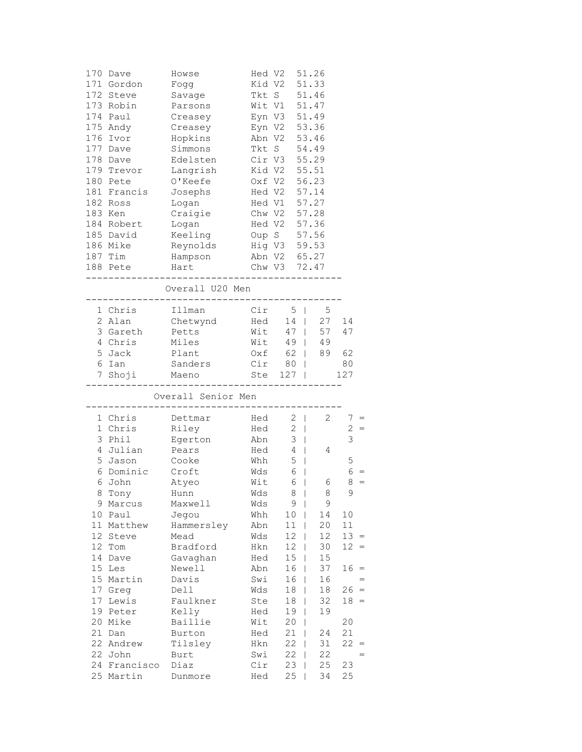|             | 170 Dave<br>171 Gordon<br>172 Steve<br>173 Robin<br>174 Paul<br>175 Andy<br>176 Ivor<br>177 Dave<br>178 Dave<br>179 Trevor<br>180 Pete<br>181 Francis<br>182 Ross | Howse<br>Fogg<br>Savage<br>Parsons<br>Creasey<br>Creasey<br>Hopkins<br>Simmons<br>Edelsten<br>Langrish<br>O'Keefe<br>Josephs<br>Logan | Hed V2<br>Abn V2<br>Tkt S<br>Cir V3<br>Kid V2 | Kid V2 51.33<br>Tkt S 51.46<br>Wit V1 51.47<br>Eyn V3 51.49<br>Eyn V2 53.36<br>Oxf V2 56.23<br>Hed V2 57.14<br>Hed V1 57.27 | 51.26<br>53.46<br>54.49<br>55.29<br>55.51 |              |     |
|-------------|-------------------------------------------------------------------------------------------------------------------------------------------------------------------|---------------------------------------------------------------------------------------------------------------------------------------|-----------------------------------------------|-----------------------------------------------------------------------------------------------------------------------------|-------------------------------------------|--------------|-----|
|             | 183 Ken                                                                                                                                                           | Craigie                                                                                                                               |                                               | Chw V2 57.28                                                                                                                |                                           |              |     |
|             | 184 Robert                                                                                                                                                        | Logan                                                                                                                                 |                                               | Hed V2 57.36                                                                                                                |                                           |              |     |
|             | 185 David                                                                                                                                                         | Keeling                                                                                                                               |                                               | Oup S 57.56                                                                                                                 |                                           |              |     |
|             | 186 Mike                                                                                                                                                          | Reynolds                                                                                                                              | Hig V3 59.53<br>Abn V2 65.27                  |                                                                                                                             | 59.53                                     |              |     |
|             | 187 Tim                                                                                                                                                           | Hampson                                                                                                                               | Chw V3 72.47                                  |                                                                                                                             |                                           |              |     |
|             | 188 Pete                                                                                                                                                          | Hart                                                                                                                                  |                                               |                                                                                                                             |                                           |              |     |
|             |                                                                                                                                                                   | Overall U20 Men<br>------------------------                                                                                           |                                               |                                                                                                                             |                                           |              |     |
|             | 1 Chris                                                                                                                                                           | Illman                                                                                                                                | Cir                                           | $5 \mid$                                                                                                                    | 5                                         |              |     |
|             | 2 Alan                                                                                                                                                            | Chetwynd                                                                                                                              | Hed                                           |                                                                                                                             | 14   27                                   | 14           |     |
|             | 3 Gareth                                                                                                                                                          | Petts                                                                                                                                 | Wit                                           | 47   57                                                                                                                     |                                           | 47           |     |
|             | 4 Chris                                                                                                                                                           | Miles                                                                                                                                 | Wit                                           |                                                                                                                             | 49   49                                   |              |     |
|             | 5 Jack                                                                                                                                                            | Plant                                                                                                                                 | Oxf                                           |                                                                                                                             | 62   89                                   | 62           |     |
|             | 6 Ian                                                                                                                                                             | Sanders                                                                                                                               | $Cir$ 80                                      |                                                                                                                             |                                           | 80           |     |
|             | 7 Shoji                                                                                                                                                           | Maeno                                                                                                                                 | Ste 127                                       |                                                                                                                             |                                           | 127          |     |
|             |                                                                                                                                                                   | Overall Senior Men                                                                                                                    |                                               |                                                                                                                             |                                           |              |     |
|             | 1 Chris                                                                                                                                                           | Dettmar                                                                                                                               | Hed                                           | $2 \mid$                                                                                                                    | 2                                         | $7 =$        |     |
| $\mathbf 1$ | Chris                                                                                                                                                             | Riley                                                                                                                                 | Hed                                           | 2<br>$\Box$                                                                                                                 |                                           | 2            | $=$ |
|             | 3 Phil                                                                                                                                                            | Egerton                                                                                                                               | Abn                                           | 3<br>$\mathbb{R}$                                                                                                           |                                           | 3            |     |
|             | 4 Julian                                                                                                                                                          | Pears                                                                                                                                 | Hed                                           | $\overline{4}$<br>$\mathbb{R}$                                                                                              | 4                                         |              |     |
| 5           | Jason                                                                                                                                                             | Cooke                                                                                                                                 | Whh                                           | 5<br>$\perp$                                                                                                                |                                           | 5            |     |
| 6           | Dominic                                                                                                                                                           | Croft                                                                                                                                 | Wds                                           | 6<br>$\perp$                                                                                                                |                                           | 6            |     |
| 6           | John                                                                                                                                                              | Atyeo                                                                                                                                 | Wit                                           | 6<br>L                                                                                                                      | 6                                         | 8            |     |
| 8           | Tony                                                                                                                                                              | Hunn                                                                                                                                  | Wds                                           | 8 <sup>1</sup>                                                                                                              | 8                                         | 9            |     |
| 9           | Marcus                                                                                                                                                            | Maxwell                                                                                                                               | Wds                                           | 9                                                                                                                           | 9                                         |              |     |
| 10          | Paul                                                                                                                                                              | Jegou                                                                                                                                 | Whh                                           | 10                                                                                                                          | 14                                        | 10           |     |
| 11          | Matthew                                                                                                                                                           | Hammersley                                                                                                                            | Abn                                           | 11                                                                                                                          | 20                                        | 11           |     |
| 12          | Steve                                                                                                                                                             | Mead                                                                                                                                  | Wds                                           | 12                                                                                                                          | 12                                        | $13 =$       |     |
| 12          | Tom                                                                                                                                                               | Bradford                                                                                                                              | Hkn                                           | 12<br>T                                                                                                                     | 30                                        | $12 =$       |     |
| 14          | Dave                                                                                                                                                              | Gavaghan                                                                                                                              | Hed                                           | 15<br>T                                                                                                                     | 15                                        |              |     |
| 15          | Les                                                                                                                                                               | Newell                                                                                                                                | Abn                                           | 16<br>$\perp$                                                                                                               | 37                                        | $16 =$       |     |
| 15          | Martin                                                                                                                                                            | Davis                                                                                                                                 | Swi                                           | 16<br>L                                                                                                                     | 16                                        |              |     |
| 17          | Greg                                                                                                                                                              | Dell                                                                                                                                  | Wds                                           | 18                                                                                                                          | 18                                        | 26           |     |
| 17          | Lewis                                                                                                                                                             | Faulkner                                                                                                                              | Ste                                           | 18                                                                                                                          | 32                                        | 18           |     |
| 19          | Peter                                                                                                                                                             | Kelly                                                                                                                                 | Hed                                           | 19                                                                                                                          | 19                                        |              |     |
| 20<br>21    | Mike                                                                                                                                                              | Baillie                                                                                                                               | Wit                                           | 20                                                                                                                          |                                           | 20           |     |
|             | Dan<br>22 Andrew                                                                                                                                                  | Burton<br>Tilsley                                                                                                                     | Hed<br>Hkn                                    | 21<br>22<br>T                                                                                                               | 24<br>31                                  | 21<br>$22 =$ |     |
|             | 22 John                                                                                                                                                           | Burt                                                                                                                                  | Swi                                           | 22<br>T                                                                                                                     | 22                                        |              | =   |
| 24          | Francisco                                                                                                                                                         | Diaz                                                                                                                                  | Cir                                           | 23                                                                                                                          | 25                                        | 23           |     |
|             | 25 Martin                                                                                                                                                         | Dunmore                                                                                                                               | Hed                                           | 25                                                                                                                          | 34                                        | 25           |     |
|             |                                                                                                                                                                   |                                                                                                                                       |                                               |                                                                                                                             |                                           |              |     |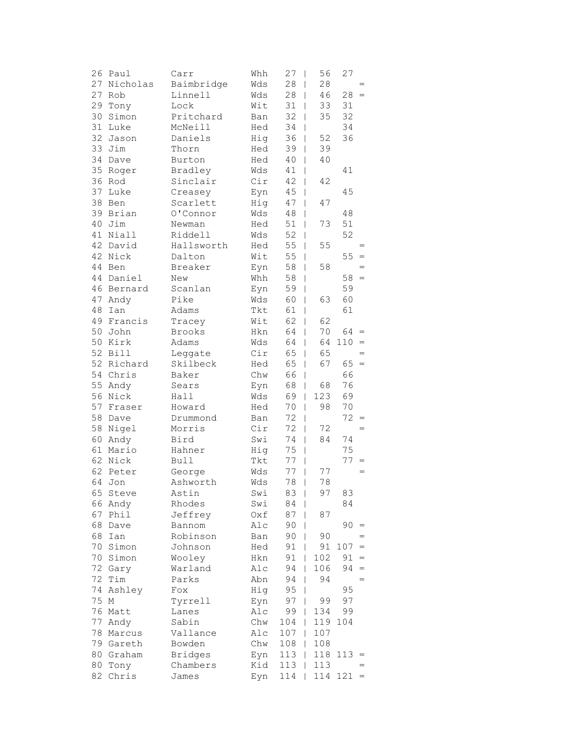|    | 26 Paul     | Carr           | Whh        | 27        | 56<br>I              | 27      |                   |
|----|-------------|----------------|------------|-----------|----------------------|---------|-------------------|
|    | 27 Nicholas | Baimbridge     | Wds        | 28        | 28<br>T              |         | $=$               |
| 27 | Rob         | Linnell        | Wds        | 28        | 46<br>$\overline{1}$ | 28      | $=$               |
| 29 | Tony        | Lock           | Wit        | 31        | 33<br>L              | 31      |                   |
| 30 | Simon       | Pritchard      | Ban        | 32        | 35<br>L              | 32      |                   |
| 31 | Luke        | McNeill        | Hed        | 34        | I                    | 34      |                   |
| 32 | Jason       | Daniels        | Hig        | 36        | 52<br>L              | 36      |                   |
|    | 33 Jim      | Thorn          | Hed        | 39        | 39<br>I              |         |                   |
|    | 34 Dave     | Burton         | Hed        | 40        | 40<br>L              |         |                   |
| 35 | Roger       | Bradley        | Wds        | 41        | I                    | 41      |                   |
|    | 36 Rod      | Sinclair       | Cir        | 42        | 42<br>I              |         |                   |
| 37 | Luke        | Creasey        | Eyn        | 45        | T                    | 45      |                   |
| 38 | Ben         | Scarlett       | Hig        | 47        | 47<br>L              |         |                   |
|    | 39 Brian    | O'Connor       | Wds        | 48        | I                    | 48      |                   |
| 40 | Jim         | Newman         | Hed        | 51        | 73<br>L              | 51      |                   |
| 41 | Niall       | Riddell        | Wds        | 52        | I                    | 52      |                   |
|    | 42 David    | Hallsworth     | Hed        | 55        | 55<br>T              |         |                   |
|    | 42 Nick     | Dalton         | Wit        | 55        | I                    | 55      | $=$               |
|    | 44 Ben      | Breaker        | Eyn        | 58        | 58<br>I              |         | $=$               |
|    | 44 Daniel   | New            | Whh        | 58        | I                    | 58      | $\qquad \qquad =$ |
|    | 46 Bernard  | Scanlan        |            | 59        |                      | 59      |                   |
| 47 | Andy        | Pike           | Eyn<br>Wds | 60        | T<br>63              | 60      |                   |
| 48 |             |                |            | 61        | L                    | 61      |                   |
|    | Ian         | Adams          | Tkt        | 62        | I                    |         |                   |
|    | 49 Francis  | Tracey         | Wit        |           | 62<br>L              |         |                   |
|    | 50 John     | Brooks         | Hkn        | 64        | 70<br>L              | 64      | $=$               |
|    | 50 Kirk     | Adams          | Wds        | 64        | 64<br>L              | 110     | $=$               |
|    | 52 Bill     | Leggate        | Cir        | 65        | 65<br>L              |         | $=$               |
|    | 52 Richard  | Skilbeck       | Hed        | 65        | 67<br>I              | 65      | $=$               |
|    | 54 Chris    | Baker          | Chw        | 66        | I                    | 66      |                   |
|    | 55 Andy     | Sears          | Eyn        | 68        | 68<br>L              | 76      |                   |
| 56 | Nick        | Hall           | Wds        | 69        | 123<br>L             | 69      |                   |
| 57 | Fraser      | Howard         | Hed        | 70        | 98<br>L              | 70      |                   |
| 58 | Dave        | Drummond       | Ban        | 72        | I                    | 72      | $=$               |
| 58 | Nigel       | Morris         | Cir        | 72        | 72<br>L              |         | $=$               |
| 60 | Andy        | Bird           | Swi        | 74        | 84<br>L              | 74      |                   |
|    | 61 Mario    | Hahner         | Hig        | 75        | I                    | 75      |                   |
|    | 62 Nick     | <b>Bull</b>    | Tkt        | 77        | I                    | 77      | $=$               |
|    | 62 Peter    | George         | Wds        | 77        | 77<br>I              |         | $=$               |
| 64 | Jon         | Ashworth       | Wds        | 78        | 78<br>I              |         |                   |
|    | 65 Steve    | Astin          | Swi        | $83 \mid$ | 97                   | 83      |                   |
|    | 66 Andy     | Rhodes         | Swi        | 84        | I                    | 84      |                   |
| 67 | Phil        | Jeffrey        | Oxf        | 87        | 87<br>L              |         |                   |
| 68 | Dave        | Bannom         | Alc        | 90        |                      | 90      | $=$               |
| 68 | Ian         | Robinson       | Ban        | 90        | 90<br>L              |         |                   |
| 70 | Simon       | Johnson        | Hed        | 91        | 91<br>I              | 107     | $\, =$            |
| 70 | Simon       | Wooley         | Hkn        | 91        | 102<br>I             | 91      | $=$               |
| 72 | Gary        | Warland        | Alc        | 94        | 106<br>I             | 94      | $=$               |
| 72 | Tim         | Parks          | Abn        | 94        | 94<br>L              |         | $=$               |
| 74 | Ashley      | Fox            | Hig        | 95        | L                    | 95      |                   |
| 75 | М           | Tyrrell        | Eyn        | 97        | 99<br>L              | 97      |                   |
| 76 | Matt        | Lanes          | Alc        | 99        | 134<br>L             | 99      |                   |
| 77 | Andy        | Sabin          | Chw        | 104       | 119<br>L             | 104     |                   |
| 78 | Marcus      | Vallance       | Alc        | 107       | 107<br>L             |         |                   |
|    | 79 Gareth   | Bowden         | Chw        | 108       | 108<br>L             |         |                   |
| 80 | Graham      | <b>Bridges</b> | Eyn        | 113       | 118<br>I             | 113     | $=$               |
| 80 | Tony        | Chambers       | Kid        | 113       | 113                  |         |                   |
| 82 | Chris       | James          | Eyn        | 114       |                      | 114 121 | $\qquad \qquad =$ |
|    |             |                |            |           |                      |         |                   |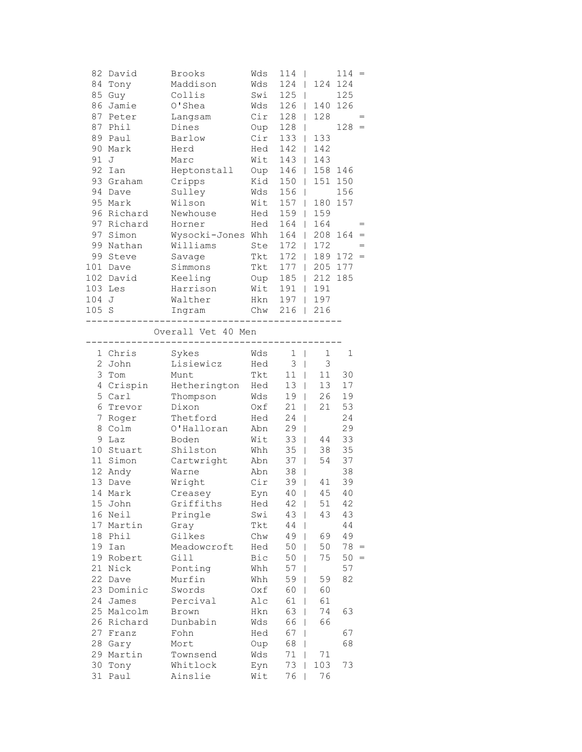| 87<br>91 J<br>97 | 82 David<br>84 Tony<br>85 Guy<br>86 Jamie<br>87 Peter<br>Phil<br>89 Paul<br>90 Mark<br>92 Ian<br>93 Graham<br>94 Dave<br>95 Mark<br>96 Richard<br>97 Richard<br>Simon<br>99 Nathan<br>99 Steve<br>101 Dave<br>102 David | Brooks<br>Maddison<br>Collis<br>O'Shea<br>Langsam<br>Dines<br>Barlow<br>Herd<br>Marc<br>Heptonstall<br>Cripps<br>Sulley<br>Wilson<br>Newhouse<br>Horner<br>Wysocki-Jones Whh<br>Williams<br>Savage<br>Simmons<br>Keeling | Wds<br>Wds<br>Swi<br>Wds<br>Cir<br>Oup<br>Cir<br>Hed<br>Wit<br>Oup<br>Kid<br>Wds<br>Wit<br>Hed<br>Hed<br>Ste<br>Tkt<br>Tkt<br>Oup | 114<br>$\mathbf{I}$<br>124<br>125<br>$\Box$<br>126<br>$128$  <br>128<br>$133$  <br>$142$  <br>143<br>146<br>$\mathbf{1}$<br>150<br>$\mathbb{R}$<br>156<br>$\mathbf{I}$<br>$157$  <br>$159$  <br>$164$  <br>$164$  <br>$172$  <br>172<br>$\mathbf{L}$<br>$177$  <br>185 | 140<br>128<br>133<br>142<br>143<br>158 146<br>180 157<br>159<br>164<br>172<br>205 177<br>212 185<br>$\mathbb{R}$ | $114 =$<br>124 124<br>125<br>126<br>$128 =$<br>151 150<br>156<br>208 164<br>$\hspace{1.6cm} = \hspace{1.6cm}$<br>$189$ $172 =$ |
|------------------|-------------------------------------------------------------------------------------------------------------------------------------------------------------------------------------------------------------------------|--------------------------------------------------------------------------------------------------------------------------------------------------------------------------------------------------------------------------|-----------------------------------------------------------------------------------------------------------------------------------|------------------------------------------------------------------------------------------------------------------------------------------------------------------------------------------------------------------------------------------------------------------------|------------------------------------------------------------------------------------------------------------------|--------------------------------------------------------------------------------------------------------------------------------|
|                  | 103 Les                                                                                                                                                                                                                 | Harrison                                                                                                                                                                                                                 | Wit                                                                                                                               | $191$                                                                                                                                                                                                                                                                  | 191                                                                                                              |                                                                                                                                |
| 104<br>105 S     | J                                                                                                                                                                                                                       | Walther<br>Ingram                                                                                                                                                                                                        | Hkn<br>Chw                                                                                                                        | $197$  <br>$216$                                                                                                                                                                                                                                                       | 197<br>216                                                                                                       |                                                                                                                                |
|                  |                                                                                                                                                                                                                         | Overall Vet 40 Men<br>-----------                                                                                                                                                                                        | ----------                                                                                                                        |                                                                                                                                                                                                                                                                        |                                                                                                                  |                                                                                                                                |
|                  | 1 Chris<br>2 John                                                                                                                                                                                                       | Sykes<br>Lisiewicz                                                                                                                                                                                                       | Wds                                                                                                                               | $1 \mid$<br>3 <sup>1</sup>                                                                                                                                                                                                                                             | $\mathbf 1$<br>3                                                                                                 | $\mathbf 1$                                                                                                                    |
|                  | 3 Tom                                                                                                                                                                                                                   | Munt                                                                                                                                                                                                                     | Hed<br>Tkt                                                                                                                        | $11$                                                                                                                                                                                                                                                                   | 11                                                                                                               | 30                                                                                                                             |
|                  | 4 Crispin                                                                                                                                                                                                               | Hetherington Hed                                                                                                                                                                                                         |                                                                                                                                   | 13 <sup>1</sup>                                                                                                                                                                                                                                                        | 13                                                                                                               | 17                                                                                                                             |
| 5                | Carl                                                                                                                                                                                                                    | Thompson                                                                                                                                                                                                                 | Wds                                                                                                                               | 19 <sub>1</sub>                                                                                                                                                                                                                                                        | 26                                                                                                               | 19                                                                                                                             |
| 6                | Trevor                                                                                                                                                                                                                  | Dixon                                                                                                                                                                                                                    | Oxf                                                                                                                               | $21$                                                                                                                                                                                                                                                                   | 21                                                                                                               | 53                                                                                                                             |
| 7                | Roger                                                                                                                                                                                                                   | Thetford                                                                                                                                                                                                                 | Hed                                                                                                                               | $24$                                                                                                                                                                                                                                                                   |                                                                                                                  | 24                                                                                                                             |
| 8.               | Colm                                                                                                                                                                                                                    | O'Halloran                                                                                                                                                                                                               | Abn                                                                                                                               | 29<br>I                                                                                                                                                                                                                                                                |                                                                                                                  | 29                                                                                                                             |
| 9                | Laz                                                                                                                                                                                                                     | Boden                                                                                                                                                                                                                    | Wit                                                                                                                               | 33<br>T                                                                                                                                                                                                                                                                | 44                                                                                                               | 33                                                                                                                             |
|                  | 10 Stuart                                                                                                                                                                                                               | Shilston                                                                                                                                                                                                                 | Whh                                                                                                                               | 35<br>$\overline{\phantom{a}}$                                                                                                                                                                                                                                         | 38                                                                                                               | 35                                                                                                                             |
|                  | 11 Simon                                                                                                                                                                                                                | Cartwright                                                                                                                                                                                                               | Abn                                                                                                                               | $37 \mid$                                                                                                                                                                                                                                                              | 54                                                                                                               | 37                                                                                                                             |
|                  | 12 Andy                                                                                                                                                                                                                 | Warne                                                                                                                                                                                                                    | Abn                                                                                                                               | 38<br>$\overline{\phantom{a}}$                                                                                                                                                                                                                                         |                                                                                                                  | 38                                                                                                                             |
|                  | 13 Dave                                                                                                                                                                                                                 | Wright                                                                                                                                                                                                                   | Cir                                                                                                                               | 39<br>$\overline{\phantom{a}}$                                                                                                                                                                                                                                         | 41                                                                                                               | 39                                                                                                                             |
|                  | 14 Mark                                                                                                                                                                                                                 | Creasey                                                                                                                                                                                                                  | Eyn                                                                                                                               | $40$                                                                                                                                                                                                                                                                   | 45                                                                                                               | 40                                                                                                                             |
|                  | 15 John<br>16 Neil                                                                                                                                                                                                      | Griffiths<br>Pringle                                                                                                                                                                                                     | Hed<br>Swi                                                                                                                        | $42 \mid$<br>$43 \mid$                                                                                                                                                                                                                                                 | 51<br>43                                                                                                         | 42<br>43                                                                                                                       |
|                  | 17 Martin                                                                                                                                                                                                               | Gray                                                                                                                                                                                                                     | Tkt                                                                                                                               | $44$                                                                                                                                                                                                                                                                   |                                                                                                                  | 44                                                                                                                             |
|                  | 18 Phil                                                                                                                                                                                                                 | Gilkes                                                                                                                                                                                                                   | Chw                                                                                                                               | 49                                                                                                                                                                                                                                                                     | 69                                                                                                               | 49                                                                                                                             |
|                  | 19 Ian                                                                                                                                                                                                                  | Meadowcroft                                                                                                                                                                                                              | Hed                                                                                                                               | $50 \mid$                                                                                                                                                                                                                                                              | 50                                                                                                               | $78 =$                                                                                                                         |
|                  | 19 Robert                                                                                                                                                                                                               | Gill                                                                                                                                                                                                                     | Bic                                                                                                                               | $50$                                                                                                                                                                                                                                                                   | 75                                                                                                               | $50 =$                                                                                                                         |
|                  | 21 Nick                                                                                                                                                                                                                 | Ponting                                                                                                                                                                                                                  | Whh                                                                                                                               | $57$                                                                                                                                                                                                                                                                   |                                                                                                                  | 57                                                                                                                             |
|                  | 22 Dave                                                                                                                                                                                                                 | Murfin                                                                                                                                                                                                                   | Whh                                                                                                                               | 59                                                                                                                                                                                                                                                                     | 59                                                                                                               | 82                                                                                                                             |
|                  | 23 Dominic                                                                                                                                                                                                              | Swords                                                                                                                                                                                                                   | Oxf                                                                                                                               | 60                                                                                                                                                                                                                                                                     | 60                                                                                                               |                                                                                                                                |
|                  | 24 James                                                                                                                                                                                                                | Percival                                                                                                                                                                                                                 | Alc                                                                                                                               | 61                                                                                                                                                                                                                                                                     | 61                                                                                                               |                                                                                                                                |
|                  | 25 Malcolm                                                                                                                                                                                                              | Brown                                                                                                                                                                                                                    | Hkn                                                                                                                               | 63                                                                                                                                                                                                                                                                     | 74                                                                                                               | 63                                                                                                                             |
|                  | 26 Richard<br>27 Franz                                                                                                                                                                                                  | Dunbabin<br>Fohn                                                                                                                                                                                                         | Wds<br>Hed                                                                                                                        | 66<br>I<br>67<br>T                                                                                                                                                                                                                                                     | 66                                                                                                               | 67                                                                                                                             |
|                  | 28 Gary                                                                                                                                                                                                                 | Mort                                                                                                                                                                                                                     | Oup                                                                                                                               | 68<br>T                                                                                                                                                                                                                                                                |                                                                                                                  | 68                                                                                                                             |
|                  | 29 Martin                                                                                                                                                                                                               | Townsend                                                                                                                                                                                                                 | Wds                                                                                                                               | $71$                                                                                                                                                                                                                                                                   | 71                                                                                                               |                                                                                                                                |
|                  | 30 Tony                                                                                                                                                                                                                 | Whitlock                                                                                                                                                                                                                 | Eyn                                                                                                                               | 73                                                                                                                                                                                                                                                                     | 103                                                                                                              | 73                                                                                                                             |
| 31               | Paul                                                                                                                                                                                                                    | Ainslie                                                                                                                                                                                                                  | Wit                                                                                                                               | 76                                                                                                                                                                                                                                                                     | 76                                                                                                               |                                                                                                                                |
|                  |                                                                                                                                                                                                                         |                                                                                                                                                                                                                          |                                                                                                                                   |                                                                                                                                                                                                                                                                        |                                                                                                                  |                                                                                                                                |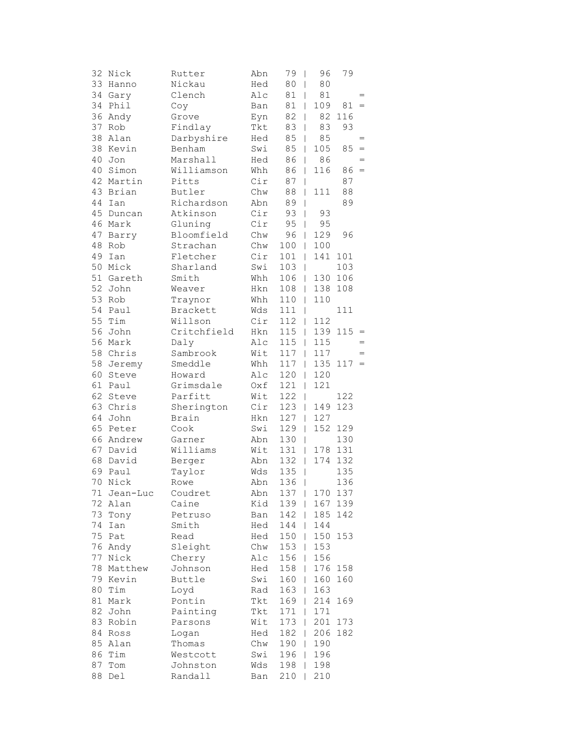| 32 | Nick        | Rutter      | Abn | 79            | 96<br>$\overline{\phantom{a}}$  | 79      |                   |
|----|-------------|-------------|-----|---------------|---------------------------------|---------|-------------------|
|    | 33 Hanno    | Nickau      | Hed | 80            | 80<br>$\overline{1}$            |         |                   |
|    | 34 Gary     | Clench      | Alc | 81            | 81<br>$\mathbf{I}$              |         | $=$               |
|    | 34 Phil     | Coy         | Ban | 81            | 109<br>$\mathbf{I}$             | 81      | $\qquad \qquad =$ |
|    | 36 Andy     | Grove       | Eyn | 82            | 82<br>L                         | 116     |                   |
| 37 | Rob         | Findlay     | Tkt | 83            | 83<br>T                         | 93      |                   |
|    | 38 Alan     | Darbyshire  | Hed | 85            | 85<br>$\overline{1}$            |         | $=$               |
|    | 38 Kevin    | Benham      | Swi | 85            | 105<br>$\mathbf{I}$             | 85      | $\,=\,$           |
|    | 40 Jon      | Marshall    | Hed | 86            | 86<br>$\overline{1}$            |         | $=$               |
|    | 40 Simon    | Williamson  | Whh | 86            | 116<br>$\mathbf{I}$             | $86 =$  |                   |
|    | 42 Martin   | Pitts       | Cir | 87            | $\overline{\phantom{a}}$        | 87      |                   |
|    | 43 Brian    | Butler      | Chw | 88            | 111<br>L                        | 88      |                   |
| 44 | Ian         | Richardson  | Abn | 89            | L                               | 89      |                   |
|    | 45 Duncan   | Atkinson    | Cir | 93            | 93<br>T                         |         |                   |
|    | 46 Mark     | Gluning     | Cir | 95            | 95<br>L                         |         |                   |
|    | 47 Barry    | Bloomfield  | Chw | 96            | 129<br>L                        | 96      |                   |
|    | 48 Rob      | Strachan    | Chw | 100           | 100<br>$\mathbf{I}$             |         |                   |
|    | 49 Ian      | Fletcher    | Cir | 101           | 141<br>$\overline{\phantom{a}}$ | 101     |                   |
|    | 50 Mick     | Sharland    | Swi | 103           | I                               | 103     |                   |
|    | 51 Gareth   | Smith       | Whh | 106           | 130<br>$\mathbf{I}$             | 106     |                   |
|    | 52 John     | Weaver      | Hkn | 108           | 138<br>L                        | 108     |                   |
| 53 | Rob         | Traynor     | Whh | 110           | 110<br>L                        |         |                   |
| 54 | Paul        | Brackett    | Wds | 111           | I                               | 111     |                   |
| 55 | Tim         | Willson     | Cir | 112           | 112<br>L                        |         |                   |
|    | 56 John     | Critchfield | Hkn | 115           | $\mathbb{L}$                    | 139 115 | $\qquad \qquad =$ |
|    | 56 Mark     | Daly        | Alc | 115           | 115<br>$\mathbf{I}$             |         | $=$               |
|    | 58 Chris    | Sambrook    | Wit | 117           | 117<br>$\overline{1}$           |         | $\qquad \qquad =$ |
|    | 58 Jeremy   | Smeddle     | Whh | 117           | $\mathbb{L}$                    | 135 117 | $=$               |
| 60 | Steve       | Howard      | Alc | 120           | 120<br>$\overline{1}$           |         |                   |
| 61 | Paul        | Grimsdale   | Oxf | 121           | 121<br>L                        |         |                   |
| 62 | Steve       | Parfitt     | Wit | 122           | L                               | 122     |                   |
|    | 63 Chris    | Sherington  | Cir | 123           | 149<br>L                        | 123     |                   |
|    | 64 John     | Brain       | Hkn | 127           | 127<br>L                        |         |                   |
|    | 65 Peter    | Cook        | Swi | 129           | 152<br>$\overline{1}$           | 129     |                   |
|    | 66 Andrew   | Garner      | Abn | 130           | T                               | 130     |                   |
|    | 67 David    | Williams    | Wit | 131           | $\mathbf{I}$                    | 178 131 |                   |
|    | 68 David    | Berger      | Abn | 132           | 174<br>$\overline{\phantom{a}}$ | 132     |                   |
|    | 69 Paul     | Taylor      | Wds | 135           | $\overline{\phantom{a}}$        | 135     |                   |
| 70 | Nick        | Rowe        | Abn | 136           | $\overline{1}$                  | 136     |                   |
|    | 71 Jean-Luc | Coudret     | Abn | $137 \quad  $ |                                 | 170 137 |                   |
| 72 | Alan        | Caine       | Kid | 139           | 167                             | 139     |                   |
| 73 | Tony        | Petruso     | Ban | 142           | 185                             | 142     |                   |
| 74 | Ian         | Smith       | Hed | 144           | 144                             |         |                   |
| 75 | Pat         | Read        | Hed | 150           | 150<br>L                        | 153     |                   |
|    | 76 Andy     | Sleight     | Chw | 153           | 153<br>I                        |         |                   |
| 77 | Nick        | Cherry      | Alc | 156           | 156<br>T                        |         |                   |
|    | 78 Matthew  | Johnson     | Hed | 158           | 176<br>T                        | 158     |                   |
|    | 79 Kevin    | Buttle      | Swi | 160           | 160<br>T                        | 160     |                   |
| 80 | Tim         | Loyd        | Rad | 163           | 163<br>L                        |         |                   |
| 81 | Mark        | Pontin      | Tkt | 169           | 214<br>L                        | 169     |                   |
| 82 | John        | Painting    | Tkt | 171           | 171<br>L                        |         |                   |
|    | 83 Robin    | Parsons     | Wit | 173           | 201                             | 173     |                   |
|    | 84 Ross     | Logan       | Hed | 182           | 206<br>L                        | 182     |                   |
|    | 85 Alan     | Thomas      | Chw | 190           | 190<br>T                        |         |                   |
|    | 86 Tim      | Westcott    | Swi | 196           | 196<br>I                        |         |                   |
| 87 | Tom         | Johnston    | Wds | 198           | 198                             |         |                   |
| 88 | Del         | Randall     | Ban | 210           | 210                             |         |                   |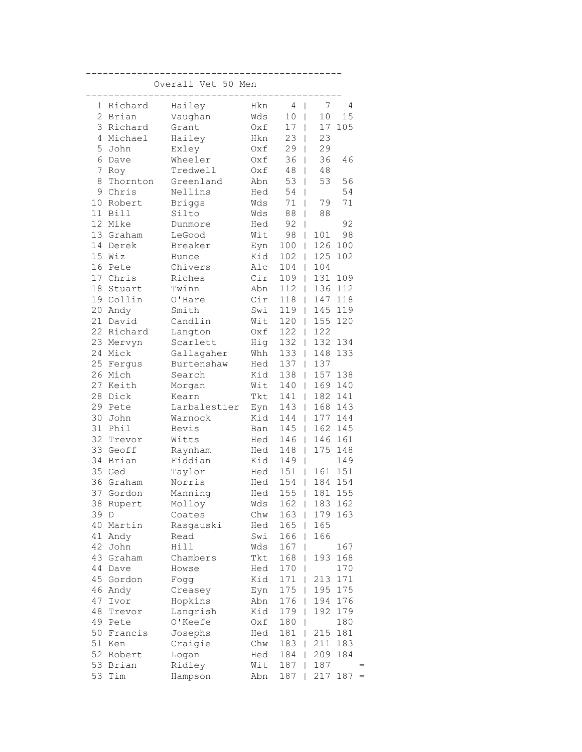|                |           | Overall Vet 50 Men |     |        |                      |            |
|----------------|-----------|--------------------|-----|--------|----------------------|------------|
| 1              | Richard   | Hailey             | Hkn | 4      | 7<br>T               | 4          |
| $\overline{2}$ | Brian     | Vaughan            | Wds | 10     | 10<br>L              | 15         |
| 3              | Richard   | Grant              | Oxf | 17     | 17<br>L              | 105        |
| 4              | Michael   | Hailey             | Hkn | 23     | 23<br>L              |            |
| 5              | John      | Exley              | Oxf | 29     | 29<br>$\mathbf{I}$   |            |
| 6              | Dave      | Wheeler            | Oxf | 36     | 36<br>$\overline{1}$ | 46         |
| 7              | Roy       | Tredwell           | Oxf | 48     | 48<br>T              |            |
| 8              | Thornton  | Greenland          | Abn | 53     | 53<br>$\overline{1}$ | 56         |
| 9              | Chris     | Nellins            | Hed | 54     | L                    | 54         |
| 10             | Robert    | <b>Briggs</b>      | Wds | $7\,1$ | 79                   | 71         |
| 11             | Bill      | Silto              | Wds | 88     | 88                   |            |
| 12             | Mike      | Dunmore            | Hed | 92     |                      | 92         |
| 13             | Graham    | LeGood             | Wit | 98     | 101<br>L             | 98         |
| 14             | Derek     | Breaker            | Eyn | 100    | 126<br>L             | 100        |
| 15             | Wiz       | <b>Bunce</b>       | Kid | 102    | 125<br>L             | 102        |
| 16             | Pete      | Chivers            | Alc | 104    | 104<br>L             |            |
| 17             | Chris     | Riches             | Cir | 109    | 131<br>L             | 109        |
| 18             | Stuart    | Twinn              | Abn | 112    | 136<br>L             | 112        |
| 19             | Collin    | O'Hare             | Cir | 118    | 147<br>L             | 118        |
| 20             | Andy      | Smith              | Swi | 119    | 145<br>L             | 119        |
| 21             | David     | Candlin            | Wit | 120    | 155                  | 120        |
| 22             | Richard   | Langton            | Oxf | 122    | 122<br>L             |            |
| 23             | Mervyn    | Scarlett           | Hig | 132    | 132<br>L             | 134        |
| 24             | Mick      | Gallagaher         | Whh | 133    | 148<br>L             | 133        |
| 25             | Fergus    | Burtenshaw         | Hed | 137    | 137<br>L             |            |
| 26             | Mich      | Search             | Kid | 138    | 157<br>L             | 138        |
| 27             | Keith     | Morgan             | Wit | 140    | 169<br>L             | 140        |
| 28             | Dick      | Kearn              | Tkt | 141    | 182<br>L             | 141        |
| 29             | Pete      | Larbalestier       | Eyn | 143    | 168<br>L             | 143        |
| 30             | John      | Warnock            | Kid | 144    | 177<br>L             | 144        |
| 31             | Phil      | Bevis              | Ban | 145    | 162<br>L             | 145        |
| 32             | Trevor    | Witts              | Hed | 146    | 146<br>L             | 161        |
| 33             | Geoff     | Raynham            | Hed | 148    | 175<br>L             | 148        |
| 34             | Brian     | Fiddian            | Kid | 149    | L                    | 149        |
| 35             | Ged       | Taylor             | Hed | 151    | 161<br>L             | 151        |
| 36             | Graham    | Norris             | Hed | 154    | 184                  | 154        |
|                | 37 Gordon | Manning            | Hed | 155    | 181<br>$\mathbf{1}$  | 155        |
| 38             | Rupert    | Molloy             | Wds | 162    | 183                  | 162        |
| 39             | D         | Coates             | Chw | 163    | 179                  | 163        |
| 40             | Martin    | Rasgauski          | Hed | 165    | 165                  |            |
| 41             | Andy      | Read               | Swi | 166    | 166                  |            |
| 42             | John      | Hill               | Wds | 167    |                      | 167        |
| 43             | Graham    | Chambers           | Tkt | 168    | 193                  | 168        |
| 44             | Dave      | Howse              | Hed | 170    |                      | 170        |
| 45             | Gordon    | Fogg               | Kid | 171    | 213                  | 171        |
| 46             | Andy      | Creasey            | Eyn | 175    | 195                  | 175        |
| 47             | Ivor      | Hopkins            | Abn | 176    | 194                  | 176        |
| 48             | Trevor    | Langrish           | Kid | 179    | 192                  | 179        |
| 49             | Pete      | O'Keefe            | Oxf | 180    |                      | 180        |
| 50             | Francis   | Josephs            | Hed | 181    | 215                  | 181        |
| 51             | Ken       | Craigie            | Chw | 183    | 211                  | 183        |
| 52             | Robert    | Logan              | Hed | 184    | 209                  | 184        |
| 53             | Brian     | Ridley             | Wit | 187    | 187                  |            |
| 53             | Tim       | Hampson            | Abn | 187    | 217                  | 187<br>$=$ |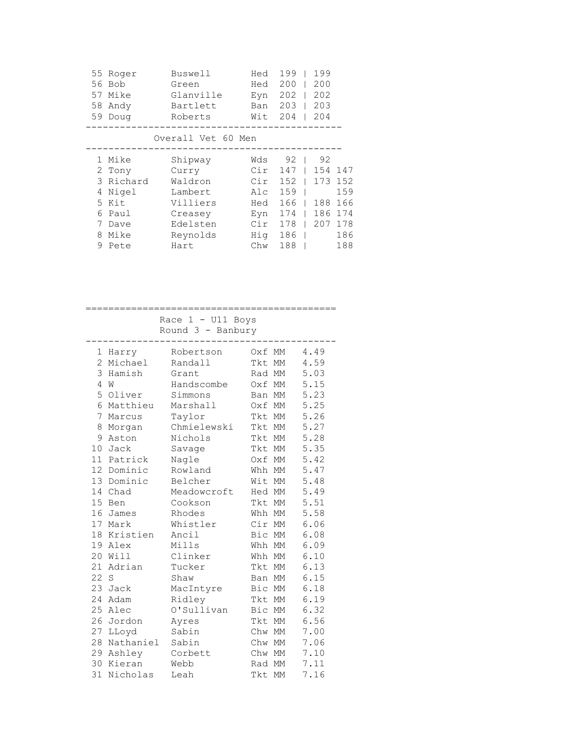| 55<br>56<br>57<br>58 | Roger<br>Bob<br>Mike<br>Andy<br>59 Doug | Buswell<br>Green<br>Glanville<br>Bartlett<br>Roberts | Hed<br>Hed<br>Eyn<br>Ban<br>Wit | 199<br>200<br>202<br>203<br>204 | 199<br>200<br>202<br>203<br>204 |     |
|----------------------|-----------------------------------------|------------------------------------------------------|---------------------------------|---------------------------------|---------------------------------|-----|
|                      |                                         | Overall Vet 60 Men                                   |                                 |                                 |                                 |     |
|                      | 1 Mike                                  | Shipway                                              | Wds                             | 92                              | 92                              |     |
|                      | 2 Tony                                  | Curry                                                | Cir                             | 147                             | 154                             | 147 |
|                      | 3 Richard                               | Waldron                                              | Cir                             | 152                             | 173                             | 152 |
| 4                    | Nigel                                   | Lambert                                              | Alc                             | 159                             |                                 | 159 |
| .5                   | Kit                                     | Villiers                                             | Hed                             | 166                             | 188                             | 166 |
| 6                    | Paul                                    | Creasey                                              | Eyn                             | 174                             | 186                             | 174 |
| 7                    | Dave                                    | Edelsten                                             | Cir                             | 178                             | 207                             | 178 |
| 8                    | Mike                                    | Reynolds                                             | Hiq                             | 186                             |                                 | 186 |
| 9                    | Pete                                    | Hart                                                 | Chw                             | 188                             |                                 | 188 |
|                      |                                         |                                                      |                                 |                                 |                                 |     |

|                |             | Race $1 - U11$ Boys |             |      |
|----------------|-------------|---------------------|-------------|------|
|                |             | Round $3 -$ Banbury |             |      |
|                | 1 Harry     | Robertson           | Oxf MM      | 4.49 |
| $\overline{2}$ | Michael     | Randall             | Tkt MM      | 4.59 |
| 3              | Hamish      | Grant               | Rad MM      | 5.03 |
| 4              | W           | Handscombe          | Oxf MM      | 5.15 |
|                | 5 Oliver    | Simmons             | Ban MM      | 5.23 |
|                | 6 Matthieu  | Marshall            | Oxf MM      | 5.25 |
| 7              | Marcus      | Taylor              | Tkt MM      | 5.26 |
| 8              | Morgan      | Chmielewski         | Tkt MM      | 5.27 |
| 9              | Aston       | Nichols             | Tkt MM      | 5.28 |
|                | 10 Jack     | Savage              | Tkt MM      | 5.35 |
|                | 11 Patrick  | Nagle               | Oxf MM      | 5.42 |
|                | 12 Dominic  | Rowland             | Whh MM      | 5.47 |
|                | 13 Dominic  | Belcher             | Wit MM      | 5.48 |
|                | 14 Chad     | Meadowcroft         | Hed MM      | 5.49 |
|                | 15 Ben      | Cookson             | Tkt MM      | 5.51 |
|                | 16 James    | Rhodes              | Whh MM      | 5.58 |
|                | 17 Mark     | Whistler            | Cir MM 6.06 |      |
|                | 18 Kristien | Ancil               | Bic MM      | 6.08 |
|                | 19 Alex     | Mills               | Whh MM      | 6.09 |
|                | 20 Will     | Clinker             | Whh MM      | 6.10 |
|                | 21 Adrian   | Tucker              | Tkt MM      | 6.13 |
| 22 S           |             | Shaw                | Ban MM      | 6.15 |
|                | 23 Jack     | MacIntyre Bic MM    |             | 6.18 |
| 24             | Adam        | Ridley              | Tkt MM      | 6.19 |
| 25             | Alec        | O'Sullivan          | Bic MM      | 6.32 |
|                | 26 Jordon   | Ayres               | Tkt MM      | 6.56 |
|                | 27 LLoyd    | Sabin               | Chw MM      | 7.00 |
| 28             | Nathaniel   | Sabin               | Chw MM      | 7.06 |
|                | 29 Ashley   | Corbett             | Chw MM      | 7.10 |
|                | 30 Kieran   | Webb                | Rad MM      | 7.11 |
| 31             | Nicholas    | Leah                | Tkt MM      | 7.16 |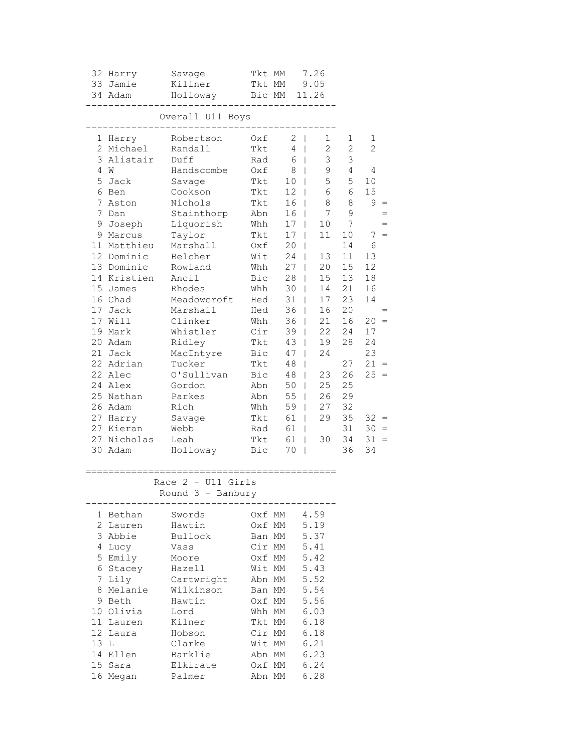|                | 32 Harry    | Savage                                    | Tkt MM              |           | 7.26                   |              |                |
|----------------|-------------|-------------------------------------------|---------------------|-----------|------------------------|--------------|----------------|
|                | 33 Jamie    | Killner                                   | Tkt MM              |           | 9.05                   |              |                |
|                | 34 Adam     | Holloway Bic MM 11.26                     |                     |           |                        |              |                |
|                | ------      |                                           | ------------------- |           |                        |              |                |
|                |             | Overall U11 Boys<br>_____________________ |                     |           |                        |              |                |
|                | 1 Harry     | Robertson                                 | Oxf                 | $2 \mid$  | 1                      | 1            | 1              |
|                | 2 Michael   | Randall                                   | Tkt                 | 4         | $2^{\circ}$<br>$\perp$ | $\mathbf{2}$ | $\overline{c}$ |
|                | 3 Alistair  | Duff                                      | Rad                 | 6         | 3<br>$\mathbb{R}$      | 3            |                |
|                | 4 W         | Handscombe                                | Oxf                 | 8         | 9<br>$\mathbb{R}$      | 4            | 4              |
| 5              | Jack        | Savage                                    | Tkt                 |           | 5<br>$10$              | 5            | 10             |
|                | 6 Ben       | Cookson                                   | Tkt                 |           | 6<br>$12 \mid$         | 6            | 15             |
| 7              | Aston       | Nichols                                   | Tkt                 | 16        | 8<br>$\mathbb{R}$      | 8            | 9              |
| 7              | Dan         | Stainthorp                                | Abn                 |           | 7<br>16 <sup>1</sup>   | $\mathsf 9$  |                |
| 9              | Joseph      | Liquorish                                 | Whh                 |           | $17 \mid$<br>10        | 7            |                |
|                | 9 Marcus    | Taylor                                    | Tkt                 | 17        | 11<br>$\mathbf{I}$     | 10           | $7 =$          |
|                | 11 Matthieu | Marshall                                  | Oxf                 | 20        | $\mathbf{I}$           | 14           | 6              |
|                | 12 Dominic  | Belcher                                   | Wit                 | 24        | 13<br>$\mathbf{L}$     | 11           | 13             |
|                | 13 Dominic  | Rowland                                   | Whh                 | 27        | 20<br>$\mathbf{L}$     | 15           | 12             |
|                | 14 Kristien | Ancil                                     | Bic                 | 28        | 15<br>$\mathbb{R}$     | 13           | 18             |
|                | 15 James    | Rhodes                                    | Whh                 | 30        | $\mathbb{R}$<br>14     | 21           | 16             |
|                | 16 Chad     | Meadowcroft                               | Hed                 | 31        | 17<br>$\mathbb{R}$     | 23           | 14             |
| 17             | Jack        | Marshall                                  | Hed                 | 36        | 16<br>$\mathbb{R}^n$   | 20           |                |
|                | 17 Will     | Clinker                                   | Whh                 | 36        | 21<br>$\mathbf{1}$     | 16           | $20 =$         |
|                | 19 Mark     | Whistler                                  | Cir                 | 39        | 22<br>$\mathbb{R}$     | 24           | 17             |
|                | 20 Adam     | Ridley                                    | Tkt                 | 43        | 19<br>$\mathbf{L}$     | 28           | 24             |
|                | 21 Jack     | MacIntyre                                 | Bic                 | 47        | 24<br>$\mathbb{R}$     |              | 23             |
|                | 22 Adrian   | Tucker                                    | Tkt                 | 48        | $\mathbf{L}$           | 27           | $21 =$         |
|                | 22 Alec     | O'Sullivan                                | Bic                 | 48        | 23<br>$\mathbb{R}$     | 26           | $25 =$         |
|                | 24 Alex     | Gordon                                    | Abn                 | 50        | 25<br>$\mathbb{R}$     | 25           |                |
|                | 25 Nathan   | Parkes                                    | Abn                 | 55        | $\mathbb{R}^n$<br>26   | 29           |                |
|                | 26 Adam     | Rich                                      | Whh                 | 59        | 27<br>$\mathbb{R}$     | 32           |                |
|                | 27 Harry    | Savage                                    | Tkt                 | 61        | 29<br>$\mathbf{1}$     | 35           | $32 =$         |
|                | 27 Kieran   | Webb                                      | Rad                 | 61        |                        | 31           | $30 =$         |
|                | 27 Nicholas | Leah                                      | Tkt                 | 61        | 30<br>L                | 34           | $31 =$         |
|                | 30 Adam     | Holloway                                  | Bic                 | $70 \mid$ |                        | 36           | 34             |
|                |             |                                           |                     |           |                        |              |                |
|                |             | Race $2 - U11$ Girls                      |                     |           |                        |              |                |
|                |             | Round 3 - Banbury                         |                     |           |                        |              |                |
|                | 1 Bethan    | Swords                                    |                     | Oxf MM    | 4.59                   |              |                |
| 2              | Lauren      | Hawtin                                    |                     | Oxf MM    | 5.19                   |              |                |
|                | 3 Abbie     | Bullock                                   | Ban MM              |           | 5.37                   |              |                |
| 4              | Lucy        | Vass                                      | Cir MM              |           | 5.41                   |              |                |
|                | 5 Emily     | Moore                                     |                     | Oxf MM    | 5.42                   |              |                |
|                | 6 Stacey    | Hazell                                    |                     | Wit MM    | 5.43                   |              |                |
| $7\phantom{.}$ | Lily        | Cartwright                                |                     | Abn MM    | 5.52                   |              |                |
| 8              | Melanie     | Wilkinson                                 |                     | Ban MM    | 5.54                   |              |                |
| 9              | Beth        | Hawtin                                    |                     | Oxf MM    | 5.56                   |              |                |
|                | 10 Olivia   | Lord                                      |                     | Whh MM    | 6.03                   |              |                |
|                | 11 Lauren   | Kilner                                    |                     | Tkt MM    | 6.18                   |              |                |
| 12             | Laura       | Hobson                                    |                     | Cir MM    | 6.18                   |              |                |
| 13 L           |             | Clarke                                    |                     | Wit MM    | 6.21                   |              |                |
|                | 14 Ellen    | Barklie                                   |                     | Abn MM    | 6.23                   |              |                |
|                | 15 Sara     | Elkirate                                  |                     | Oxf MM    | 6.24                   |              |                |
|                | 16 Megan    | Palmer                                    | Abn MM              |           | 6.28                   |              |                |
|                |             |                                           |                     |           |                        |              |                |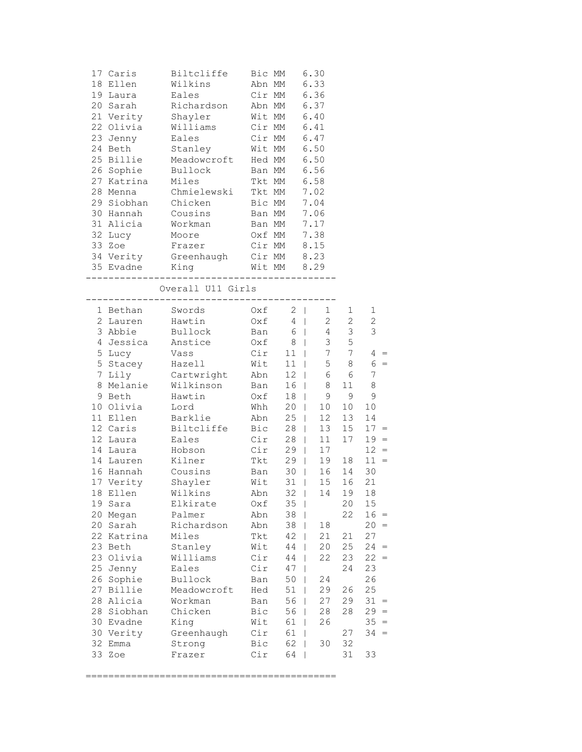|    | 17 Caris          | Biltcliffe Bic MM 6.30                                                                                                                                                                     |     |                                                                                      |                         |       |                 |
|----|-------------------|--------------------------------------------------------------------------------------------------------------------------------------------------------------------------------------------|-----|--------------------------------------------------------------------------------------|-------------------------|-------|-----------------|
|    | 18 Ellen          | Wilkins                                                                                                                                                                                    |     | Abn MM 6.33                                                                          |                         |       |                 |
|    |                   | 19 Laura Eales Cir MM 6.36                                                                                                                                                                 |     |                                                                                      |                         |       |                 |
|    |                   | 20 Sarah Richardson Abn MM 6.37                                                                                                                                                            |     |                                                                                      |                         |       |                 |
|    |                   | 21 Verity Shayler Wit MM 6.40                                                                                                                                                              |     |                                                                                      |                         |       |                 |
|    |                   | 22 Olivia Williams Cir MM 6.41                                                                                                                                                             |     |                                                                                      |                         |       |                 |
|    |                   | 23 Jenny Eales Cir MM 6.47                                                                                                                                                                 |     |                                                                                      |                         |       |                 |
|    |                   |                                                                                                                                                                                            |     |                                                                                      |                         |       |                 |
|    |                   |                                                                                                                                                                                            |     |                                                                                      |                         |       |                 |
|    |                   | 24 Beth Stanley Wit MM 6.50<br>25 Billie Meadowcroft Hed MM 6.50<br>26 Sophie Bullock Ban MM 6.56                                                                                          |     |                                                                                      |                         |       |                 |
|    |                   | 27 Katrina Miles                                                                                                                                                                           |     | Tkt MM 6.58                                                                          |                         |       |                 |
|    |                   | 28 Menna Chmielewski Tkt MM 7.02                                                                                                                                                           |     |                                                                                      |                         |       |                 |
|    |                   | 29 Siobhan Chicken Bic MM 7.04                                                                                                                                                             |     |                                                                                      |                         |       |                 |
|    |                   |                                                                                                                                                                                            |     |                                                                                      |                         |       |                 |
|    |                   | 30 Hannah Cousins Ban MM 7.06                                                                                                                                                              |     |                                                                                      |                         |       |                 |
|    |                   | 31 Alicia Workman Ban MM 7.17                                                                                                                                                              |     |                                                                                      |                         |       |                 |
|    |                   | 32 Lucy Moore Oxf MM 7.38                                                                                                                                                                  |     |                                                                                      |                         |       |                 |
|    |                   |                                                                                                                                                                                            |     |                                                                                      |                         |       |                 |
|    |                   |                                                                                                                                                                                            |     |                                                                                      |                         |       |                 |
|    |                   | 33 Zoe Frazer Cir MM 8.15<br>34 Verity Greenhaugh Cir MM 8.23<br>35 Evadne King Wit MM 8.29                                                                                                |     |                                                                                      | _______________________ |       |                 |
|    |                   | Overall U11 Girls                                                                                                                                                                          |     |                                                                                      |                         |       |                 |
|    |                   | 1 Bethan Swords 0xf 2   1 1                                                                                                                                                                |     |                                                                                      |                         |       | 1               |
|    |                   |                                                                                                                                                                                            |     |                                                                                      |                         |       |                 |
|    |                   | 2 Lauren Hawtin 0xf 4   2 2                                                                                                                                                                |     |                                                                                      |                         |       | 2               |
|    |                   | 3 Abbie – Bullock – Ban 6   4 3 3<br>4 Jessica – Anstice – Oxf 8   3 5<br>5 Lucy – Vass – Cir 11   7 7 4 =<br>5 Stacey – Hazell – Wit 11   5 8 6 =<br>7 Lily – Cartwright – Abn 12   6 6 7 |     |                                                                                      |                         |       |                 |
|    |                   |                                                                                                                                                                                            |     |                                                                                      |                         |       |                 |
|    |                   |                                                                                                                                                                                            |     |                                                                                      |                         |       |                 |
|    |                   |                                                                                                                                                                                            |     |                                                                                      |                         |       |                 |
|    |                   |                                                                                                                                                                                            |     |                                                                                      |                         |       |                 |
|    |                   | 8 Melanie Wilkinson Ban 16   8 11 8                                                                                                                                                        |     |                                                                                      |                         |       |                 |
|    |                   | 9 Beth   Hawtin   Oxf   18   9 9 9                                                                                                                                                         |     |                                                                                      |                         |       |                 |
|    | 10 Olivia Lord    |                                                                                                                                                                                            |     | Whh 20                                                                               | 10                      | 10    | 10 <sub>1</sub> |
|    |                   | 11 Ellen Barklie – Abn 25                                                                                                                                                                  |     |                                                                                      | 12                      | 13    | 14              |
|    |                   | 12 Caris Biltcliffe Bic 28                                                                                                                                                                 |     |                                                                                      | 13                      | 15    | $17 =$          |
|    |                   |                                                                                                                                                                                            |     | Cir 28  <br>Cir 29                                                                   | $11$                    | 17    | $19 =$          |
|    |                   |                                                                                                                                                                                            |     |                                                                                      | 17                      |       | $12 =$          |
|    |                   |                                                                                                                                                                                            |     | $\begin{array}{c c}\n\hline\n\text{23} & 25 \\ \hline\n\text{7kt} & 29\n\end{array}$ | 19                      | 18    | $11 =$          |
|    | 16 Hannah Cousins |                                                                                                                                                                                            |     | Ban 30                                                                               |                         | 16 14 | 30              |
|    |                   | 17 Verity Shayler Wit 31                                                                                                                                                                   |     |                                                                                      | 15                      | 16    | 21              |
|    |                   | 18 Ellen Wilkins Mahn 32   14 19 18                                                                                                                                                        |     |                                                                                      |                         |       |                 |
| 19 | Sara              | Elkirate                                                                                                                                                                                   | Oxf | 35                                                                                   |                         | 20    | 15              |
| 20 | Megan             | Palmer                                                                                                                                                                                     | Abn | 38                                                                                   |                         | 22    | $16 =$          |
| 20 | Sarah             | Richardson                                                                                                                                                                                 | Abn | 38                                                                                   | 18                      |       | 20<br>$=$       |
|    | 22 Katrina        | Miles                                                                                                                                                                                      | Tkt | 42                                                                                   | 21                      | 21    | 27              |
|    | 23 Beth           | Stanley                                                                                                                                                                                    | Wit | 44                                                                                   | 20                      | 25    | $24 =$          |
| 23 | Olivia            | Williams                                                                                                                                                                                   | Cir | 44                                                                                   | 22                      | 23    | 22<br>$=$       |
| 25 | Jenny             | Eales                                                                                                                                                                                      | Cir | 47                                                                                   | L                       | 24    | 23              |
| 26 | Sophie            | Bullock                                                                                                                                                                                    | Ban | 50                                                                                   | 24<br>L                 |       | 26              |
| 27 | Billie            | Meadowcroft                                                                                                                                                                                | Hed | 51                                                                                   | 29                      | 26    | 25              |
| 28 | Alicia            | Workman                                                                                                                                                                                    | Ban | 56                                                                                   | 27                      | 29    | 31<br>$=$       |
| 28 | Siobhan           | Chicken                                                                                                                                                                                    | Bic | 56                                                                                   | 28                      | 28    | $29 =$          |
|    | 30 Evadne         | King                                                                                                                                                                                       | Wit | 61                                                                                   | 26                      |       | $35 =$          |
|    | 30 Verity         | Greenhaugh                                                                                                                                                                                 | Cir | 61                                                                                   |                         | 27    | 34<br>$=$       |
| 32 | Emma              | Strong                                                                                                                                                                                     | Bic | 62                                                                                   | 30                      | 32    |                 |
| 33 | Zoe               | Frazer                                                                                                                                                                                     | Cir | 64                                                                                   |                         | 31    | 33              |
|    |                   |                                                                                                                                                                                            |     |                                                                                      |                         |       |                 |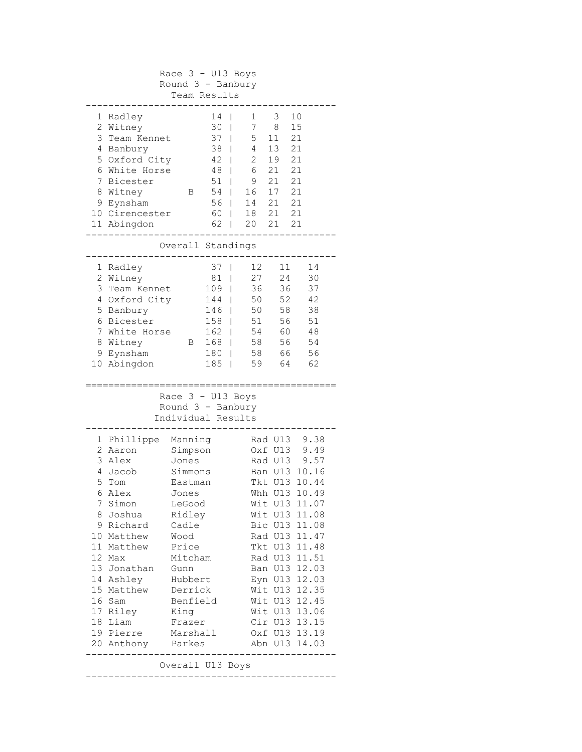|   | Race $3 - U13$ Boys<br>Round 3 - Banbury |          |                     |                    |         |               |  |  |
|---|------------------------------------------|----------|---------------------|--------------------|---------|---------------|--|--|
|   |                                          |          |                     |                    |         |               |  |  |
|   |                                          |          | Team Results        |                    |         |               |  |  |
| 1 | Radley                                   |          | 14<br>I             | 1                  | 3       | 10            |  |  |
|   | 2 Witney                                 |          | 30                  | 7<br>I             | 8       | 15            |  |  |
|   | 3 Team Kennet                            |          | 37<br>$\mathbf{I}$  | 5                  | 11      | 21            |  |  |
|   | 4 Banbury                                |          | 38                  | $4\overline{ }$    | 13      | 21            |  |  |
|   | 5 Oxford City                            |          | $42 \mid$           | $\mathbf{2}$       | 19      | 21            |  |  |
|   | 6 White Horse                            |          | 48                  | 6<br>$\mathbf{I}$  | 21      | 21            |  |  |
| 7 | Bicester                                 |          | 51                  | 9<br>$\mathbf{I}$  | 21      | 21            |  |  |
|   | 8 Witney                                 | B        | 54                  | 16<br>$\mathbb{L}$ | 17      | 21            |  |  |
|   | 9 Eynsham                                |          | $56$                | 14                 | 21      | 21            |  |  |
|   | 10 Cirencester                           |          | 60                  | 18<br>$\mathbf{I}$ | 21      | 21            |  |  |
|   | 11 Abingdon                              |          | 62                  | 20<br>$\mathbf{L}$ | 21      | 21            |  |  |
|   |                                          |          |                     |                    |         |               |  |  |
|   |                                          |          | Overall Standings   |                    |         |               |  |  |
|   | 1 Radley                                 |          | 37 <sub>1</sub>     | 12 <sup>7</sup>    | 11      | 14            |  |  |
|   | 2 Witney                                 |          | 81<br>$\mathbf{I}$  | 27                 | 24      | 30            |  |  |
|   | 3 Team Kennet                            |          | 109<br>$\mathbf{I}$ | 36                 |         | 36<br>37      |  |  |
|   | 4 Oxford City                            |          | 144<br>$\perp$      | 50                 | 52      | 42            |  |  |
|   | 5 Banbury                                |          | 146                 | 50                 | 58      | 38            |  |  |
|   | 6 Bicester                               |          | 158<br>$\mathbf{I}$ | 51                 |         | 56<br>51      |  |  |
|   | 7 White Horse                            |          | $162$               | 54                 | 60      | 48            |  |  |
|   | 8 Witney                                 | B        | 168                 | 58                 | 56      | 54            |  |  |
|   | 9 Eynsham                                |          | $180$               | 58                 | 66      | 56            |  |  |
|   | 10 Abingdon                              |          | 185<br>T            | 59                 | 64      | 62            |  |  |
|   |                                          |          |                     |                    |         |               |  |  |
|   |                                          |          | Race $3 - U13$ Boys |                    |         |               |  |  |
|   |                                          |          | Round $3 -$ Banbury |                    |         |               |  |  |
|   |                                          |          | Individual Results  |                    |         |               |  |  |
|   | 1 Phillippe Manning                      |          |                     |                    | Rad U13 | 9.38          |  |  |
|   | 2 Aaron                                  | Simpson  |                     |                    | Oxf U13 | 9.49          |  |  |
|   | 3 Alex                                   | Jones    |                     |                    | Rad U13 | 9.57          |  |  |
|   | 4 Jacob                                  | Simmons  |                     |                    | Ban U13 | 10.16         |  |  |
| 5 | Tom                                      | Eastman  |                     |                    | Tkt U13 | 10.44         |  |  |
|   | 6 Alex                                   | Jones    |                     |                    |         | Whh U13 10.49 |  |  |
| 7 | Simon                                    | LeGood   |                     |                    | Wit U13 | 11.07         |  |  |
|   | 8 Joshua                                 | Ridley   |                     |                    |         | Wit U13 11.08 |  |  |
|   | 9 Richard                                | Cadle    |                     |                    |         | Bic U13 11.08 |  |  |
|   | 10 Matthew                               | Wood     |                     |                    |         | Rad U13 11.47 |  |  |
|   | 11 Matthew                               | Price    |                     |                    |         | Tkt U13 11.48 |  |  |
|   | 12 Max                                   | Mitcham  |                     |                    | Rad U13 | 11.51         |  |  |
|   | 13 Jonathan                              | Gunn     |                     |                    | Ban U13 | 12.03         |  |  |
|   | 14 Ashley                                | Hubbert  |                     |                    | Eyn U13 | 12.03         |  |  |
|   | 15 Matthew                               | Derrick  |                     |                    | Wit U13 | 12.35         |  |  |
|   | 16 Sam                                   | Benfield |                     |                    | Wit U13 | 12.45         |  |  |
|   | 17 Riley                                 | King     |                     |                    |         | Wit U13 13.06 |  |  |
|   | 18 Liam                                  | Frazer   |                     |                    |         | Cir U13 13.15 |  |  |
|   | 19 Pierre                                | Marshall |                     |                    |         | Oxf U13 13.19 |  |  |
|   | 20 Anthony<br>Abn U13 14.03<br>Parkes    |          |                     |                    |         |               |  |  |
|   |                                          |          |                     |                    |         |               |  |  |
|   | Overall U13 Boys                         |          |                     |                    |         |               |  |  |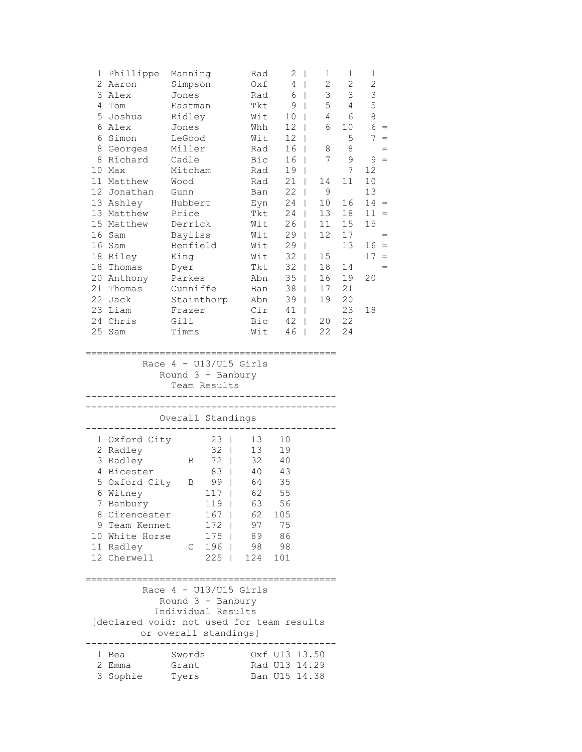| 1               | Phillippe  | Manning    | Rad | 2  | 1  | $\mathbf{1}$ | 1  |     |
|-----------------|------------|------------|-----|----|----|--------------|----|-----|
| $\overline{2}$  | Aaron      | Simpson    | 0xf | 4  | 2  | 2            | 2  |     |
| 3               | Alex       | Jones      | Rad | 6  | 3  | 3            | 3  |     |
| 4               | Tom        | Eastman    | Tkt | 9  | 5  | 4            | 5  |     |
| 5               | Joshua     | Ridley     | Wit | 10 | 4  | 6            | 8  |     |
| 6               | Alex       | Jones      | Whh | 12 | 6  | 10           | 6  | $=$ |
| 6               | Simon      | LeGood     | Wit | 12 |    | 5            | 7  | $=$ |
| 8               | Georges    | Miller     | Rad | 16 | 8  | 8            |    | $=$ |
| 8               | Richard    | Cadle      | Bic | 16 | 7  | 9            | 9  | $=$ |
| 10              | Max        | Mitcham    | Rad | 19 |    | 7            | 12 |     |
| 11              | Matthew    | Wood       | Rad | 21 | 14 | 11           | 10 |     |
| 12 <sup>7</sup> | Jonathan   | Gunn       | Ban | 22 | 9  |              | 13 |     |
|                 | 13 Ashley  | Hubbert    | Eyn | 24 | 10 | 16           | 14 | $=$ |
|                 | 13 Matthew | Price      | Tkt | 24 | 13 | 18           | 11 | $=$ |
|                 | 15 Matthew | Derrick    | Wit | 26 | 11 | 15           | 15 |     |
| 16              | Sam        | Bayliss    | Wit | 29 | 12 | 17           |    | $=$ |
| 16              | Sam        | Benfield   | Wit | 29 |    | 13           | 16 | $=$ |
| 18              | Riley      | King       | Wit | 32 | 15 |              | 17 | $=$ |
| 18              | Thomas     | Dyer       | Tkt | 32 | 18 | 14           |    | $=$ |
| 20              | Anthony    | Parkes     | Abn | 35 | 16 | 19           | 20 |     |
| 21              | Thomas     | Cunniffe   | Ban | 38 | 17 | 21           |    |     |
| 22              | Jack       | Stainthorp | Abn | 39 | 19 | 20           |    |     |
| 23              | Liam       | Frazer     | Cir | 41 |    | 23           | 18 |     |
| 24              | Chris      | Gill       | Bic | 42 | 20 | 22           |    |     |
| 25              | Sam        | Timms      | Wit | 46 | 22 | 24           |    |     |
|                 |            |            |     |    |    |              |    |     |

 Race 4 - U13/U15 Girls Round 3 - Banbury

Team Results

| Overall Standings                                                                                                                                                                   |                                    |                                                                             |  |                                                           |                                                                                |                                |  |  |  |
|-------------------------------------------------------------------------------------------------------------------------------------------------------------------------------------|------------------------------------|-----------------------------------------------------------------------------|--|-----------------------------------------------------------|--------------------------------------------------------------------------------|--------------------------------|--|--|--|
| 1 Oxford City<br>2<br>Radley<br>3 Radley<br>4 Bicester<br>5 Oxford City<br>6 Witney<br>7 Banbury<br>8 Cirencester<br>9 Team Kennet<br>10 White Horse<br>Radley<br>11<br>12 Cherwell | B<br>$\mathbf{B}$<br>$\mathcal{C}$ | 23<br>32<br>72<br>83<br>99<br>117<br>119<br>167<br>172<br>175<br>196<br>225 |  | 13<br>13<br>32<br>40<br>63<br>62<br>97<br>89<br>98<br>124 | 10<br>19<br>40<br>43<br>64 35<br>62 55<br>56<br>105<br>75<br>86<br>- 98<br>101 |                                |  |  |  |
| Race $4 - U13/U15$ Girls<br>[declared void: not used for team results<br>or overall standings]<br>1.<br>Bea<br>2<br>Emma                                                            | Swords<br>Grant                    | Round $3 -$ Banbury<br>Individual Results                                   |  |                                                           |                                                                                | Oxf U13 13.50<br>Rad U13 14.29 |  |  |  |

3 Sophie Tyers Ban U15 14.38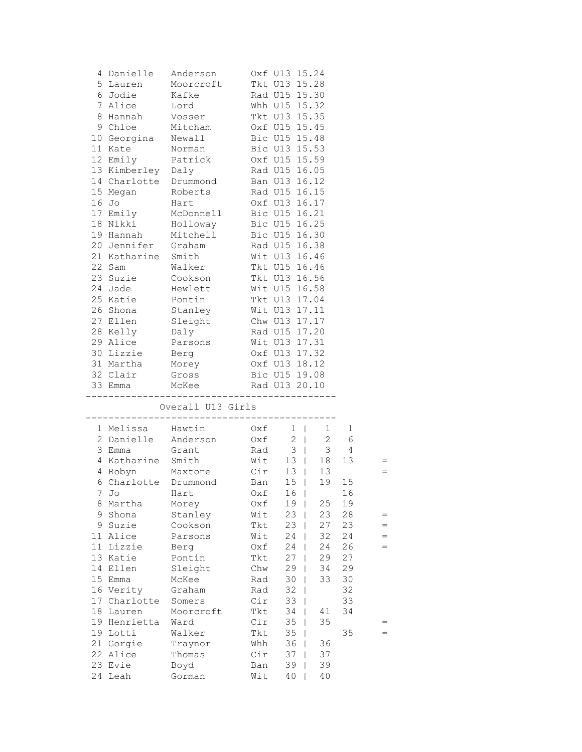|    |                      | 4 Danielle Anderson 0xf U13 15.24   |               |                                                 |                        |                     |     |
|----|----------------------|-------------------------------------|---------------|-------------------------------------------------|------------------------|---------------------|-----|
|    | 5 Lauren             | Moorcroft Tkt U13 15.28             |               |                                                 |                        |                     |     |
|    | 6 Jodie              | Kafke                               |               | Rad U15 15.30                                   |                        |                     |     |
|    | 7 Alice              | Lord                                |               | Whh U15 15.32                                   |                        |                     |     |
|    | 8 Hannah             | Vosser                              |               | Tkt U13 15.35                                   |                        |                     |     |
|    | 9 Chloe              | Mitcham                             |               | Oxf U15 15.45                                   |                        |                     |     |
|    | 10 Georgina          | Newall                              |               | Bic U15 15.48                                   |                        |                     |     |
|    | 11 Kate              | Norman                              |               | Bic U13 15.53                                   |                        |                     |     |
|    | 12 Emily Patrick     |                                     | Oxf U15 15.59 |                                                 |                        |                     |     |
|    | 13 Kimberley Daly    |                                     | Rad U15 16.05 |                                                 |                        |                     |     |
|    |                      | 14 Charlotte Drummond Ban U13 16.12 |               |                                                 |                        |                     |     |
|    | 15 Megan             | Roberts                             |               | Rad U15 16.15                                   |                        |                     |     |
|    | 16 Jo                | Hart                                |               | Oxf U13 16.17                                   |                        |                     |     |
|    | 17 Emily             | McDonnell                           |               |                                                 |                        |                     |     |
|    | 18 Nikki             | McDon.<br>Holloway<br>Andl          |               | Bic U15 16.21<br>Bic U15 16.25<br>Bic U15 16.30 |                        |                     |     |
|    | 19 Hannah            | Mitchell                            |               |                                                 |                        |                     |     |
|    | 20 Jennifer Graham   |                                     |               | Rad U15 16.38                                   |                        |                     |     |
|    | 21 Katharine Smith   |                                     |               | Wit U13 16.46                                   |                        |                     |     |
|    | 22 Sam               | Walker Tkt U15 16.46                |               |                                                 |                        |                     |     |
|    | 23 Suzie Cookson     |                                     | Tkt U13 16.56 |                                                 |                        |                     |     |
|    | 24 Jade              | Hewlett Wit U15 16.58               |               |                                                 |                        |                     |     |
|    | 25 Katie             | Survett<br>Pontin<br>Sleis          |               |                                                 |                        |                     |     |
|    | 26 Shona             |                                     |               | Tkt U13 17.04<br>Wit U13 17.11<br>Chw U13 17.17 |                        |                     |     |
|    | 27 Ellen             | Sleight                             |               |                                                 |                        |                     |     |
|    | 28 Kelly             | Daly                                |               | Rad U15 17.20                                   |                        |                     |     |
|    | 29 Alice             | Parsons                             | Wit U13 17.31 |                                                 |                        |                     |     |
|    | 30 Lizzie            | Berg                                | Oxf U13 17.32 |                                                 |                        |                     |     |
|    |                      | 31 Martha Morey 0xf U13 18.12       |               |                                                 |                        |                     |     |
|    | 32 Clair Gross       |                                     | Bic U15 19.08 |                                                 |                        |                     |     |
|    |                      | 33 Emma McKee Rad U13 20.10         |               |                                                 |                        |                     |     |
|    |                      |                                     |               |                                                 |                        |                     |     |
|    |                      | Overall U13 Girls                   |               |                                                 |                        |                     |     |
|    | 1 Melissa Hawtin     | ___________________________________ |               | $0xf \t1$                                       | $1 \quad \blacksquare$ |                     |     |
|    |                      | 2 Danielle Anderson 0xf 2           |               |                                                 |                        | 1<br>$2 \quad$<br>6 |     |
|    | 3 Emma Grant         |                                     | Rad 3         |                                                 |                        | $3 \t 4$            |     |
|    | 4 Katharine Smith    |                                     | Wit           |                                                 | 13   18                | 13                  |     |
|    |                      |                                     |               |                                                 |                        |                     |     |
|    |                      | 4 Robyn Maxtone Cir 13   13         |               | 15                                              | 19                     | 15                  |     |
|    | 6 Charlotte Drummond |                                     | Ban           |                                                 |                        | 16                  |     |
| 7  | Jo<br>8 Martha       | Hart                                | Oxf<br>Oxf    | 16<br>19                                        | 25                     | 19                  |     |
|    | 9 Shona              | Morey                               |               | 23                                              | 23                     | 28                  |     |
|    |                      | Stanley                             | Wit           | $\perp$                                         |                        |                     | =   |
| 9  | Suzie<br>11 Alice    | Cookson                             | Tkt           | 23                                              | 27                     | 23                  |     |
|    |                      | Parsons                             | Wit           | 24                                              | 32                     | 24                  | $=$ |
| 11 | Lizzie               | Berg                                | Oxf           | 24                                              | 24                     | 26                  |     |
|    | 13 Katie             | Pontin                              | Tkt           | 27                                              | 29                     | 27                  |     |
|    | 14 Ellen             | Sleight                             | Chw           | 29                                              | 34                     | 29                  |     |
|    | 15 Emma              | McKee                               | Rad           | 30                                              | 33                     | 30                  |     |
|    | 16 Verity            | Graham                              | Rad           | 32                                              |                        | 32                  |     |
|    | 17 Charlotte         | Somers                              | Cir           | 33                                              |                        | 33                  |     |
|    | 18 Lauren            | Moorcroft                           | Tkt           | 34                                              | 41                     | 34                  |     |
|    | 19 Henrietta         | Ward                                | Cir           | 35                                              | 35                     |                     |     |
|    | 19 Lotti             | Walker                              | Tkt           | 35                                              |                        | 35                  |     |
|    | 21 Gorgie            | Traynor                             | Whh           | 36                                              | 36                     |                     |     |
|    | 22 Alice             | Thomas                              | Cir           | 37                                              | 37                     |                     |     |
|    | 23 Evie<br>24 Leah   | Boyd                                | Ban<br>Wit    | 39                                              | 39<br>40               |                     |     |
|    |                      | Gorman                              |               | 40                                              |                        |                     |     |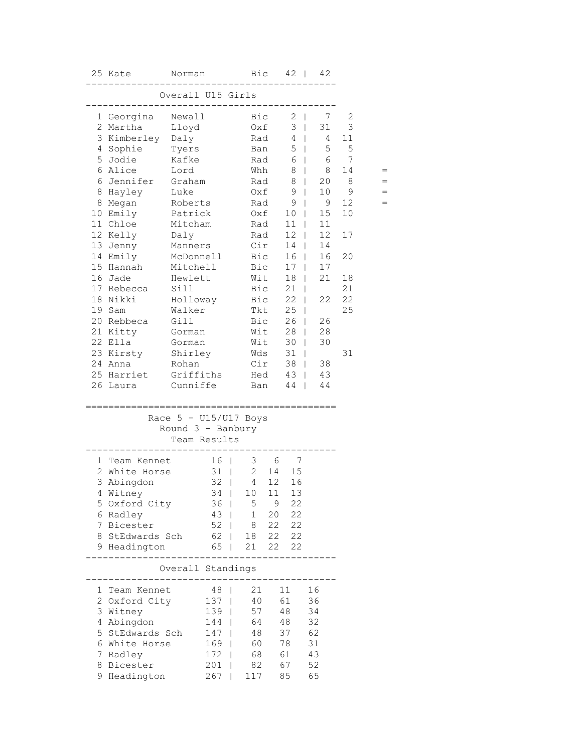|    | 25 Kate           | Norman                  |                 |               |             | $Bic$ 42           |                | 42  |    |     |
|----|-------------------|-------------------------|-----------------|---------------|-------------|--------------------|----------------|-----|----|-----|
|    |                   | Overall U15 Girls       |                 |               |             |                    |                |     |    |     |
|    | 1 Georgina Newall |                         |                 | Bic           |             | $2 \mid$           |                | 7   | 2  |     |
|    | 2 Martha          | Lloyd                   |                 | Oxf           |             | $3 \mid$           |                | 31  | 3  |     |
|    | 3 Kimberley Daly  |                         |                 | Rad           |             | 4                  | a ka           | 4   | 11 |     |
|    | 4 Sophie          | Tyers                   |                 |               | Ban         | 5<br>$\perp$       |                | 5   | 5  |     |
|    | 5 Jodie           | Kafke                   |                 | Rad           |             | 6                  | $\mathbf{L}$   | 6   | 7  |     |
|    | 6 Alice           | Lord                    |                 | Whh           |             | 8                  | $\mathbf{L}$   | 8   | 14 |     |
|    | 6 Jennifer        | Graham                  |                 | Rad           |             | 8                  | $\mathbb{R}$   | 20  | 8  |     |
|    | 8 Hayley          | Luke                    |                 | Oxf           |             | 9                  | $\mathbb{R}$   | 10  | 9  |     |
|    | 8 Megan           | Roberts                 |                 | Rad           |             | 9                  | $\mathbb{R}^n$ | - 9 | 12 | $=$ |
|    | 10 Emily          | Patrick                 |                 |               | Oxf         | 10 <sub>1</sub>    |                | 15  | 10 |     |
|    | 11 Chloe          | Mitcham                 |                 |               | Rad         | 11                 | $\mathbf{L}$   | 11  |    |     |
|    | 12 Kelly          | Daly                    |                 |               | Rad         | 12                 | $\mathbb{L}$   | 12  | 17 |     |
|    | 13 Jenny          | Manners                 |                 |               | Cir         | 14                 |                | 14  |    |     |
|    | 14 Emily          | McDonnell               |                 |               | Bic         | 16                 |                | 16  | 20 |     |
|    | 15 Hannah         | Mitchell                |                 | Bic           |             | 17                 | L              | 17  |    |     |
|    | 16 Jade           | Hewlett                 |                 | Wit           |             | 18                 | L              | 21  | 18 |     |
|    | 17 Rebecca        | Sill                    |                 | Bic           |             | 21                 | $\mathbf{I}$   |     | 21 |     |
|    | 18 Nikki          | Holloway                |                 | Bic           |             | 22                 | L              | 22  | 22 |     |
|    | 19 Sam            | Walker                  |                 |               | Tkt         | 25                 | L              |     | 25 |     |
|    | 20 Rebbeca        | Gill                    |                 |               | Bic         | 26<br>$\mathbf{I}$ |                | 26  |    |     |
|    | 21 Kitty          | Gorman                  |                 |               | Wit         | 28                 | $\mathbf{I}$   | 28  |    |     |
|    | 22 Ella           | Gorman                  |                 |               | Wit         | 30                 |                | 30  |    |     |
|    | 23 Kirsty         | Shirley                 |                 |               | Wds         | 31                 | L              |     | 31 |     |
|    | 24 Anna           | Rohan                   |                 | Cir           |             | 38                 | $\mathbf{L}$   | 38  |    |     |
|    | 25 Harriet        | Griffiths               |                 | Hed           |             | 43                 | $\mathbf{L}$   | 43  |    |     |
|    | 26 Laura          | Cunniffe                |                 | Ban           |             | 44                 | L              | 44  |    |     |
|    |                   |                         |                 |               |             |                    |                |     |    |     |
|    |                   | Race $5 - U15/U17$ Boys |                 |               |             |                    |                |     |    |     |
|    |                   | Round $3 -$ Banbury     |                 |               |             |                    |                |     |    |     |
|    |                   |                         | Team Results    |               |             |                    |                |     |    |     |
|    | 1 Team Kennet     |                         | 16 <sup>1</sup> |               | $3\qquad 6$ | $\overline{7}$     |                |     |    |     |
|    | 2 White Horse     |                         | $31$            | $\frac{1}{2}$ | 14          | 15                 |                |     |    |     |
|    | 3 Abingdon        |                         | $32 \mid$       | 4             | 12          | 16                 |                |     |    |     |
|    | 4 Witney          |                         | $34$            | 10 11         |             | 13                 |                |     |    |     |
|    | 5 Oxford City     |                         | 36 <sup>1</sup> | 5             | 9           | 22                 |                |     |    |     |
|    | 6 Radley          |                         | $43 \mid$       | $\mathbf{1}$  | 20          | 22                 |                |     |    |     |
|    | 7 Bicester        |                         | $52 \mid$       | 8             | 22          | 22                 |                |     |    |     |
|    | 8 StEdwards Sch   |                         | 62              | 18            | 22          | 22                 |                |     |    |     |
|    | 9 Headington      |                         | 65              | 21            | 22          | 22                 |                |     |    |     |
|    |                   | Overall Standings       |                 |               |             |                    |                |     |    |     |
|    |                   |                         |                 |               |             |                    |                |     |    |     |
|    | 1 Team Kennet     |                         | 48              | 21            |             | 11                 | 16             |     |    |     |
|    | 2 Oxford City     |                         | $137$           | 40            |             | 61                 | 36             |     |    |     |
|    | 3 Witney          |                         | $139$           | 57            |             | 48                 | 34             |     |    |     |
|    | 4 Abingdon        |                         | 144             | 64            |             | 48                 | 32             |     |    |     |
|    | 5 StEdwards Sch   |                         | 147             | 48            |             | 37                 | 62             |     |    |     |
|    | 6 White Horse     |                         | 169             | 60            |             | 78                 | 31             |     |    |     |
| 7. | Radley            |                         | $172$           | 68            |             | 61                 | 43             |     |    |     |
|    | 8 Bicester        |                         | 201             | 82            |             | 67                 | 52             |     |    |     |
|    | 9 Headington      |                         | 267             | 117           |             | 85                 | 65             |     |    |     |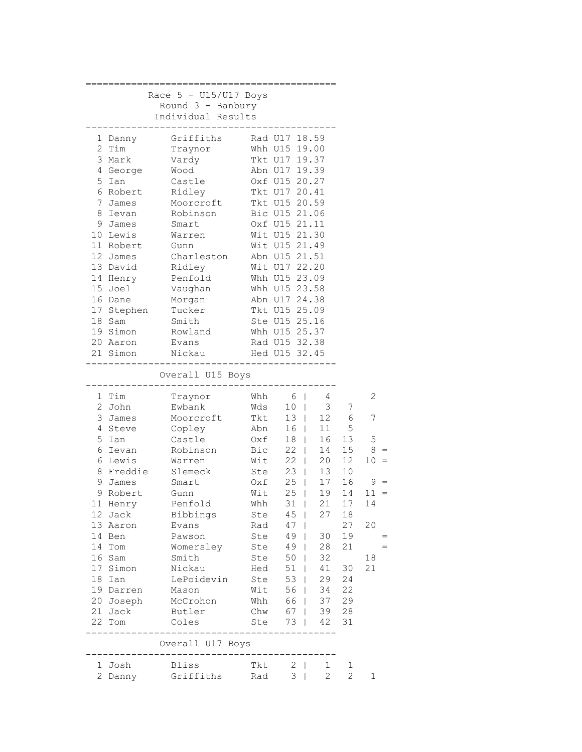|   |            | Race $5 - U15/U17$ Boys            |       |                                                        |                    |                 |        |
|---|------------|------------------------------------|-------|--------------------------------------------------------|--------------------|-----------------|--------|
|   |            | Round $3$ - Banbury                |       |                                                        |                    |                 |        |
|   |            | Individual Results                 |       |                                                        |                    |                 |        |
|   |            | ------                             |       |                                                        |                    |                 |        |
|   | 1 Danny    | Griffiths                          |       | Rad U17 18.59                                          |                    |                 |        |
|   | 2 Tim      | Traynor                            |       | Whh U15 19.00                                          |                    |                 |        |
|   | 3 Mark     | Vardy                              |       | Tkt U17 19.37                                          |                    |                 |        |
|   | 4 George   | Wood                               |       | Abn U17 19.39                                          |                    |                 |        |
|   | 5 Ian      | Castle                             |       | Oxf U15 20.27                                          |                    |                 |        |
|   | 6 Robert   | Ridley                             |       | -<br>Tkt U17 20.41                                     |                    |                 |        |
|   | 7 James    | Moorcroft                          |       | Tkt U15 20.59                                          |                    |                 |        |
| 8 | Ievan      | Robinson                           |       | Bic U15 21.06                                          |                    |                 |        |
|   | 9 James    | Smart                              |       | Oxf U15 21.11                                          |                    |                 |        |
|   | 10 Lewis   | Warren                             |       | Wit U15 21.30                                          |                    |                 |        |
|   | 11 Robert  | Gunn                               |       | Wit U15 21.49                                          |                    |                 |        |
|   | 12 James   | Charleston Abn U15 21.51           |       |                                                        |                    |                 |        |
|   | 13 David   | Ridley                             |       | Wit U17 22.20                                          |                    |                 |        |
|   | 14 Henry   | Penfold                            |       | Whh U15 23.09                                          |                    |                 |        |
|   | 15 Joel    | Vaughan                            |       | Whh U15 23.58                                          |                    |                 |        |
|   | 16 Dane    | Morgan                             |       | Abn U17 24.38                                          |                    |                 |        |
|   | 17 Stephen | Tucker                             |       | Tkt U15 25.09                                          |                    |                 |        |
|   | 18 Sam     | Smith                              |       | Ste U15 25.16                                          |                    |                 |        |
|   | 19 Simon   | Rowland                            |       | Whh U15 25.37                                          |                    |                 |        |
|   | 20 Aaron   | Evans                              |       | Rad U15 32.38                                          |                    |                 |        |
|   | 21 Simon   | Nickau Hed U15 32.45               |       |                                                        |                    |                 |        |
|   |            |                                    |       |                                                        |                    |                 |        |
|   |            | Overall U15 Boys                   |       |                                                        |                    |                 |        |
|   | 1 Tim      | Traynor                            |       | Whh $6 \mid$                                           | 4                  |                 | 2      |
|   | 2 John     | Ewbank                             | Wds   | 10 <sub>1</sub>                                        | 3 <sup>7</sup>     | 7               |        |
|   | 3 James    | Moorcroft Tkt                      |       | $13 \mid$                                              |                    | 12 6            | 7      |
|   | 4 Steve    | Copley Abn                         |       | $16$                                                   | 11                 | 5               |        |
|   | 5 Ian      | Castle                             | Oxf   | $18$                                                   | 16                 | 13              | 5      |
|   | 6 Ievan    | Robinson                           | Bic   | $22$                                                   | 14                 | 15 <sub>1</sub> | $8 =$  |
|   | 6 Lewis    | Warren                             | Wit   | 22                                                     | 20                 | 12 <sup>7</sup> | $10 =$ |
|   | 8 Freddie  | Slemeck                            | Ste   |                                                        | 13                 | 10              |        |
|   | 9 James    | Smart                              | $0xf$ | $\begin{array}{c cc} 23 &   & \\ 25 &   & \end{array}$ | 17                 | 16              | $9 =$  |
|   | 9 Robert   | Gunn                               | Wit   | 25                                                     | $\mathbf{L}$<br>19 | 14              | $11 =$ |
|   | 11 Henry   | Penfold                            | Whh   | $31$                                                   | 21                 | 17              | 14     |
|   | 12 Jack    | Bibbings                           | Ste   | $45 \mid$                                              | 27                 | 18              |        |
|   | 13 Aaron   | Evans                              | Rad   | $47 \mid$                                              |                    | 27              | 20     |
|   | 14 Ben     | Pawson                             | Ste   | 49                                                     | 30                 | 19              |        |
|   | 14 Tom     | Womersley                          | Ste   | 49                                                     | 28                 | 21              |        |
|   | 16 Sam     | Smith                              | Ste   | 50                                                     | 32                 |                 | 18     |
|   | 17 Simon   | Nickau                             | Hed   | $51$                                                   | 41                 | 30              | 21     |
|   | 18 Ian     | LePoidevin                         | Ste   | 53                                                     | 29                 | 24              |        |
|   | 19 Darren  | Mason                              | Wit   | 56                                                     | 34                 | 22              |        |
|   | 20 Joseph  | McCrohon                           | Whh   | 66                                                     | 37                 | 29              |        |
|   | 21 Jack    | Butler Chw                         |       | 67                                                     |                    | 39 28           |        |
|   | 22 Tom     | Coles                              | Ste   |                                                        | 73   42            | 31              |        |
|   |            |                                    |       | ----------                                             |                    |                 |        |
|   |            | Overall U17 Boys<br>_____________. |       |                                                        |                    |                 |        |
|   | 1 Josh     | Bliss                              | Tkt   | $2 \mid$                                               | $\mathbf{1}$       | 1               |        |
|   | 2 Danny    | Griffiths                          | Rad   | $3 \mid$                                               | $\overline{2}$     | $\mathbf{2}$    | 1      |
|   |            |                                    |       |                                                        |                    |                 |        |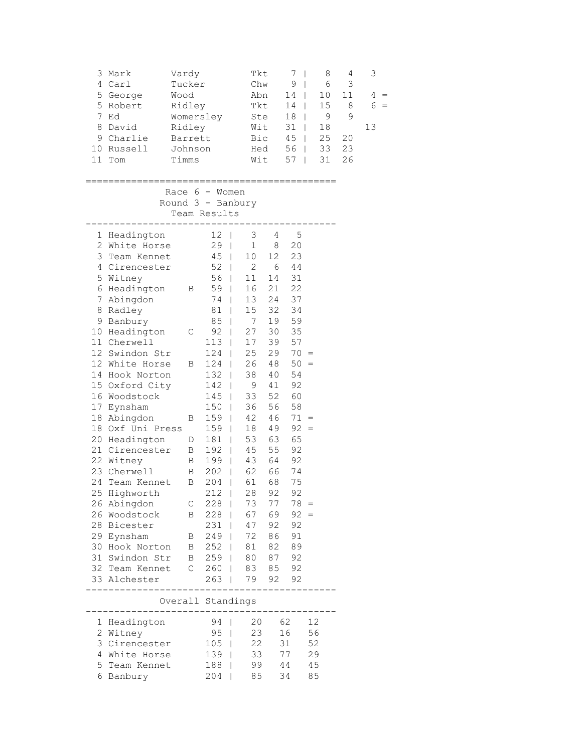| 3<br>5<br>7<br>8   | Mark<br>4 Carl<br>5 George<br>Robert<br>Ed<br>David<br>9 Charlie<br>10 Russell<br>11 Tom                                                                                                                                                                                                                                                                                                                                                                                                                             | Vardy<br>Tucker<br>Wood<br>Ridley<br>Womersley<br>Ridley<br>Barrett<br>Johnson<br>Timms                            |                                                                                                                                                                                                                                                                                               | Tkt<br>Chw<br>Abn<br>Bic<br>Hed<br>Wit                                                                                                                                                                                                                                                                                                                                                                                          | Tkt<br>Ste<br>Wit                                                                                                                                                                                | 7<br>$\overline{\phantom{a}}$<br>9<br>$\overline{1}$<br>14<br>$\mathbf{L}$<br>14<br>$\mathbf{I}$<br>18<br>$\mathbf{I}$<br>31<br>$\mathbf{I}$<br>45<br>$\mathbf{I}$<br>56<br>$\mathbf{I}$<br>57<br>$\mathbf{I}$ |                                  | 8<br>6<br>10<br>15<br>9<br>18<br>25<br>33<br>31 | 4<br>3<br>11<br>8<br>$\mathsf 9$<br>20<br>23<br>26 | 3<br>4<br>$\qquad \qquad =$<br>6<br>$=$<br>13 |
|--------------------|----------------------------------------------------------------------------------------------------------------------------------------------------------------------------------------------------------------------------------------------------------------------------------------------------------------------------------------------------------------------------------------------------------------------------------------------------------------------------------------------------------------------|--------------------------------------------------------------------------------------------------------------------|-----------------------------------------------------------------------------------------------------------------------------------------------------------------------------------------------------------------------------------------------------------------------------------------------|---------------------------------------------------------------------------------------------------------------------------------------------------------------------------------------------------------------------------------------------------------------------------------------------------------------------------------------------------------------------------------------------------------------------------------|--------------------------------------------------------------------------------------------------------------------------------------------------------------------------------------------------|----------------------------------------------------------------------------------------------------------------------------------------------------------------------------------------------------------------|----------------------------------|-------------------------------------------------|----------------------------------------------------|-----------------------------------------------|
|                    |                                                                                                                                                                                                                                                                                                                                                                                                                                                                                                                      | Race $6 -$ Women<br>Round 3 - Banbury<br>Team Results                                                              |                                                                                                                                                                                                                                                                                               |                                                                                                                                                                                                                                                                                                                                                                                                                                 |                                                                                                                                                                                                  |                                                                                                                                                                                                                |                                  |                                                 |                                                    |                                               |
| 7<br>8<br>17<br>24 | 1 Headington<br>2 White Horse<br>3 Team Kennet<br>4 Cirencester<br>5 Witney<br>6 Headington<br>Abingdon<br>Radley<br>9 Banbury<br>10 Headington<br>11 Cherwell<br>12 Swindon Str<br>12 White Horse<br>14 Hook Norton<br>15 Oxford City<br>16 Woodstock<br>Eynsham<br>18 Abingdon<br>18 Oxf Uni Press<br>20 Headington<br>21 Cirencester<br>22 Witney<br>23 Cherwell<br>Team Kennet<br>25 Highworth<br>26 Abingdon<br>26 Woodstock<br>28 Bicester<br>29 Eynsham<br>30 Hook Norton<br>31 Swindon Str<br>32 Team Kennet | Β<br>C<br>В<br>Β<br>D<br>B<br>В<br>Β<br>В<br>C<br>В<br>$\mathbf{B}$<br>$\mathbf{B}$<br>$\mathbf{B}$<br>$\mathbb C$ | 12<br>29<br>- 1<br>45<br>$52$  <br>$56$  <br>$59$  <br>74<br>81<br>85<br>92<br>113<br>124<br>124<br>$132$  <br>142<br>145<br>150<br>159<br>159<br>$181$  <br>192<br>$\Box$<br>$199$  <br>202<br>$\Box$<br>204<br>$212$  <br>228  <br>$228$  <br>231<br>$249$  <br>$252$  <br>$259$  <br>$260$ | 3<br>$\mathbf{I}$<br>$\mathbf 1$<br>10<br>$\Box$<br>$\overline{2}$<br>11<br>16<br>13<br>$\mathbf{I}$<br>15<br>$\mathbf{I}$<br>7<br>T<br>27<br>$\mathbf{I}$<br>17<br>$\Box$<br>25<br>$\mathbf{I}$<br>26<br>38<br>9<br>$\mathbf{I}$<br>33<br>$\mathbf{I}$<br>36<br>$\mathbf{I}$<br>42<br>$\mathbf{I}$<br>18<br>$\mathbf{I}$<br>53<br>45<br>43<br>62<br>61<br>$\overline{1}$<br>28<br>73<br>67<br>47<br>72<br>81<br>80<br>83 85 92 | 4<br>8<br>12 <sup>°</sup><br>6<br>14<br>21<br>24<br>32<br>19<br>30<br>39<br>29<br>48<br>40<br>41<br>52<br>56<br>46<br>49<br>63<br>55<br>64<br>66<br>68<br>92<br>77<br>69<br>92<br>86<br>82<br>87 | 5<br>20<br>23<br>44<br>31<br>22<br>37<br>34<br>59<br>35<br>57<br>$70 =$<br>$50 =$<br>54<br>92<br>60<br>58<br>$71 =$<br>$92 =$<br>65<br>92<br>92<br>74<br>75<br>92<br>$78 =$<br>$92 =$<br>92<br>91<br>89<br>92  |                                  |                                                 |                                                    |                                               |
|                    | 33 Alchester                                                                                                                                                                                                                                                                                                                                                                                                                                                                                                         |                                                                                                                    | $263$                                                                                                                                                                                                                                                                                         | 79                                                                                                                                                                                                                                                                                                                                                                                                                              | 92                                                                                                                                                                                               | 92                                                                                                                                                                                                             |                                  |                                                 |                                                    |                                               |
|                    |                                                                                                                                                                                                                                                                                                                                                                                                                                                                                                                      | Overall Standings<br>. _ _ _ _ _ _ _ _ _ _ _                                                                       |                                                                                                                                                                                                                                                                                               |                                                                                                                                                                                                                                                                                                                                                                                                                                 |                                                                                                                                                                                                  |                                                                                                                                                                                                                |                                  |                                                 |                                                    |                                               |
| ı,<br>5            | Headington<br>2 Witney<br>3 Cirencester<br>4 White Horse<br>Team Kennet<br>6 Banbury                                                                                                                                                                                                                                                                                                                                                                                                                                 |                                                                                                                    | 94<br>$95 \mid$<br>$105$  <br>$139$  <br>188  <br>204                                                                                                                                                                                                                                         | 20<br>T<br>23<br>22<br>33<br>99<br>85<br>$\mathbf{I}$                                                                                                                                                                                                                                                                                                                                                                           |                                                                                                                                                                                                  | 62<br>16<br>31<br>77<br>44<br>34                                                                                                                                                                               | 12<br>56<br>52<br>29<br>45<br>85 |                                                 |                                                    |                                               |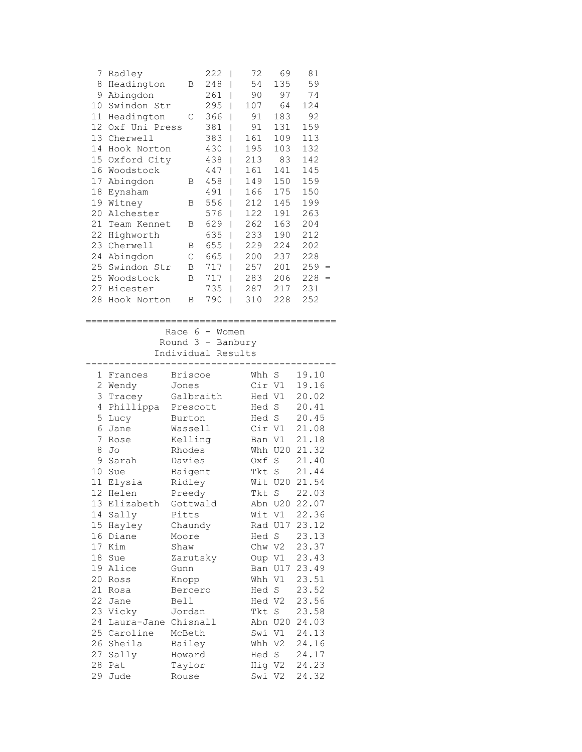| 7               | Radley        |          |                 | 222                                     | I                        | 72               | 69          | 81             |  |
|-----------------|---------------|----------|-----------------|-----------------------------------------|--------------------------|------------------|-------------|----------------|--|
| 8               | Headington    |          | Β               | 248                                     | I                        | 54               | 135         | 59             |  |
| 9               | Abingdon      |          |                 | 261                                     | T                        | 90               | 97          | 74             |  |
| 10              | Swindon Str   |          |                 | 295                                     | T                        | 107              | 64          | 124            |  |
| 11              | Headington    |          | С               | 366                                     | I                        | 91               | 183         | 92             |  |
| 12              | Oxf Uni Press |          |                 | 381                                     | I                        | 91               | 131         | 159            |  |
| 13              | Cherwell      |          |                 | 383                                     | I                        | 161              | 109         | 113            |  |
| 14              | Hook Norton   |          |                 | 430                                     | T                        | 195              | 103         | 132            |  |
| 15              | Oxford City   |          |                 | 438                                     | T                        | 213              | 83          | 142            |  |
| 16              | Woodstock     |          |                 | 447                                     | $\overline{\phantom{a}}$ | 161              | 141         | 145            |  |
| 17              | Abingdon      |          | Β               | 458                                     | $\overline{\phantom{a}}$ | 149              | 150         | 159            |  |
| 18              | Eynsham       |          |                 | 491                                     | $\mathbf{I}$             | 166              | 175         | 150            |  |
| 19              | Witney        |          | В               | 556                                     | T                        | 212              | 145         | 199            |  |
| 20              | Alchester     |          |                 | 576                                     | T                        | 122              | 191         | 263            |  |
| 21              | Team Kennet   |          | Β               | 629                                     | T                        | 262              | 163         | 204            |  |
| 22              | Highworth     |          |                 | 635                                     | T                        | 233              | 190         | 212            |  |
| 23              | Cherwell      |          | Β               | 655                                     | T                        | 229              | 224         | 202            |  |
| 24              | Abingdon      |          | $\mathsf C$     | 665                                     | -1                       | 200              | 237         | 228            |  |
| 25              | Swindon Str   |          | В               | 717                                     | $\overline{\phantom{a}}$ | 257              | 201         | $259 =$        |  |
| 25              | Woodstock     |          | B               | 717                                     | $\overline{\phantom{a}}$ | 283              | 206         | 228<br>$=$     |  |
| 27              | Bicester      |          |                 | 735                                     | T                        | 287              | 217         | 231            |  |
| 28              | Hook Norton   |          | Β               | 790                                     | T                        | 310              | 228         | 252            |  |
|                 |               |          |                 |                                         |                          |                  |             |                |  |
|                 |               |          |                 |                                         |                          |                  |             |                |  |
|                 |               |          |                 | Race $6 -$ Women                        |                          |                  |             |                |  |
|                 |               |          |                 | Round 3 - Banbury<br>Individual Results |                          |                  |             |                |  |
|                 |               |          |                 |                                         |                          |                  |             |                |  |
|                 | 1 Frances     |          | <b>Briscoe</b>  |                                         |                          | Whh S            |             | 19.10          |  |
| $\overline{c}$  | Wendy         |          | Jones           |                                         |                          | Cir V1           |             | 19.16          |  |
| 3               | Tracey        |          |                 | Galbraith                               |                          | Hed V1           |             | 20.02          |  |
| 4               | Phillippa     |          |                 | Prescott                                |                          | Hed S            |             | 20.41          |  |
| 5               | Lucy          |          | Burton          |                                         |                          | Hed S            |             | 20.45          |  |
| 6               | Jane          |          | Wassell         |                                         |                          | Cir V1           |             | 21.08          |  |
| 7               | Rose          |          | Kelling         |                                         |                          | Ban V1           |             | 21.18          |  |
| 8               | Jo            |          | Rhodes          |                                         |                          |                  | Whh U20     | 21.32          |  |
| 9               | Sarah         |          | Davies          |                                         |                          | Oxf              | $\mathbf S$ | 21.40          |  |
| 10              | Sue           |          | Baigent         |                                         |                          | Tkt              | S           | 21.44          |  |
| $11\,$          | Elysia        |          | Ridley          |                                         |                          | Wit              | U20         | 21.54          |  |
| 12 <sup>°</sup> | Helen         |          | Preedy          |                                         |                          | Tkt S            |             | 22.03          |  |
| 13              | Elizabeth     |          |                 | Gottwald                                |                          |                  | Abn U20     | 22.07          |  |
| 14              | Sally         |          | Pitts           |                                         |                          |                  | Wit V1      | 22.36          |  |
| 15              | Hayley        |          | Chaundy         |                                         |                          |                  | Rad U17     | 23.12          |  |
| 16              | Diane         |          | Moore           |                                         |                          | Hed S            |             | 23.13          |  |
| 17              | Kim           | Shaw     |                 |                                         |                          | Chw V2           |             | 23.37          |  |
| 18              | Sue           |          |                 | Zarutsky                                |                          |                  | Oup V1      | 23.43          |  |
| 19              | Alice         | Gunn     |                 |                                         |                          |                  | Ban U17     | 23.49          |  |
| 20              | Ross          |          | Knopp           |                                         |                          | Whh V1           |             | 23.51          |  |
| 21              | Rosa          |          | Bercero         |                                         |                          | Hed S            |             | 23.52          |  |
| 22              | Jane          | Bell     |                 |                                         |                          | Hed V2           |             | 23.56          |  |
| 23              | Vicky         |          | Jordan          |                                         |                          | Tkt              | S           | 23.58          |  |
| 24              | Laura-Jane    | Chisnall |                 |                                         |                          |                  | Abn U20     | 24.03          |  |
| 25              | Caroline      |          | McBeth          |                                         |                          |                  | Swi V1      | 24.13          |  |
| 26              | Sheila        |          | Bailey          |                                         |                          | Whh V2           |             | 24.16          |  |
| 27              | Sally         |          | Howard          |                                         |                          | Hed S            |             | 24.17          |  |
|                 |               |          |                 |                                         |                          |                  |             |                |  |
| 28<br>29        | Pat<br>Jude   |          | Taylor<br>Rouse |                                         |                          | Hig V2<br>Swi V2 |             | 24.23<br>24.32 |  |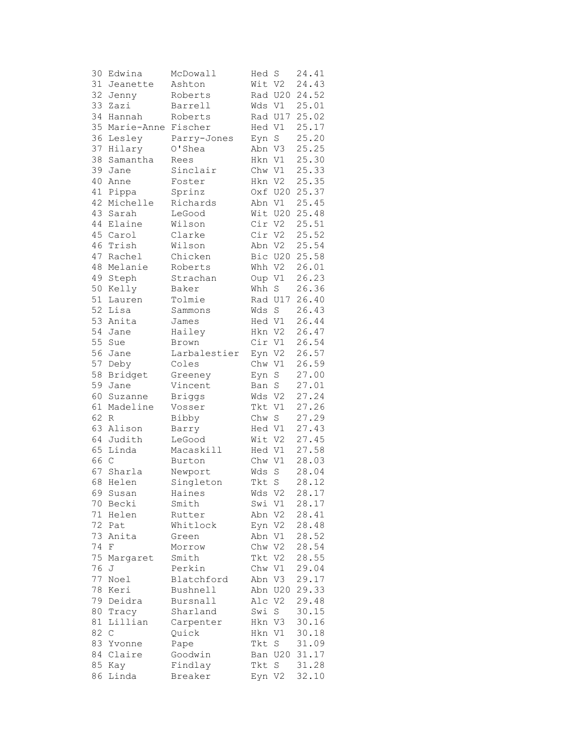| 30 | Edwina      | McDowall      | Hed     | S                 | 24.41 |
|----|-------------|---------------|---------|-------------------|-------|
| 31 | Jeanette    | Ashton        | Wit V2  |                   | 24.43 |
| 32 | Jenny       | Roberts       |         | Rad U20           | 24.52 |
| 33 | Zazi        | Barrell       |         | Wds Vl            | 25.01 |
| 34 | Hannah      | Roberts       |         | Rad U17           | 25.02 |
| 35 | Marie-Anne  | Fischer       | Hed V1  |                   | 25.17 |
| 36 | Lesley      | Parry-Jones   | Eyn     | $S_{\mathcal{C}}$ | 25.20 |
| 37 | Hilary      | O'Shea        | Abn V3  |                   | 25.25 |
| 38 | Samantha    | Rees          | Hkn V1  |                   | 25.30 |
| 39 | Jane        | Sinclair      | Chw V1  |                   | 25.33 |
| 40 | Anne        | Foster        | Hkn V2  |                   | 25.35 |
| 41 | Pippa       | Sprinz        |         | Oxf U20           | 25.37 |
| 42 | Michelle    | Richards      |         | Abn V1            | 25.45 |
| 43 | Sarah       | LeGood        |         | Wit U20           | 25.48 |
| 44 | Elaine      | Wilson        | Cir V2  |                   | 25.51 |
|    | 45 Carol    | Clarke        | Cir V2  |                   | 25.52 |
|    | 46 Trish    | Wilson        | Abn V2  |                   | 25.54 |
| 47 | Rachel      | Chicken       |         | Bic U20           | 25.58 |
| 48 | Melanie     | Roberts       | Whh V2  |                   | 26.01 |
| 49 |             | Strachan      | Oup V1  |                   | 26.23 |
| 50 | Steph       | Baker         | Whh     | S                 | 26.36 |
| 51 | Kelly       |               |         |                   |       |
| 52 | Lauren      | Tolmie        |         | Rad U17           | 26.40 |
|    | Lisa        | Sammons       | Wds     | $\rm S$           | 26.43 |
| 53 | Anita       | James         | Hed V1  |                   | 26.44 |
| 54 | Jane        | Hailey        | Hkn V2  |                   | 26.47 |
| 55 | Sue         | Brown         | Cir V1  |                   | 26.54 |
| 56 | Jane        | Larbalestier  | Eyn V2  |                   | 26.57 |
| 57 | Deby        | Coles         | Chw V1  |                   | 26.59 |
| 58 | Bridget     | Greeney       | Eyn     | $\rm S$           | 27.00 |
| 59 | Jane        | Vincent       | Ban     | S                 | 27.01 |
| 60 | Suzanne     | <b>Briggs</b> | Wds     | V <sub>2</sub>    | 27.24 |
| 61 | Madeline    | Vosser        | Tkt     | V1                | 27.26 |
| 62 | R           | Bibby         | Chw     | S                 | 27.29 |
| 63 | Alison      | Barry         | Hed V1  |                   | 27.43 |
| 64 | Judith      | LeGood        | Wit V2  |                   | 27.45 |
| 65 | Linda       | Macaskill     | Hed V1  |                   | 27.58 |
| 66 | $\mathsf C$ | Burton        | Chw V1  |                   | 28.03 |
| 67 | Sharla      | Newport       | Wds     | $\mathbf S$       | 28.04 |
| 68 | Helen       | Singleton     | Tkt     | $\rm S$           | 28.12 |
|    | 69 Susan    | Haines        | Wds V2  |                   | 28.17 |
| 70 | Becki       | Smith         | Swi     | V1                | 28.17 |
| 71 | Helen       | Rutter        | Abn     | V2                | 28.41 |
| 72 | Pat         | Whitlock      | Eyn     | V2                | 28.48 |
| 73 | Anita       | Green         | Abn     | V1                | 28.52 |
| 74 | F           | Morrow        | Chw V2  |                   | 28.54 |
| 75 | Margaret    | Smith         | Tkt     | V2                | 28.55 |
| 76 | J           | Perkin        | Chw V1  |                   | 29.04 |
| 77 | Noel        | Blatchford    | Abn V3  |                   | 29.17 |
| 78 | Keri        | Bushnell      |         | Abn U20           | 29.33 |
| 79 | Deidra      | Bursnall      | Alc     | V <sub>2</sub>    | 29.48 |
| 80 | Tracy       | Sharland      | Swi     | S                 | 30.15 |
| 81 | Lillian     | Carpenter     | Hkn V3  |                   | 30.16 |
| 82 | $\mathsf C$ | Quick         | Hkn     | V1                | 30.18 |
| 83 | Yvonne      | Pape          | Tkt     | $\mathbf S$       | 31.09 |
| 84 | Claire      | Goodwin       | Ban U20 |                   | 31.17 |
| 85 | Kay         | Findlay       | Tkt     | S                 | 31.28 |
| 86 | Linda       | Breaker       | Eyn V2  |                   | 32.10 |
|    |             |               |         |                   |       |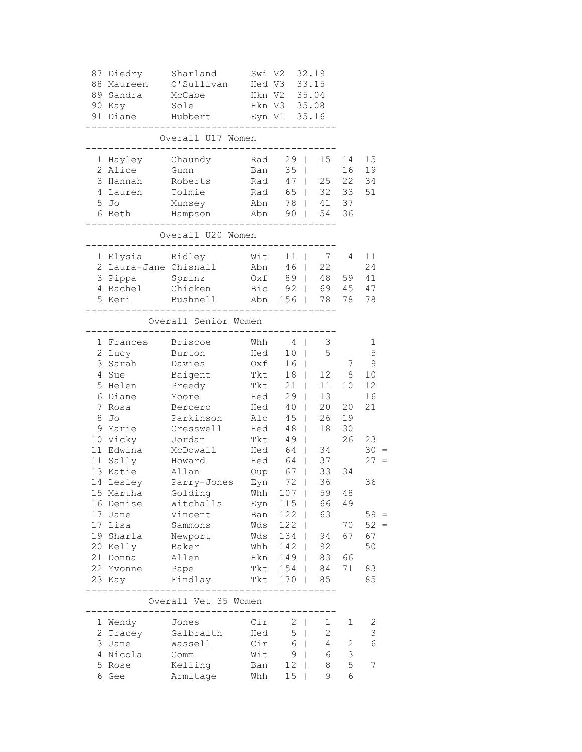|    | 87 Diedry<br>88 Maureen<br>89 Sandra<br>90 Kay | Sharland<br>O'Sullivan<br>McCabe<br>Sole | Swi V2<br>Hed V3 | Hkn V2 35.04<br>Hkn V3 35.08 |                | 32.19<br>33.15  |              |              |
|----|------------------------------------------------|------------------------------------------|------------------|------------------------------|----------------|-----------------|--------------|--------------|
|    | 91 Diane                                       | Hubbert                                  | Eyn V1 35.16     |                              |                |                 |              |              |
|    |                                                | Overall U17 Women                        |                  |                              |                |                 |              |              |
|    | 1 Hayley                                       | Chaundy                                  | Rad              |                              | $29$           | 15              | 14           | 15           |
|    | 2 Alice                                        | Gunn                                     | Ban              | $35 \mid$                    |                |                 | 16           | 19           |
|    | 3 Hannah                                       | Roberts                                  | Rad              |                              | $47 \mid$      | 25              | 22           | 34           |
|    | 4 Lauren                                       | Tolmie                                   | Rad              |                              | 65             | 32              | 33           | 51           |
|    | $5$ Jo                                         | Munsey                                   | Abn 78   41      |                              |                |                 | 37           |              |
|    | 6 Beth                                         | Hampson                                  |                  |                              |                | Abn 90   54     | 36           |              |
|    |                                                | Overall U20 Women                        |                  |                              |                |                 |              |              |
|    | 1 Elysia                                       | Ridley                                   | Wit              |                              | $11 \quad  $   | $7\phantom{0}$  | 4            | 11           |
|    | 2 Laura-Jane Chisnall                          |                                          | Abn              |                              | $46$           | 22              |              | 24           |
|    | 3 Pippa Sprinz                                 |                                          | Oxf              |                              | 89             | 48              | 59           | 41           |
|    | 4 Rachel                                       | Chicken                                  | Bic 92   69      |                              |                |                 | 45           | 47           |
|    | 5 Keri                                         | Bushnell                                 |                  |                              |                | Abn 156   78    | 78           | 78           |
|    |                                                | Overall Senior Women                     |                  |                              |                |                 |              |              |
|    | 1 Frances                                      | <b>Briscoe</b>                           | Whh              |                              | $4 \mid$       | 3               |              | $\mathbf 1$  |
|    | 2 Lucy                                         | Burton                                   | Hed              |                              | $10$           | 5               |              | 5            |
| 3  | Sarah                                          | Davies                                   | Oxf              |                              | 16             |                 | 7            | $\mathsf 9$  |
| 4  | Sue                                            | Baigent                                  | Tkt              |                              | $18$           | 12              | 8            | 10           |
| 5  | Helen                                          | Preedy                                   | Tkt              |                              | $21 \mid$      | 11              | 10           | 12           |
| 6  | Diane                                          | Moore                                    | Hed              |                              | $29$           | 13              |              | 16           |
| 7  | Rosa                                           | Bercero                                  | Hed              | 40                           | $\mathbf{L}$   | 20              | 20           | 21           |
| 8  | Jo                                             | Parkinson                                | Alc              | 45                           | $\mathbf{L}$   | 26              | 19           |              |
|    | 9 Marie                                        | Cresswell                                | Hed              | 48                           | $\mathbf{L}$   | 18              | 30           |              |
|    | 10 Vicky                                       | Jordan                                   | Tkt              | 49                           | $\mathbf{L}$   |                 | 26           | 23           |
|    | 11 Edwina                                      | McDowall                                 | Hed              | 64                           | $\mathbb{R}$   | 34              |              | $30 =$       |
|    | 11 Sally                                       | Howard                                   | Hed              | 64                           | $\mathbb{R}^n$ | 37              |              | $27 =$       |
|    | 13 Katie                                       | Allan                                    | Oup              |                              | 67             | 33              | 34           |              |
|    | 14 Lesley                                      | Parry-Jones                              | Eyn              | 72                           | $\mathbb{R}$   | 36              |              | 36           |
|    | 15 Martha                                      | Golding                                  |                  | Whh 107                      |                | 59              | 48           |              |
|    | 16 Denise                                      | Witchalls                                | Eyn              | $115$                        |                | 66              | 49           |              |
| 17 | Jane                                           | Vincent                                  | Ban              | $122$                        |                | 63              |              | $59 =$       |
| 17 | Lisa                                           | Sammons                                  | Wds              | $122$                        |                |                 | 70           | $52 =$       |
|    | 19 Sharla                                      | Newport                                  | Wds              | 134                          |                | 94              | 67           | 67           |
|    | 20 Kelly                                       | Baker                                    | Whh              | $142$                        |                | 92              |              | 50           |
| 21 | Donna                                          | Allen                                    | Hkn              | $149$                        |                | 83              | 66           |              |
|    | 22 Yvonne                                      | Pape<br>Findlay                          | Tkt              | $154$  <br>Tkt 170           |                | 84              | 71           | 83           |
|    | 23 Кау                                         | -------------------------------          |                  |                              |                | 85              |              | 85           |
|    |                                                | Overall Vet 35 Women                     |                  |                              |                |                 |              |              |
|    | 1 Wendy                                        | Jones                                    | Cir              |                              | $2 \mid$       | $\mathbf{1}$    | 1            | $\mathbf{2}$ |
| 2  | Tracey                                         | Galbraith                                | Hed              | 5                            | $\mathbf{L}$   | $\overline{c}$  |              | $\mathsf 3$  |
| 3  | Jane                                           | Wassell                                  | Cir              |                              | $6 \mid$       | $4\overline{ }$ | $\mathbf{2}$ | $\epsilon$   |
|    | 4 Nicola                                       | Gomm                                     | Wit              |                              | $9 \mid$       | 6               | $\mathsf 3$  |              |
| 5  | Rose                                           | Kelling                                  | Ban              |                              | $12 \mid$      | 8               | $\mathsf S$  | 7            |
|    | 6 Gee                                          | Armitage                                 | Whh              | 15                           | $\mathbf{I}$   | 9               | 6            |              |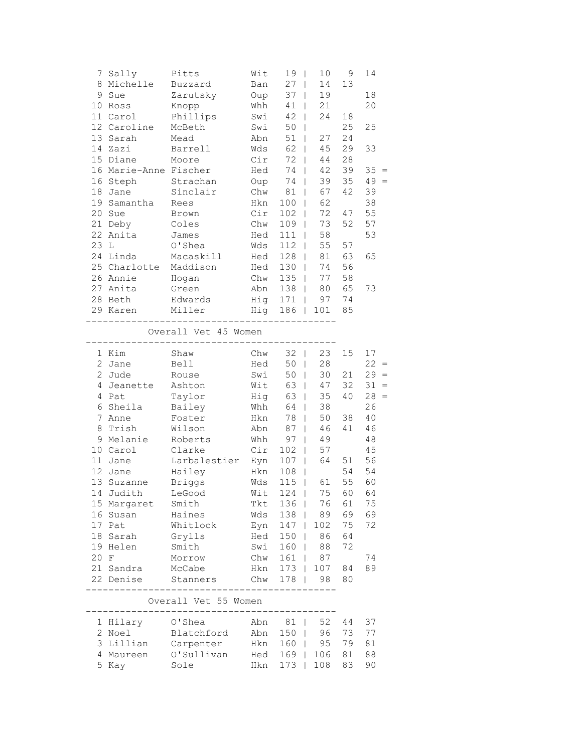|                | 7 Sally               | Pitts                                             | Wit      | 19            | 10<br>T                        | 9  | 14        |
|----------------|-----------------------|---------------------------------------------------|----------|---------------|--------------------------------|----|-----------|
|                | 8 Michelle            | Buzzard                                           | Ban      | 27            | 14<br>$\mathbf{I}$             | 13 |           |
|                | 9 Sue                 | Zarutsky                                          | Oup      | 37            | 19<br>$\mathbb{I}$             |    | 18        |
|                | 10 Ross               | Knopp                                             | Whh      | 41            | 21<br>$\overline{\phantom{a}}$ |    | 20        |
|                | 11 Carol              | Phillips                                          | Swi      | 42            | 24<br>$\mathbf{I}$             | 18 |           |
|                | 12 Caroline           | McBeth                                            | Swi      | 50            | $\overline{1}$                 | 25 | 25        |
| 13             | Sarah                 | Mead                                              | Abn      | 51            | 27<br>L                        | 24 |           |
|                | 14 Zazi               | Barrell                                           | Wds      | 62            | 45                             | 29 | 33        |
|                | 15 Diane              | Moore                                             | Cir      | 72            | 44<br>L                        | 28 |           |
|                | 16 Marie-Anne Fischer |                                                   | Hed      | 74            | 42<br>L                        | 39 | $35 =$    |
|                | 16 Steph              | Strachan                                          | Oup      | 74            | 39<br>$\mathbf{I}$             | 35 | 49<br>$=$ |
|                | 18 Jane               | Sinclair                                          | Chw      | 81            | 67<br>$\mathbf{I}$             | 42 | 39        |
|                | 19 Samantha           | Rees                                              | Hkn      | 100           | 62<br>$\overline{1}$           |    | 38        |
|                | 20 Sue                | Brown                                             | Cir      | 102           | 72<br>$\mathbf{I}$             | 47 | 55        |
|                | 21 Deby               | Coles                                             | Chw      | 109           | 73<br>$\mathbf{I}$             | 52 | 57        |
|                | 22 Anita              | James                                             | Hed      | 111           | 58<br>$\mathbf{I}$             |    | 53        |
| 23 L           |                       | O'Shea                                            | Wds      | 112           | 55<br>$\mathbf{I}$             | 57 |           |
|                | 24 Linda              | Macaskill                                         | Hed      | 128           | 81<br>$\mathbf{I}$             | 63 | 65        |
|                | 25 Charlotte          | Maddison                                          | Hed      | 130           | 74<br>$\mathbf{I}$             | 56 |           |
|                | 26 Annie              | Hogan                                             | Chw      | 135<br>$\Box$ | 77                             | 58 |           |
|                | 27 Anita              | Green                                             | Abn      | $138$         | 80                             | 65 | 73        |
|                | 28 Beth               | Edwards                                           | Hig      | 171           | 97                             | 74 |           |
|                | 29 Karen              | Miller                                            | Hig      |               | 186   101                      | 85 |           |
|                |                       |                                                   |          |               |                                |    |           |
|                |                       | Overall Vet 45 Women<br>___________               | -------- |               |                                |    |           |
|                | 1 Kim                 | Shaw                                              | Chw      | 32            | 23<br>$\mathbf{I}$             | 15 | 17        |
|                | 2 Jane                | Bell                                              | Hed      | 50<br>$\Box$  | 28                             |    | $22 =$    |
|                | 2 Jude                | Rouse                                             | Swi      | 50<br>$\Box$  | 30                             | 21 | $29 =$    |
|                | 4 Jeanette            | Ashton                                            | Wit      | 63<br>$\perp$ | 47                             | 32 | 31<br>$=$ |
|                | 4 Pat                 | Taylor                                            | Hig      | 63            | 35                             | 40 | 28<br>$=$ |
| 6              | Sheila                | Bailey                                            | Whh      | 64            | 38<br>$\mathbf{I}$             |    | 26        |
| $7\phantom{.}$ | Anne                  | Foster                                            | Hkn      | 78            | 50<br>L                        | 38 | 40        |
| 8              | Trish                 | Wilson                                            | Abn      | 87            | 46<br>L                        | 41 | 46        |
|                | 9 Melanie             | Roberts                                           | Whh      | 97            | 49<br>L                        |    | 48        |
|                | 10 Carol              | Clarke                                            | Cir      | 102           | 57<br>L                        |    | 45        |
|                | 11 Jane               | Larbalestier                                      | Eyn      | 107           | 64<br>L                        | 51 | 56        |
|                | 12 Jane               | Hailey                                            | Hkn      | 108           | $\mathbf{I}$                   | 54 | 54        |
|                | 13 Suzanne            | <b>Briggs</b>                                     | Wds      | 115<br>$\Box$ | 61                             | 55 | 60        |
|                | 14 Judith             | LeGood                                            | Wit      | $124$         | 75                             |    | 60 64     |
|                | 15 Margaret Smith     |                                                   | Tkt      | 136           | 76                             | 61 | 75        |
|                | 16 Susan              | Haines                                            | Wds      | 138           | 89                             | 69 | 69        |
|                | 17 Pat                | Whitlock                                          | Eyn      |               | 147   102                      | 75 | 72        |
|                | 18 Sarah Grylls       |                                                   | Hed      | 150           | 86                             | 64 |           |
|                | 19 Helen              | Smith                                             | Swi      | $160$         | 88                             | 72 |           |
|                | 20 F                  | Morrow                                            | Chw      | $161$         | 87                             |    | 74        |
|                | 21 Sandra             | McCabe                                            | Hkn      | $173$         | 107                            | 84 | 89        |
|                | 22 Denise             | Stanners                                          | Chw      | $178$         | 98                             | 80 |           |
|                |                       |                                                   |          |               |                                |    |           |
|                |                       | Overall Vet 55 Women<br>------------------------- |          |               |                                |    |           |
|                | 1 Hilary O'Shea       |                                                   | Abn      | 81            | 52                             | 44 | 37        |
|                |                       | 2 Noel Blatchford Abn 150                         |          |               | 96                             | 73 | 77        |
|                |                       |                                                   |          |               |                                |    |           |

 4 Maureen O'Sullivan Hed 169 | 106 81 88 5 Kay Sole Hkn 173 | 108 83 90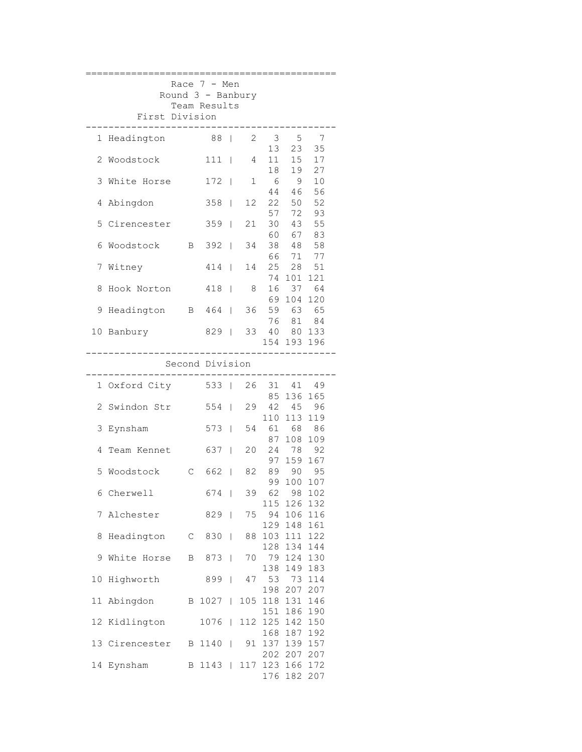|                                                                     |                   |              | Race 7 - Men  |                |     |                 |                                 |                |  |  |  |
|---------------------------------------------------------------------|-------------------|--------------|---------------|----------------|-----|-----------------|---------------------------------|----------------|--|--|--|
| Round 3 - Banbury<br>Team Results<br>First Division                 |                   |              |               |                |     |                 |                                 |                |  |  |  |
| 88  <br>2<br>$\overline{\mathbf{3}}$<br>Headington<br>5<br>- 7<br>1 |                   |              |               |                |     |                 |                                 |                |  |  |  |
| 2                                                                   | Woodstock         |              | $111$         |                | 4   | 13<br>11        | 23<br>15                        | 35<br>17       |  |  |  |
|                                                                     | 3 White Horse     |              | $172 \quad  $ |                | 1   | 18<br>- 6<br>44 | 19<br>9<br>46                   | 27<br>10<br>56 |  |  |  |
|                                                                     | 4 Abingdon        |              | 358           | $\mathbf{I}$   | 12  | 22              | 50                              | 52             |  |  |  |
|                                                                     | 5 Cirencester     |              | $359$         |                | 21  | 57<br>30        | 72<br>43                        | 93<br>55       |  |  |  |
| 6                                                                   | Woodstock         | $\mathbf{B}$ | $392$         |                | 34  | 38<br>66        | 60 67<br>48<br>71               | 83<br>58<br>77 |  |  |  |
| 7                                                                   | Witney            |              | $414$         |                | 14  | 25              | 28                              | 51             |  |  |  |
| 8                                                                   | Hook Norton       |              | $418$         |                | 8   | 74<br>16        | 101                             | 121<br>37 64   |  |  |  |
| 9                                                                   | Headington        |              | B 464         |                |     |                 | 69 104 120<br>36 59 63<br>76 81 | 65             |  |  |  |
| 10                                                                  | Banbury           |              | 829           |                | 33  |                 | 40 80 133                       | 84             |  |  |  |
| 154 193 196<br>Second Division                                      |                   |              |               |                |     |                 |                                 |                |  |  |  |
|                                                                     |                   |              |               |                |     |                 |                                 |                |  |  |  |
|                                                                     | 1 Oxford City     |              | 533           |                | 26  | 31              | 41<br>85 136 165                | 49             |  |  |  |
|                                                                     | 2 Swindon Str     |              | 554           |                | 29  |                 | 42 45<br>110 113 119            | 96             |  |  |  |
|                                                                     | 3 Eynsham         |              | $573$         |                | 54  | 61<br>87        | 68<br>108                       | 86<br>109      |  |  |  |
| 4                                                                   | Team Kennet       |              | 637           |                | 20  |                 | 24 78<br>97 159                 | 92<br>167      |  |  |  |
| 5                                                                   | Woodstock         | $\mathbb{C}$ | 662           | $\mathbb{R}^n$ | 82  | 99              | 89 90 95<br>100                 | 107            |  |  |  |
|                                                                     | 6 Cherwell        |              | 674           |                | 39  | 115             | 62 98 102<br>126 132            |                |  |  |  |
| 7                                                                   | Alchester         |              | 829           |                | 75  |                 | 94 106<br>129 148               | 116<br>161     |  |  |  |
| 8                                                                   | Headington C 830  |              |               |                | 88  |                 | 103 111 122<br>128 134 144      |                |  |  |  |
| 9                                                                   | White Horse B 873 |              |               |                |     |                 | 70 79 124<br>138 149            | 130<br>183     |  |  |  |
| 10                                                                  | Highworth         |              | 899           |                |     |                 | 47 53 73<br>198 207             | 114<br>207     |  |  |  |
| 11                                                                  | Abingdon          | $\mathbf{B}$ | $1027$        |                | 105 |                 | 118 131<br>151 186              | 146<br>190     |  |  |  |
|                                                                     | 12 Kidlington     |              | 1076          |                |     |                 | 112 125 142<br>168 187 192      | 150            |  |  |  |
|                                                                     | 13 Cirencester    |              | B 1140        |                | 91  |                 | 137 139 157<br>202 207 207      |                |  |  |  |
| 14                                                                  | Eynsham           | B            | $1143$        |                | 117 |                 | 123 166 172<br>176 182          | 207            |  |  |  |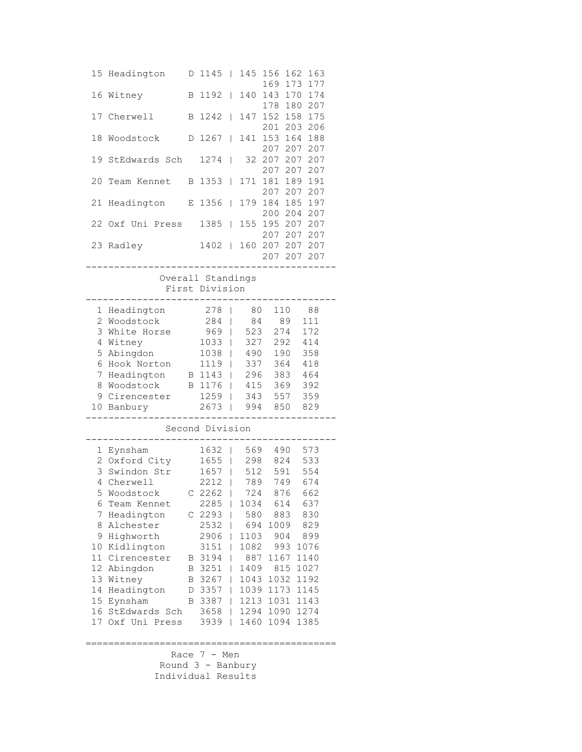|                       | 15 Headington             | D | 1145              | $\mathbf{I}$                 |             | 145 156<br>169     | 162<br>163<br>173<br>177 |  |
|-----------------------|---------------------------|---|-------------------|------------------------------|-------------|--------------------|--------------------------|--|
| 16                    | Witney                    | В | 1192              | $\mathbb{L}$                 | 140         | 143<br>178         | 174<br>170<br>207<br>180 |  |
| 17                    | Cherwell                  | B | 1242              | $\mathbf{I}$                 | 147         | 152<br>201         | 158<br>175<br>206<br>203 |  |
| 18                    | Woodstock                 | D | 1267              | $\mathbf{I}$                 | 141         | 153<br>207         | 164<br>188<br>207<br>207 |  |
| 19                    | StEdwards Sch             |   | 1274              | L                            | 32          | 207<br>207         | 207<br>207<br>207<br>207 |  |
| 20                    | Team Kennet               | Β | 1353              | $\mathbf{I}$                 | 171         | 181<br>207         | 191<br>189<br>207<br>207 |  |
| 21                    | Headington                | Е | 1356              | $\mathbf{I}$                 | 179         | 184<br>200         | 185<br>197<br>204<br>207 |  |
| 22                    | Oxf Uni Press             |   | 1385              | $\mathbf{I}$                 | 155         | 195 207<br>207 207 | 207<br>207               |  |
| 23                    | Radley                    |   | 1402              | $\mathbf{L}$                 |             | 160 207 207        | 207<br>207 207 207       |  |
|                       |                           |   | Overall Standings |                              |             |                    |                          |  |
|                       |                           |   | First Division    |                              |             |                    |                          |  |
|                       | 1 Headington              |   | 278               | $\perp$                      | 80          | 110                | 88                       |  |
| $\overline{c}$        | Woodstock                 |   | 284               | $\mathbf{I}$                 | 84          | 89                 | 111                      |  |
| 3                     | White Horse               |   | 969               | $\Box$                       | 523         | 274                | 172                      |  |
| 4                     | Witney                    |   | 1033              | $\mathbf{I}$                 | 327         | 292                | 414                      |  |
| 5                     | Abingdon                  |   | 1038              | L                            | 490         | 190                | 358                      |  |
| 6                     | Hook Norton               |   | 1119              | L                            | 337         | 364                | 418                      |  |
| 7<br>8                | Headington<br>Woodstock   |   | B 1143<br>B 1176  | $\mathbf{I}$<br>$\mathbb{L}$ | 296<br>415  | 383<br>369         | 464<br>392               |  |
| 9                     | Cirencester               |   | 1259              | L                            | 343         | 557                | 359                      |  |
| 10                    | Banbury                   |   | 2673              | $\overline{\phantom{a}}$     | 994         | 850                | 829                      |  |
|                       |                           |   | Second Division   |                              |             |                    |                          |  |
| $\mathbf{1}$          | Eynsham                   |   | 1632              |                              | 569         | 490                | 573                      |  |
|                       | 2 Oxford City             |   | 1655              | L                            | 298         | 824                | 533                      |  |
| 3                     | Swindon Str               |   | 1657              | $\mathbf{I}$                 | 512         | 591                | 554                      |  |
| 4                     | Cherwell                  |   | 2212              | $\mathbf{I}$                 | 789         | 749                | 674                      |  |
|                       | 5 Woodstock               |   | $C$ 2262          |                              | 724         | 876                | 662                      |  |
| 6                     | Team Kennet               |   | $2285$            |                              |             | 1034 614           | 637                      |  |
| 7                     | Headington                |   | C <sub>2293</sub> | L                            | 580         | 883                | 830                      |  |
| 8                     | Alchester                 |   | 2532              | $\mathbf{I}$                 | 694         | 1009               | 829                      |  |
| 9                     | Highworth                 |   | 2906              | L                            | 1103        | 904                | 899                      |  |
| 10<br>11 <sub>1</sub> | Kidlington<br>Cirencester |   | 3151<br>B 3194    |                              | 1082<br>887 | 993<br>1167        | 1076<br>1140             |  |
| 12                    | Abingdon                  | B | 3251              | L                            | 1409        | 815                | 1027                     |  |
| 13                    | Witney                    | B | 3267              | L                            | 1043        | 1032               | 1192                     |  |
| 14                    | Headington                | D | 3357              | L                            | 1039        | 1173               | 1145                     |  |
|                       | 15 Eynsham                | B | 3387              | L                            | 1213        | 1031               | 1143                     |  |
|                       | 16 StEdwards Sch          |   | 3658              | L                            | 1294        | 1090               | 1274                     |  |
| 17 <sub>2</sub>       | Oxf Uni Press             |   | 3939              | L                            | 1460        | 1094               | 1385                     |  |
|                       |                           |   |                   |                              |             |                    |                          |  |

 Race 7 - Men Round 3 - Banbury Individual Results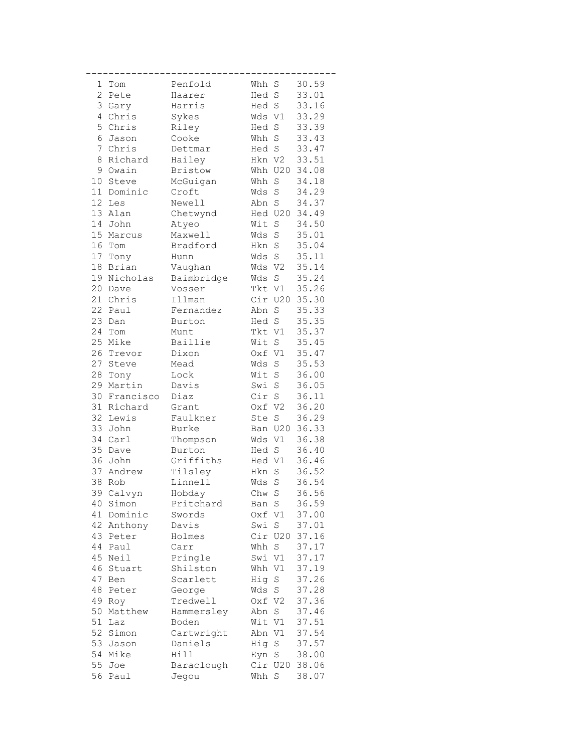| 1              | Tom        | Penfold             | Whh S  |             | 30.59          |
|----------------|------------|---------------------|--------|-------------|----------------|
| $\mathbf{2}$   | Pete       | Haarer              | Hed S  |             | 33.01          |
| 3              | Gary       | Harris              | Hed S  |             | 33.16          |
| $\overline{4}$ | Chris      | Sykes               | Wds V1 |             | 33.29          |
| 5              | Chris      | Riley               | Hed S  |             | 33.39          |
| 6              | Jason      | Cooke               | Whh S  |             | 33.43          |
| 7              | Chris      | Dettmar             | Hed S  |             | 33.47          |
| 8              | Richard    | Hailey              | Hkn V2 |             | 33.51          |
| 9              | Owain      | <b>Bristow</b>      |        | Whh U20     | 34.08          |
| 10             | Steve      | McGuigan            | Whh    | $\mathbf S$ | 34.18          |
| 11             | Dominic    | Croft               | Wds    | $\rm S$     | 34.29          |
| 12             | Les        | Newell              | Abn S  |             | 34.37          |
| 13             | Alan       | Chetwynd            |        | Hed U20     | 34.49          |
| 14             | John       | Atyeo               | Wit    | S           | 34.50          |
| 15             | Marcus     | Maxwell             | Wds S  |             | 35.01          |
| 16             | Tom        | Bradford            | Hkn S  |             | 35.04          |
|                | 17 Tony    | Hunn                | Wds S  |             | 35.11          |
| 18             | Brian      | Vaughan             | Wds V2 |             | 35.14          |
| 19             | Nicholas   | Baimbridge          | Wds S  |             | 35.24          |
| 20             | Dave       | Vosser              | Tkt V1 |             | 35.26          |
| 21             | Chris      | Illman              |        | Cir U20     | 35.30          |
| 22             | Paul       | Fernandez           | Abn S  |             | 35.33          |
|                |            |                     | Hed S  |             |                |
| 23<br>24       | Dan<br>Tom | Burton              | Tkt V1 |             | 35.35<br>35.37 |
| 25             |            | Munt<br>Baillie     | Wit S  |             |                |
|                | Mike       |                     |        |             | 35.45          |
| 26             | Trevor     | Dixon               | Oxf V1 |             | 35.47          |
| 27             | Steve      | Mead                | Wds    | $\mathbf S$ | 35.53          |
| 28             | Tony       | Lock                | Wit S  |             | 36.00          |
| 29             | Martin     | Davis               | Swi S  |             | 36.05          |
| 30             | Francisco  | Diaz                | Cir S  |             | 36.11          |
| 31             | Richard    | Grant               | Oxf V2 |             | 36.20          |
| 32             | Lewis      | Faulkner            | Ste    | $\mathbf S$ | 36.29          |
| 33             | John       | Burke               |        | Ban U20     | 36.33          |
| 34             | Carl       | Thompson            | Wds V1 |             | 36.38          |
| 35             | Dave       | Burton<br>Griffiths | Hed S  |             | 36.40          |
|                | 36 John    |                     | Hed V1 |             | 36.46          |
| 37             | Andrew     | Tilsley             | Hkn    | $\rm S$     | 36.52          |
| 38             | Rob        | Linnell             | Wds    | $\rm S$     | 36.54          |
|                | 39 Calvyn  | Hobday              | Chw S  |             | 36.56          |
| 40             | Simon      | Pritchard           | Ban S  |             | 36.59          |
| 41             | Dominic    | Swords              | Oxf V1 |             | 37.00          |
| 42             | Anthony    | Davis               | Swi S  |             | 37.01          |
| 43             | Peter      | Holmes              |        | Cir U20     | 37.16          |
| 44             | Paul       | Carr                | Whh S  |             | 37.17          |
| 45             | Neil       | Pringle             | Swi V1 |             | 37.17          |
| 46             | Stuart     | Shilston            | Whh V1 |             | 37.19          |
| 47             | Ben        | Scarlett            | Hig S  |             | 37.26          |
| 48             | Peter      | George              | Wds S  |             | 37.28          |
| 49             | Roy        | Tredwell            | Oxf V2 |             | 37.36          |
| 50             | Matthew    | Hammersley          | Abn S  |             | 37.46          |
| 51             | Laz        | Boden               | Wit V1 |             | 37.51          |
|                | 52 Simon   | Cartwright          | Abn V1 |             | 37.54          |
|                | 53 Jason   | Daniels             | Hig S  |             | 37.57          |
|                | 54 Mike    | Hill                | Eyn S  |             | 38.00          |
| 55             | Joe        | Baraclough          |        | Cir U20     | 38.06          |
| 56             | Paul       | Jegou               | Whh S  |             | 38.07          |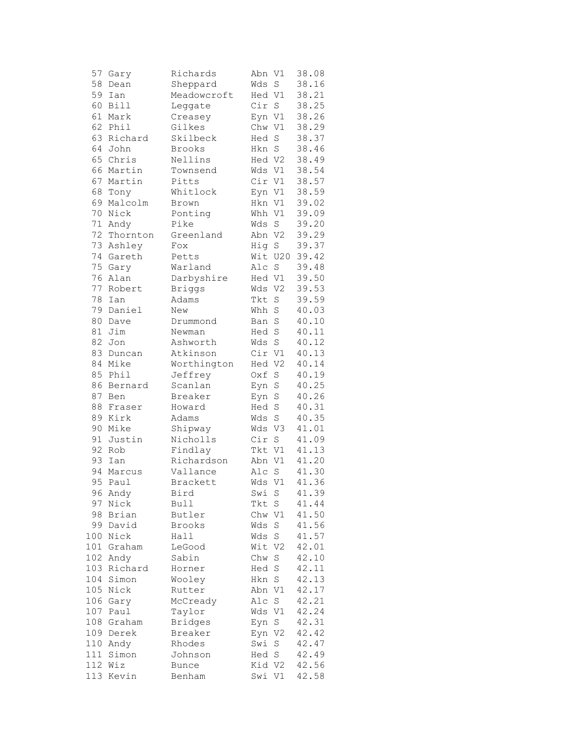| 57      | Gary        | Richards       | Abn V1 |                | 38.08 |
|---------|-------------|----------------|--------|----------------|-------|
| 58      | Dean        | Sheppard       | Wds    | $\rm S$        | 38.16 |
| 59      | Ian         | Meadowcroft    | Hed V1 |                | 38.21 |
| 60      | <b>Bill</b> | Leggate        | Cir    | $\mathbf S$    | 38.25 |
| 61      | Mark        | Creasey        | Eyn V1 |                | 38.26 |
| 62      | Phil        | Gilkes         | Chw V1 |                | 38.29 |
| 63      | Richard     | Skilbeck       | Hed    | $\rm S$        | 38.37 |
| 64      | John        | Brooks         | Hkn    | $\rm S$        | 38.46 |
| 65      | Chris       | Nellins        | Hed V2 |                | 38.49 |
| 66      | Martin      | Townsend       | Wds V1 |                | 38.54 |
| 67      | Martin      | Pitts          | Cir V1 |                | 38.57 |
| 68      | Tony        | Whitlock       | Eyn V1 |                | 38.59 |
| 69      | Malcolm     | Brown          | Hkn V1 |                | 39.02 |
| 70      | Nick        | Ponting        | Whh V1 |                | 39.09 |
| $71 \,$ | Andy        | Pike           | Wds    | S              | 39.20 |
| 72      | Thornton    | Greenland      | Abn V2 |                | 39.29 |
| 73      | Ashley      | Fox            | Hig    | $\rm S$        | 39.37 |
| 74      | Gareth      | Petts          |        | Wit U20        | 39.42 |
| 75      | Gary        | Warland        | Alc    | $\rm S$        | 39.48 |
| 76      | Alan        | Darbyshire     | Hed V1 |                | 39.50 |
| 77      | Robert      | <b>Briggs</b>  | Wds    | V <sub>2</sub> | 39.53 |
| 78      | Ian         | Adams          | Tkt    | $\rm S$        | 39.59 |
| 79      | Daniel      | New            | Whh    | $\rm S$        | 40.03 |
|         |             |                |        |                |       |
| 80      | Dave        | Drummond       | Ban    | S              | 40.10 |
| 81      | Jim         | Newman         | Hed    | $\rm S$        | 40.11 |
| 82      | Jon         | Ashworth       | Wds    | $\rm S$        | 40.12 |
| 83      | Duncan      | Atkinson       | Cir V1 |                | 40.13 |
| 84      | Mike        | Worthington    | Hed V2 |                | 40.14 |
| 85      | Phil        | Jeffrey        | Oxf    | $\rm S$        | 40.19 |
| 86      | Bernard     | Scanlan        | Eyn    | S              | 40.25 |
| 87      | Ben         | Breaker        | Eyn    | S              | 40.26 |
| 88      | Fraser      | Howard         | Hed    | $\rm S$        | 40.31 |
| 89      | Kirk        | Adams          | Wds    | $\rm S$        | 40.35 |
| 90      | Mike        | Shipway        | Wds V3 |                | 41.01 |
| 91      | Justin      | Nicholls       | Cir    | $\rm S$        | 41.09 |
| 92      | Rob         | Findlay        | Tkt V1 |                | 41.13 |
| 93      | Ian         | Richardson     | Abn V1 |                | 41.20 |
| 94      | Marcus      | Vallance       | Alc    | S              | 41.30 |
| 95      | Paul        | Brackett       | Wds    | $\mathtt{V1}$  | 41.36 |
|         | 96 Andy     | Bird           | Swi S  |                | 41.39 |
| 97      | Nick        | Bull           | Tkt    | S              | 41.44 |
| 98      | Brian       | Butler         | Chw    | V1             | 41.50 |
|         | 99 David    | Brooks         | Wds    | $\rm S$        | 41.56 |
| 100     | Nick        | Hall           | Wds    | S              | 41.57 |
|         | 101 Graham  | LeGood         | Wit    | V <sub>2</sub> | 42.01 |
| 102     | Andy        | Sabin          | Chw    | $\rm S$        | 42.10 |
| 103     | Richard     | Horner         | Hed    | $\rm S$        | 42.11 |
| 104     | Simon       | Wooley         | Hkn    | $\mathbf S$    | 42.13 |
| 105     | Nick        | Rutter         | Abn    | V1             | 42.17 |
| 106     | Gary        | McCready       | Alc    | $\rm S$        | 42.21 |
| 107     | Paul        | Taylor         | Wds    | V1             | 42.24 |
|         | 108 Graham  | <b>Bridges</b> | Eyn    | S              | 42.31 |
|         | 109 Derek   | Breaker        | Eyn V2 |                | 42.42 |
| 110     | Andy        | Rhodes         | Swi    | $\rm S$        | 42.47 |
| 111     | Simon       | Johnson        | Hed    | $\rm S$        | 42.49 |
|         | 112 Wiz     | <b>Bunce</b>   | Kid V2 |                | 42.56 |
| 113     | Kevin       | Benham         | Swi V1 |                | 42.58 |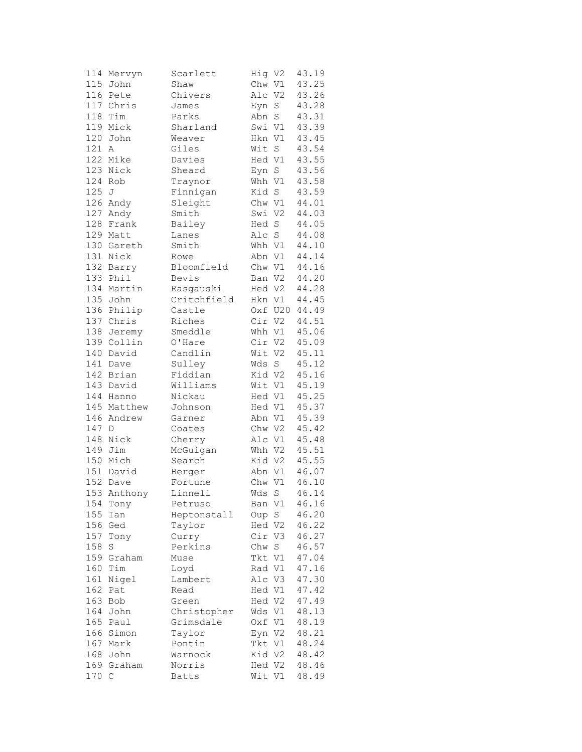|     | 114 Mervyn  | Scarlett    | Hig V2 |             | 43.19 |
|-----|-------------|-------------|--------|-------------|-------|
|     | 115 John    | Shaw        | Chw V1 |             | 43.25 |
|     | 116 Pete    | Chivers     | Alc V2 |             | 43.26 |
|     | 117 Chris   | James       | Eyn    | S           | 43.28 |
| 118 | Tim         | Parks       | Abn    | $\mathbf S$ | 43.31 |
|     | 119 Mick    | Sharland    | Swi V1 |             | 43.39 |
|     | 120 John    | Weaver      | Hkn V1 |             | 43.45 |
| 121 | Α           | Giles       | Wit    | S           | 43.54 |
|     | 122 Mike    | Davies      | Hed V1 |             | 43.55 |
|     | 123 Nick    | Sheard      | Eyn S  |             | 43.56 |
|     | 124 Rob     | Traynor     | Whh V1 |             | 43.58 |
| 125 | J           | Finnigan    | Kid S  |             | 43.59 |
|     | 126 Andy    | Sleight     | Chw V1 |             | 44.01 |
|     | 127 Andy    | Smith       | Swi V2 |             | 44.03 |
| 128 | Frank       | Bailey      | Hed S  |             | 44.05 |
|     | 129 Matt    | Lanes       | Alc    | $\rm S$     | 44.08 |
|     | 130 Gareth  | Smith       | Whh V1 |             | 44.10 |
|     | 131 Nick    | Rowe        | Abn V1 |             | 44.14 |
|     | 132 Barry   | Bloomfield  | Chw V1 |             | 44.16 |
|     | 133 Phil    | Bevis       | Ban V2 |             | 44.20 |
|     |             | Rasgauski   |        |             |       |
| 135 | 134 Martin  |             | Hed V2 |             | 44.28 |
|     | John        | Critchfield | Hkn V1 |             | 44.45 |
| 136 | Philip      | Castle      |        | Oxf U20     | 44.49 |
| 137 | Chris       | Riches      | Cir V2 |             | 44.51 |
| 138 | Jeremy      | Smeddle     | Whh V1 |             | 45.06 |
|     | 139 Collin  | O'Hare      | Cir V2 |             | 45.09 |
|     | 140 David   | Candlin     | Wit V2 |             | 45.11 |
|     | 141 Dave    | Sulley      | Wds    | $\mathbf S$ | 45.12 |
|     | 142 Brian   | Fiddian     | Kid V2 |             | 45.16 |
| 143 | David       | Williams    | Wit V1 |             | 45.19 |
|     | 144 Hanno   | Nickau      | Hed V1 |             | 45.25 |
|     | 145 Matthew | Johnson     | Hed V1 |             | 45.37 |
|     | 146 Andrew  | Garner      | Abn V1 |             | 45.39 |
| 147 | D           | Coates      | Chw V2 |             | 45.42 |
|     | 148 Nick    | Cherry      | Alc V1 |             | 45.48 |
|     | 149 Jim     | McGuigan    | Whh V2 |             | 45.51 |
|     | 150 Mich    | Search      | Kid V2 |             | 45.55 |
|     | 151 David   | Berger      | Abn V1 |             | 46.07 |
| 152 | Dave        | Fortune     | Chw V1 |             | 46.10 |
|     | 153 Anthony | Linnell     | Wds S  |             | 46.14 |
| 154 | Tony        | Petruso     | Ban V1 |             | 46.16 |
| 155 | Ian         | Heptonstall | Oup    | $S_{-}$     | 46.20 |
| 156 | Ged         | Taylor      | Hed V2 |             | 46.22 |
| 157 | Tony        | Curry       | Cir V3 |             | 46.27 |
| 158 | S           | Perkins     | Chw    | $\rm S$     | 46.57 |
| 159 | Graham      | Muse        | Tkt V1 |             | 47.04 |
| 160 | Tim         | Loyd        | Rad V1 |             | 47.16 |
| 161 | Nigel       | Lambert     | Alc V3 |             | 47.30 |
| 162 | Pat         | Read        | Hed V1 |             | 47.42 |
| 163 | Bob         | Green       | Hed V2 |             | 47.49 |
| 164 | John        | Christopher | Wds V1 |             | 48.13 |
| 165 | Paul        | Grimsdale   | Oxf V1 |             | 48.19 |
| 166 | Simon       | Taylor      | Eyn V2 |             | 48.21 |
|     | 167 Mark    | Pontin      | Tkt V1 |             | 48.24 |
| 168 | John        | Warnock     | Kid V2 |             | 48.42 |
|     | 169 Graham  | Norris      | Hed V2 |             | 48.46 |
| 170 | С           | Batts       | Wit V1 |             | 48.49 |
|     |             |             |        |             |       |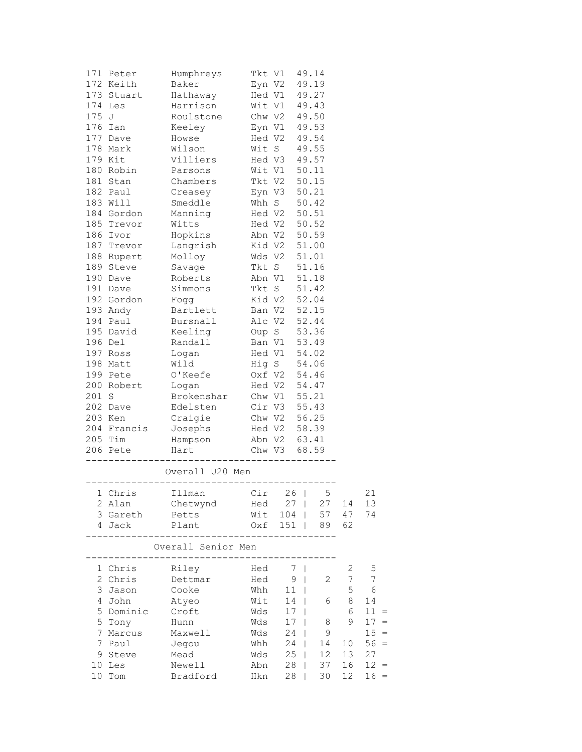|       | 171 Peter  | Humphreys                        |                                              |                              |           |              |                |                |
|-------|------------|----------------------------------|----------------------------------------------|------------------------------|-----------|--------------|----------------|----------------|
|       | 172 Keith  | Baker                            |                                              | Tkt V1 49.14<br>Eyn V2 49.19 |           |              |                |                |
|       | 173 Stuart | Hathaway                         | Hed V1 49.27                                 |                              |           |              |                |                |
|       | 174 Les    | Harrison                         | Wit V1 49.43                                 |                              |           |              |                |                |
| 175 J |            | Roulstone                        |                                              | Chw V2 49.50                 |           |              |                |                |
|       | $176$ Ian  | Keeley                           |                                              | Eyn V1 49.53                 |           |              |                |                |
|       | 177 Dave   | Howse                            |                                              | Hed V2 49.54                 |           |              |                |                |
|       | 178 Mark   | Wilson                           |                                              | Wit S 49.55                  |           |              |                |                |
|       | 179 Kit    | Villiers                         | Hed V3 49.57                                 |                              |           |              |                |                |
|       | 180 Robin  | Parsons                          |                                              |                              |           |              |                |                |
|       | 181 Stan   | Chambers                         |                                              |                              |           |              |                |                |
|       | 182 Paul   | Creasey                          | Wit V1 50.11<br>Tkt V2 50.15<br>Eyn V3 50.21 |                              |           |              |                |                |
|       | 183 Will   | Smeddle                          | Whh S 50.42                                  |                              |           |              |                |                |
|       | 184 Gordon | Manning                          | Hed V2 50.51                                 |                              |           |              |                |                |
|       | 185 Trevor | Witts                            | Hed V2 50.52                                 |                              |           |              |                |                |
|       | 186 Ivor   | Hopkins Abn V2 50.59             |                                              |                              |           |              |                |                |
|       | 187 Trevor | Langrish Kid V2 51.00            |                                              |                              |           |              |                |                |
|       | 188 Rupert | Molloy                           | Wds V2 51.01                                 |                              |           |              |                |                |
|       | 189 Steve  | Savage                           |                                              | Tkt S 51.16                  |           |              |                |                |
|       | 190 Dave   | Roberts                          | Abn V1                                       |                              |           | 51.18        |                |                |
|       | 191 Dave   | Simmons                          |                                              | Tkt S 51.42                  |           |              |                |                |
|       | 192 Gordon | Fogg                             |                                              | Kid V2 52.04                 |           |              |                |                |
|       | 193 Andy   | Bartlett                         | Ban V2 52.15                                 |                              |           |              |                |                |
|       | 194 Paul   | Bursnall                         |                                              | Alc V2 52.44                 |           |              |                |                |
|       | 195 David  | Keeling Oup S 53.36              |                                              |                              |           |              |                |                |
|       | 196 Del    | Randall                          |                                              | Ban V1 53.49                 |           |              |                |                |
|       | 197 Ross   | Logan                            | Hed V1 54.02<br>Hig S 54.06<br>Oxf V2 54.46  |                              |           |              |                |                |
|       | 198 Matt   | Wild                             |                                              |                              |           |              |                |                |
|       | 199 Pete   | O'Keefe                          |                                              |                              |           |              |                |                |
|       | 200 Robert | Logan                            | Hed V2 54.47                                 |                              |           |              |                |                |
| 201 S |            | Brokenshar Chw V1 55.21          |                                              |                              |           |              |                |                |
|       | 202 Dave   | Edelsten Cir V3 55.43            |                                              |                              |           |              |                |                |
|       | 203 Ken    | Craigie Chw V2 56.25             |                                              |                              |           |              |                |                |
|       |            | 204 Francis Josephs Hed V2 58.39 |                                              |                              |           |              |                |                |
|       | 205 Tim    | Hampson Abn V2 63.41             |                                              |                              |           |              |                |                |
|       | 206 Pete   | Hart Chw V3 68.59                |                                              |                              |           |              |                |                |
|       |            |                                  |                                              |                              |           |              |                |                |
|       |            | Overall U20 Men                  |                                              |                              |           |              |                |                |
|       |            | 1 Chris Illman Cir 26   5        |                                              |                              |           |              |                | 21             |
|       | 2 Alan     | Chetwynd Hed                     |                                              |                              | $27 \mid$ | 27           | 14             | 13             |
|       | 3 Gareth   | Petts                            |                                              | Wit 104                      |           | 57           | 47             | 74             |
|       | 4 Jack     | Plant                            |                                              |                              |           | Oxf 151   89 | 62             |                |
|       |            | Overall Senior Men               |                                              |                              |           |              |                |                |
|       |            |                                  |                                              |                              |           |              |                |                |
|       | 1 Chris    | Riley                            | Hed                                          |                              | 7         |              | 2              | 5              |
|       | 2 Chris    | Dettmar                          | Hed                                          |                              | $9 \mid$  | $\mathbf{2}$ | $\overline{7}$ | $\overline{7}$ |
|       | 3 Jason    | Cooke                            | Whh                                          |                              | $11$      |              | 5              | - 6            |
|       | 4 John     | Atyeo                            | Wit                                          |                              | $14$      | 6            | 8              | 14             |
|       | 5 Dominic  | Croft                            | Wds                                          |                              | 17        |              | 6              | $11 =$         |
|       | 5 Tony     | Hunn                             | Wds                                          | 17                           |           | 8            | 9              | $17 =$         |
|       | 7 Marcus   | Maxwell                          | Wds                                          | 24                           |           | 9            |                | $15 =$         |
|       | 7 Paul     | Jegou                            | Whh                                          | 24                           | $\Box$    | 14           | 10             | $56 =$         |
|       | 9 Steve    | Mead                             | Wds                                          | 25                           | $\Box$    | 12           | 13             | 27             |
|       | 10 Les     | Newell                           | Abn                                          | 28                           |           | 37           | 16             | $12 =$         |
|       | 10 Tom     | Bradford                         | Hkn                                          |                              | 28        | 30           | 12             | $16 =$         |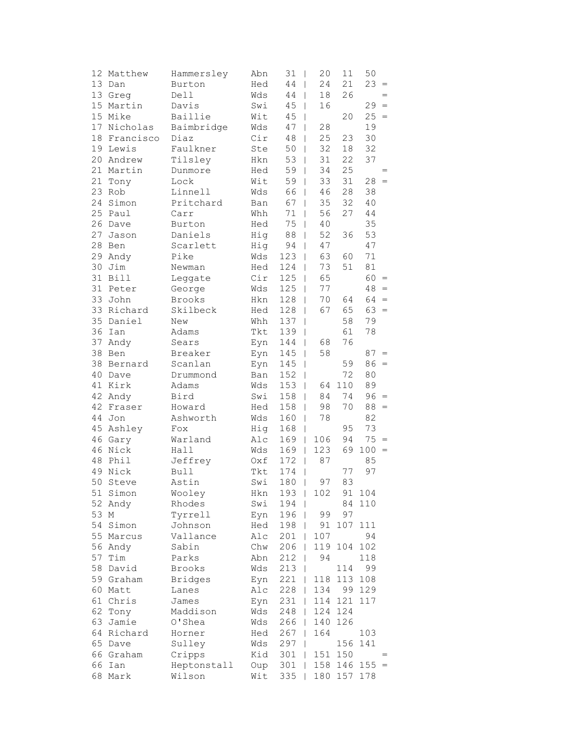|    | 12 Matthew   | Hammersley     | Abn | 31<br>$\overline{\phantom{a}}$  | 20                   | 11     | 50     |                                     |
|----|--------------|----------------|-----|---------------------------------|----------------------|--------|--------|-------------------------------------|
|    | 13 Dan       | Burton         | Hed | 44<br>$\overline{\phantom{a}}$  | 24                   | 21     | 23     | $\equiv$                            |
| 13 | Greg         | Dell           | Wds | 44<br>$\mathbf{I}$              | 18                   | 26     |        | $=$                                 |
| 15 | Martin       | Davis          | Swi | 45<br>$\mathbf{I}$              | 16                   |        | 29     | $\, =$                              |
| 15 | Mike         | Baillie        | Wit | 45<br>I                         |                      | 20     | 25     | $=$                                 |
| 17 | Nicholas     | Baimbridge     | Wds | 47                              | 28<br>T              |        | 19     |                                     |
|    | 18 Francisco | Diaz           | Cir | 48                              | 25<br>T              | 23     | 30     |                                     |
|    | 19 Lewis     | Faulkner       | Ste | 50<br>$\overline{\phantom{a}}$  | 32                   | $18\,$ | 32     |                                     |
|    | 20 Andrew    | Tilsley        | Hkn | 53<br>$\overline{\phantom{a}}$  | 31                   | 22     | 37     |                                     |
|    | 21 Martin    | Dunmore        | Hed | 59<br>$\overline{\phantom{a}}$  | 34                   | 25     |        |                                     |
| 21 | Tony         | Lock           | Wit | 59<br>$\overline{\phantom{a}}$  | 33                   | 31     | 28     | $=$                                 |
| 23 | Rob          | Linnell        | Wds | 66<br>$\mathbf{I}$              | 46                   | 28     | 38     |                                     |
| 24 | Simon        | Pritchard      | Ban | 67                              | 35<br>$\mathbf{I}$   | 32     | 40     |                                     |
| 25 | Paul         | Carr           | Whh | 71                              | 56<br>L              | 27     | 44     |                                     |
|    | 26 Dave      | Burton         | Hed | 75                              | 40<br>T              |        | 35     |                                     |
| 27 | Jason        | Daniels        | Hig | 88                              | 52<br>$\mathsf{I}$   | 36     | 53     |                                     |
| 28 | Ben          | Scarlett       | Hig | 94                              | 47<br>$\overline{1}$ |        | 47     |                                     |
|    | 29 Andy      | Pike           | Wds | 123<br>$\overline{\phantom{a}}$ | 63                   | 60     | $7\,1$ |                                     |
| 30 | Jim          | Newman         | Hed | 124<br>$\overline{\phantom{a}}$ | 73                   | 51     | 81     |                                     |
| 31 | Bill         | Leggate        | Cir | 125<br>$\overline{\phantom{a}}$ | 65                   |        | 60     | $=$                                 |
| 31 | Peter        | George         | Wds | 125<br>$\overline{\phantom{a}}$ | 77                   |        | 48     | $\hspace*{0.1cm} = \hspace*{0.1cm}$ |
| 33 | John         | Brooks         | Hkn | 128<br>T                        | 70                   | 64     | 64     | $\hspace{0.1cm} = \hspace{0.1cm}$   |
| 33 | Richard      | Skilbeck       | Hed | 128                             | 67<br>T              | 65     | $63 =$ |                                     |
|    | 35 Daniel    | New            | Whh | 137<br>I                        |                      | 58     | 79     |                                     |
| 36 | Ian          | Adams          | Tkt | 139<br>I                        |                      | 61     | 78     |                                     |
| 37 | Andy         | Sears          | Eyn | 144<br>$\overline{1}$           | 68                   | 76     |        |                                     |
|    | 38 Ben       | Breaker        | Eyn | 145<br>$\overline{\phantom{a}}$ | 58                   |        | 87     | $\hspace{0.1cm} = \hspace{0.1cm}$   |
|    | 38 Bernard   | Scanlan        | Eyn | 145<br>$\overline{\phantom{a}}$ |                      | 59     | 86     | $=$                                 |
| 40 | Dave         | Drummond       | Ban | 152<br>$\overline{1}$           |                      | 72     | 80     |                                     |
| 41 | Kirk         | Adams          | Wds | 153                             | 64<br>$\mathbf{I}$   | 110    | 89     |                                     |
| 42 | Andy         | Bird           | Swi | 158                             | 84<br>$\mathbf{I}$   | 74     | 96     | $\hspace{0.1cm} = \hspace{0.1cm}$   |
| 42 | Fraser       | Howard         | Hed | 158                             | 98<br>$\mathbf{I}$   | 70     | 88     | $\hspace{0.1cm} = \hspace{0.1cm}$   |
| 44 | Jon          | Ashworth       | Wds | 160                             | 78<br>$\mathbf{I}$   |        | 82     |                                     |
| 45 | Ashley       | Fox            | Hig | 168<br>I                        |                      | 95     | 73     |                                     |
|    | 46 Gary      | Warland        | Alc | 169<br>$\mathbf{I}$             | 106                  | 94     | 75     | $\hspace{0.1cm} = \hspace{0.1cm}$   |
|    | 46 Nick      | Hall           | Wds | 169<br>$\perp$                  | 123                  | 69     | 100    | $\hspace{0.1cm} = \hspace{0.1cm}$   |
| 48 | Phil         | Jeffrey        | Oxf | 172<br>$\overline{\phantom{a}}$ | 87                   |        | 85     |                                     |
| 49 | Nick         | <b>Bull</b>    | Tkt | 174<br>$\overline{1}$           |                      | 77     | 97     |                                     |
| 50 | Steve        | Astin          | Swi | 180                             | 97<br>I              | 83     |        |                                     |
|    | 51 Simon     | Wooley         | Hkn | $193 \mid$                      | 102                  | 91     | 104    |                                     |
|    | 52 Andy      | Rhodes         | Swi | 194<br>$\overline{\phantom{a}}$ |                      | 84     | 110    |                                     |
| 53 | М            | Tyrrell        | Eyn | 196                             | 99                   | 97     |        |                                     |
| 54 | Simon        | Johnson        | Hed | 198                             | 91                   | 107    | 111    |                                     |
|    | 55 Marcus    | Vallance       | Alc | 201                             | 107                  |        | 94     |                                     |
|    | 56 Andy      | Sabin          | Chw | 206<br>T                        | 119                  | 104    | 102    |                                     |
| 57 | Tim          | Parks          | Abn | 212<br>T                        | 94                   |        | 118    |                                     |
| 58 | David        | Brooks         | Wds | 213<br>T                        |                      | 114    | 99     |                                     |
|    | 59 Graham    | <b>Bridges</b> | Eyn | 221<br>T                        | 118                  | 113    | 108    |                                     |
| 60 | Matt         | Lanes          | Alc | 228                             | 134<br>$\mathbf{I}$  | 99     | 129    |                                     |
| 61 | Chris        | James          | Eyn | 231                             | 114                  | 121    | 117    |                                     |
| 62 | Tony         | Maddison       | Wds | 248                             | 124                  | 124    |        |                                     |
| 63 | Jamie        | O'Shea         | Wds | 266                             | 140                  | 126    |        |                                     |
|    | 64 Richard   | Horner         | Hed | 267<br>T                        | 164                  |        | 103    |                                     |
|    | 65 Dave      | Sulley         | Wds | 297<br>T                        |                      | 156    | 141    |                                     |
|    | 66 Graham    | Cripps         | Kid | 301<br>T                        | 151                  | 150    |        |                                     |
| 66 | Ian          | Heptonstall    | Oup | 301                             | 158                  | 146    | 155    | $=$                                 |
| 68 | Mark         | Wilson         | Wit | 335                             | 180                  | 157    | 178    |                                     |
|    |              |                |     |                                 |                      |        |        |                                     |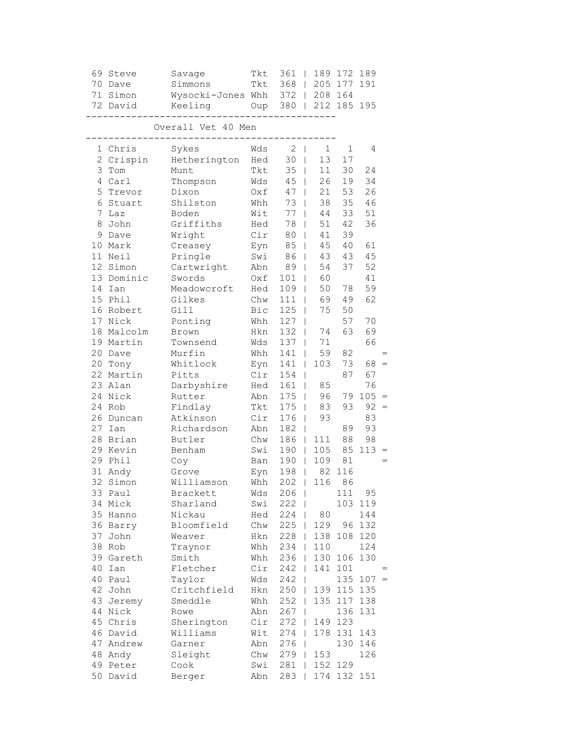| 69                        | Steve<br>70 Dave     | Savage<br>Simmons            | Tkt<br>Tkt | 361<br>368 | 189                   | 172<br>205 177 | 189<br>191    |     |
|---------------------------|----------------------|------------------------------|------------|------------|-----------------------|----------------|---------------|-----|
|                           | 71 Simon<br>72 David | Wysocki-Jones Whh<br>Keeling | Oup        | $372$      | 380   212 185         | 208 164        | 195           |     |
|                           |                      | Overall Vet 40 Men           |            |            |                       |                |               |     |
| 1                         | Chris                | Sykes                        | Wds        | 2          | 1<br>T                | 1              | 4             |     |
| $\mathbf{2}^{\mathsf{I}}$ | Crispin              | Hetherington                 | Hed        | 30         | 13<br>T               | 17             |               |     |
| 3                         | Tom                  | Munt                         | Tkt        | 35         | 11                    | 30             | 24            |     |
| 4                         | Carl                 | Thompson                     | Wds        | 45         | 26<br>L               | 19             | 34            |     |
| 5                         | Trevor               | Dixon                        | Oxf        | 47         | 21<br>$\mathsf{I}$    | 53             | 26            |     |
| 6                         | Stuart               | Shilston                     | Whh        | 73         | 38<br>I               | 35             | 46            |     |
| 7                         | Laz                  | Boden                        | Wit        | 77         | 44<br>$\overline{1}$  | 33             | 51            |     |
| 8                         | John                 | Griffiths                    | Hed        | 78         | 51<br>L               | 42             | 36            |     |
| 9                         | Dave                 | Wright                       | Cir        | 80         | 41<br>L               | 39             |               |     |
| 10                        | Mark                 | Creasey                      | Eyn        | 85         | 45<br>T               | 40             | 61            |     |
| 11 <sup>1</sup>           | Neil                 | Pringle                      | Swi        | 86         | 43                    | 43             | 45            |     |
| 12 <sup>°</sup>           | Simon                | Cartwright                   | Abn        | 89         | 54                    | 37             | 52            |     |
|                           | 13 Dominic           | Swords                       | Oxf        | 101        | 60<br>L               |                | 41            |     |
| 14                        | Ian                  | Meadowcroft                  | Hed        | 109        | 50<br>I               | 78             | 59            |     |
|                           | 15 Phil              | Gilkes                       | Chw        | 111        | 69<br>T               | 49             | 62            |     |
|                           | 16 Robert            | Gill                         | <b>Bic</b> | 125        | 75<br>I               | 50             |               |     |
| 17                        | Nick                 | Ponting                      | Whh        | 127        | T                     | 57             | 70            |     |
| 18                        | Malcolm              | Brown                        | Hkn        | 132        | 74<br>L               | 63             | 69            |     |
| 19                        | Martin               | Townsend                     | Wds        | 137        | 71<br>T               |                | 66            |     |
| 20                        | Dave                 | Murfin                       | Whh        | 141        | 59                    | 82             |               |     |
| 20                        | Tony                 | Whitlock                     | Eyn        | 141        | 103                   | 73             | 68            | $=$ |
|                           | 22 Martin            | Pitts                        | Cir        | 154        | I                     | 87             | 67            |     |
|                           | 23 Alan<br>24 Nick   | Darbyshire                   | Hed        | 161        | 85<br>$\mathbf{I}$    |                | 76            |     |
|                           | 24 Rob               | Rutter                       | Abn<br>Tkt | 175        | 96<br>T               | 79<br>93       | $105 =$<br>92 | $=$ |
| 26                        | Duncan               | Findlay<br>Atkinson          | Cir        | 175<br>176 | 83<br>T<br>93<br>T    |                | 83            |     |
| 27                        | Ian                  | Richardson                   | Abn        | 182        | T                     | 89             | 93            |     |
| 28                        | Brian                | Butler                       | Chw        | 186        | 111<br>L              | 88             | 98            |     |
|                           | 29 Kevin             | Benham                       | Swi        | 190        | 105                   | 85             | 113           |     |
| 29                        | Phil                 | Coy                          | Ban        | 190        | 109<br>$\mathbf{I}$   | 81             |               |     |
|                           | 31 Andy              | Grove                        | Eyn        | 198        | 82<br>$\mathbf{I}$    | 116            |               |     |
|                           | 32 Simon             | Williamson                   | Whh        | 202        | 116<br>$\overline{1}$ | 86             |               |     |
|                           | 33 Paul              | Brackett                     | Wds        | $206$      |                       | 111            | 95            |     |
|                           | 34 Mick              | Sharland                     | Swi        | 222        |                       |                | 103 119       |     |
|                           | 35 Hanno             | Nickau                       | Hed        | 224        | 80                    |                | 144           |     |
|                           | 36 Barry             | Bloomfield                   | Chw        | $225$      | 129                   | 96             | 132           |     |
|                           | 37 John              | Weaver                       | Hkn        | $228$      | 138                   | 108            | 120           |     |
|                           | 38 Rob               | Traynor                      | Whh        | 234        | 110                   |                | 124           |     |
|                           | 39 Gareth            | Smith                        | Whh        | 236        | 130                   | 106            | 130           |     |
| 40                        | Ian                  | Fletcher                     | Cir        | 242        | 141                   | 101            |               |     |
|                           | 40 Paul              | Taylor                       | Wds        | 242        |                       | 135            | $107 =$       |     |
|                           | 42 John              | Critchfield                  | Hkn        | 250        |                       | 139 115 135    |               |     |
|                           | 43 Jeremy            | Smeddle                      | Whh        | 252        | 135<br>L              | 117            | 138           |     |
|                           | 44 Nick              | Rowe                         | Abn        | 267        | T                     | 136            | 131           |     |
|                           | 45 Chris             | Sherington                   | Cir        | 272        | 149<br>$\mathbf{L}$   | 123            |               |     |
|                           | 46 David             | Williams                     | Wit        | 274        | 178                   | 131            | 143           |     |
|                           | 47 Andrew            | Garner                       | Abn        | 276        |                       | 130            | 146           |     |
|                           | 48 Andy              | Sleight                      | Chw        | 279        | 153                   |                | 126           |     |
|                           | 49 Peter             | Cook                         | Swi        | 281        |                       | 152 129        |               |     |
|                           | 50 David             | Berger                       | Abn        | 283        |                       | 174 132 151    |               |     |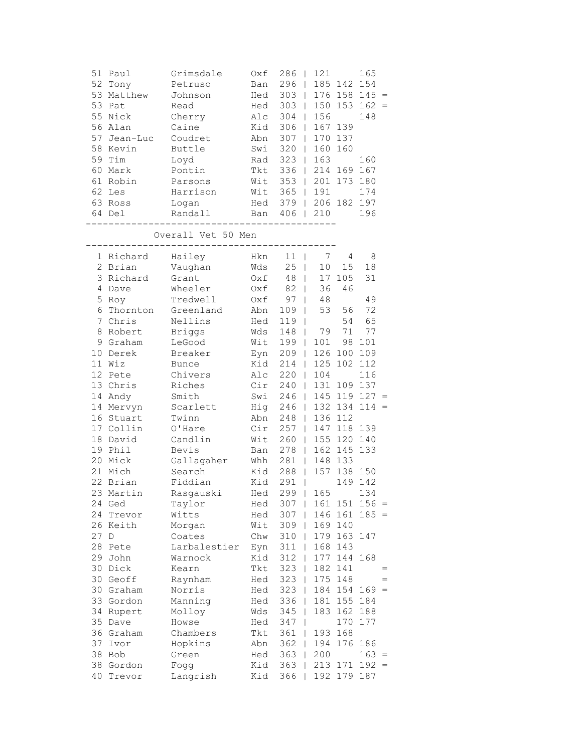| 51   | Paul<br>52 Tony<br>53 Matthew<br>53 Pat<br>55 Nick<br>56 Alan<br>57 Jean-Luc<br>58 Kevin<br>59 Tim<br>60 Mark<br>61 Robin<br>62 Les<br>63 Ross<br>64 Del | Grimsdale<br>Petruso<br>Johnson<br>Read<br>Cherry<br>Caine<br>Coudret<br>Buttle<br>Loyd<br>Pontin<br>Parsons<br>Harrison<br>Logan<br>Randall<br>___________ | Oxf<br>Ban<br>Hed<br>Hed<br>Alc<br>Kid<br>Abn<br>Swi<br>Rad<br>Tkt<br>Wit<br>Wit<br>Hed<br>---------- | 286<br>296<br>$303$  <br>303<br>$\mathbb{R}$<br>304<br>306<br>307<br>$320$  <br>$323$  <br>$336$  <br>$353$  <br>379   206 182 197<br>Ban 406   210 | 121<br>$\mathbf{I}$<br>$\mathbf{L}$<br>156<br>167<br>160<br>163<br>201<br>365   191<br>--------- | 185 142 154<br>$176$ 158 145 =<br>150 153<br>139<br>170 137<br>160<br>214 169 | 165<br>$162 =$<br>148<br>160<br>167<br>173 180<br>174<br>196 |            |
|------|----------------------------------------------------------------------------------------------------------------------------------------------------------|-------------------------------------------------------------------------------------------------------------------------------------------------------------|-------------------------------------------------------------------------------------------------------|-----------------------------------------------------------------------------------------------------------------------------------------------------|--------------------------------------------------------------------------------------------------|-------------------------------------------------------------------------------|--------------------------------------------------------------|------------|
|      |                                                                                                                                                          | Overall Vet 50 Men                                                                                                                                          |                                                                                                       |                                                                                                                                                     |                                                                                                  |                                                                               |                                                              |            |
|      | 1 Richard<br>2 Brian<br>3 Richard<br>4 Dave<br>5 Roy<br>6 Thornton<br>7 Chris<br>8 Robert<br>9 Graham                                                    | Hailey<br>Vaughan<br>Grant<br>Wheeler<br>Tredwell<br>Greenland<br>Nellins<br><b>Briggs</b><br>LeGood                                                        | Hkn<br>Wds<br>Oxf<br>Oxf<br>Oxf<br>Abn<br>Hed<br>Wds<br>Wit                                           | $11$  <br>25<br>48<br>82<br>97<br>$\mathbf{I}$<br>109<br>$\mathbf{I}$<br>$119$  <br>148<br>$199$                                                    | 7<br>10<br>$\mathbf{I}$<br>17<br>$\mathbf{L}$<br>36<br>$\mathbf{I}$<br>48<br>53<br>79<br>101     | 4<br>15<br>105<br>46<br>56<br>54<br>71<br>98                                  | 8<br>18<br>31<br>49<br>72<br>65<br>77<br>101                 |            |
|      | 10 Derek<br>11 Wiz<br>12 Pete<br>13 Chris<br>14 Andy<br>14 Mervyn                                                                                        | Breaker<br><b>Bunce</b><br>Chivers<br>Riches<br>Smith<br>Scarlett                                                                                           | Eyn<br>Kid<br>Alc<br>Cir<br>Swi<br>Hig                                                                | $209$  <br>214<br>$220$  <br>$240$  <br>246<br>246                                                                                                  | 125<br>$\mathbf{L}$<br>104<br>131                                                                | 126 100<br>102<br>$145$ 119 127 =<br>132 134                                  | 109<br>112<br>116<br>109 137<br>114                          | $\, =$     |
|      | 16 Stuart<br>17 Collin<br>18 David<br>19 Phil<br>20 Mick<br>21 Mich<br>22 Brian                                                                          | Twinn<br>O'Hare<br>Candlin<br>Bevis<br>Gallagaher<br>Search<br>Fiddian                                                                                      | Abn<br>Cir<br>Wit<br>Ban<br>Whh<br>Kid<br>Kid                                                         | 248<br>257<br>$260$  <br>278<br>$281$  <br>$288$  <br>291<br>$\Box$                                                                                 | 147<br>155<br>148 133                                                                            | 136 112<br>118<br>120<br>162 145<br>157 138 150                               | 139<br>140<br>133<br>149 142                                 |            |
| 27 D | 23 Martin<br>24 Ged<br>24 Trevor<br>26 Keith<br>28 Pete                                                                                                  | Rasgauski<br>Taylor<br>Witts<br>Morgan<br>Coates<br>Larbalestier                                                                                            | Hed<br>Hed<br>Hed<br>Wit<br>Chw<br>Eyn                                                                | $299$  <br>$307$  <br>$307$  <br>$309$  <br>$310$  <br>$311$                                                                                        | 146<br>169<br>179<br>168                                                                         | 165<br>161 151<br>161<br>140<br>163<br>143                                    | 134<br>$156 =$<br>$185 =$<br>147                             |            |
|      | 29 John<br>30 Dick<br>30 Geoff<br>30 Graham                                                                                                              | Warnock<br>Kearn<br>Raynham<br>Norris                                                                                                                       | Kid<br>Tkt<br>Hed<br>Hed                                                                              | 312<br>323<br>323<br>323<br>$\mathbf{I}$                                                                                                            | 177<br>$\mathbf{I}$<br>182<br>$\mathbf{I}$<br>175<br>$\mathbf{I}$<br>184                         | 144<br>141<br>148<br>154                                                      | 168<br>$169 =$                                               | $=$<br>$=$ |
|      | 33 Gordon<br>34 Rupert<br>35 Dave<br>36 Graham<br>37 Ivor                                                                                                | Manning<br>Molloy<br>Howse<br>Chambers<br>Hopkins                                                                                                           | Hed<br>Wds<br>Hed<br>Tkt<br>Abn                                                                       | 336<br>$\mathbb{R}$<br>345<br>$\mathbb{R}$<br>347<br>$\mathbf{I}$<br>$361$  <br>$362$                                                               | 181<br>183<br>193<br>194                                                                         | 155<br>162<br>170<br>168<br>176                                               | 184<br>188<br>177<br>186                                     |            |
| 40   | 38 Bob<br>38 Gordon<br>Trevor                                                                                                                            | Green<br>Fogg<br>Langrish                                                                                                                                   | Hed<br>Kid<br>Kid                                                                                     | $363$  <br>$363$  <br>366<br>$\mathbf{I}$                                                                                                           | 200                                                                                              | 213 171<br>192 179                                                            | $163 =$<br>$192 =$<br>187                                    |            |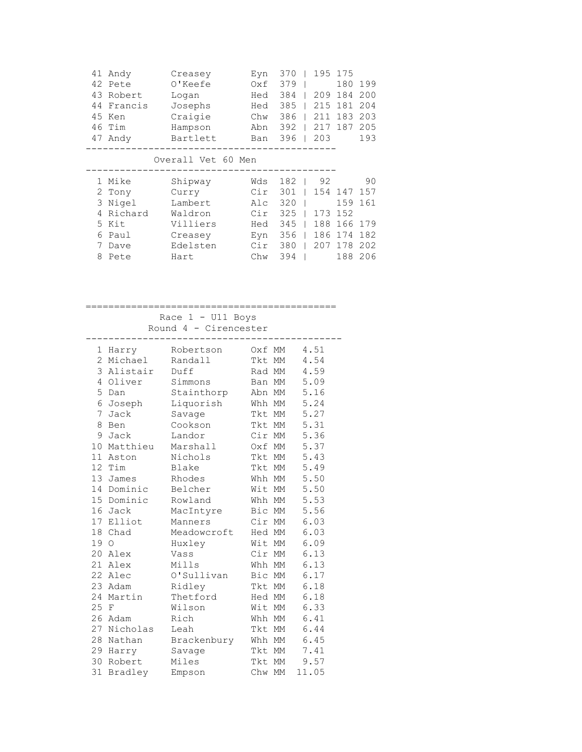| 41 | Andy       | Creasey            | Eyn | 370 | 195 | 175 |     |
|----|------------|--------------------|-----|-----|-----|-----|-----|
| 42 | Pete       | 0'Keefe            | 0xf | 379 |     | 180 | 199 |
| 43 | Robert     | Logan              | Hed | 384 | 209 | 184 | 200 |
| 44 | Francis    | Josephs            | Hed | 385 | 215 | 181 | 204 |
| 45 | Ken        | Craigie            | Chw | 386 | 211 | 183 | 203 |
| 46 | Tim        | Hampson            | Abn | 392 | 217 | 187 | 205 |
| 47 | Andy       | Bartlett           | Ban | 396 | 203 |     | 193 |
|    |            |                    |     |     |     |     |     |
|    |            | Overall Vet 60 Men |     |     |     |     |     |
|    |            |                    |     |     |     |     |     |
|    |            |                    |     |     |     |     |     |
|    | 1 Mike     | Shipway            | Wds | 182 | 92  |     | 90  |
|    | 2 Tony     | Curry              | Cir | 301 | 154 | 147 | 157 |
|    | Nigel<br>3 | Lambert            | Alc | 320 |     | 159 | 161 |
| 4  | Richard    | Waldron            | Cir | 325 | 173 | 152 |     |
|    | Kit<br>5   | Villiers           | Hed | 345 | 188 | 166 | 179 |
| 6  | Paul       | Creasey            | Eyn | 356 | 186 | 174 | 182 |
| 7  | Dave       | Edelsten           | Cir | 380 | 207 | 178 | 202 |

 Race 1 - U11 Boys Round 4 - Cirencester

| 1              | Harry       | Robertson   |        | Oxf MM | 4.51  |
|----------------|-------------|-------------|--------|--------|-------|
| $\overline{2}$ | Michael     | Randall     |        | Tkt MM | 4.54  |
| 3              | Alistair    | Duff        | Rad MM |        | 4.59  |
| 4              | Oliver      | Simmons     | Ban    | МM     | 5.09  |
| 5              | Dan         | Stainthorp  | Abn MM |        | 5.16  |
| 6              | Joseph      | Liquorish   | Whh MM |        | 5.24  |
| 7              | Jack        | Savage      | Tkt MM |        | 5.27  |
| 8              | Ben         | Cookson     | Tkt MM |        | 5.31  |
| 9              | Jack        | Landor      | Cir MM |        | 5.36  |
| 10             | Matthieu    | Marshall    | Oxf    | МM     | 5.37  |
| 11             | Aston       | Nichols     | Tkt MM |        | 5.43  |
|                | 12 Tim      | Blake       | Tkt MM |        | 5.49  |
|                | 13 James    | Rhodes      | Whh MM |        | 5.50  |
|                | 14 Dominic  | Belcher     | Wit MM |        | 5.50  |
|                | 15 Dominic  | Rowland     | Whh MM |        | 5.53  |
|                | 16 Jack     | MacIntyre   | Bic    | МM     | 5.56  |
|                | 17 Elliot   | Manners     | Cir MM |        | 6.03  |
| 18             | Chad        | Meadowcroft | Hed MM |        | 6.03  |
| 19             | $\circ$     | Huxley      | Wit MM |        | 6.09  |
|                | 20 Alex     | Vass        | Cir MM |        | 6.13  |
| 21             | Alex        | Mills       | Whh MM |        | 6.13  |
| 22             | Alec        | O'Sullivan  | Bic    | МM     | 6.17  |
|                | 23 Adam     | Ridley      | Tkt MM |        | 6.18  |
| 24             | Martin      | Thetford    | Hed MM |        | 6.18  |
| 25 F           |             | Wilson      | Wit MM |        | 6.33  |
|                | 26 Adam     | Rich        | Whh MM |        | 6.41  |
|                | 27 Nicholas | Leah        | Tkt    | МM     | 6.44  |
| 28             | Nathan      | Brackenbury | Whh MM |        | 6.45  |
|                | 29 Harry    | Savage      | Tkt MM |        | 7.41  |
| 30             | Robert      | Miles       | Tkt    | MM     | 9.57  |
| 31             | Bradley     | Empson      | Chw MM |        | 11.05 |
|                |             |             |        |        |       |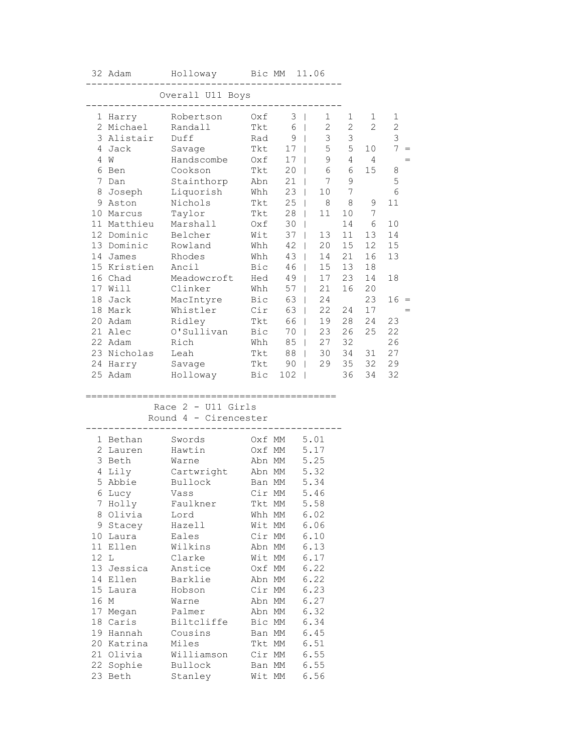|      | 32 Adam                 | Holloway Bic MM 11.06     |                  |         |                             |                   |                 |                   |
|------|-------------------------|---------------------------|------------------|---------|-----------------------------|-------------------|-----------------|-------------------|
|      |                         | Overall U11 Boys          |                  |         |                             |                   |                 |                   |
|      | 1 Harry                 | Robertson                 | Oxf              |         | $3 \mid$<br>$\mathbf{1}$    | 1                 | 1               | 1                 |
|      | 2 Michael<br>3 Alistair | Randall<br>Duff           | Tkt              | 6       | $\mathbf{2}$<br>$\Box$<br>3 | $\mathbf{2}$<br>3 | 2               | $\mathbf{2}$<br>3 |
|      | 4 Jack                  |                           | Rad<br>Tkt       | 9<br>17 | $\Box$<br>5<br>$\mathbb{R}$ | 5                 | 10 <sup>°</sup> | $7\overline{ }$   |
|      | 4 W                     | Savage<br>Handscombe      | Oxf              | 17      | 9<br>$\mathbf{L}$           | $\overline{4}$    | $\overline{4}$  |                   |
|      | 6 Ben                   | Cookson                   | Tkt              | 20      | 6<br>$\mathbb{R}$           | 6                 | 15              | 8                 |
|      | 7 Dan                   | Stainthorp                | Abn              | 21      | 7<br>$\mathbb{R}$           | $\mathsf 9$       |                 | $\mathsf S$       |
|      | 8 Joseph                | Liquorish                 | Whh              | 23      | 10<br>$\mathbb{R}$          | 7                 |                 | 6                 |
|      | 9 Aston                 | Nichols                   | Tkt              | 25      | 8<br>$\mathbf{1}$           | 8                 | 9               | 11                |
|      | 10 Marcus               | Taylor                    | Tkt              | 28      | 11<br>$\mathbf{I}$          | 10                | 7               |                   |
|      | 11 Matthieu             | Marshall                  | Oxf              | 30      |                             | 14                | 6               | 10                |
|      | 12 Dominic              | Belcher                   | Wit              | 37      | 13<br>$\mathbf{L}$          | 11                | 13              | 14                |
|      | 13 Dominic              | Rowland                   | Whh              | 42      | 20<br>$\mathbf{L}$          | 15                | 12              | 15                |
|      | 14 James                | Rhodes                    | Whh              | 43      | 14<br>$\mathbb{R}$          | 21                | 16              | 13                |
|      | 15 Kristien             | Ancil                     | Bic              | 46      | $\mathbb{R}$<br>15          | 13                | 18              |                   |
|      | 16 Chad                 | Meadowcroft               | Hed              | 49      | $\Box$<br>17                | 23                | 14              | 18                |
|      | 17 Will                 | Clinker                   | Whh              | 57      | 21<br>$\mathbb{R}$          | 16                | 20              |                   |
| 18   | Jack                    | MacIntyre                 | Bic              | 63      | 24<br>$\mathbf{1}$          |                   | 23              | $16 =$            |
|      | 18 Mark                 | Whistler                  | Cir              | 63      | 22<br>$\mathbf{1}$          | 24                | 17              |                   |
|      | 20 Adam                 | Ridley                    | Tkt              | 66      | 19                          | 28                | 24              | 23                |
|      | 21 Alec                 | O'Sullivan                | Bic              | 70      | 23                          | 26                | 25              | 22                |
|      | 22 Adam                 | Rich                      | Whh              | 85      | 27<br>$\mathbb{R}$          | 32                |                 | 26                |
|      | 23 Nicholas             | Leah                      | Tkt              | 88      | 30<br>$\mathbb{R}$          | 34                | 31              | 27                |
|      | 24 Harry                | Savage                    | Tkt              | 90      | 29<br>$\mathbf{I}$          | 35                | 32              | 29                |
|      | 25 Adam                 | Holloway                  | Bic              | 102     | $\Box$                      | 36                | 34              | 32                |
|      | ==================      | ;======================== |                  |         |                             |                   |                 |                   |
|      |                         | Race $2 - 011$ Girls      |                  |         |                             |                   |                 |                   |
|      |                         | Round 4 - Cirencester     |                  |         |                             |                   |                 |                   |
|      | 1 Bethan                | Swords                    | Oxf MM           |         | 5.01                        |                   |                 |                   |
|      | 2 Lauren                | Hawtin                    | Oxf MM           |         | 5.17                        |                   |                 |                   |
|      | 3 Beth                  | Warne                     | Abn MM           |         | 5.25                        |                   |                 |                   |
|      | 4 Lily                  | Cartwright                | Abn MM           |         | 5.32                        |                   |                 |                   |
|      | 5 Abbie                 | Bullock                   | Ban MM           |         | 5.34                        |                   |                 |                   |
|      | 6 Lucy                  | Vass                      | Cir MM           |         | 5.46                        |                   |                 |                   |
| 7    | Holly                   | Faulkner                  | Tkt MM           |         | 5.58                        |                   |                 |                   |
|      | 8 Olivia                | Lord                      | Whh MM           |         | 6.02                        |                   |                 |                   |
|      | 9 Stacey                | Hazell                    | Wit MM           |         | 6.06                        |                   |                 |                   |
|      | 10 Laura                | Eales                     | Cir MM           |         | 6.10                        |                   |                 |                   |
| 12 L | 11 Ellen                | Wilkins<br>Clarke         | Abn MM           |         | 6.13<br>6.17                |                   |                 |                   |
|      | 13 Jessica              | Anstice                   | Wit MM<br>Oxf MM |         | 6.22                        |                   |                 |                   |
|      | 14 Ellen                | Barklie                   | Abn MM           |         | 6.22                        |                   |                 |                   |
|      | 15 Laura                | Hobson                    | Cir MM           |         | 6.23                        |                   |                 |                   |
| 16 M |                         | Warne                     | Abn MM           |         | 6.27                        |                   |                 |                   |
|      | 17 Megan                | Palmer                    | Abn MM           |         | 6.32                        |                   |                 |                   |
|      | 18 Caris                | Biltcliffe                | Bic MM           |         | 6.34                        |                   |                 |                   |
|      | 19 Hannah               | Cousins                   | Ban MM           |         | 6.45                        |                   |                 |                   |
|      | 20 Katrina              | Miles                     | Tkt MM           |         | 6.51                        |                   |                 |                   |
|      | 21 Olivia               | Williamson                | Cir MM           |         | 6.55                        |                   |                 |                   |
|      | 22 Sophie               | Bullock                   | Ban MM           |         | 6.55                        |                   |                 |                   |
|      | 23 Beth                 | Stanley                   | Wit MM           |         | 6.56                        |                   |                 |                   |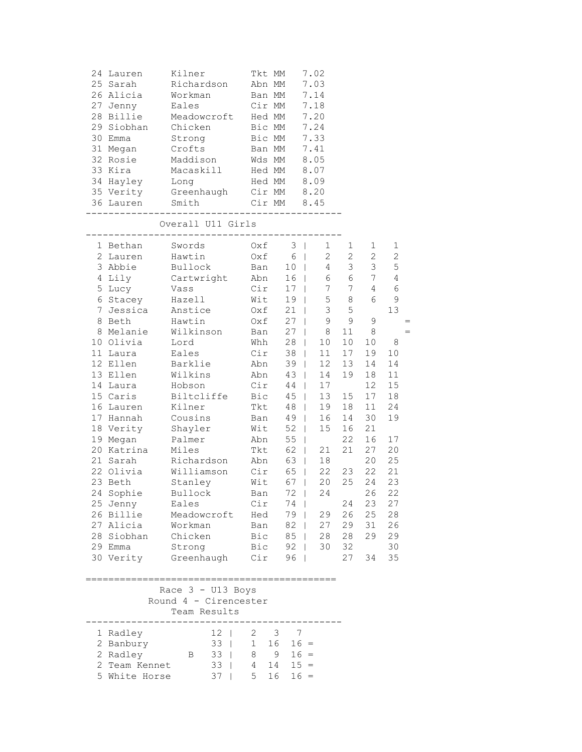| 24 Lauren<br>25 Sarah<br>26 Alicia<br>27 Jenny<br>28 Billie<br>29 Siobhan<br>30 Emma<br>31 Megan<br>32 Rosie<br>33 Kira<br>34 Hayley<br>35 Verity<br>36 Lauren<br>-----------------------                                                                                                                                                                                  | Kilner<br>Richardson<br>Workman<br>Eales<br>Meadowcroft<br>Chicken<br>Strong<br>Crofts<br>Maddison<br>Macaskill<br>Long<br>Greenhaugh Cir MM<br>Smith                                                                                                                                                                                                          | Tkt MM<br>Abn MM<br>Ban MM<br>Bic MM<br>Bic MM<br>Ban MM<br>Wds MM<br>Hed MM                                                                                                                                   | Cir MM<br>Hed MM<br>Hed MM<br>Cir MM                                                                                                                                                       | 7.02<br>7.03<br>7.14<br>7.18<br>7.20<br>7.24<br>7.33<br>7.41<br>8.05<br>8.07<br>8.09<br>8.20<br>8.45                                                                                                                                                                                                                                                                                                                                                                                                                                                                                                   |                                                                                                                                                                                                                |                                                                                                                                                                                                                 |                                                                                                                                                                                         |
|----------------------------------------------------------------------------------------------------------------------------------------------------------------------------------------------------------------------------------------------------------------------------------------------------------------------------------------------------------------------------|----------------------------------------------------------------------------------------------------------------------------------------------------------------------------------------------------------------------------------------------------------------------------------------------------------------------------------------------------------------|----------------------------------------------------------------------------------------------------------------------------------------------------------------------------------------------------------------|--------------------------------------------------------------------------------------------------------------------------------------------------------------------------------------------|--------------------------------------------------------------------------------------------------------------------------------------------------------------------------------------------------------------------------------------------------------------------------------------------------------------------------------------------------------------------------------------------------------------------------------------------------------------------------------------------------------------------------------------------------------------------------------------------------------|----------------------------------------------------------------------------------------------------------------------------------------------------------------------------------------------------------------|-----------------------------------------------------------------------------------------------------------------------------------------------------------------------------------------------------------------|-----------------------------------------------------------------------------------------------------------------------------------------------------------------------------------------|
|                                                                                                                                                                                                                                                                                                                                                                            | Overall U11 Girls                                                                                                                                                                                                                                                                                                                                              |                                                                                                                                                                                                                |                                                                                                                                                                                            |                                                                                                                                                                                                                                                                                                                                                                                                                                                                                                                                                                                                        |                                                                                                                                                                                                                |                                                                                                                                                                                                                 |                                                                                                                                                                                         |
| 1 Bethan<br>2 Lauren<br>3 Abbie<br>4 Lily<br>5 Lucy<br>6 Stacey<br>7 Jessica<br>8 Beth<br>8 Melanie<br>10 Olivia<br>11 Laura<br>12 Ellen<br>13 Ellen<br>14 Laura<br>15 Caris<br>16 Lauren<br>17 Hannah<br>18 Verity<br>19 Megan<br>20 Katrina<br>21 Sarah<br>22 Olivia<br>23 Beth<br>24 Sophie<br>25 Jenny<br>26 Billie<br>27 Alicia<br>28 Siobhan<br>29 Emma<br>30 Verity | Swords<br>Hawtin<br>Bullock<br>Cartwright<br>Vass<br>Hazell<br>Anstice<br>Hawtin<br>Wilkinson<br>Lord<br>Eales<br>Barklie<br>Wilkins<br>Hobson<br>Biltcliffe<br>Kilner<br>Cousins<br>Shayler<br>Palmer<br>Miles<br>Richardson<br>Williamson<br>Stanley<br>Bullock<br>Eales<br>Meadowcroft<br>Workman<br>Chicken<br>Strong<br>Greenhaugh<br>Race $3 - U13$ Boys | Oxf<br>Oxf<br>Ban<br>Abn<br>Cir<br>Wit<br>Oxf<br>Oxf<br>Ban<br>Whh<br>Cir<br>Abn<br>Abn<br>Cir<br>Bic<br>Tkt<br>Ban<br>Wit<br>Abn<br>Tkt<br>Abn<br>Cir<br>Wit<br>Ban<br>Cir<br>Hed<br>Ban<br>Bic<br>Bic<br>Cir | 6<br>10 <sub>1</sub><br>16<br>17<br>19<br>21<br>27<br>27<br>28<br>38<br>39<br>43<br>44<br>45<br>48<br>49<br>52<br>55<br>62<br>63<br>65<br>67<br>72  <br>74<br>79  <br>82<br>85<br>92<br>96 | $3 \mid$<br>1<br>$\overline{2}$<br>$\mathbb{R}$<br>$\mathbb{R}$<br>4<br>6<br>$\mathbb{R}$<br>7<br>$\mathbf{L}$<br>5<br>$\perp$<br>3<br>$\mathbf{I}$<br>9<br>$\mathbf{L}$<br>8<br>$\mathbb{R}$<br>10<br>$\mathbb{R}$<br>11<br>$\mathbb{R}$<br>$\mathbb{R}$<br>12 <sup>°</sup><br>$\mathbb{R}^n$<br>14<br>17<br>$\mathbb{R}$<br>13 <sup>°</sup><br>$\mathbb{R}$<br>19<br>$\mathbf{L}$<br>16<br>$\mathbb{R}$<br>15<br>$\mathbb{R}$<br>$\perp$<br>21<br>$\mathbb{R}$<br>$\mathbb{R}^n$<br>18<br>$\pm$<br>22<br>20<br>$\mathbb{R}$<br>24<br>29<br>27<br>28<br>$\mathbb{R}$<br>30<br>$\mathbf{I}$<br>$\perp$ | 1<br>$\mathbf{2}$<br>$\mathcal{S}$<br>6<br>$7\phantom{.0}$<br>$\,8\,$<br>5<br>9<br>11<br>10 <sub>1</sub><br>17<br>13<br>19<br>15<br>18<br>14<br>16<br>22<br>21<br>23<br>25<br>24<br>26<br>29<br>28<br>32<br>27 | $\mathbf{1}$<br>$\overline{2}$<br>3 <sup>7</sup><br>$7\phantom{.0}$<br>4<br>6<br>9<br>8<br>10<br>19<br>14<br>18<br>12<br>17<br>11<br>30<br>21<br>16<br>27<br>20<br>22<br>24<br>26<br>23<br>25<br>31<br>29<br>34 | 1<br>$\overline{2}$<br>5<br>4<br>$\epsilon$<br>$\mathsf 9$<br>13<br>8<br>10<br>14<br>11<br>15<br>18<br>24<br>19<br>17<br>20<br>25<br>21<br>23<br>22<br>27<br>28<br>26<br>29<br>30<br>35 |
|                                                                                                                                                                                                                                                                                                                                                                            | Round 4 - Cirencester<br>Team Results                                                                                                                                                                                                                                                                                                                          |                                                                                                                                                                                                                |                                                                                                                                                                                            |                                                                                                                                                                                                                                                                                                                                                                                                                                                                                                                                                                                                        |                                                                                                                                                                                                                |                                                                                                                                                                                                                 |                                                                                                                                                                                         |
| 1 Radley<br>2 Banbury<br>2 Radley<br>2 Team Kennet<br>5 White Horse                                                                                                                                                                                                                                                                                                        | $12 \mid$<br>$33 \mid$<br>$33 \mid$<br>Β<br>$33 \mid$<br>$37 \mid$                                                                                                                                                                                                                                                                                             | $\mathbf{2}$<br>1<br>8<br>$4\overline{ }$<br>5 <sup>5</sup>                                                                                                                                                    | 3<br>$\overline{7}$<br>16<br>9<br>14<br>16                                                                                                                                                 | $16 =$<br>$16 =$<br>$15 =$<br>$16 =$                                                                                                                                                                                                                                                                                                                                                                                                                                                                                                                                                                   |                                                                                                                                                                                                                |                                                                                                                                                                                                                 |                                                                                                                                                                                         |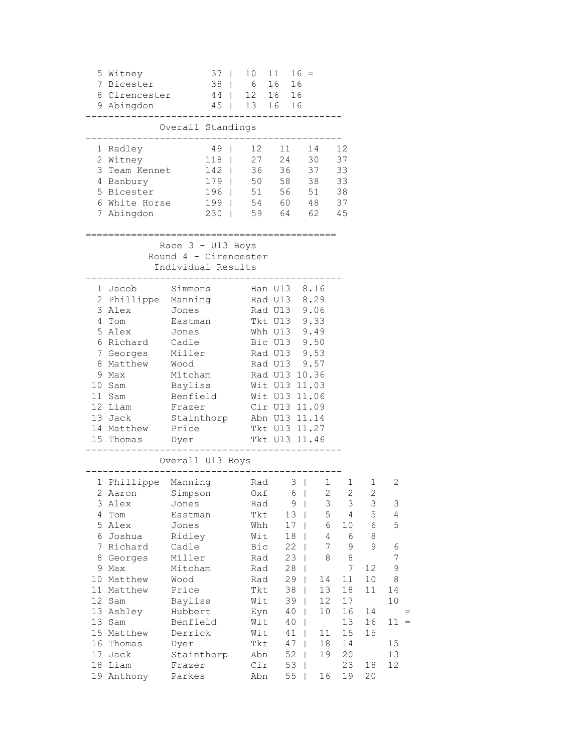|                                                                            | 5 Witney<br>7 Bicester<br>8 Cirencester 44   12 16 16<br>9 Abingdon                                                                                                                                                | 37 <sup>1</sup><br>$38$                                                                                                                                                                       | 10 11<br>45   13 16 16                                                                                                                                                            | 6 16                       | $16 =$<br>16                                                                                                              |                                                                                              |                                                                                                                                                                  |                                                                                                        |                                                                              |
|----------------------------------------------------------------------------|--------------------------------------------------------------------------------------------------------------------------------------------------------------------------------------------------------------------|-----------------------------------------------------------------------------------------------------------------------------------------------------------------------------------------------|-----------------------------------------------------------------------------------------------------------------------------------------------------------------------------------|----------------------------|---------------------------------------------------------------------------------------------------------------------------|----------------------------------------------------------------------------------------------|------------------------------------------------------------------------------------------------------------------------------------------------------------------|--------------------------------------------------------------------------------------------------------|------------------------------------------------------------------------------|
|                                                                            |                                                                                                                                                                                                                    | Overall Standings                                                                                                                                                                             | $- - - - - -$                                                                                                                                                                     |                            |                                                                                                                           |                                                                                              |                                                                                                                                                                  |                                                                                                        |                                                                              |
|                                                                            | 1 Radley<br>2 Witney<br>3 Team Kennet<br>4 Banbury<br>5 Bicester<br>6 White Horse<br>7 Abingdon                                                                                                                    | 49<br>118                                                                                                                                                                                     | 12 11<br>27  24  30<br>142   36 36 37<br>179   50 58 38<br>196   51 56 51 38<br>199   54 60 48 37<br>230   59 64 62 45                                                            |                            |                                                                                                                           | 14                                                                                           | 12<br>37<br>33<br>33                                                                                                                                             |                                                                                                        |                                                                              |
|                                                                            |                                                                                                                                                                                                                    |                                                                                                                                                                                               |                                                                                                                                                                                   | ===========                |                                                                                                                           |                                                                                              |                                                                                                                                                                  |                                                                                                        |                                                                              |
|                                                                            |                                                                                                                                                                                                                    | Race $3 - U13$ Boys<br>Round 4 - Cirencester<br>Individual Results                                                                                                                            |                                                                                                                                                                                   |                            |                                                                                                                           |                                                                                              |                                                                                                                                                                  |                                                                                                        |                                                                              |
|                                                                            | 1 Jacob<br>2 Phillippe Manning<br>3 Alex Jones<br>4 Tom Eastman<br>5 Alex<br>6 Richard Cadle<br>7 Georges<br>8 Matthew Wood<br>9 Max<br>10 Sam<br>11 Sam<br>12 Liam<br>13 Jack<br>14 Matthew<br>15 Thomas          | Simmons<br>Jones<br>Miller Rad U13 9.53<br>Mitcham Rad U13 10.36<br>Bayliss<br>Benfield<br>Frazer<br>Stainthorp Abn U13 11.14<br>Price<br>Dyer                                                | Rad U13 8.29<br>Rad U13 9.06<br>Tkt U13 9.33<br>Whh U13 9.49<br>Bic U13 9.50<br>Rad U13 9.57<br>Wit U13 11.03<br>Wit U13 11.06<br>Cir U13 11.09<br>Tkt U13 11.27<br>Tkt U13 11.46 | Ban U13 8.16<br>. <u>.</u> |                                                                                                                           |                                                                                              |                                                                                                                                                                  |                                                                                                        |                                                                              |
| 4<br>5<br>6<br>7<br>8<br>9<br>10<br>11<br>12<br>13<br>15<br>16<br>17<br>18 | 1 Phillippe Manning Rad<br>2 Aaron Simpson Oxf<br>3 Alex<br>Tom<br>Alex<br>Joshua<br>Richard<br>Georges<br>Max<br>Matthew<br>Matthew<br>Sam<br>13 Ashley<br>Sam<br>Matthew<br>Thomas<br>Jack<br>Liam<br>19 Anthony | Overall U13 Boys<br>Jones<br>Eastman<br>Jones<br>Ridley<br>Cadle<br>Miller<br>Mitcham<br>Wood<br>Price<br>Bayliss<br>Hubbert<br>Benfield<br>Derrick<br>Dyer<br>Stainthorp<br>Frazer<br>Parkes | Rad<br>Tkt<br>Whh<br>Wit<br>Bic<br>Rad<br>Rad<br>Rad<br>Tkt<br>Wit<br>Eyn<br>Wit<br>Wit<br>Tkt<br>Abn<br>Cir<br>Abn                                                               |                            | $3 \mid$<br>$6 \mid$<br>9<br>13<br>17<br>18<br>22<br>23<br>28<br>29<br>38<br>39<br>40<br>40<br>41<br>47<br>52<br>53<br>55 | $\overline{2}$<br>3<br>5<br>6<br>4<br>7<br>8<br>14<br>13<br>12<br>10<br>11<br>18<br>19<br>16 | $1 \quad \blacksquare$<br>1<br>$\overline{2}$<br>3<br>$\overline{4}$<br>10<br>6<br>9<br>$\,8\,$<br>7<br>11<br>18<br>17<br>16<br>13<br>15<br>14<br>20<br>23<br>19 | $1 \quad$<br>$\overline{2}$<br>3<br>5<br>6<br>8<br>9<br>12<br>$10$<br>11<br>14<br>16<br>15<br>18<br>20 | 2<br>3<br>4<br>5<br>6<br>7<br>9<br>8<br>14<br>10<br>$11 =$<br>15<br>13<br>12 |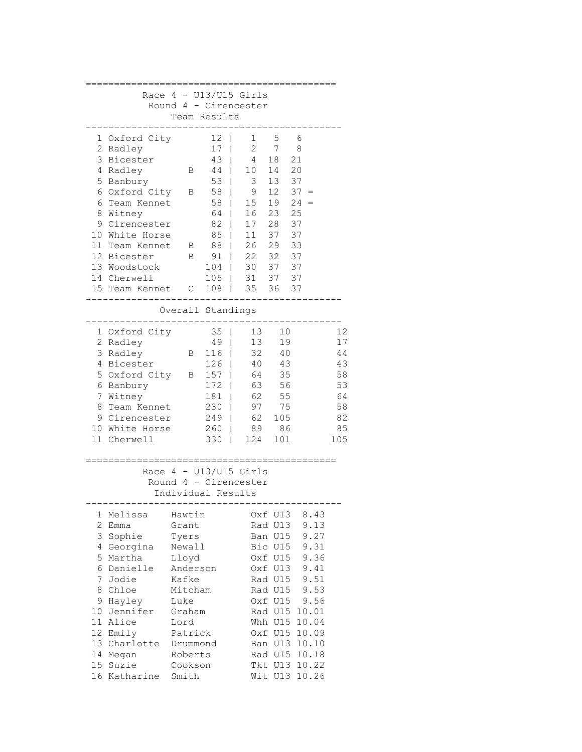|                                                                                                                                                                                                                                               |                                                                                                                                                             |                                                                                           | Race $4 - U13/U15$ Girls                                                               |                                                                                                                       |                                                                                                                                                                             |                                                                 |  |  |
|-----------------------------------------------------------------------------------------------------------------------------------------------------------------------------------------------------------------------------------------------|-------------------------------------------------------------------------------------------------------------------------------------------------------------|-------------------------------------------------------------------------------------------|----------------------------------------------------------------------------------------|-----------------------------------------------------------------------------------------------------------------------|-----------------------------------------------------------------------------------------------------------------------------------------------------------------------------|-----------------------------------------------------------------|--|--|
| Round                                                                                                                                                                                                                                         |                                                                                                                                                             |                                                                                           | 4 - Cirencester                                                                        |                                                                                                                       |                                                                                                                                                                             |                                                                 |  |  |
|                                                                                                                                                                                                                                               |                                                                                                                                                             | Team Results                                                                              |                                                                                        |                                                                                                                       |                                                                                                                                                                             |                                                                 |  |  |
| 1 Oxford City<br>2 Radley<br>3 Bicester<br>4 Radley<br>5 Banbury<br>6 Oxford City<br>6.<br>Team Kennet<br>8<br>Witney<br>9 Cirencester<br>10 White Horse<br>11 Team Kennet<br>12 Bicester<br>13 Woodstock<br>14 Cherwell<br>15 Team Kennet    | В<br>Β<br>B<br>В<br>С                                                                                                                                       | 12<br>17<br>43<br>44<br>53<br>58<br>58<br>64<br>82<br>85<br>88<br>91<br>104<br>105<br>108 | 1<br>2<br>4<br>10<br>3<br>9<br>15<br>16<br>17<br>11<br>26<br>22<br>30<br>31<br>35<br>I | 5<br>7<br>18<br>14<br>13<br>12<br>19<br>23<br>28<br>37<br>29<br>32<br>37<br>37<br>36                                  | 6<br>8<br>21<br>20<br>37<br>$37 =$<br>24<br>$=$<br>25<br>37<br>37<br>33<br>37<br>37<br>37<br>37                                                                             |                                                                 |  |  |
|                                                                                                                                                                                                                                               |                                                                                                                                                             |                                                                                           |                                                                                        |                                                                                                                       |                                                                                                                                                                             |                                                                 |  |  |
| Overall Standings                                                                                                                                                                                                                             |                                                                                                                                                             |                                                                                           |                                                                                        |                                                                                                                       |                                                                                                                                                                             |                                                                 |  |  |
| 1 Oxford City<br>2 Radley<br>3 Radley<br>4 Bicester<br>5 Oxford City<br>6 Banbury<br>7 Witney<br>8<br>Team Kennet<br>9 Cirencester<br>10 White Horse<br>11 Cherwell                                                                           | B<br>B                                                                                                                                                      | 35<br>49<br>116<br>126<br>157<br>172<br>181<br>230<br>249<br>260<br>330                   | 13<br>13<br>32<br>40<br>64<br>63<br>62<br>97<br>62<br>89<br>124                        | 10<br>19<br>40<br>43<br>35<br>56<br>55<br>75<br>105<br>86<br>101                                                      |                                                                                                                                                                             | 12<br>17<br>44<br>43<br>58<br>53<br>64<br>58<br>82<br>85<br>105 |  |  |
|                                                                                                                                                                                                                                               | Individual Results                                                                                                                                          |                                                                                           | Race $4 - U13/U15$ Girls<br>Round 4 - Cirencester                                      |                                                                                                                       |                                                                                                                                                                             |                                                                 |  |  |
| 1<br>Melissa<br>2 Emma<br>3 Sophie<br>4 Georgina<br>5 Martha<br>6 Danielle<br>7<br>Jodie<br>Chloe<br>8<br>9<br>Hayley<br>Jennifer<br>10<br>11 <sup>1</sup><br>Alice<br>12 Emily<br>13 Charlotte<br>14 Megan<br>15<br>Suzie<br>16<br>Katharine | Hawtin<br>Grant<br>Tyers<br>Newall<br>Lloyd<br>Anderson<br>Kafke<br>Mitcham<br>Luke<br>Graham<br>Lord<br>Patrick<br>Drummond<br>Roberts<br>Cookson<br>Smith |                                                                                           |                                                                                        | Oxf U13<br>Rad U13<br>Ban U15<br>Bic U15<br>Oxf U15<br>Oxf U13<br>Rad U15<br>Rad U15<br>Oxf U15<br>Tkt U13<br>Wit U13 | 8.43<br>9.13<br>9.27<br>9.31<br>9.36<br>9.41<br>9.51<br>9.53<br>9.56<br>Rad U15 10.01<br>Whh U15 10.04<br>Oxf U15 10.09<br>Ban U13 10.10<br>Rad U15 10.18<br>10.22<br>10.26 |                                                                 |  |  |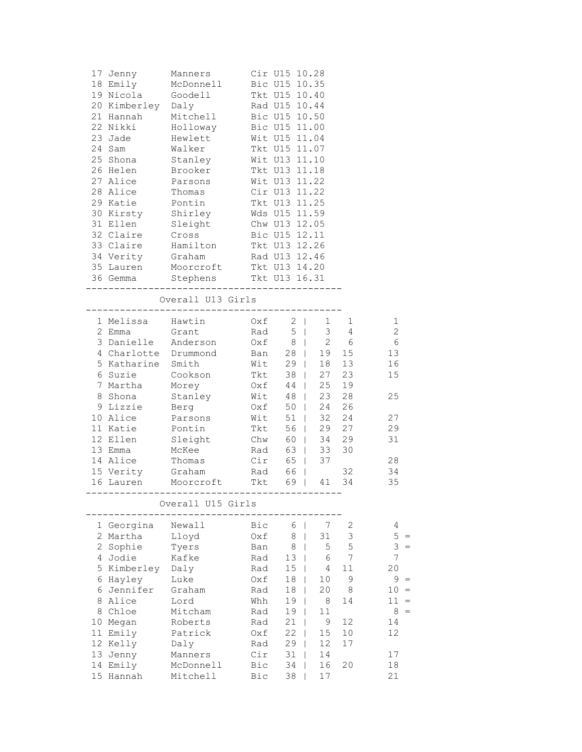|   | 17 Jenny<br>18 Emily<br>19 Nicola<br>20 Kimberley Daly<br>21 Hannah<br>22 Nikki<br>23 Jade | Manners<br>McDonnell<br>Goodell<br>Mitchell<br>Holloway<br>Hewlett |            | Cir U15 10.28<br>Bic U15 10.35<br>Tkt U15 10.40<br>Rad U15 10.44<br>Bic U15 10.50<br>Bic U15 11.00<br>Wit U15 11.04 |                            |                    |                              |
|---|--------------------------------------------------------------------------------------------|--------------------------------------------------------------------|------------|---------------------------------------------------------------------------------------------------------------------|----------------------------|--------------------|------------------------------|
|   | 24 Sam<br>25 Shona                                                                         | Walker<br>Stanley                                                  |            | Tkt U15 11.07<br>Wit U13 11.10                                                                                      |                            |                    |                              |
|   | 26 Helen                                                                                   | Brooker                                                            |            | Tkt U13 11.18                                                                                                       |                            |                    |                              |
|   | 27 Alice                                                                                   | Parsons                                                            |            | Wit U13 11.22                                                                                                       |                            |                    |                              |
|   | 28 Alice<br>29 Katie                                                                       | Thomas<br>Pontin                                                   |            | Cir U13 11.22<br>Tkt U13 11.25                                                                                      |                            |                    |                              |
|   | 30 Kirsty                                                                                  | Shirley                                                            |            | Wds U15 11.59                                                                                                       |                            |                    |                              |
|   | 31 Ellen                                                                                   | Sleight                                                            |            | Chw U13 12.05                                                                                                       |                            |                    |                              |
|   | 32 Claire Cross                                                                            |                                                                    |            | Bic U15 12.11                                                                                                       |                            |                    |                              |
|   | 33 Claire Hamilton                                                                         |                                                                    |            | Tkt U13 12.26                                                                                                       |                            |                    |                              |
|   | 34 Verity                                                                                  | Graham<br>Moorcroft                                                |            | Rad U13 12.46                                                                                                       |                            |                    |                              |
|   | 35 Lauren                                                                                  |                                                                    |            | Tkt U13 14.20                                                                                                       |                            |                    |                              |
|   | 36 Gemma                                                                                   | Stephens                                                           |            | Tkt U13 16.31<br>___________                                                                                        |                            |                    |                              |
|   |                                                                                            | Overall U13 Girls                                                  |            |                                                                                                                     |                            |                    |                              |
|   | 1 Melissa Hawtin                                                                           |                                                                    |            | $0xf \t2$                                                                                                           |                            | $1 \quad 1$        | 1                            |
|   | 2 Emma                                                                                     | Grant                                                              | Rad        | $5 \mid$                                                                                                            | 3 <sup>7</sup>             | 4                  | $\overline{c}$               |
|   | 3 Danielle Anderson                                                                        |                                                                    | $0xf$      |                                                                                                                     | $8 \mid 2$                 | 6                  | $\sqrt{6}$                   |
|   | 4 Charlotte Drummond                                                                       |                                                                    | Ban        | 28                                                                                                                  | $\mathbb{R}^n$<br>19       | 15                 | 13                           |
|   | 5 Katharine Smith                                                                          |                                                                    | Wit        | 29                                                                                                                  | $\frac{1}{1}$<br>18        | 13                 | 16                           |
|   | 6 Suzie Cookson                                                                            |                                                                    | Tkt        | 38                                                                                                                  | $\mathbb{R}^n$<br>27       | 23                 | 15                           |
|   | 7 Martha                                                                                   | Morey                                                              | Oxf        | 44                                                                                                                  | $\mathbb{R}^n$<br>25       | 19                 |                              |
|   | 8 Shona<br>9 Lizzie                                                                        | Stanley                                                            | Wit<br>Oxf | 48<br>50                                                                                                            | 23<br>$\mathbb{R}^n$<br>24 | 28<br>26           | 25                           |
|   | 10 Alice                                                                                   | Berg<br>Parsons                                                    | Wit        | 51                                                                                                                  | 32                         | 24                 | 27                           |
|   | 11 Katie                                                                                   | Pontin                                                             | Tkt        | 56                                                                                                                  | 29<br>$\pm$                | 27                 | 29                           |
|   | 12 Ellen                                                                                   | Sleight                                                            | Chw        | 60                                                                                                                  | 34<br>$\mathbf{L}$         | 29                 | 31                           |
|   | 13 Emma                                                                                    | McKee                                                              | Rad        | 63                                                                                                                  | 33                         | 30                 |                              |
|   | 14 Alice                                                                                   | Thomas                                                             | Cir        | 65                                                                                                                  | $\frac{1}{1}$<br>37        |                    | 28                           |
|   | 15 Verity                                                                                  | Graham                                                             | Rad        | 66                                                                                                                  | L.                         | 32                 | 34                           |
|   | 16 Lauren Moorcroft                                                                        |                                                                    | Tkt        | 69                                                                                                                  | $\mathbf{L}$<br>41         | 34                 | 35                           |
|   |                                                                                            | Overall U15 Girls                                                  |            |                                                                                                                     |                            |                    |                              |
|   | 1 Georgina                                                                                 | Newall                                                             | Bic        | 6                                                                                                                   | 7                          | $\mathbf{2}$       | 4                            |
|   | 2 Martha                                                                                   | Lloyd                                                              | Oxf        | 8                                                                                                                   | 31<br>$\mathbf{I}$         | $\mathsf 3$        | 5                            |
|   | 2 Sophie                                                                                   | Tyers                                                              | Ban        | 8                                                                                                                   | 5<br>$\mathbf{I}$          | 5                  | 3                            |
|   | 4 Jodie                                                                                    | Kafke                                                              | Rad        | 13                                                                                                                  | 6<br>$\mathbf{I}$          | $\overline{7}$     | $\overline{7}$               |
|   | 5 Kimberley                                                                                | Daly                                                               | Rad        | 15                                                                                                                  | 4<br>L                     | 11                 | 20                           |
|   | 6 Hayley<br>6 Jennifer                                                                     | Luke<br>Graham                                                     | Oxf        | 18<br>18                                                                                                            | 10<br>L<br>20              | $\mathcal{G}$<br>8 | 9                            |
|   | 8 Alice                                                                                    | Lord                                                               | Rad<br>Whh | 19                                                                                                                  | 8                          | 14                 | 10 <sub>o</sub><br>$=$<br>11 |
| 8 | Chloe                                                                                      | Mitcham                                                            | Rad        | 19                                                                                                                  | 11                         |                    | 8                            |
|   | 10 Megan                                                                                   | Roberts                                                            | Rad        | 21                                                                                                                  | 9                          | 12                 | 14                           |
|   | 11 Emily                                                                                   | Patrick                                                            | Oxf        | 22                                                                                                                  | 15                         | 10                 | 12                           |
|   | 12 Kelly                                                                                   | Daly                                                               | Rad        | 29                                                                                                                  | 12<br>L                    | 17                 |                              |
|   | 13 Jenny                                                                                   | Manners                                                            | Cir        | 31                                                                                                                  | 14<br>T                    |                    | 17                           |
|   | 14 Emily                                                                                   | McDonnell                                                          | Bic        | 34                                                                                                                  | 16                         | 20                 | 18                           |
|   | 15 Hannah                                                                                  | Mitchell                                                           | Bic        | 38                                                                                                                  | 17                         |                    | 21                           |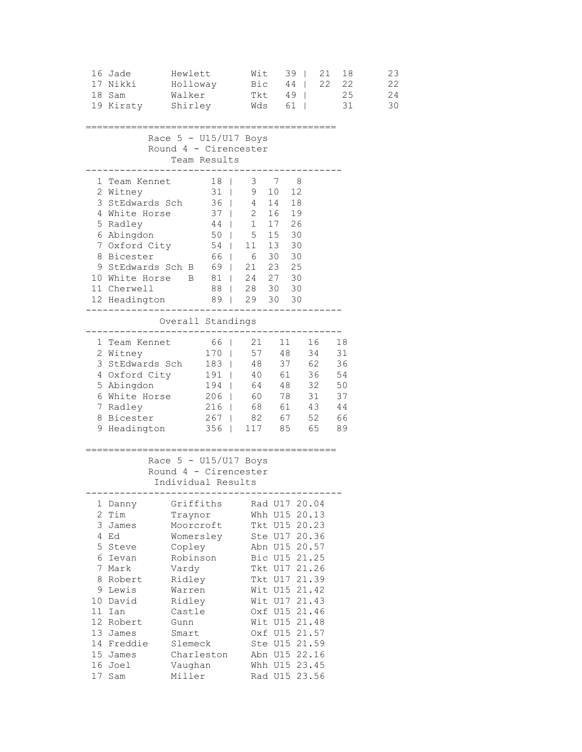|                 | 16 Jade<br>17 Nikki<br>18 Sam<br>19 Kirsty Shirley                                                                                                                                                                                                                                              | Hewlett<br>Holloway<br>Walker                                                                                                                                                        |  | Wit<br>Bic<br>Tkt                                              |  | 39  <br>$44$            | 21<br>22<br>49   25<br>Wds 61                                                                                                                                                                                                                                                                 | 18<br>22<br>31       |  | 23<br>22<br>24<br>30 |
|-----------------|-------------------------------------------------------------------------------------------------------------------------------------------------------------------------------------------------------------------------------------------------------------------------------------------------|--------------------------------------------------------------------------------------------------------------------------------------------------------------------------------------|--|----------------------------------------------------------------|--|-------------------------|-----------------------------------------------------------------------------------------------------------------------------------------------------------------------------------------------------------------------------------------------------------------------------------------------|----------------------|--|----------------------|
|                 | ========================<br>=============<br>Race $5 - U15/U17$ Boys<br>Round 4 - Cirencester<br>Team Results<br>------                                                                                                                                                                         |                                                                                                                                                                                      |  |                                                                |  |                         |                                                                                                                                                                                                                                                                                               |                      |  |                      |
|                 | 1 Team Kennet 18   3 7 8<br>2 Witney<br>3 StEdwards Sch 36   4 14 18<br>4 White Horse<br>5 Radley<br>6 Abingdon<br>7 Oxford City<br>7 Oxford City 54   11 13 30<br>8 Bicester 66   6 30 30<br>9 StEdwards Sch B 69   21 23 25<br>10 White Horse B<br>11 Cherwell<br>12 Headington 89   29 30 30 | 31   9<br>37   2<br>$44$   1                                                                                                                                                         |  | 50   5 15 30<br>81   24 27 30<br>88   28 30 30<br>------------ |  | 10 12<br>16 19<br>17 26 |                                                                                                                                                                                                                                                                                               |                      |  |                      |
|                 |                                                                                                                                                                                                                                                                                                 | Overall Standings<br>------                                                                                                                                                          |  |                                                                |  |                         |                                                                                                                                                                                                                                                                                               |                      |  |                      |
|                 | 1 Team Kennet 66   21 11 16 18<br>2 Witney 170   57 48 34 31<br>3 StEdwards Sch 183   48 37 62 36<br>4 Oxford City<br>5 Abingdon<br>6 White Horse 206   60 78 31<br>7 Radley<br>8 Bicester<br>9 Headington 356   117 85 65 89                                                                   | 194   64 48 32<br>216   68 61 43<br>267   82 67 52 66                                                                                                                                |  |                                                                |  |                         | 191   40 61 36                                                                                                                                                                                                                                                                                | 54<br>50<br>37<br>44 |  |                      |
|                 |                                                                                                                                                                                                                                                                                                 | Race $5 - U15/U17$ Boys<br>Round 4 - Cirencester<br>Individual Results<br>----------------------------------                                                                         |  |                                                                |  |                         |                                                                                                                                                                                                                                                                                               |                      |  |                      |
| 8<br>11 -<br>17 | 1 Danny<br>$2$ Tim<br>3 James<br>4 Ed<br>5 Steve<br>6 Ievan<br>7 Mark<br>Robert<br>9 Lewis<br>10 David<br>Ian<br>12 Robert<br>13 James<br>14 Freddie<br>15 James<br>16 Joel<br>Sam                                                                                                              | Griffiths<br>Traynor<br>Moorcroft<br>Womersley<br>Copley<br>Robinson<br>Vardy<br>Ridley<br>Warren<br>Ridley<br>Castle<br>Gunn<br>Smart<br>Slemeck<br>Charleston<br>Vaughan<br>Miller |  |                                                                |  |                         | Rad U17 20.04<br>Whh U15 20.13<br>Tkt U15 20.23<br>Ste U17 20.36<br>Abn U15 20.57<br>Bic U15 21.25<br>Tkt U17 21.26<br>Tkt U17 21.39<br>Wit U15 21.42<br>Wit U17 21.43<br>Oxf U15 21.46<br>Wit U15 21.48<br>Oxf U15 21.57<br>Ste U15 21.59<br>Abn U15 22.16<br>Whh U15 23.45<br>Rad U15 23.56 |                      |  |                      |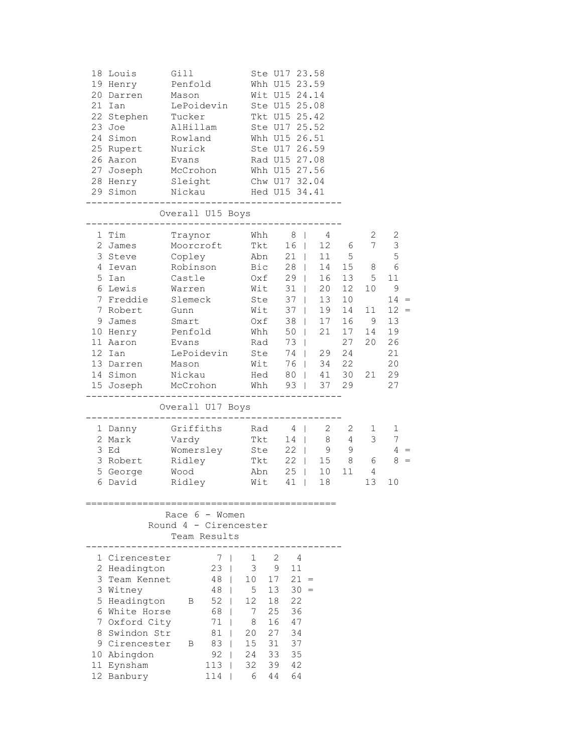|    | 18 Louis<br>19 Henry<br>20 Darren<br>21 Ian<br>22 Stephen<br>$23$ Joe<br>24 Simon<br>25 Rupert<br>26 Aaron<br>27 Joseph<br>28 Henry<br>29 Simon                                           | Gill<br>Penfold<br>Mason<br>LePoidevin<br>Tucker<br>AlHillam<br>Rowland<br>Nurick<br>Evans<br>McCrohon<br>Sleight<br>Nickau                                 |                                                                                       |                                                                                                     |                                                                    | Ste U17 23.58<br>Whh U15 23.59<br>Wit U15 24.14<br>Ste U15 25.08<br>Tkt U15 25.42<br>Ste U17 25.52<br>Whh U15 26.51<br>Ste U17 26.59<br>Rad U15 27.08<br>Whh U15 27.56<br>Chw U17 32.04<br>Hed U15 34.41                      |                                                                                                           |                                                                                                                       |                                                     |                                                                                                                    |
|----|-------------------------------------------------------------------------------------------------------------------------------------------------------------------------------------------|-------------------------------------------------------------------------------------------------------------------------------------------------------------|---------------------------------------------------------------------------------------|-----------------------------------------------------------------------------------------------------|--------------------------------------------------------------------|-------------------------------------------------------------------------------------------------------------------------------------------------------------------------------------------------------------------------------|-----------------------------------------------------------------------------------------------------------|-----------------------------------------------------------------------------------------------------------------------|-----------------------------------------------------|--------------------------------------------------------------------------------------------------------------------|
|    |                                                                                                                                                                                           | Overall U15 Boys                                                                                                                                            |                                                                                       |                                                                                                     |                                                                    |                                                                                                                                                                                                                               |                                                                                                           |                                                                                                                       |                                                     |                                                                                                                    |
| 9. | 1 Tim<br>2 James<br>3 Steve<br>4 Ievan<br>5 Ian<br>6 Lewis<br>7 Freddie<br>7 Robert<br>James<br>10 Henry<br>11 Aaron<br>12 Ian<br>13 Darren<br>14 Simon<br>15 Joseph                      | Traynor<br>Moorcroft<br>Copley<br>Robinson<br>Castle<br>Warren<br>Slemeck<br>Gunn<br>Smart<br>Penfold<br>Evans<br>LePoidevin<br>Mason<br>Nickau<br>McCrohon |                                                                                       | Whh<br>Tkt<br>Abn<br>Bic<br>Oxf<br>Whh<br>Rad<br>Ste                                                | Oxf<br>Wit<br>Ste<br>Wit<br>Wit<br>Hed<br>Whh                      | 8<br>$\mathbf{1}$<br>16<br>$\mathbf{1}$<br>21<br>$\Box$<br>28<br>$\mathbb{R}$<br>29<br>31<br>$\mathbb{R}$<br>37<br>$\Box$<br>37<br>$\Box$<br>38<br>$\Box$<br>50<br>$\Box$<br>73<br>$\perp$<br>74<br>76  <br>80  <br>$93 \mid$ | 4<br>12<br>11<br>14<br>$\mathbb{R}$<br>16<br>20<br>13<br>19<br>17<br>21<br>$\sim$<br>29<br>34<br>41<br>37 | 6<br>5<br>15 <sub>1</sub><br>13<br>12 <sup>7</sup><br>10 <sub>o</sub><br>14<br>16<br>17<br>27<br>24<br>22<br>30<br>29 | 2<br>7<br>8<br>5<br>10<br>11<br>9<br>14<br>20<br>21 | 2<br>$\mathsf 3$<br>5<br>$\epsilon$<br>11<br>$\mathsf 9$<br>14<br>$12 =$<br>13<br>19<br>26<br>21<br>20<br>29<br>27 |
|    |                                                                                                                                                                                           | Overall U17 Boys                                                                                                                                            |                                                                                       |                                                                                                     |                                                                    |                                                                                                                                                                                                                               |                                                                                                           |                                                                                                                       |                                                     |                                                                                                                    |
|    | 1 Danny<br>2 Mark<br>3 Ed<br>3 Robert<br>5 George<br>6 David                                                                                                                              | Griffiths<br>Vardy<br>Womersley<br>Ridley<br>Wood<br>Ridley                                                                                                 |                                                                                       | Rad<br>Tkt<br>Ste<br>Tkt<br>Wit                                                                     | Abn                                                                | 4<br>$\Box$<br>14<br>22<br>$\Box$<br>22<br>$\Box$<br>25<br>$\Box$<br>41<br>$\Box$                                                                                                                                             | 2<br>8<br>9<br>15 <sub>1</sub><br>10<br>18                                                                | 2<br>4<br>9<br>8<br>11                                                                                                | 1<br>3<br>6<br>4<br>13                              | 1<br>7<br>$4 =$<br>$8 =$<br>10                                                                                     |
|    |                                                                                                                                                                                           | Race $6 -$ Women<br>Round 4 - Cirencester<br>Team Results                                                                                                   |                                                                                       |                                                                                                     |                                                                    |                                                                                                                                                                                                                               |                                                                                                           |                                                                                                                       |                                                     |                                                                                                                    |
|    | 1 Cirencester<br>2 Headington<br>3 Team Kennet<br>3 Witney<br>5 Headington<br>6 White Horse<br>7 Oxford City<br>8 Swindon Str<br>9 Cirencester<br>10 Abingdon<br>11 Eynsham<br>12 Banbury | В<br>71<br>81<br>83<br>В<br>$113$  <br>114                                                                                                                  | 7 <sub>1</sub><br>$23 \mid$<br>48  <br>48  <br>$52$  <br>68  <br>$\mathbf{I}$<br>$92$ | $\mathbf{1}$<br>$\mathcal{S}$<br>10 <sup>1</sup><br>5<br>12<br>7<br>8<br>20<br>15<br>24<br>32<br>6. | 2<br>9<br>17<br>13<br>18<br>25<br>16<br>27<br>31<br>33<br>39<br>44 | 4<br>11<br>$21 =$<br>$30 =$<br>22<br>36<br>47<br>34<br>37<br>35<br>42<br>64                                                                                                                                                   |                                                                                                           |                                                                                                                       |                                                     |                                                                                                                    |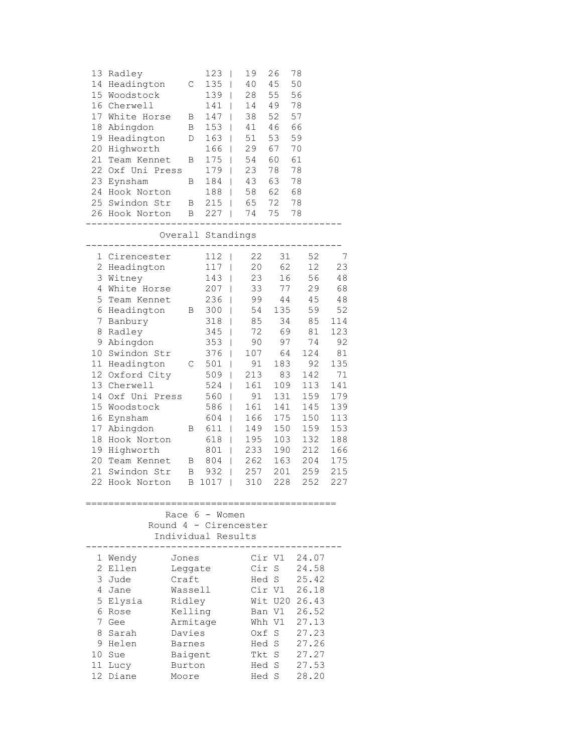| 13<br>14<br>17<br>18<br>19<br>20<br>21<br>22<br>23<br>24                                                                | Radley<br>Headington<br>15 Woodstock<br>16 Cherwell<br>White Horse<br>Abingdon<br>Headington<br>Highworth<br>Team Kennet<br>Oxf Uni Press<br>Eynsham<br>Hook Norton<br>25 Swindon Str<br>26 Hook Norton                                                                                                     | С<br>Β<br>B<br>D<br>Β<br>В<br>$\mathbf{B}$<br>$\mathbf{B}$                                                              | 123<br>135<br>139<br>141<br>$\Box$<br>147<br>153<br>$163$  <br>$166$  <br>175<br>179<br>184<br>$188$  <br>$215$  <br>$227$                                                                                                                | I<br>I<br>$\overline{1}$<br>$\overline{1}$<br>$\overline{\phantom{a}}$<br>$\overline{\phantom{a}}$<br>$\overline{\phantom{a}}$ | 19<br>40<br>28<br>14<br>38<br>41<br>51<br>29<br>54<br>23<br>43<br>58<br>65<br>74                                                            | 26<br>45<br>55<br>49<br>52<br>46<br>53<br>67<br>60<br>78<br>63<br>62<br>72<br>75                                                             | 78<br>50<br>56<br>78<br>57<br>66<br>59<br>70<br>61<br>78<br>78<br>68<br>78<br>78                                                             |                                                                                                                                              |
|-------------------------------------------------------------------------------------------------------------------------|-------------------------------------------------------------------------------------------------------------------------------------------------------------------------------------------------------------------------------------------------------------------------------------------------------------|-------------------------------------------------------------------------------------------------------------------------|-------------------------------------------------------------------------------------------------------------------------------------------------------------------------------------------------------------------------------------------|--------------------------------------------------------------------------------------------------------------------------------|---------------------------------------------------------------------------------------------------------------------------------------------|----------------------------------------------------------------------------------------------------------------------------------------------|----------------------------------------------------------------------------------------------------------------------------------------------|----------------------------------------------------------------------------------------------------------------------------------------------|
|                                                                                                                         |                                                                                                                                                                                                                                                                                                             |                                                                                                                         | Overall Standings                                                                                                                                                                                                                         |                                                                                                                                |                                                                                                                                             |                                                                                                                                              |                                                                                                                                              |                                                                                                                                              |
| $\mathbf{2}$<br>3<br>4<br>5<br>6<br>7<br>8<br>9<br>10<br>11<br>12<br>13<br>14<br>15<br>16<br>17<br>18<br>19<br>20<br>21 | 1 Cirencester<br>Headington<br>Witney<br>White Horse<br>Team Kennet<br>Headington<br>Banbury<br>Radley<br>Abingdon<br>Swindon Str<br>Headington<br>Oxford City<br>Cherwell<br>Oxf Uni Press<br>Woodstock<br>Eynsham<br>Abingdon<br>Hook Norton<br>Highworth<br>Team Kennet<br>Swindon Str<br>22 Hook Norton | $\overline{B}$<br>C<br>Β<br>$\overline{B}$<br>Β<br>В                                                                    | 112<br>117<br>143<br>$207$  <br>236<br>$300$  <br>318<br>$\Box$<br>345<br>$353$  <br>376<br>501<br>509<br>524<br>$\blacksquare$<br>$560$  <br>586<br>$\Box$<br>604<br>611<br>$\blacksquare$<br>618<br>801<br>804<br>932<br>1017<br>$\Box$ | I<br>I<br>T<br>$\overline{\phantom{0}}$<br>T<br>I<br>I<br>$\overline{1}$<br>$\overline{1}$<br>T<br>T<br>T<br>I                 | 22<br>20<br>23<br>33<br>99<br>54<br>85<br>72<br>90<br>107<br>91<br>213<br>161<br>91<br>161<br>166<br>149<br>195<br>233<br>262<br>257<br>310 | 31<br>62<br>16<br>77<br>44<br>135<br>34<br>69<br>97<br>64<br>183<br>83<br>109<br>131<br>141<br>175<br>150<br>103<br>190<br>163<br>201<br>228 | 52<br>12<br>56<br>29<br>45<br>59<br>85<br>81<br>74<br>124<br>92<br>142<br>113<br>159<br>145<br>150<br>159<br>132<br>212<br>204<br>259<br>252 | 7<br>23<br>48<br>68<br>48<br>52<br>114<br>123<br>92<br>81<br>135<br>71<br>141<br>179<br>139<br>113<br>153<br>188<br>166<br>175<br>215<br>227 |
|                                                                                                                         | Race<br>Round 4 - Cirencester                                                                                                                                                                                                                                                                               | 6                                                                                                                       | Individual Results                                                                                                                                                                                                                        | Women                                                                                                                          |                                                                                                                                             |                                                                                                                                              |                                                                                                                                              |                                                                                                                                              |
| 1<br>2<br>3<br>4<br>5<br>6<br>7<br>8<br>9<br>10<br>11<br>12                                                             | Wendy<br>Ellen<br>Jude<br>Jane<br>Elysia<br>Rose<br>Gee<br>Sarah<br>Helen<br>Sue<br>Lucy<br>Diane                                                                                                                                                                                                           | Jones<br>Leggate<br>Craft<br>Wassell<br>Ridley<br>Kelling<br>Armitage<br>Davies<br>Barnes<br>Baigent<br>Burton<br>Moore |                                                                                                                                                                                                                                           |                                                                                                                                | Cir<br>Hed<br>Oxf<br>Hed<br>Tkt<br>Hed<br>Hed                                                                                               | Cir V1<br>S<br>S<br>Cir V1<br>Wit U20<br>Ban V1<br>Whh V1<br>S<br>S<br>S<br>S<br>S                                                           | 24.07<br>24.58<br>25.42<br>26.18<br>26.43<br>26.52<br>27.13<br>27.23<br>27.26<br>27.27<br>27.53<br>28.20                                     |                                                                                                                                              |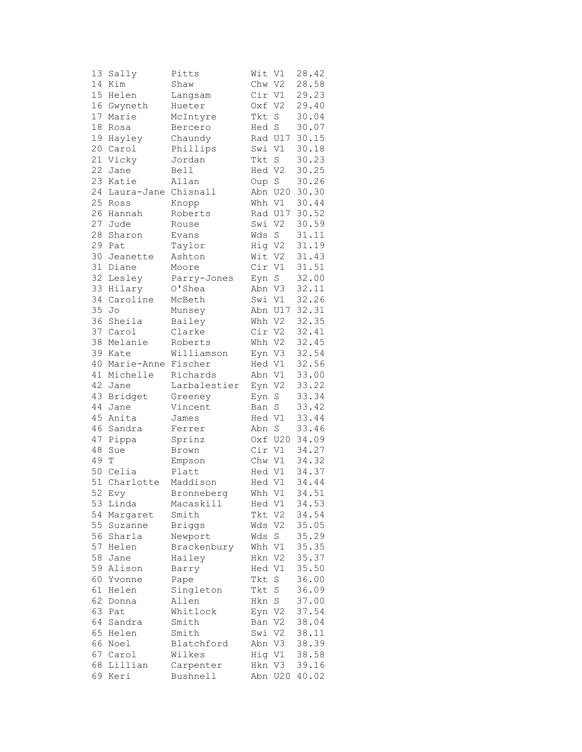| 13 | Sally               | Pitts         | Wit V1 |                | 28.42 |
|----|---------------------|---------------|--------|----------------|-------|
| 14 | Kim                 | Shaw          | Chw V2 |                | 28.58 |
| 15 | Helen               | Langsam       | Cir V1 |                | 29.23 |
| 16 | Gwyneth             | Hueter        | Oxf V2 |                | 29.40 |
| 17 | Marie               | McIntyre      | Tkt    | $\mathbf S$    | 30.04 |
| 18 | Rosa                | Bercero       | Hed S  |                | 30.07 |
| 19 |                     |               |        |                |       |
|    | Hayley              | Chaundy       |        | Rad U17        | 30.15 |
|    | 20 Carol            | Phillips      | Swi V1 |                | 30.18 |
| 21 | Vicky               | Jordan        | Tkt    | $\rm S$        | 30.23 |
| 22 | Jane                | Bell          | Hed V2 |                | 30.25 |
| 23 | Katie               | Allan         | Oup S  |                | 30.26 |
| 24 | Laura-Jane Chisnall |               |        | Abn U20        | 30.30 |
| 25 | Ross                | Knopp         |        | Whh V1         | 30.44 |
| 26 | Hannah              | Roberts       |        | Rad U17        | 30.52 |
| 27 | Jude                | Rouse         | Swi    | V <sub>2</sub> | 30.59 |
| 28 | Sharon              | Evans         | Wds    | S              | 31.11 |
| 29 | Pat                 | Taylor        | Hig V2 |                | 31.19 |
| 30 | Jeanette            | Ashton        | Wit    | V <sub>2</sub> | 31.43 |
| 31 | Diane               | Moore         | Cir V1 |                | 31.51 |
| 32 | Lesley              | Parry-Jones   | Eyn    | S              | 32.00 |
| 33 | Hilary              | O'Shea        | Abn V3 |                | 32.11 |
| 34 | Caroline            |               |        |                | 32.26 |
|    |                     | McBeth        |        | Swi V1         |       |
| 35 | Jo                  | Munsey        |        | Abn U17        | 32.31 |
| 36 | Sheila              | Bailey        | Whh V2 |                | 32.35 |
| 37 | Carol               | Clarke        | Cir V2 |                | 32.41 |
| 38 | Melanie             | Roberts       | Whh V2 |                | 32.45 |
|    | 39 Kate             | Williamson    | Eyn V3 |                | 32.54 |
|    | 40 Marie-Anne       | Fischer       | Hed V1 |                | 32.56 |
| 41 | Michelle            | Richards      | Abn V1 |                | 33.00 |
| 42 | Jane                | Larbalestier  | Eyn V2 |                | 33.22 |
| 43 | Bridget             | Greeney       | Eyn    | S              | 33.34 |
| 44 | Jane                | Vincent       | Ban    | S              | 33.42 |
| 45 | Anita               | James         | Hed V1 |                | 33.44 |
| 46 | Sandra              | Ferrer        | Abn    | $\mathbf S$    | 33.46 |
| 47 | Pippa               | Sprinz        |        | Oxf U20        | 34.09 |
| 48 | Sue                 | Brown         | Cir V1 |                | 34.27 |
| 49 | T                   | Empson        | Chw V1 |                | 34.32 |
| 50 | Celia               | Platt         | Hed V1 |                | 34.37 |
| 51 | Charlotte           | Maddison      | Hed V1 |                | 34.44 |
| 52 |                     | Bronneberg    | Whh V1 |                | 34.51 |
|    | Evy                 |               |        |                |       |
| 53 | Linda               | Macaskill     | Hed V1 |                | 34.53 |
| 54 | Margaret            | Smith         | Tkt    | V2             | 34.54 |
| 55 | Suzanne             | <b>Briggs</b> | Wds    | V <sub>2</sub> | 35.05 |
| 56 | Sharla              | Newport       | Wds    | S              | 35.29 |
| 57 | Helen               | Brackenbury   | Whh V1 |                | 35.35 |
| 58 | Jane                | Hailey        | Hkn    | V2             | 35.37 |
| 59 | Alison              | Barry         | Hed V1 |                | 35.50 |
| 60 | Yvonne              | Pape          | Tkt    | S              | 36.00 |
| 61 | Helen               | Singleton     | Tkt    | $\mathbf S$    | 36.09 |
| 62 | Donna               | Allen         | Hkn    | $\mathbf S$    | 37.00 |
| 63 | Pat                 | Whitlock      | Eyn V2 |                | 37.54 |
| 64 | Sandra              | Smith         | Ban V2 |                | 38.04 |
| 65 | Helen               | Smith         | Swi V2 |                | 38.11 |
|    | 66 Noel             | Blatchford    | Abn V3 |                | 38.39 |
| 67 | Carol               | Wilkes        | Hig V1 |                | 38.58 |
| 68 | Lillian             | Carpenter     | Hkn    | V3             | 39.16 |
| 69 | Keri                | Bushnell      | Abn    | U20            | 40.02 |
|    |                     |               |        |                |       |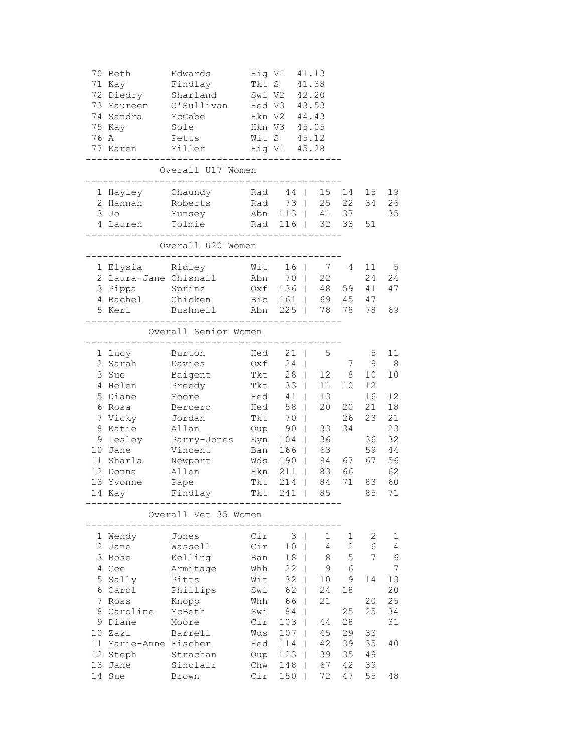|                                                             |                       | 73 Maureen O'Sullivan Hed V3 43.53                                                                                                                                                                    |     |                |                |              |        |                |  |  |  |
|-------------------------------------------------------------|-----------------------|-------------------------------------------------------------------------------------------------------------------------------------------------------------------------------------------------------|-----|----------------|----------------|--------------|--------|----------------|--|--|--|
|                                                             |                       | 74 Sandra McCabe Hkn V2 44.43                                                                                                                                                                         |     |                |                |              |        |                |  |  |  |
|                                                             |                       | 75 Kay Sole Hkn V3 45.05                                                                                                                                                                              |     |                |                |              |        |                |  |  |  |
|                                                             |                       | 76 A Petts Wit S 45.12                                                                                                                                                                                |     |                |                |              |        |                |  |  |  |
|                                                             |                       | 77 Karen Miller Hig V1 45.28                                                                                                                                                                          |     |                |                |              |        |                |  |  |  |
|                                                             |                       |                                                                                                                                                                                                       |     |                |                |              |        |                |  |  |  |
| Overall U17 Women<br>-------------------------------        |                       |                                                                                                                                                                                                       |     |                |                |              |        |                |  |  |  |
|                                                             |                       | 1 Hayley Chaundy Rad 44   15 14 15 19                                                                                                                                                                 |     |                |                |              |        |                |  |  |  |
|                                                             |                       | 2 Hannah Roberts Rad 73   25 22 34 26                                                                                                                                                                 |     |                |                |              |        |                |  |  |  |
|                                                             |                       | 3 Jo Munsey Abn 113   41 37 35                                                                                                                                                                        |     |                |                |              |        |                |  |  |  |
|                                                             |                       |                                                                                                                                                                                                       |     |                |                |              |        |                |  |  |  |
|                                                             |                       |                                                                                                                                                                                                       |     |                |                |              |        |                |  |  |  |
| Overall U20 Women<br>-------------------------------------- |                       |                                                                                                                                                                                                       |     |                |                |              |        |                |  |  |  |
|                                                             |                       |                                                                                                                                                                                                       |     |                |                |              |        |                |  |  |  |
|                                                             |                       |                                                                                                                                                                                                       |     |                |                |              |        |                |  |  |  |
|                                                             |                       |                                                                                                                                                                                                       |     |                |                |              |        |                |  |  |  |
|                                                             |                       | 4 Rachel Chicken Bic 161   69 45 47                                                                                                                                                                   |     |                |                |              |        |                |  |  |  |
|                                                             |                       | 5 Keri Bushnell Abn 225   78 78 78 69                                                                                                                                                                 |     |                |                |              |        |                |  |  |  |
|                                                             |                       |                                                                                                                                                                                                       |     |                |                |              |        |                |  |  |  |
|                                                             |                       | Overall Senior Women<br>-------------------------------------                                                                                                                                         |     |                |                |              |        |                |  |  |  |
|                                                             |                       |                                                                                                                                                                                                       |     |                |                |              |        |                |  |  |  |
|                                                             |                       |                                                                                                                                                                                                       |     |                |                |              |        |                |  |  |  |
|                                                             |                       |                                                                                                                                                                                                       |     |                |                |              |        |                |  |  |  |
|                                                             |                       |                                                                                                                                                                                                       |     |                |                |              |        |                |  |  |  |
|                                                             |                       | 5 Diane Moore Hed 41   13 16                                                                                                                                                                          |     |                |                |              |        | 12             |  |  |  |
|                                                             |                       | 6 Rosa Bercero Hed 58   20 20 21 18                                                                                                                                                                   |     |                |                |              |        |                |  |  |  |
|                                                             |                       | 7 Vicky Jordan 1 Tkt 70   26 23 21                                                                                                                                                                    |     |                |                |              |        |                |  |  |  |
|                                                             |                       |                                                                                                                                                                                                       |     |                |                |              |        | 23             |  |  |  |
|                                                             |                       | 9 Lesley Parry-Jones Eyn 104   36 36 32<br>10 Jane Vincent Ban 166   63 59 44<br>11 Sharla Newport Wds 190   94 67 67 56<br>12 Donna Allen Hkn 211   83 66 62<br>13 Yvonne Pape Tkt 214   84 71 83 60 |     |                |                |              |        |                |  |  |  |
|                                                             |                       |                                                                                                                                                                                                       |     |                |                |              |        |                |  |  |  |
|                                                             |                       |                                                                                                                                                                                                       |     |                |                |              |        |                |  |  |  |
|                                                             |                       |                                                                                                                                                                                                       |     |                |                |              |        |                |  |  |  |
|                                                             |                       |                                                                                                                                                                                                       |     |                |                |              |        |                |  |  |  |
|                                                             |                       | 14 Kay Findlay Tkt 241   85 85                                                                                                                                                                        |     |                |                |              |        | 71             |  |  |  |
|                                                             |                       | Overall Vet 35 Women                                                                                                                                                                                  |     |                |                |              |        |                |  |  |  |
|                                                             |                       |                                                                                                                                                                                                       |     |                |                |              |        |                |  |  |  |
|                                                             | 1 Wendy               | Jones                                                                                                                                                                                                 | Cir | 3 <sup>1</sup> | 1              | $\mathbf{1}$ | 2      | 1              |  |  |  |
|                                                             | 2 Jane                | Wassell                                                                                                                                                                                               | Cir | 10             | $\overline{4}$ | $\mathbf{2}$ | 6<br>7 | $\overline{4}$ |  |  |  |
|                                                             | 3 Rose                | Kelling                                                                                                                                                                                               | Ban | $18$           | 8              | 5            |        | $\sqrt{6}$     |  |  |  |
|                                                             | 4 Gee                 | Armitage                                                                                                                                                                                              | Whh | $22 \mid$      | 9              | 6            |        | 7              |  |  |  |
|                                                             | 5 Sally               | Pitts                                                                                                                                                                                                 | Wit | $32$           | 10             | 9            | 14     | 13             |  |  |  |
|                                                             | 6 Carol               | Phillips                                                                                                                                                                                              | Swi | $62$           | 24             | 18           |        | 20             |  |  |  |
|                                                             | 7 Ross                | Knopp                                                                                                                                                                                                 | Whh | 66             | 21             |              | 20     | 25             |  |  |  |
|                                                             | 8 Caroline            | McBeth                                                                                                                                                                                                | Swi | 84             |                | 25           | 25     | 34             |  |  |  |
|                                                             | 9 Diane               | Moore                                                                                                                                                                                                 | Cir | $103$          | 44             | 28           |        | 31             |  |  |  |
|                                                             | 10 Zazi               | Barrell                                                                                                                                                                                               | Wds | $107$          | 45             | 29           | 33     |                |  |  |  |
|                                                             | 11 Marie-Anne Fischer |                                                                                                                                                                                                       | Hed | 114            | 42             | 39           | 35     | 40             |  |  |  |
|                                                             | 12 Steph              | Strachan                                                                                                                                                                                              | Oup | $123$          | 39             | 35           | 49     |                |  |  |  |
|                                                             | 13 Jane               | Sinclair                                                                                                                                                                                              | Chw | 148            | 67             | 42           | 39     |                |  |  |  |
|                                                             | 14 Sue                | Brown                                                                                                                                                                                                 | Cir | $150$          | 72             | 47           | 55     | 48             |  |  |  |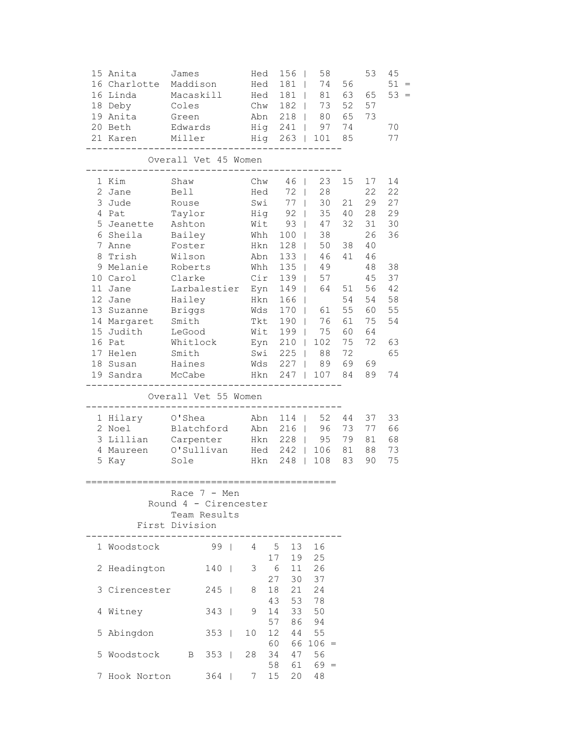|                                                                             | 15 Anita<br>16 Charlotte<br>16 Linda<br>18 Deby<br>19 Anita<br>20 Beth<br>21 Karen                                                                                                                                                   | James<br>Maddison<br>Macaskill<br>Coles<br>Green<br>Edwards<br>Miller                                                                                                              |       |  | Hed<br>Hed<br>Hed 181                                                  |          | 156<br>$\Box$<br>181<br>Chw 182  <br>Abn 218  <br>Hig 241  <br>Hig 263                                                                              | 58<br>74<br>$\mathbf{1}$<br>81<br>$\mathbb{R}$<br>73<br>80<br>97<br>101                                                                 | 56<br>65<br>74<br>85                                                 | 53<br>63 65<br>52 57<br>73                                                                      | 45<br>$51 =$<br>$53 =$<br>70<br>77                                               |
|-----------------------------------------------------------------------------|--------------------------------------------------------------------------------------------------------------------------------------------------------------------------------------------------------------------------------------|------------------------------------------------------------------------------------------------------------------------------------------------------------------------------------|-------|--|------------------------------------------------------------------------|----------|-----------------------------------------------------------------------------------------------------------------------------------------------------|-----------------------------------------------------------------------------------------------------------------------------------------|----------------------------------------------------------------------|-------------------------------------------------------------------------------------------------|----------------------------------------------------------------------------------|
|                                                                             | -------------------------------                                                                                                                                                                                                      | Overall Vet 45 Women                                                                                                                                                               |       |  |                                                                        |          |                                                                                                                                                     |                                                                                                                                         |                                                                      |                                                                                                 |                                                                                  |
|                                                                             | ________________________________<br>1 Kim<br>2 Jane<br>3 Jude<br>4 Pat<br>5 Jeanette<br>6 Sheila<br>7 Anne<br>8 Trish<br>9 Melanie<br>10 Carol<br>11 Jane<br>12 Jane<br>13 Suzanne<br>14 Margaret<br>15 Judith<br>16 Pat<br>17 Helen | Shaw<br>Bell<br>Rouse<br>Taylor<br>Ashton<br>Bailey<br>Foster<br>Wilson<br>Roberts<br>Clarke<br>Larbalestier Eyn 149  <br>Hailey<br>Briggs<br>Smith<br>LeGood<br>Whitlock<br>Smith |       |  | Chw<br>Hed<br>Swi<br>Whh<br>Hkn<br>Abn<br>Hkn 166<br>Wds<br>Tkt<br>Wit |          | 46  <br>72  <br>$77$  <br>$Hig$ 92  <br>Wit 93  <br>$100$  <br>$128$  <br>$133$  <br>Whh 135<br>Cir 139  <br>$170$  <br>190  <br>$199$  <br>Swi 225 | 23<br>28<br>30<br>35<br>47<br>38<br>50<br>46<br>49<br>$\mathbb{R}$<br>57<br>64<br>$\mathbb{R}$<br>61<br>76<br>75<br>Eyn 210   102<br>88 | 15<br>21<br>40<br>32<br>38<br>41<br>51<br>54<br>61<br>60<br>75<br>72 | 17<br>22<br>29<br>28<br>31<br>26<br>40<br>46<br>48<br>45<br>56<br>54<br>55 60<br>75<br>64<br>72 | 14<br>22<br>27<br>29<br>30<br>36<br>38<br>37<br>42<br>58<br>55<br>54<br>63<br>65 |
|                                                                             | 18 Susan<br>19 Sandra                                                                                                                                                                                                                | Haines<br>McCabe                                                                                                                                                                   |       |  | Hkn 247                                                                |          | Wds 227                                                                                                                                             | 89<br>$\Box$                                                                                                                            | 69<br>107 84                                                         | 69<br>89                                                                                        | 74                                                                               |
| -----------------------<br>_______________<br>Overall Vet 55 Women<br>----- |                                                                                                                                                                                                                                      |                                                                                                                                                                                    |       |  |                                                                        |          |                                                                                                                                                     |                                                                                                                                         |                                                                      |                                                                                                 |                                                                                  |
|                                                                             | 1 Hilary O'Shea<br>2 Noel<br>3 Lillian Carpenter<br>4 Maureen<br>5 Kay                                                                                                                                                               | Blatchford<br>O'Sullivan Hed 242   106<br>Sole                                                                                                                                     |       |  |                                                                        |          | Abn 114                                                                                                                                             | 52<br>Abn 216   96<br>Hkn 228   95<br>Hkn 248   108                                                                                     | 44<br>73<br>79<br>81<br>83                                           | 37<br>77<br>81<br>88<br>90                                                                      | 33<br>66<br>68<br>73<br>75                                                       |
|                                                                             |                                                                                                                                                                                                                                      | Race 7 - Men<br>Round 4 - Cirencester<br>Team Results<br>First Division                                                                                                            |       |  |                                                                        |          |                                                                                                                                                     |                                                                                                                                         |                                                                      |                                                                                                 |                                                                                  |
|                                                                             | 1 Woodstock                                                                                                                                                                                                                          |                                                                                                                                                                                    | 99    |  | 4 5                                                                    | 17       | 13<br>19                                                                                                                                            | 16<br>25                                                                                                                                |                                                                      |                                                                                                 |                                                                                  |
| 2                                                                           | Headington                                                                                                                                                                                                                           |                                                                                                                                                                                    | $140$ |  | 3                                                                      | 6<br>27  | 11<br>30                                                                                                                                            | 26<br>37                                                                                                                                |                                                                      |                                                                                                 |                                                                                  |
| 3                                                                           | Cirencester                                                                                                                                                                                                                          |                                                                                                                                                                                    | $245$ |  | 8                                                                      | 18<br>43 | 21<br>53                                                                                                                                            | 24<br>78                                                                                                                                |                                                                      |                                                                                                 |                                                                                  |
| 4                                                                           | Witney                                                                                                                                                                                                                               |                                                                                                                                                                                    | $343$ |  | 9                                                                      | 14<br>57 | 33<br>86                                                                                                                                            | 50<br>94                                                                                                                                |                                                                      |                                                                                                 |                                                                                  |
| 5                                                                           | Abingdon                                                                                                                                                                                                                             |                                                                                                                                                                                    | $353$ |  | 10                                                                     | 12<br>60 | 44                                                                                                                                                  | 55<br>$66106 =$                                                                                                                         |                                                                      |                                                                                                 |                                                                                  |
| 5                                                                           | Woodstock                                                                                                                                                                                                                            | B                                                                                                                                                                                  | $353$ |  | 28                                                                     | 34<br>58 | 47<br>61                                                                                                                                            | 56<br>$69 =$                                                                                                                            |                                                                      |                                                                                                 |                                                                                  |
| 7                                                                           | Hook Norton                                                                                                                                                                                                                          |                                                                                                                                                                                    | $364$ |  | 7                                                                      | 15       | 20                                                                                                                                                  | 48                                                                                                                                      |                                                                      |                                                                                                 |                                                                                  |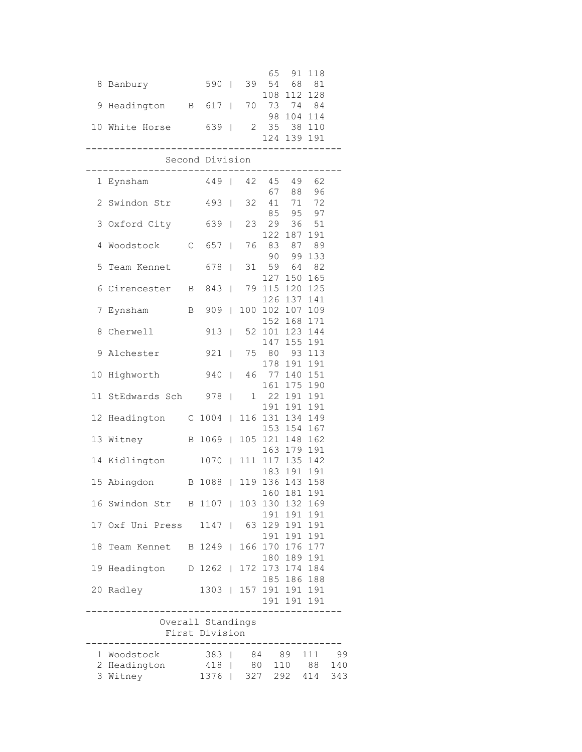|                |                    |              |                   |                          |             | 65             | 91                     | 118           |     |
|----------------|--------------------|--------------|-------------------|--------------------------|-------------|----------------|------------------------|---------------|-----|
| 8              | Banbury            |              | 590               | $\overline{\phantom{0}}$ | 39          | 54<br>108      | 68<br>112              | $8\,1$<br>128 |     |
| 9              | Headington B 617   |              |                   |                          | 70          |                | 73 74                  | 84            |     |
|                |                    |              |                   |                          |             |                | 98 104                 | 114           |     |
| 10             | White Horse        |              | 639               | $\Box$                   | $2^{\circ}$ | 35             | 38<br>124 139 191      | 110           |     |
|                | _____________      |              |                   |                          |             |                | --------               |               |     |
|                |                    |              | Second Division   |                          |             |                |                        |               |     |
|                | 1 Eynsham          |              | 449               |                          | 42          |                | 45 49 62               |               |     |
| 2              | Swindon Str        |              | 493               |                          | 32          | 67<br>41       | 88<br>71               | 96<br>72      |     |
|                |                    |              |                   |                          |             |                | 85 95                  | 97            |     |
| 3              | Oxford City        |              | 639               | T                        | 23          | 29             | 36<br>122 187          | 51<br>191     |     |
| 4              | Woodstock          | C            | 657               | $\overline{\phantom{a}}$ | 76          | 83             | 87                     | 89            |     |
|                |                    |              |                   |                          |             | 90             | 99                     | 133           |     |
| 5              | Team Kennet        |              | 678               | $\mathbf{I}$             | 31          | 59<br>127      | 64<br>150              | 82<br>165     |     |
| 6              | Cirencester        | $\mathbf{B}$ | 843               | $\overline{\phantom{a}}$ |             | 79 115         | 120                    | 125           |     |
|                |                    |              |                   |                          |             | 126            | 137                    | 141           |     |
| 7              | Eynsham            | B            | 909               | I                        | 100         | 102<br>152     | 107<br>168             | 109<br>171    |     |
| 8              | Cherwell           |              | 913               | I                        | 52          | 101            | 123                    | 144           |     |
|                |                    |              |                   |                          |             | 147            | 155                    | 191           |     |
| 9              | Alchester          |              | 921               | $\overline{1}$           |             | 75 80<br>178   | 93<br>191              | 113<br>191    |     |
| 10             | Highworth          |              | 940               | I                        | 46          |                | 77 140                 | 151           |     |
| 11             |                    |              |                   |                          | 1           | 161<br>22      | 175                    | 190           |     |
|                | StEdwards Sch 978  |              |                   | $\overline{\phantom{a}}$ |             | 191            | 191<br>191             | 191<br>191    |     |
| 12             | Headington         |              | $C$ 1004          | $\mathbb{L}$             |             | 116 131        | 134                    | 149           |     |
| 13             | Witney             |              | B 1069            |                          |             | 153<br>105 121 | 154<br>148             | 167<br>162    |     |
|                |                    |              |                   |                          |             |                | 163 179                | 191           |     |
| 14             | Kidlington         |              | 1070              | $\Box$                   |             |                | 111 117 135 142        |               |     |
|                | 15 Abingdon        |              | B 1088            | $\Box$                   |             | 183<br>119 136 | 191<br>143             | 191<br>158    |     |
|                |                    |              |                   |                          |             |                | 160 181 191            |               |     |
|                | 16 Swindon Str     |              | B 1107            |                          |             |                | 103 130 132            | 169           |     |
| 17             | Oxf Uni Press 1147 |              |                   |                          |             |                | 191 191<br>63 129 191  | 191<br>191    |     |
|                |                    |              |                   |                          |             |                | 191 191                | 191           |     |
| 18             | Team Kennet        |              | B 1249            |                          |             |                | 166 170 176            | 177           |     |
| 19             | Headington D 1262  |              |                   |                          |             |                | 180 189<br>172 173 174 | 191<br>184    |     |
|                |                    |              |                   |                          |             |                | 185 186                | 188           |     |
| 20             | Radley             |              | $1303$            |                          |             |                | 157 191 191            | 191           |     |
|                |                    |              |                   |                          |             |                | 191 191 191            |               |     |
|                |                    |              | Overall Standings |                          |             |                |                        |               |     |
| First Division |                    |              |                   |                          |             |                |                        |               |     |
|                | 1 Woodstock        |              | $383$             |                          |             | 84 89          |                        | 111           | 99  |
| $\mathbf{2}$   | Headington         |              | 418               |                          | 80          |                | 110                    | 88            | 140 |
| 3              | Witney             |              | 1376              | T                        | 327         |                | 292                    | 414           | 343 |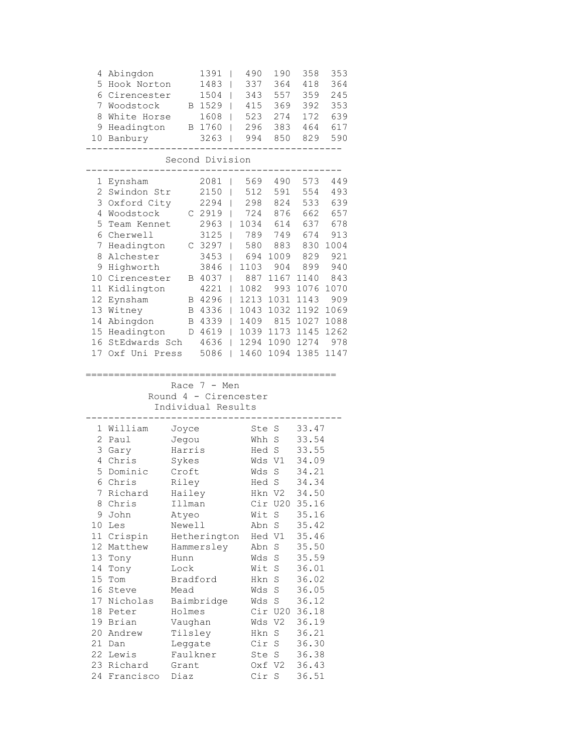| 4<br>5<br>6<br>7<br>8<br>9<br>10                                                                                                                                   | Abingdon<br>Hook Norton<br>Cirencester<br>Woodstock<br>White Horse<br>Headington<br>Banbury                                                                                                                                            | Β<br>В                                                                                                                                                                                                 | 1391<br>1483<br>1504<br>1529<br>1608<br>1760<br>3263                                                                                     | ı<br>I<br>I<br>I<br>I<br>I                                              | 490<br>337<br>343<br>415<br>523<br>296<br>994                                                                                | 190<br>364<br>557<br>369<br>274<br>383<br>850                                                                                                                                                           | 358<br>418<br>359<br>392<br>172<br>464<br>829                                                                                                                                                                        | 353<br>364<br>245<br>353<br>639<br>617<br>590                                                                             |
|--------------------------------------------------------------------------------------------------------------------------------------------------------------------|----------------------------------------------------------------------------------------------------------------------------------------------------------------------------------------------------------------------------------------|--------------------------------------------------------------------------------------------------------------------------------------------------------------------------------------------------------|------------------------------------------------------------------------------------------------------------------------------------------|-------------------------------------------------------------------------|------------------------------------------------------------------------------------------------------------------------------|---------------------------------------------------------------------------------------------------------------------------------------------------------------------------------------------------------|----------------------------------------------------------------------------------------------------------------------------------------------------------------------------------------------------------------------|---------------------------------------------------------------------------------------------------------------------------|
|                                                                                                                                                                    |                                                                                                                                                                                                                                        |                                                                                                                                                                                                        | Second Division                                                                                                                          |                                                                         |                                                                                                                              |                                                                                                                                                                                                         |                                                                                                                                                                                                                      |                                                                                                                           |
| 1<br>2<br>3<br>4<br>5<br>6<br>7<br>8<br>9<br>10<br>11<br>12<br>13<br>14<br>15<br>16<br>17                                                                          | Eynsham<br>Swindon Str<br>Oxford City<br>Woodstock<br>Team Kennet<br>Cherwell<br>Headington<br>Alchester<br>Highworth<br>Cirencester<br>Kidlington<br>Eynsham<br>Witney<br>Abingdon<br>Headington<br>StEdwards Sch<br>Oxf Uni Press    | С<br>В<br>Β<br>В<br>D                                                                                                                                                                                  | 2081<br>2150<br>2294<br>2919<br>2963<br>3125<br>C 3297<br>3453<br>3846<br>4037<br>4221<br>4296<br>B 4336<br>4339<br>4619<br>4636<br>5086 | ı<br>I<br>I<br>I<br>I<br>I<br>ı<br>I<br>I<br>I<br>I<br>I<br>L<br>L<br>L | 569<br>512<br>298<br>724<br>1034<br>789<br>580<br>694<br>1103<br>887<br>1082<br>1213<br>1043<br>1409<br>1039<br>1294<br>1460 | 490<br>591<br>824<br>876<br>614<br>749<br>883<br>1009<br>904<br>1167<br>993<br>1031<br>1032<br>815<br>1173<br>1090<br>1094                                                                              | 573<br>554<br>533<br>662<br>637<br>674<br>830<br>829<br>899<br>1140<br>1076<br>1143<br>1192<br>1027<br>1145<br>1274<br>1385                                                                                          | 449<br>493<br>639<br>657<br>678<br>913<br>1004<br>921<br>940<br>843<br>1070<br>909<br>1069<br>1088<br>1262<br>978<br>1147 |
|                                                                                                                                                                    |                                                                                                                                                                                                                                        |                                                                                                                                                                                                        | Race $7 - Men$<br>Round 4 - Cirencester<br>Individual Results                                                                            |                                                                         |                                                                                                                              |                                                                                                                                                                                                         |                                                                                                                                                                                                                      |                                                                                                                           |
| $\mathbf 1$<br>2<br>3<br>4<br>5<br>6<br>7 <sup>7</sup><br>8<br>9<br>10<br>11<br>12 <sup>7</sup><br>13<br>14<br>15<br>16<br>17 <sub>2</sub><br>18<br>20<br>21<br>24 | William<br>Paul<br>Gary<br>Chris<br>Dominic<br>Chris<br>Richard<br>Chris<br>John<br>Les<br>Crispin<br>Matthew<br>Tony<br>Tony<br>Tom<br>Steve<br>Nicholas<br>Peter<br>19 Brian<br>Andrew<br>Dan<br>22 Lewis<br>23 Richard<br>Francisco | Joyce<br>Jegou<br>Harris<br>Sykes<br>Croft<br>Riley<br>Hailey<br>Illman<br>Atyeo<br>Newell<br>Hunn<br>Lock<br>Bradford<br>Mead<br>Holmes<br>Vaughan<br>Tilsley<br>Leggate<br>Faulkner<br>Grant<br>Diaz | Hetherington<br>Hammersley<br>Baimbridge                                                                                                 |                                                                         | Ste<br>Whh<br>Hed<br>Wds<br>Wds<br>Wit<br>Abn<br>Wds<br>Wds<br>Hkn                                                           | S<br>S<br>$\rm S$<br>V1<br>$\rm S$<br>Hed S<br>Hkn V2<br>Cir U20<br>S<br>Abn S<br>Hed V1<br>S<br>S<br>Wit S<br>Hkn S<br>$\rm S$<br>Wds S<br>Cir U20<br>Wds V2<br>S<br>Cir S<br>Ste S<br>Oxf V2<br>Cir S | 33.47<br>33.54<br>33.55<br>34.09<br>34.21<br>34.34<br>34.50<br>35.16<br>35.16<br>35.42<br>35.46<br>35.50<br>35.59<br>36.01<br>36.02<br>36.05<br>36.12<br>36.18<br>36.19<br>36.21<br>36.30<br>36.38<br>36.43<br>36.51 |                                                                                                                           |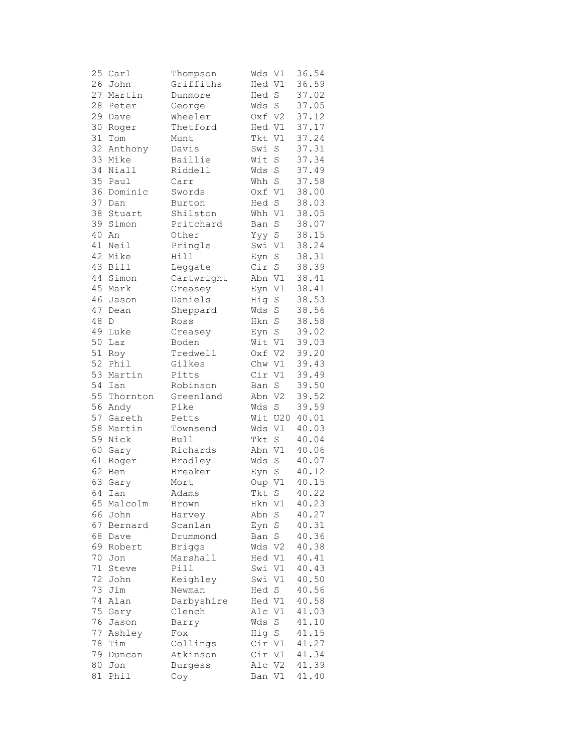| 25     | Carl     | Thompson       | Wds    | V1             | 36.54 |
|--------|----------|----------------|--------|----------------|-------|
| 26     | John     | Griffiths      | Hed V1 |                | 36.59 |
| 27     | Martin   | Dunmore        | Hed    | $\mathbf S$    | 37.02 |
| 28     | Peter    | George         | Wds    | $\mathbf S$    | 37.05 |
| 29     | Dave     | Wheeler        | Oxf V2 |                | 37.12 |
| 30     | Roger    | Thetford       | Hed V1 |                | 37.17 |
| 31     | Tom      | Munt           | Tkt    | V1             | 37.24 |
| 32     | Anthony  | Davis          | Swi    | $\rm S$        | 37.31 |
| 33     | Mike     | Baillie        | Wit    | $\rm S$        | 37.34 |
| 34     |          |                |        |                | 37.49 |
|        | Niall    | Riddell        | Wds    | $\rm S$        | 37.58 |
| 35     | Paul     | Carr           | Whh    | $\rm S$        |       |
| 36     | Dominic  | Swords         | Oxf V1 |                | 38.00 |
| 37     | Dan      | Burton         | Hed    | $\mathbf S$    | 38.03 |
| 38     | Stuart   | Shilston       | Whh    | V1             | 38.05 |
| 39     | Simon    | Pritchard      | Ban    | $\mathbf S$    | 38.07 |
| 40     | An       | Other          | Үуу    | $\mathbf S$    | 38.15 |
| 41     | Neil     | Pringle        | Swi V1 |                | 38.24 |
| 42     | Mike     | Hill           | Eyn    | $\mathbf S$    | 38.31 |
|        | 43 Bill  | Leggate        | Cir    | $\rm S$        | 38.39 |
| 44     | Simon    | Cartwright     | Abn V1 |                | 38.41 |
| 45     | Mark     | Creasey        | Eyn    | V1             | 38.41 |
| 46     | Jason    | Daniels        | Hig    | S              | 38.53 |
| 47     | Dean     | Sheppard       | Wds    | S              | 38.56 |
| $4\,8$ | D        | Ross           | Hkn    | $\mathbf S$    | 38.58 |
| 49     | Luke     | Creasey        | Eyn    | $\rm S$        | 39.02 |
| 50     | Laz      | Boden          | Wit V1 |                | 39.03 |
| 51     | Roy      | Tredwell       | Oxf V2 |                | 39.20 |
| 52     | Phil     | Gilkes         | Chw V1 |                | 39.43 |
| 53     | Martin   | Pitts          | Cir V1 |                | 39.49 |
| 54     | Ian      | Robinson       | Ban    | $\rm S$        | 39.50 |
| 55     |          |                |        |                |       |
|        | Thornton | Greenland      | Abn    | V <sub>2</sub> | 39.52 |
| 56     | Andy     | Pike           | Wds    | $\mathbf S$    | 39.59 |
| 57     | Gareth   | Petts          | Wit    | U20            | 40.01 |
| 58     | Martin   | Townsend       | Wds    | V1             | 40.03 |
| 59     | Nick     | <b>Bull</b>    | Tkt    | $\rm S$        | 40.04 |
| 60     | Gary     | Richards       | Abn V1 |                | 40.06 |
| 61     | Roger    | Bradley        | Wds    | $\mathbf S$    | 40.07 |
| 62     | Ben      | Breaker        | Eyn    | $\mathbf S$    | 40.12 |
| 63     | Gary     | Mort           | Oup    | V1             | 40.15 |
|        | 64 Ian   | Adams          | Tkt    | S              | 40.22 |
| 65     | Malcolm  | Brown          | Hkn    | V1             | 40.23 |
| 66     | John     | Harvey         | Abn    | $\rm S$        | 40.27 |
| 67     | Bernard  | Scanlan        | Eyn    | $\rm S$        | 40.31 |
| 68     | Dave     | Drummond       | Ban    | S              | 40.36 |
| 69     | Robert   | <b>Briggs</b>  | Wds    | V <sub>2</sub> | 40.38 |
| 70     | Jon      | Marshall       | Hed V1 |                | 40.41 |
| 71     | Steve    | Pill           | Swi    | V1             | 40.43 |
| 72     | John     | Keighley       | Swi    | V1             | 40.50 |
| 73     | Jim      | Newman         | Hed    | S              | 40.56 |
| 74     | Alan     | Darbyshire     | Hed V1 |                | 40.58 |
| 75     | Gary     | Clench         | Alc    | V1             | 41.03 |
| 76     | Jason    | Barry          | Wds    | $\mathbf S$    | 41.10 |
| 77     |          |                | Hig    | $\rm S$        | 41.15 |
|        | Ashley   | Fox            |        |                |       |
| 78     | Tim      | Collings       | Cir V1 |                | 41.27 |
| 79     | Duncan   | Atkinson       | Cir    | V1             | 41.34 |
| 80     | Jon      | <b>Burgess</b> | Alc    | V2             | 41.39 |
| 81     | Phil     | Coy            | Ban V1 |                | 41.40 |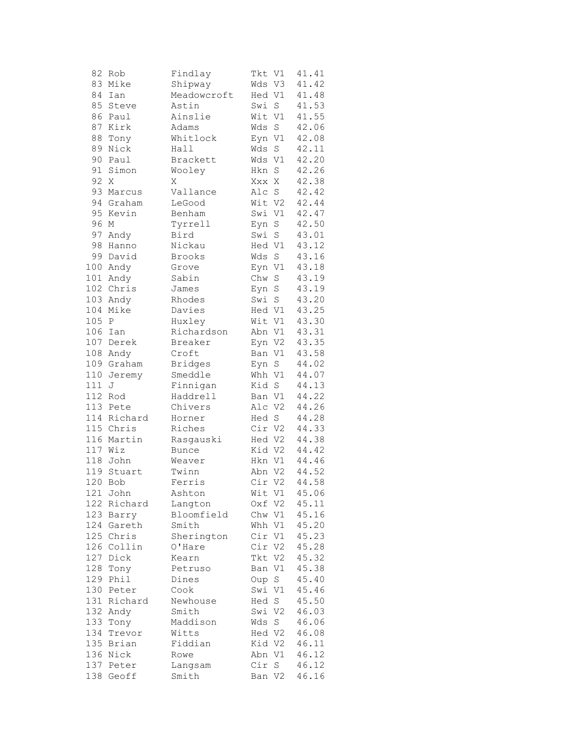| 82      | Rob               | Findlay        | Tkt    | V1             | 41.41 |
|---------|-------------------|----------------|--------|----------------|-------|
| 83      | Mike              | Shipway        | Wds V3 |                | 41.42 |
| 84      | Ian               | Meadowcroft    | Hed V1 |                | 41.48 |
| 85      | Steve             | Astin          | Swi    | S              | 41.53 |
| 86      | Paul              | Ainslie        | Wit    | V1             | 41.55 |
| 87      | Kirk              | Adams          | Wds    | $\mathbf S$    | 42.06 |
| 88      | Tony              | Whitlock       | Eyn    | V1             | 42.08 |
| 89      | Nick              | Hall           | Wds    | $\rm S$        | 42.11 |
| 90      | Paul              | Brackett       | Wds V1 |                | 42.20 |
| 91      | Simon             | Wooley         | Hkn    | $\mathbf S$    | 42.26 |
| 92      | Χ                 | Χ              | Xxx X  |                | 42.38 |
| 93      | Marcus            | Vallance       | Alc S  |                | 42.42 |
| 94      | Graham            | LeGood         | Wit V2 |                | 42.44 |
| 95      | Kevin             | Benham         | Swi V1 |                | 42.47 |
| 96      | М                 | Tyrrell        | Eyn    | S              | 42.50 |
| 97      | Andy              | Bird           | Swi    | $\rm S$        | 43.01 |
| 98      | Hanno             | Nickau         | Hed V1 |                | 43.12 |
| 99      | David             | Brooks         | Wds    | $\rm S$        | 43.16 |
|         | 100 Andy          | Grove          | Eyn V1 |                | 43.18 |
|         |                   |                |        |                | 43.19 |
| 101     | Andy<br>102 Chris | Sabin<br>James | Chw    | $\rm S$        |       |
| 103     |                   |                | Eyn    | S              | 43.19 |
|         | Andy              | Rhodes         | Swi    | $\mathbf S$    | 43.20 |
| 104     | Mike              | Davies         | Hed V1 |                | 43.25 |
| 105     | $\mathbb{P}$      | Huxley         | Wit    | V1             | 43.30 |
|         | 106 Ian           | Richardson     | Abn V1 |                | 43.31 |
|         | 107 Derek         | Breaker        | Eyn V2 |                | 43.35 |
|         | 108 Andy          | Croft          | Ban V1 |                | 43.58 |
|         | 109 Graham        | <b>Bridges</b> | Eyn S  |                | 44.02 |
| 110     | Jeremy            | Smeddle        | Whh V1 |                | 44.07 |
| 111     | J                 | Finnigan       | Kid S  |                | 44.13 |
| 112     | Rod               | Haddrell       | Ban V1 |                | 44.22 |
|         | 113 Pete          | Chivers        | Alc V2 |                | 44.26 |
| 114     | Richard           | Horner         | Hed S  |                | 44.28 |
|         | 115 Chris         | Riches         | Cir V2 |                | 44.33 |
|         | 116 Martin        | Rasgauski      | Hed V2 |                | 44.38 |
| 117 Wiz |                   | <b>Bunce</b>   | Kid V2 |                | 44.42 |
|         | 118 John          | Weaver         | Hkn V1 |                | 44.46 |
|         | 119 Stuart        | Twinn          | Abn V2 |                | 44.52 |
| 120     | Bob               | Ferris         | Cir V2 |                | 44.58 |
|         | 121 John          | Ashton         | Wit V1 |                | 45.06 |
| 122     | Richard           | Langton        | Oxf V2 |                | 45.11 |
| 123     | Barry             | Bloomfield     | Chw V1 |                | 45.16 |
| 124     | Gareth            | Smith          | Whh    | V1             | 45.20 |
|         | 125 Chris         | Sherington     | Cir V1 |                | 45.23 |
| 126     | Collin            | O'Hare         | Cir    | V <sub>2</sub> | 45.28 |
| 127     | Dick              | Kearn          | Tkt    | V <sub>2</sub> | 45.32 |
| 128     | Tony              | Petruso        | Ban    | V1             | 45.38 |
| 129     | Phil              | Dines          | Oup    | S              | 45.40 |
| 130     | Peter             | Cook           | Swi    | V1             | 45.46 |
| 131     | Richard           | Newhouse       | Hed    | $\rm S$        | 45.50 |
| 132     | Andy              | Smith          | Swi    | V2             | 46.03 |
|         | 133 Tony          | Maddison       | Wds    | S              | 46.06 |
| 134     | Trevor            | Witts          | Hed V2 |                | 46.08 |
|         | 135 Brian         | Fiddian        | Kid V2 |                | 46.11 |
|         | 136 Nick          | Rowe           | Abn V1 |                | 46.12 |
| 137     | Peter             | Langsam        | Cir    | S              | 46.12 |
| 138     | Geoff             | Smith          | Ban V2 |                | 46.16 |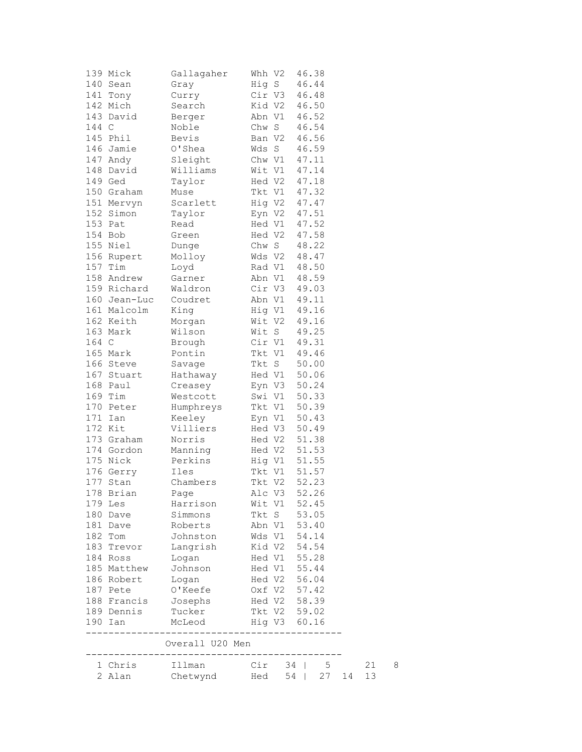|       | 139 Mick            | Gallagaher                                         | Whh V2 |        | 46.38        |       |    |   |
|-------|---------------------|----------------------------------------------------|--------|--------|--------------|-------|----|---|
|       | 140 Sean            | Gray                                               | Hig S  |        | 46.44        |       |    |   |
|       | 141 Tony            | Curry                                              |        |        | Cir V3 46.48 |       |    |   |
|       | 142 Mich            | Search                                             |        |        | Kid V2 46.50 |       |    |   |
|       | 143 David           | Berger                                             |        | Abn V1 | 46.52        |       |    |   |
| 144 C |                     | Noble                                              | Chw S  |        | 46.54        |       |    |   |
|       | 145 Phil            | Bevis                                              | Ban V2 |        | 46.56        |       |    |   |
|       | 146 Jamie           | O'Shea                                             | Wds S  |        | 46.59        |       |    |   |
|       | 147 Andy            | Sleight                                            | Chw V1 |        | 47.11        |       |    |   |
|       | 148 David           | Williams                                           | Wit V1 |        | 47.14        |       |    |   |
|       | 149 Ged             | Taylor                                             |        | Hed V2 | 47.18        |       |    |   |
|       | 150 Graham          | Muse                                               |        | Tkt V1 | 47.32        |       |    |   |
|       | 151 Mervyn          | Scarlett                                           |        |        | Hig V2 47.47 |       |    |   |
|       | 152 Simon           | Taylor                                             |        |        | Eyn V2 47.51 |       |    |   |
|       | 153 Pat             | Read                                               |        | Hed V1 | 47.52        |       |    |   |
|       | 154 Bob             | Green                                              | Hed V2 |        | 47.58        |       |    |   |
|       | 155 Niel            | Dunge                                              | Chw S  |        | 48.22        |       |    |   |
|       | 156 Rupert          | Molloy                                             | Wds V2 |        | 48.47        |       |    |   |
|       | 157 Tim             | Loyd                                               | Rad V1 |        | 48.50        |       |    |   |
|       | 158 Andrew          | Garner                                             | Abn V1 |        | 48.59        |       |    |   |
|       | 159 Richard         | Waldron                                            |        |        | Cir V3 49.03 |       |    |   |
|       | 160 Jean-Luc        | Coudret                                            |        |        | Abn V1 49.11 |       |    |   |
|       | 161 Malcolm         | King                                               |        |        |              |       |    |   |
|       | 162 Keith           |                                                    | Wit V2 |        | Hig V1 49.16 |       |    |   |
|       | 163 Mark            | Morgan                                             |        |        | 49.16        |       |    |   |
|       |                     | Wilson                                             | Wit S  |        | 49.25        |       |    |   |
| 164 C |                     | Brough                                             | Cir V1 |        | 49.31        |       |    |   |
|       | 165 Mark            | Pontin                                             | Tkt V1 |        | 49.46        |       |    |   |
|       | 166 Steve           | Savage                                             | Tkt S  |        | 50.00        |       |    |   |
|       | 167 Stuart          | Hathaway                                           | Hed V1 |        | 50.06        |       |    |   |
|       | 168 Paul            | Creasey                                            |        | Eyn V3 | 50.24        |       |    |   |
|       | 169 Tim             | Westcott                                           |        | Swi V1 | 50.33        |       |    |   |
|       | 170 Peter           | Humphreys                                          |        | Tkt V1 | 50.39        |       |    |   |
| 171   | Ian                 | Keeley                                             |        | Eyn V1 | 50.43        |       |    |   |
|       | 172 Kit             | Villiers                                           | Hed V3 |        | 50.49        |       |    |   |
|       | 173 Graham          | Norris                                             | Hed V2 |        | 51.38        |       |    |   |
|       | 174 Gordon          | Manning                                            | Hed V2 |        | 51.53        |       |    |   |
|       | 175 Nick            | Perkins                                            | Hig V1 |        | 51.55        |       |    |   |
|       | 176 Gerry           | Iles                                               | Tkt V1 |        | 51.57        |       |    |   |
|       | 177 Stan            | Chambers                                           | Tkt V2 |        | 52.23        |       |    |   |
|       | 178 Brian           | Page                                               |        | Alc V3 | 52.26        |       |    |   |
|       | 179 Les             | Harrison                                           |        |        | Wit V1 52.45 |       |    |   |
|       | 180 Dave            | Simmons                                            |        |        | Tkt S 53.05  |       |    |   |
|       | 181 Dave            | Roberts                                            |        |        | Abn V1 53.40 |       |    |   |
|       | 182 Tom             | Johnston                                           |        |        | Wds V1 54.14 |       |    |   |
|       | 183 Trevor          | Langrish                                           |        |        | Kid V2 54.54 |       |    |   |
|       | 184 Ross            | Logan                                              |        |        | Hed V1 55.28 |       |    |   |
|       | 185 Matthew Johnson |                                                    |        |        | Hed V1 55.44 |       |    |   |
|       | 186 Robert          | Logan                                              |        |        | Hed V2 56.04 |       |    |   |
|       | 187 Pete            | O'Keefe                                            |        |        | Oxf V2 57.42 |       |    |   |
|       |                     | 188 Francis Josephs Hed V2 58.39                   |        |        |              |       |    |   |
|       | 189 Dennis Tucker   |                                                    |        |        | Tkt V2 59.02 |       |    |   |
|       | 190 Ian             | McLeod                                             |        |        | Hig V3 60.16 |       |    |   |
|       |                     |                                                    |        |        |              |       |    |   |
|       |                     | Overall U20 Men<br>------------------------------- |        |        |              |       |    |   |
|       | 1 Chris             | Illman                                             |        |        | Cir 34   5   |       | 21 | 8 |
|       | 2 Alan              | Chetwynd Hed                                       |        |        | $54$         | 27 14 | 13 |   |
|       |                     |                                                    |        |        |              |       |    |   |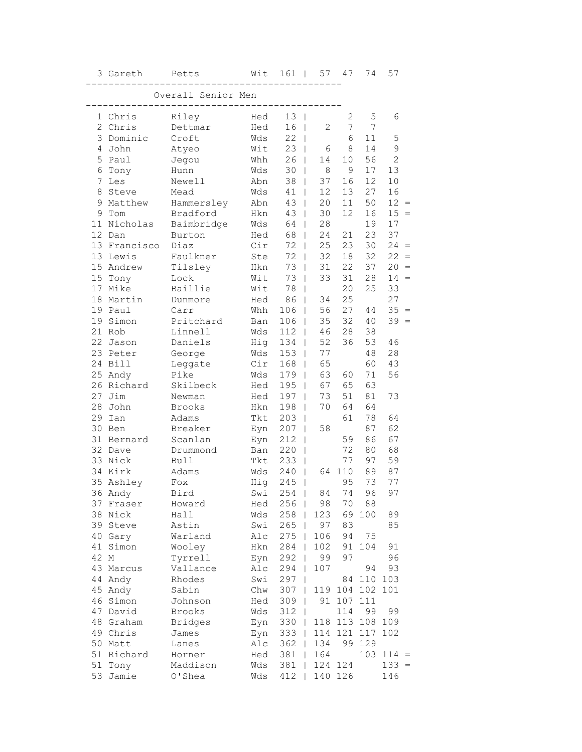|      | 3 Gareth         | Petts              | Wit        | $161$                           | 57                   | 47           | 74         | 57             |                   |
|------|------------------|--------------------|------------|---------------------------------|----------------------|--------------|------------|----------------|-------------------|
|      |                  | Overall Senior Men |            |                                 |                      |              |            |                |                   |
|      |                  |                    |            |                                 |                      |              |            |                |                   |
|      | 1 Chris          | Riley              | Hed        | 13<br>$\blacksquare$            |                      | $\mathbf{2}$ | 5          | 6              |                   |
|      | 2 Chris          | Dettmar            | Hed        | 16                              | $\overline{2}$       | 7            | 7          |                |                   |
|      | 3 Dominic        | Croft              | Wds        | 22<br>T                         |                      | 6            | 11         | 5              |                   |
|      | 4 John           | Atyeo              | Wit        | 23                              | 6<br>$\mathbf{I}$    | 8            | 14         | 9              |                   |
| 5    | Paul             | Jegou              | Whh        | 26                              | 14<br>$\mathbf{I}$   | 10           | 56         | $\overline{2}$ |                   |
|      | 6 Tony           | Hunn               | Wds        | 30                              | 8<br>$\overline{1}$  | $\mathsf 9$  | 17         | 13             |                   |
| 7    | Les              | Newell             | Abn        | 38                              | $\mathbf{I}$<br>37   | 16           | 12         | 10             |                   |
| 8    | Steve            | Mead               | Wds        | 41                              | 12<br>$\mathbf{I}$   | 13           | 27         | 16             |                   |
| 9    | Matthew          | Hammersley         | Abn        | 43                              | 20<br>T              | 11           | 50         | $12 =$         |                   |
| 9    | Tom              | Bradford           | Hkn        | 43                              | 30                   | 12           | 16         | $15 =$         |                   |
| 11   | Nicholas         | Baimbridge         | Wds        | 64                              | 28                   |              | 19         | 17             |                   |
| 12   | Dan              | Burton             | Hed        | 68                              | 24<br>L              | 21           | 23         | 37             |                   |
|      | 13 Francisco     | Diaz               | Cir        | 72                              | 25<br>$\mathbf{I}$   | 23           | 30         | 24             | $\qquad \qquad =$ |
|      | 13 Lewis         | Faulkner           | Ste        | 72                              | 32<br>$\overline{1}$ | 18           | 32         | 22             | $\, = \,$         |
|      | 15 Andrew        | Tilsley            | Hkn        | 73                              | 31<br>$\overline{1}$ | 22           | 37         | 20             | $=$               |
|      | 15 Tony          | Lock               | Wit        | 73<br>$\overline{\phantom{a}}$  | 33                   | 31           | 28         | 14             | $=$               |
|      | 17 Mike          | Baillie            | Wit        | 78                              | L                    | 20           | 25         | 33             |                   |
| 18   | Martin           | Dunmore            | Hed        | 86                              | 34<br>L              | 25           |            | 27             |                   |
|      | 19 Paul          | Carr               | Whh        | 106                             | 56<br>L              | 27           | 44         | $35 =$         |                   |
|      | 19 Simon         | Pritchard          | Ban        | 106                             | 35                   | 32           | 40         | $39 =$         |                   |
|      | 21 Rob           | Linnell            | Wds        | 112                             | 46<br>$\mathbf{I}$   | 28           | 38         |                |                   |
|      | 22 Jason         | Daniels            | Hig        | 134                             | 52<br>L              | 36           | 53         | 46             |                   |
|      | 23 Peter         | George             | Wds        | 153<br>$\overline{1}$           | 77                   |              | 48         | 28             |                   |
|      | 24 Bill          | Leggate            | Cir        | 168                             | 65<br>T              |              | 60         | 43             |                   |
|      | 25 Andy          | Pike               | Wds        | 179                             | 63<br>$\mathbf{I}$   | 60           | 71         | 56             |                   |
|      | 26 Richard       | Skilbeck           | Hed        | 195                             | 67<br>L              | 65           | 63         |                |                   |
| 27   | Jim              | Newman             | Hed        | 197                             | 73                   | 51           | 81         | 73             |                   |
| 28   | John             | <b>Brooks</b>      | Hkn        | 198                             | 70                   | 64           | 64         |                |                   |
| 29   | Ian              | Adams              | Tkt        | 203                             |                      | 61           | 78         | 64             |                   |
|      | 30 Ben           | Breaker            | Eyn        | 207                             | 58<br>$\mathbf{I}$   |              | 87         | 62             |                   |
|      | 31 Bernard       | Scanlan            | Eyn        | 212<br>T                        |                      | 59           | 86         | 67             |                   |
|      | 32 Dave          | Drummond           | Ban        | 220<br>$\overline{\phantom{a}}$ |                      | 72           | 80         | 68             |                   |
|      | 33 Nick          | Bull               | Tkt        | 233<br>I                        |                      | 77           | 97         | 59             |                   |
|      | 34 Kirk          | Adams              | Wds        | 240                             | $\mathbf{I}$         | 64 110       | 89         | 87             |                   |
|      | 35 Ashley        | Fox                | Hig        | 245<br>I                        |                      | 95           | 73         | 77             |                   |
|      | 36 Andy          | Bird               | Swi        | $254$ $\parallel$               | 84                   | 74           | 96         | 97             |                   |
| 37   | Fraser           | Howard             | Hed        | 256                             | 98                   | 70           | 88         |                |                   |
|      | 38 Nick          | Hall               | Wds        | 258                             | 123                  | 69           | 100        | 89             |                   |
| 39   | Steve            | Astin              | Swi        | 265                             | 97                   | 83           |            | 85             |                   |
|      | 40 Gary          | Warland            | Alc        | 275                             | 106                  | 94           | 75         |                |                   |
| 41   | Simon            | Wooley             | Hkn        | 284                             | 102                  | 91           | 104        | 91             |                   |
| 42 M |                  | Tyrrell            | Eyn        | 292                             | 99                   | 97           |            | 96             |                   |
|      | 43 Marcus        | Vallance           | Alc        | 294                             | 107                  |              | 94         | 93             |                   |
|      | 44 Andy          | Rhodes             | Swi        | 297                             |                      | 84           | 110        | 103            |                   |
| 46   | 45 Andy<br>Simon | Sabin<br>Johnson   | Chw        | 307<br>309                      | 119<br>91            | 104<br>107   | 102<br>111 | 101            |                   |
| 47   | David            | <b>Brooks</b>      | Hed<br>Wds | 312                             |                      | 114          | 99         | 99             |                   |
|      | 48 Graham        | <b>Bridges</b>     | Eyn        | 330                             | 118                  | 113          | 108        | 109            |                   |
|      | 49 Chris         | James              | Eyn        | 333                             | 114                  | 121          | 117        | 102            |                   |
|      | 50 Matt          | Lanes              | Alc        | 362                             | 134                  | 99           | 129        |                |                   |
| 51   | Richard          | Horner             | Hed        | 381                             | 164                  |              | 103        | $114 =$        |                   |
| 51   | Tony             | Maddison           | Wds        | 381                             |                      | 124 124      |            | $133 =$        |                   |
| 53   | Jamie            | O'Shea             | Wds        | 412                             | 140                  | 126          |            | 146            |                   |
|      |                  |                    |            |                                 |                      |              |            |                |                   |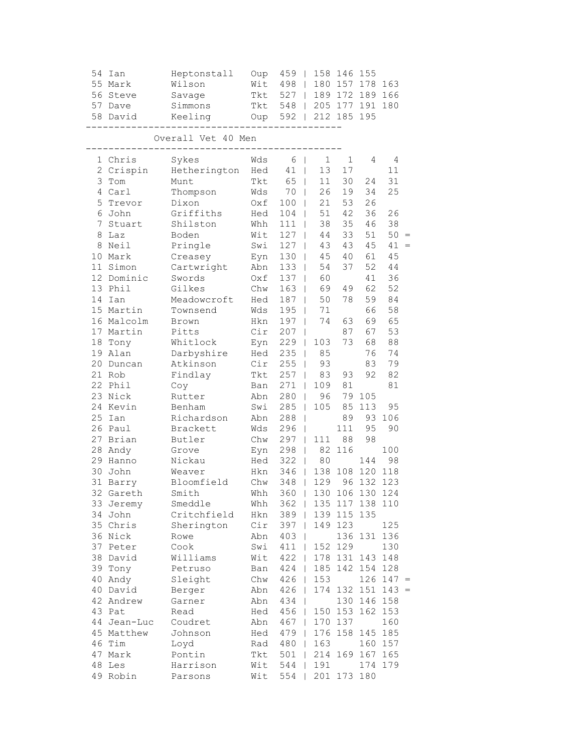| 54 | Ian<br>55 Mark<br>56 Steve<br>57 Dave<br>58 David | Heptonstall<br>Wilson<br>Savage<br>Simmons | Oup<br>Wit<br>Tkt<br>Tkt | 459<br>498<br>527<br>548<br>592 | $\perp$<br>$\mathbb{R}$                  | 180         | 158 146<br>157<br>$189$ 172<br>212 185 | 155<br>178<br>189<br>  205 177 191 180<br>195 | 163<br>166 |     |
|----|---------------------------------------------------|--------------------------------------------|--------------------------|---------------------------------|------------------------------------------|-------------|----------------------------------------|-----------------------------------------------|------------|-----|
|    |                                                   | Keeling<br>Overall Vet 40 Men              | Oup                      |                                 |                                          |             |                                        |                                               |            |     |
|    | 1 Chris                                           | Sykes                                      | Wds                      | 6                               | $\mathbf{I}$                             | $\mathbf 1$ | 1                                      | 4                                             | 4          |     |
|    | 2 Crispin                                         | Hetherington                               | Hed                      | 41                              | $\perp$                                  | 13          | 17                                     |                                               | 11         |     |
|    | 3 Tom                                             | Munt                                       | Tkt                      | 65                              | $\mathbf{I}$                             | 11          | 30                                     | 24                                            | 31         |     |
|    | 4 Carl                                            | Thompson                                   | Wds                      | 70                              | L                                        | 26          | 19                                     | 34                                            | 25         |     |
| 5  | Trevor                                            | Dixon                                      | Oxf                      | 100                             | $\perp$                                  | 21          | 53                                     | 26                                            |            |     |
|    | 6 John                                            | Griffiths                                  | Hed                      | 104                             | $\mathbf{I}$                             | 51          | 42                                     | 36                                            | 26         |     |
|    | 7 Stuart                                          | Shilston                                   | Whh                      | 111                             | $\mathbf{I}$                             | 38          | 35                                     | 46                                            | 38         |     |
|    | 8 Laz                                             | Boden                                      | Wit                      | 127                             | $\mathbf{I}$                             | 44          | 33                                     | 51                                            | $50 =$     |     |
|    | 8 Neil                                            | Pringle                                    | Swi                      | 127                             | $\mathbf{I}$                             | 43          | 43                                     | 45                                            | 41         | $=$ |
|    | 10 Mark                                           | Creasey                                    | Eyn                      | 130                             | $\perp$                                  | 45          | 40                                     | 61                                            | 45         |     |
|    | 11 Simon                                          | Cartwright                                 | Abn                      | 133                             | $\mathbf{I}$                             | 54          | 37                                     | 52                                            | 44         |     |
|    | 12 Dominic                                        | Swords                                     | Oxf                      | 137                             | L                                        | 60          |                                        | 41                                            | 36         |     |
|    | 13 Phil                                           | Gilkes                                     | Chw                      | 163                             | L                                        | 69          | 49                                     | 62                                            | 52         |     |
|    | 14 Ian                                            | Meadowcroft                                | Hed                      | 187                             | $\mathbf{I}$                             | 50          | 78                                     | 59                                            | 84         |     |
|    | 15 Martin                                         | Townsend                                   | Wds                      | 195                             | $\mathbf{I}$                             | 71          |                                        | 66                                            | 58         |     |
|    | 16 Malcolm                                        | Brown                                      | Hkn                      | 197                             | $\overline{1}$                           | 74          | 63                                     | 69                                            | 65         |     |
|    | 17 Martin                                         | Pitts                                      | Cir                      | 207                             | $\overline{\phantom{a}}$                 |             | 87                                     | 67                                            | 53         |     |
|    | 18 Tony                                           | Whitlock                                   | Eyn                      | 229                             | $\perp$                                  | 103         | 73                                     | 68                                            | 88         |     |
|    | 19 Alan                                           | Darbyshire                                 | Hed                      | 235                             | $\perp$                                  | 85          |                                        | 76                                            | 74         |     |
|    | 20 Duncan                                         | Atkinson                                   | Cir                      | 255                             |                                          | 93          |                                        | 83                                            | 79         |     |
|    | 21 Rob                                            |                                            | Tkt                      | 257                             | $\mathbf{I}$<br>L                        | 83          | 93                                     | 92                                            | 82         |     |
|    | 22 Phil                                           | Findlay<br>Coy                             | Ban                      | 271                             | $\mathbf{I}$                             | 109         | 81                                     |                                               | 81         |     |
|    | 23 Nick                                           | Rutter                                     | Abn                      | 280                             | $\perp$                                  | 96          | 79                                     | 105                                           |            |     |
|    | 24 Kevin                                          | Benham                                     | Swi                      | 285                             | $\perp$                                  | 105         | 85                                     | 113                                           | 95         |     |
|    | 25 Ian                                            |                                            |                          | 288                             |                                          |             | 89                                     | 93                                            | 106        |     |
|    | 26 Paul                                           | Richardson                                 | Abn<br>Wds               |                                 | $\overline{1}$                           |             | 111                                    | 95                                            | 90         |     |
|    | 27 Brian                                          | Brackett                                   | Chw                      | 296<br>297                      | $\overline{\phantom{a}}$<br>$\mathbf{L}$ | 111         | 88                                     | 98                                            |            |     |
|    |                                                   | Butler                                     |                          |                                 |                                          |             | 116                                    |                                               | 100        |     |
|    | 28 Andy<br>29 Hanno                               | Grove                                      | Eyn<br>Hed               | 298<br>322                      | $\mathbf{I}$                             | 82          |                                        |                                               | 98         |     |
|    |                                                   | Nickau                                     |                          |                                 | $\mathbf{I}$                             | 80          |                                        | 144<br>108 120                                |            |     |
| 30 | John                                              | Weaver                                     | Hkn                      | 346                             | $\mathbb{R}$                             | 138         |                                        |                                               | 118        |     |
|    | 31 Barry                                          | Bloomfield                                 | Chw                      | 348                             | $\mathbf{L}$                             | 129         |                                        | 96 132 123                                    |            |     |
|    | 32 Gareth                                         | Smith                                      | Whh                      | $360$                           |                                          |             |                                        | 130 106 130 124                               |            |     |
|    | 33 Jeremy                                         | Smeddle                                    | Whh                      | 362                             | $\mathbf{I}$                             |             | 135 117                                |                                               | 138 110    |     |
|    | 34 John                                           | Critchfield                                | Hkn                      | 389                             | $\Box$                                   |             | 139 115                                | 135                                           |            |     |
|    | 35 Chris                                          | Sherington                                 | Cir                      | 397                             | $\perp$                                  | 149         | 123                                    |                                               | 125        |     |
|    | 36 Nick                                           | Rowe                                       | Abn                      | 403                             | $\perp$                                  |             |                                        | 136 131                                       | 136        |     |
|    | 37 Peter                                          | Cook                                       | Swi                      | 411                             | $\perp$                                  | 152         | 129                                    |                                               | 130        |     |
|    | 38 David                                          | Williams                                   | Wit                      | 422                             | $\mathbf{I}$                             |             | 178 131                                | 143                                           | 148        |     |
|    | 39 Tony                                           | Petruso                                    | Ban                      | 424                             | $\mathbf{I}$                             | 185         | 142                                    | 154                                           | 128        |     |
|    | 40 Andy                                           | Sleight                                    | Chw                      | 426                             | $\mathbf{L}$                             | 153         |                                        | 126                                           | $147 =$    |     |
|    | 40 David                                          | Berger                                     | Abn                      | 426                             | $\mathbf{I}$                             | 174         | 132                                    | 151                                           | $143 =$    |     |
|    | 42 Andrew                                         | Garner                                     | Abn                      | 434                             | $\perp$                                  |             | 130                                    | 146                                           | 158        |     |
|    | 43 Pat                                            | Read                                       | Hed                      | 456                             | $\mathbf{I}$                             | 150         | 153                                    | 162                                           | 153        |     |
|    | 44 Jean-Luc                                       | Coudret                                    | Abn                      | 467                             | $\perp$                                  | 170         | 137                                    |                                               | 160        |     |
|    | 45 Matthew                                        | Johnson                                    | Hed                      | 479                             | $\perp$                                  | 176         | 158                                    | 145                                           | 185        |     |
|    | 46 Tim                                            | Loyd                                       | Rad                      | 480                             | $\perp$                                  | 163         |                                        | 160                                           | 157        |     |
|    | 47 Mark                                           | Pontin                                     | Tkt                      | 501                             | $\mathbf{1}$                             | 214         | 169                                    | 167                                           | 165        |     |
| 48 | Les                                               | Harrison                                   | Wit                      | 544                             |                                          | 191         |                                        | 174                                           | 179        |     |
|    | 49 Robin                                          | Parsons                                    | Wit                      | 554                             |                                          |             | 201 173 180                            |                                               |            |     |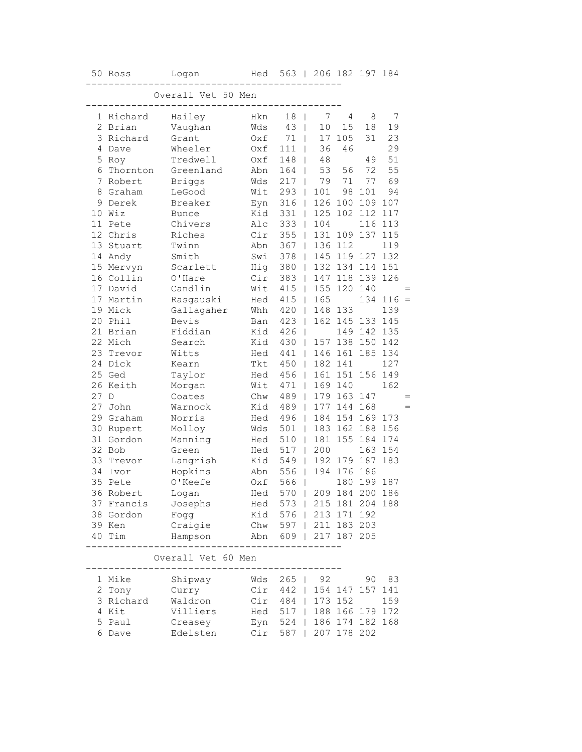|    | 50 Ross     | Logan                              | Hed | 563   206 182 197 184           |                |         |             |             |     |     |
|----|-------------|------------------------------------|-----|---------------------------------|----------------|---------|-------------|-------------|-----|-----|
|    |             | Overall Vet 50 Men                 |     |                                 |                |         |             |             |     |     |
|    | 1 Richard   | -------<br>Hailey                  | Hkn | 18                              | $\overline{1}$ | 7       | 4           | 8           | 7   |     |
|    | 2 Brian     | Vaughan                            | Wds | 43                              | $\mathbf{I}$   | 10      | 15          | 18          | 19  |     |
| 3  | Richard     | Grant                              | Oxf | 71                              | $\mathbf{I}$   | 17      | 105         | 31          | 23  |     |
| 4  | Dave        | Wheeler                            | Oxf | 111                             | T              | 36      | 46          |             | 29  |     |
| 5  | Roy         | Tredwell                           | Oxf | 148                             | L              | 48      |             | 49          | 51  |     |
| 6  | Thornton    | Greenland                          | Abn | 164                             | L              | 53      | 56          | 72          | 55  |     |
| 7  | Robert      | <b>Briggs</b>                      | Wds | 217<br>$\Box$                   |                | 79      | 71          | 77          | 69  |     |
|    | 8 Graham    | LeGood                             | Wit | 293<br>$\overline{\phantom{a}}$ |                | 101     | 98          | 101         | 94  |     |
| 9  | Derek       | Breaker                            | Eyn | 316                             | $\Box$         |         |             | 126 100 109 | 107 |     |
| 10 | Wiz         | <b>Bunce</b>                       | Kid | 331                             | $\Box$         | 125     |             | 102 112     | 117 |     |
| 11 | Pete        | Chivers                            | Alc | 333                             | $\Box$         | 104     |             | 116         | 113 |     |
|    | 12 Chris    | Riches                             | Cir | 355                             | $\Box$         | 131     | 109         | 137         | 115 |     |
| 13 | Stuart      | Twinn                              | Abn | 367                             | $\mathbf{I}$   |         | 136 112     |             | 119 |     |
| 14 | Andy        | Smith                              | Swi | 378                             | $\mathbb{L}$   |         | 145 119 127 |             | 132 |     |
|    | 15 Mervyn   | Scarlett                           | Hig | 380                             | $\Box$         |         |             | 132 134 114 | 151 |     |
|    | 16 Collin   | O'Hare                             | Cir | 383                             | $\Box$         |         | 147 118 139 |             | 126 |     |
|    | 17 David    | Candlin                            | Wit | 415                             | $\mathbb{R}$   |         | 155 120     | 140         |     | $=$ |
|    | 17 Martin   | Rasgauski                          | Hed | 415                             | $\mathbb{R}$   | 165     |             | 134         | 116 | $=$ |
|    | 19 Mick     | Gallagaher                         | Whh | 420                             | $\Box$         | 148     | 133         |             | 139 |     |
| 20 | Phil        | Bevis                              | Ban | 423                             | $\mathbf{I}$   |         | 162 145 133 |             | 145 |     |
| 21 | Brian       | Fiddian                            | Kid | 426<br>$\mathbf{I}$             |                |         |             | 149 142     | 135 |     |
| 22 | Mich        | Search                             | Kid | 430                             | $\mathbf{I}$   |         | 157 138     | 150         | 142 |     |
| 23 | Trevor      | Witts                              | Hed | 441                             | $\mathbf{I}$   | 146 161 |             | 185         | 134 |     |
| 24 | Dick        | Kearn                              | Tkt | 450                             | $\mathbf{L}$   | 182 141 |             |             | 127 |     |
|    | 25 Ged      | Taylor                             | Hed | 456                             | $\Box$         |         | 161 151 156 |             | 149 |     |
|    | 26 Keith    | Morgan                             | Wit | 471<br>$\Box$                   |                | 169 140 |             |             | 162 |     |
| 27 | $\mathbb D$ | Coates                             | Chw | 489<br>$\Box$                   |                |         | 179 163 147 |             |     | $=$ |
| 27 | John        | Warnock                            | Kid | 489                             | $\Box$         | 177     |             | 144 168     |     | $=$ |
| 29 | Graham      | Norris                             | Hed | 496                             | $\Box$         |         |             | 184 154 169 | 173 |     |
| 30 | Rupert      | Molloy                             | Wds | 501<br>$\Box$                   |                | 183     | 162         | 188         | 156 |     |
|    | 31 Gordon   | Manning                            | Hed | 510                             | $\mathbf{I}$   | 181     | 155         | 184         | 174 |     |
| 32 | Bob         | Green                              | Hed | 517                             | $\mathbf{I}$   | 200     |             | 163         | 154 |     |
| 33 | Trevor      | Langrish                           | Kid | 549                             | $\Box$         |         | 192 179 187 |             | 183 |     |
|    | 34 Ivor     | Hopkins                            | Abn | 556                             | - 11           |         | 194 176 186 |             |     |     |
| 35 | Pete        | O'Keefe                            | Oxf | 566<br>$\Box$                   |                |         | 180         | 199 187     |     |     |
|    | 36 Robert   | Logan                              |     | Hed 570   209 184 200 186       |                |         |             |             |     |     |
|    | 37 Francis  | Josephs                            |     | Hed 573   215 181 204 188       |                |         |             |             |     |     |
|    | 38 Gordon   | Fogg                               |     | Kid 576   213 171 192           |                |         |             |             |     |     |
|    | 39 Ken      | Craigie                            |     | Chw 597   211 183 203           |                |         |             |             |     |     |
|    | 40 Tim      | Hampson                            |     | Abn 609   217 187 205           |                |         |             |             |     |     |
|    |             | ---------<br>Overall Vet 60 Men    |     | .                               |                |         |             |             |     |     |
|    |             |                                    |     |                                 |                |         |             |             |     |     |
|    | 1 Mike      | Shipway                            |     | Wds 265   92                    |                |         |             | 90          | 83  |     |
|    | 2 Tony      | Curry                              |     | Cir 442   154 147 157 141       |                |         |             |             |     |     |
|    | 3 Richard   | Waldron                            |     | Cir 484   173 152               |                |         |             |             | 159 |     |
|    | 4 Kit       | Villiers Hed 517   188 166 179 172 |     |                                 |                |         |             |             |     |     |
| 5  | Paul        | Creasey                            |     | Eyn 524   186 174 182 168       |                |         |             |             |     |     |
|    | 6 Dave      | Edelsten                           |     | Cir 587   207 178 202           |                |         |             |             |     |     |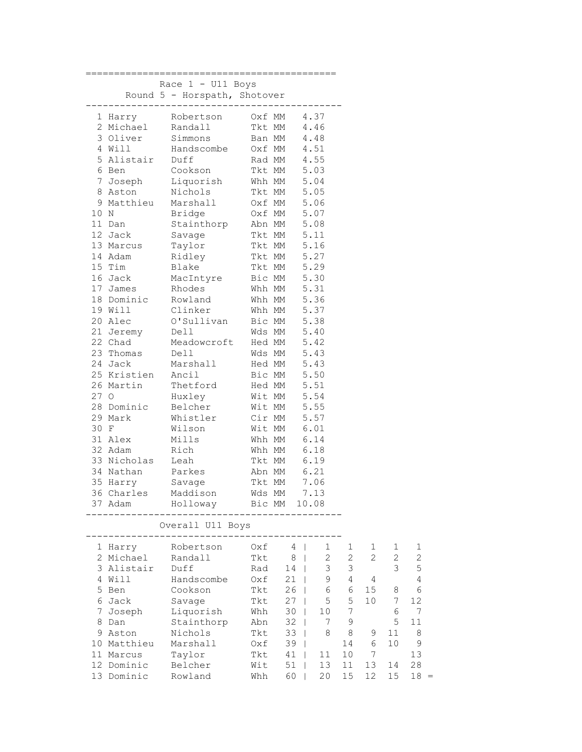|      |                         | Race $1 - U11$ Boys                                                 |                            |                                |                |              |                |                |                |
|------|-------------------------|---------------------------------------------------------------------|----------------------------|--------------------------------|----------------|--------------|----------------|----------------|----------------|
|      |                         | Round 5 - Horspath, Shotover                                        |                            |                                |                |              |                |                |                |
|      |                         | ----------------------------------<br>1 Harry Robertson 0xf MM 4.37 |                            |                                |                |              |                |                |                |
|      |                         | 2 Michael Randall Tkt MM 4.46                                       |                            |                                |                |              |                |                |                |
|      | 3 Oliver                | Simmons                                                             | Ban MM 4.48                |                                |                |              |                |                |                |
|      |                         | Handscombe<br>4 Will<br>5 Alistair Duff<br>Cookson                  |                            |                                |                |              |                |                |                |
|      |                         |                                                                     | Oxf MM 4.51<br>Rad MM 4.55 |                                |                |              |                |                |                |
|      |                         |                                                                     | Tkt MM 5.03                |                                |                |              |                |                |                |
|      | 7 Joseph                | Liquorish Whh MM 5.04                                               |                            |                                |                |              |                |                |                |
|      | 8 Aston                 | Nichols                                                             | Tkt MM 5.05                |                                |                |              |                |                |                |
|      |                         | 9 Matthieu Marshall 0xf MM 5.06                                     |                            |                                |                |              |                |                |                |
| 10 N |                         | Bridge                                                              | Oxf MM 5.07                |                                |                |              |                |                |                |
|      | 11 Dan                  | Stainthorp Abn MM 5.08                                              |                            |                                |                |              |                |                |                |
|      | 12 Jack                 | Savage                                                              | Tkt MM 5.11                |                                |                |              |                |                |                |
|      | 13 Marcus               | Taylor                                                              | Tkt MM 5.16                |                                |                |              |                |                |                |
|      | 14 Adam                 | Ridley                                                              | Tkt MM 5.27                |                                |                |              |                |                |                |
|      | 15 Tim                  | Blake                                                               | Tkt MM 5.29                |                                |                |              |                |                |                |
|      | 16 Jack                 | MacIntyre                                                           | Bic MM 5.30                |                                |                |              |                |                |                |
|      | 17 James                | Rhodes                                                              | Whh MM 5.31                |                                |                |              |                |                |                |
|      | 18 Dominic              | Rowland                                                             | Whh MM 5.36                |                                |                |              |                |                |                |
|      | 19 Will                 | Clinker                                                             | Whh MM 5.37                |                                |                |              |                |                |                |
|      | 20 Alec                 | O'Sullivan                                                          | Bic MM 5.38                |                                |                |              |                |                |                |
|      |                         | 21 Jeremy Dell                                                      | Wds MM 5.40                |                                |                |              |                |                |                |
|      | 22 Chad<br>23 Thomas    | Meadowcroft Hed MM 5.42                                             |                            |                                |                |              |                |                |                |
|      | 24 Jack                 | Dell                                                                | Wds MM 5.43<br>Hed MM 5.43 |                                |                |              |                |                |                |
|      |                         | Marshall<br>25 Kristien Ancil                                       | Bic MM 5.50                |                                |                |              |                |                |                |
|      | 26 Martin               | Thetford Hed MM 5.51                                                |                            |                                |                |              |                |                |                |
| 27 O |                         | Huxley                                                              | Wit MM 5.54                |                                |                |              |                |                |                |
|      | 28 Dominic              | Belcher                                                             | Wit MM 5.55                |                                |                |              |                |                |                |
|      | 29 Mark                 | Whistler                                                            | Cir MM 5.57                |                                |                |              |                |                |                |
| 30 F |                         | Wilson                                                              | Wit MM 6.01                |                                |                |              |                |                |                |
|      | 31 Alex                 | Mills                                                               | Whh MM                     |                                | 6.14           |              |                |                |                |
|      | 32 Adam                 | Rich                                                                | Whh MM 6.18                |                                |                |              |                |                |                |
|      | 33 Nicholas Leah        |                                                                     | Tkt MM 6.19                |                                |                |              |                |                |                |
|      | 34 Nathan               | Parkes                                                              | Abn MM 6.21                |                                |                |              |                |                |                |
|      | 35 Harry                | Savage                                                              | Tkt MM 7.06                |                                |                |              |                |                |                |
|      |                         | 36 Charles Maddison                                                 | Wds MM                     |                                | 7.13           |              |                |                |                |
|      | 37 Adam                 | Holloway                                                            | Bic MM                     |                                | 10.08          |              |                |                |                |
|      |                         |                                                                     |                            |                                |                |              |                |                |                |
|      |                         | Overall U11 Boys                                                    |                            |                                |                |              |                |                |                |
|      | 1 Harry                 | Robertson                                                           | Oxf                        | 4                              | $\mathbf 1$    | 1            | 1              | 1              | 1              |
|      | 2 Michael               | Randall                                                             | <b>Tkt</b>                 | 8<br>$\blacksquare$            | $\overline{c}$ | $\mathbf{2}$ | $\overline{2}$ | $\overline{c}$ | $\overline{c}$ |
|      | 3 Alistair              | Duff                                                                | Rad                        | 14<br>$\mathbf{I}$             | 3              | 3            |                | 3              | 5              |
|      | 4 Will                  | Handscombe                                                          | Oxf                        | 21                             | 9              | 4            | 4              |                | $\sqrt{4}$     |
|      | 5 Ben                   | Cookson                                                             | Tkt                        | 26                             | 6              | 6            | 15             | 8              | 6              |
|      | 6 Jack                  | Savage                                                              | Tkt                        | 27                             | 5              | 5            | 10             | 7              | 12             |
| 7    | Joseph                  | Liquorish                                                           | Whh                        | 30                             | 10             | 7            |                | 6              | 7              |
| 8    | Dan                     | Stainthorp                                                          | Abn                        | 32                             | 7              | 9            |                | 5              | 11             |
|      | 9 Aston                 | Nichols                                                             | Tkt                        | 33<br>$\mathbf{I}$             | 8              | 8            | 9              | 11             | 8              |
|      | 10 Matthieu             | Marshall                                                            | Oxf                        | 39<br>$\overline{\phantom{a}}$ |                | 14           | 6<br>7         | 10             | $\mathcal{G}$  |
|      | 11 Marcus<br>12 Dominic | Taylor<br>Belcher                                                   | Tkt<br>Wit                 | 41<br>$\mathbf{I}$<br>51<br>T  | 11<br>13       | 10<br>11     | 13             | 14             | 13<br>28       |
|      | 13 Dominic              | Rowland                                                             | Whh                        | 60<br>$\mathbf{I}$             | 20             | 15           | 12             | 15             | $18 =$         |
|      |                         |                                                                     |                            |                                |                |              |                |                |                |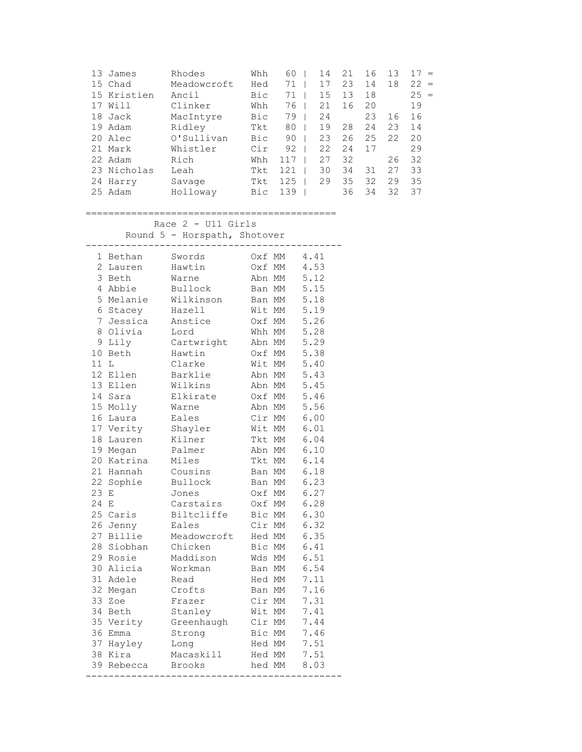| 13 | James       | Rhodes      | Whh | 60  | 14 | 21 | 16 | 13 | $=$       |
|----|-------------|-------------|-----|-----|----|----|----|----|-----------|
|    | 15 Chad     | Meadowcroft | Hed | 71  | 17 | 23 | 14 | 18 | 22<br>$=$ |
|    | 15 Kristien | Ancil       | Bic | 71  | 15 | 13 | 18 |    | $25 =$    |
|    | Will        | Clinker     | Whh | 76  | 21 | 16 | 20 |    | 19        |
| 18 | Jack        | MacIntyre   | Bic | 79  | 24 |    | 23 | 16 | 16        |
| 19 | Adam        | Ridley      | Tkt | 80  | 19 | 28 | 24 | 23 | 14        |
| 20 | Alec        | O'Sullivan  | Bic | 90  | 23 | 26 | 25 | 22 | 20        |
| 21 | Mark        | Whistler    | Cir | 92  | 22 | 24 | 17 |    | 29        |
|    | 22 Adam     | Rich        | Whh | 117 | 27 | 32 |    | 26 | 32        |
|    | 23 Nicholas | Leah        | Tkt | 121 | 30 | 34 | 31 | 27 | 33        |
| 24 | Harry       | Savage      | Tkt | 125 | 29 | 35 | 32 | 29 | 35        |
|    | 25 Adam     | Holloway    | Bic | 139 |    | 36 | 34 | 32 | 37        |

============================================

 Race 2 - U11 Girls Round 5 - Horspath, Shotover

|                | 1 Bethan     | Swords        |        | Oxf MM    | 4.41 |
|----------------|--------------|---------------|--------|-----------|------|
| $\overline{2}$ | Lauren       | Hawtin        | Oxf MM |           | 4.53 |
| 3              | Beth         | Warne         | Abn MM |           | 5.12 |
|                | 4 Abbie      | Bullock       | Ban MM |           | 5.15 |
|                | 5 Melanie    | Wilkinson     | Ban MM |           | 5.18 |
|                | 6 Stacey     | Hazell        | Wit MM |           | 5.19 |
|                | 7 Jessica    | Anstice       | Oxf MM |           | 5.26 |
| 8              | Olivia       | Lord          | Whh MM |           | 5.28 |
| 9              | Lily         | Cartwright    | Abn MM |           | 5.29 |
| 10             | Beth         | Hawtin        | Oxf MM |           | 5.38 |
| 11             | $\mathbb{L}$ | Clarke        | Wit MM |           | 5.40 |
| 12             | Ellen        | Barklie       | Abn MM |           | 5.43 |
|                | 13 Ellen     | Wilkins       | Abn MM |           | 5.45 |
| 14             | Sara         | Elkirate      | Oxf MM |           | 5.46 |
|                | 15 Molly     | Warne         | Abn MM |           | 5.56 |
|                | 16 Laura     | Eales         | Cir MM |           | 6.00 |
|                | 17 Verity    | Shayler       | Wit MM |           | 6.01 |
| 18             | Lauren       | Kilner        | Tkt MM |           | 6.04 |
|                | 19 Megan     | Palmer        | Abn MM |           | 6.10 |
| 20             | Katrina      | Miles         | Tkt MM |           | 6.14 |
|                | 21 Hannah    | Cousins       |        | Ban MM    | 6.18 |
| 22             | Sophie       | Bullock       | Ban MM |           | 6.23 |
| 23             | Е            | Jones         | Oxf MM |           | 6.27 |
| 24             | E            | Carstairs     | Oxf MM |           | 6.28 |
|                | 25 Caris     | Biltcliffe    | Bic MM |           | 6.30 |
|                | 26 Jenny     | Eales         | Cir MM |           | 6.32 |
|                | 27 Billie    | Meadowcroft   | Hed MM |           | 6.35 |
| 28             | Siobhan      | Chicken       | Bic MM |           | 6.41 |
|                | 29 Rosie     | Maddison      | Wds MM |           | 6.51 |
|                | 30 Alicia    | Workman       | Ban MM |           | 6.54 |
|                | 31 Adele     | Read          | Hed MM |           | 7.11 |
| 32             | Megan        | Crofts        | Ban MM |           | 7.16 |
| 33             | Zoe          | Frazer        | Cir MM |           | 7.31 |
|                | 34 Beth      | Stanley       | Wit MM |           | 7.41 |
|                | 35 Verity    | Greenhaugh    | Cir MM |           | 7.44 |
|                | 36 Emma      | Strong        | Bic MM |           | 7.46 |
|                | 37 Hayley    | Long          | Hed MM |           | 7.51 |
| 38             | Kira         | Macaskill     | Hed MM |           | 7.51 |
|                | 39 Rebecca   | <b>Brooks</b> | hed MM |           | 8.03 |
|                |              | -------       |        | --------- |      |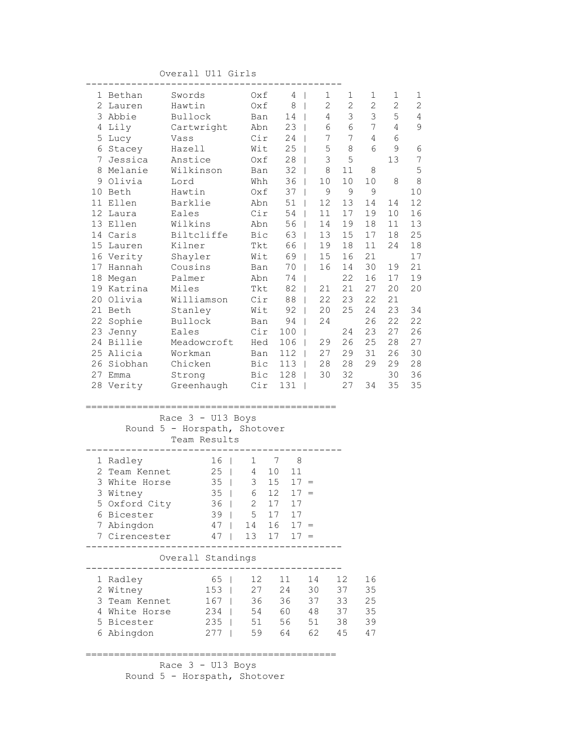Overall U11 Girls

|   | 1 Bethan                  | Swords                       | Oxf                 | 4                   | $\mathbf{1}$<br>$\Box$ | $\mathbf 1$     | 1               | $\mathbf{1}$    | 1               |
|---|---------------------------|------------------------------|---------------------|---------------------|------------------------|-----------------|-----------------|-----------------|-----------------|
|   | 2 Lauren                  | Hawtin                       | Oxf                 | 8 <sup>1</sup>      | $\mathbf{2}$           | $\mathbf{2}$    | $\mathbf{2}$    | $\mathbf{2}$    | $\mathbf{2}$    |
|   | 3 Abbie                   | Bullock                      | Ban                 | 14                  |                        | 3<br>$4\degree$ | 3               | $\mathsf S$     | $\sqrt{4}$      |
|   | 4 Lily                    | Cartwright                   | Abn                 | $23 \mid$           |                        | $\epsilon$<br>6 | $7\phantom{.0}$ | $\overline{4}$  | $\mathsf 9$     |
|   | 5 Lucy                    | Vass                         | Cir                 | 24                  | $\Box$                 | 7<br>7          | 4               | 6               |                 |
|   | 6 Stacey                  | Hazell                       | Wit                 | 25                  | 5<br>$\Box$            | 8               | 6               | 9               | $\epsilon$      |
|   | 7 Jessica                 | Anstice                      |                     | $Oxf = 28$          | 3<br>$\Box$            | 5               |                 | 13              | $7\phantom{.0}$ |
|   | 8 Melanie                 | Wilkinson                    | Ban                 | $32 \mid$           | 8                      | 11              | 8               |                 | $\mathsf S$     |
|   | 9 Olivia                  | Lord                         | Whh                 | $36$                | 10                     | 10 <sub>1</sub> | 10              | 8               | $\,8\,$         |
|   | 10 Beth                   | Hawtin                       | Oxf                 | $37 \mid$           | 9                      | 9               | $\overline{9}$  |                 | 10              |
|   | 11 Ellen                  | Barklie                      | Abn                 | $51$                | 12                     | 13              | 14              | 14              | 12              |
|   | 12 Laura                  | Eales                        |                     | $Cir$ 54            | 11                     | 17              | 19              | 10 <sub>o</sub> | 16              |
|   | 13 Ellen                  | Wilkins                      |                     | Abn 56              | 14                     | 19              | 18              | 11              | 13              |
|   | 14 Caris                  | Biltcliffe                   |                     | Bic 63              | 13                     | 15              | 17              | 18              | 25              |
|   | 15 Lauren                 | Kilner                       |                     | Tkt 66              | 19<br>$\Box$           | 18              | 11              | 24              | 18              |
|   | 16 Verity                 | Shayler                      | Wit                 | 69                  | 15<br>$\mathbb{R}$     | 16              | 21              |                 | 17              |
|   | 17 Hannah                 | Cousins                      | Ban                 | 70                  | 16<br>$\mathbb{R}$     | 14              | 30              | 19              | 21              |
|   | 18 Megan                  | Palmer                       | Abn                 | 74                  | $\Box$                 | 22              | 16              | 17              | 19              |
|   | 19 Katrina                | Miles                        | Tkt                 | $82 \mid$           | 21                     | 21              | 27              | 20              | 20              |
|   | 20 Olivia                 | Williamson                   | Cir                 | 88                  | 22                     | 23              | 22              | 21              |                 |
|   | 21 Beth                   | Stanley                      | Wit                 | $92 \mid$           | 20                     | 25              | 24              | 23              | 34              |
|   | 22 Sophie                 | Bullock                      | Ban                 | $94$                | 24                     |                 | 26              | 22              | 22              |
|   | 23 Jenny                  | Eales                        | Cir                 | 100                 |                        | 24              | 23              | 27              | 26              |
|   | 24 Billie                 | Meadowcroft                  | Hed                 | 106                 | 29<br>$\Box$           | 26              | 25              | 28              | 27              |
|   | 25 Alicia                 | Workman                      | Ban                 | 112                 | 27<br>$\mathbb{R}$     | 29              | 31              | 26              | 30              |
|   | 26 Siobhan                | Chicken                      | Bic                 | $113$               | 28                     | 28              | 29              | 29              | 28              |
|   | 27 Emma                   | Strong                       |                     | Bic 128             | 30                     | 32              |                 | 30              | 36              |
|   | 28 Verity                 | Greenhaugh Cir 131           |                     |                     | $\Box$                 | 27              | 34              | 35              | 35              |
|   |                           |                              | =================== |                     |                        |                 |                 |                 |                 |
|   |                           | Race $3 - U13$ Boys          |                     |                     |                        |                 |                 |                 |                 |
|   |                           | Round 5 - Horspath, Shotover |                     |                     |                        |                 |                 |                 |                 |
|   |                           | Team Results                 |                     |                     |                        |                 |                 |                 |                 |
|   |                           | ----------                   |                     |                     |                        |                 |                 |                 |                 |
|   | 1 Radley                  | 16 <sup>1</sup>              |                     | $1 \quad 7 \quad 8$ |                        |                 |                 |                 |                 |
|   | 2 Team Kennet             | $25 \mid$                    |                     | 4 10<br>11          |                        |                 |                 |                 |                 |
|   | 3 White Horse             | $35 \mid$                    |                     | $3 \quad 15$        | $17 =$                 |                 |                 |                 |                 |
|   | 3 Witney                  |                              | 35   6 12           |                     | $17 =$                 |                 |                 |                 |                 |
|   | 5 Oxford City 36          |                              |                     | 2 17<br>17          |                        |                 |                 |                 |                 |
|   | 6 Bicester                | $39$                         | 5                   | 17 17               |                        |                 |                 |                 |                 |
| 7 | Abingdon                  | $47 \mid$                    | 14                  | 16                  | $17 =$                 |                 |                 |                 |                 |
|   | 7 Cirencester             | 47<br>$\mathbf{I}$           | 13                  | $17 \quad 17 =$     |                        |                 |                 |                 |                 |
|   |                           |                              |                     |                     |                        |                 |                 |                 |                 |
|   |                           | Overall Standings            |                     |                     |                        |                 |                 |                 |                 |
|   |                           |                              |                     |                     |                        |                 |                 |                 |                 |
|   | 1 Radley                  | 65                           | 12                  | 11                  | 14                     | 12              | 16              |                 |                 |
|   | 2 Witney<br>3 Team Kennet | 153                          | 27                  | 24                  | 30                     | 37              | 35              |                 |                 |
|   | 4 White Horse             | $167$                        | 36                  | 36<br>54 60         | 37                     | 33<br>37        | 25<br>35        |                 |                 |
|   | 5 Bicester                | $234$  <br>$235$             | 51                  | 56                  | 48<br>51               | 38              | 39              |                 |                 |
|   | 6 Abingdon                | 277<br>$\Box$                | 59                  | 64                  | 62                     | 45              | 47              |                 |                 |
|   |                           |                              |                     |                     |                        |                 |                 |                 |                 |
|   |                           |                              |                     |                     |                        |                 |                 |                 |                 |
|   |                           |                              |                     |                     |                        |                 |                 |                 |                 |

 Race 3 - U13 Boys Round 5 - Horspath, Shotover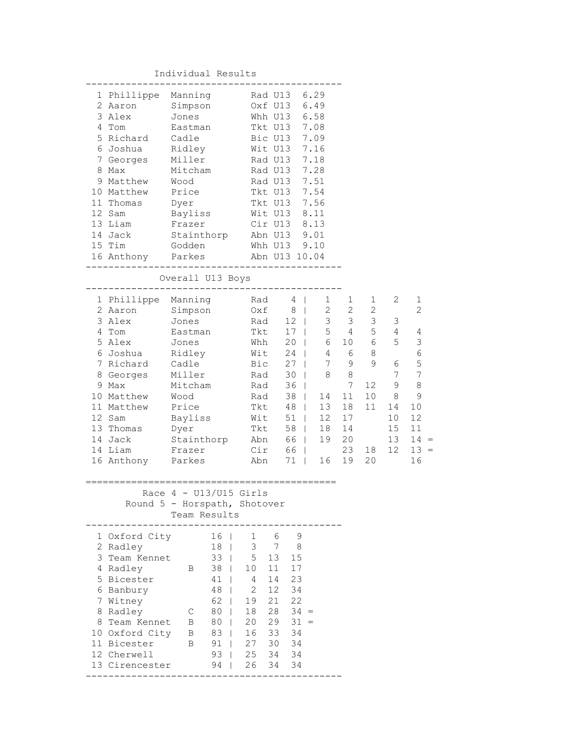Individual Results

| 1 Phillippe   | Manning                      |                 | Rad U13 6.29  |              |                 |              |                 |                |                |                 |                                         |
|---------------|------------------------------|-----------------|---------------|--------------|-----------------|--------------|-----------------|----------------|----------------|-----------------|-----------------------------------------|
| 2 Aaron       | Simpson                      |                 |               | Oxf U13      |                 | 6.49         |                 |                |                |                 |                                         |
| 3 Alex        | Jones                        |                 |               | Whh U13      |                 | 6.58         |                 |                |                |                 |                                         |
| 4 Tom         | Eastman                      |                 |               | Tkt U13      |                 | 7.08         |                 |                |                |                 |                                         |
| 5 Richard     | Cadle                        |                 |               | Bic U13      |                 | 7.09         |                 |                |                |                 |                                         |
| 6 Joshua      | Ridley                       |                 |               | Wit U13      |                 | 7.16         |                 |                |                |                 |                                         |
| 7 Georges     | Miller                       |                 |               | Rad U13      |                 | 7.18         |                 |                |                |                 |                                         |
| 8 Max         | Mitcham                      |                 |               | Rad U13      |                 | 7.28         |                 |                |                |                 |                                         |
| 9 Matthew     | Wood                         |                 |               | Rad U13      |                 | 7.51         |                 |                |                |                 |                                         |
| 10 Matthew    | Price                        |                 |               | Tkt U13      |                 | 7.54         |                 |                |                |                 |                                         |
| 11 Thomas     | Dyer                         |                 |               | Tkt U13      |                 | 7.56         |                 |                |                |                 |                                         |
| 12 Sam        | Bayliss                      |                 |               | Wit U13      |                 | 8.11         |                 |                |                |                 |                                         |
| 13 Liam       | Frazer                       |                 |               | Cir U13 8.13 |                 |              |                 |                |                |                 |                                         |
| 14 Jack       | Stainthorp                   |                 | Abn U13 9.01  |              |                 |              |                 |                |                |                 |                                         |
| 15 Tim        | Godden                       |                 | Whh U13 9.10  |              |                 |              |                 |                |                |                 |                                         |
| 16 Anthony    | Parkes                       |                 | Abn U13 10.04 |              |                 |              |                 |                |                |                 |                                         |
|               | Overall U13 Boys             |                 |               |              |                 |              |                 |                |                |                 |                                         |
|               |                              |                 |               |              |                 |              |                 |                |                |                 |                                         |
| 1 Phillippe   | Manning                      |                 | Rad           |              | $4 \mid$        |              | 1               | $\mathbf 1$    | 1              | 2               | 1                                       |
| 2 Aaron       | Simpson                      |                 | Oxf           |              | 8 <sup>1</sup>  |              | $\overline{c}$  | $\overline{2}$ | 2              |                 | $\overline{2}$                          |
| 3 Alex        | Jones                        |                 | Rad           |              | $12 \mid$       |              | $\mathfrak{Z}$  | 3 <sup>7</sup> | $\mathfrak{Z}$ | 3               |                                         |
| 4 Tom         | Eastman                      |                 | Tkt           |              | 17 <sub>1</sub> |              | 5               | 4              | 5              | 4               | 4                                       |
| 5 Alex        | Jones                        |                 | Whh           |              | $20 \mid$       |              | 6               | 10             | 6              | 5               | $\mathfrak{Z}$                          |
| 6 Joshua      | Ridley                       |                 | Wit           |              | $24$            |              | 4               | 6              | 8              |                 | $\epsilon$                              |
| 7 Richard     | Cadle                        |                 | Bic           |              | $27 \mid$       |              | 7               | 9              | 9              | 6               | 5                                       |
| 8 Georges     | Miller                       |                 | Rad           |              | 30              | $\Box$       | 8               | 8              |                | 7               | 7                                       |
| 9 Max         | Mitcham                      |                 | Rad           |              | 36              | $\Box$       |                 | 7              | 12             | 9               | 8                                       |
| 10 Matthew    | Wood                         |                 | Rad           |              | 38              | $\Box$       | 14              | 11             | 10             | 8               | 9                                       |
| 11 Matthew    | Price                        |                 | Tkt           |              | 48              |              | 13              | 18             | 11             | 14              | 10                                      |
| 12 Sam        | Bayliss                      |                 | Wit           |              | $51 \quad  $    |              | 12 <sup>°</sup> | 17             |                | 10              | 12                                      |
| 13 Thomas     | Dyer                         |                 | Tkt           |              | 58              |              | 18              | 14             |                | 15              | 11                                      |
| 14 Jack       | Stainthorp                   |                 | Abn           |              | 66              |              | 19              | 20             |                | 13              | 14<br>$\hspace{0.1cm} = \hspace{0.1cm}$ |
| 14 Liam       | Frazer                       |                 | Cir           |              | 66              |              |                 | 23             | 18             | 12 <sup>7</sup> | $13 =$                                  |
| 16 Anthony    | Parkes                       |                 | Abn           |              | 71              | $\mathbb{R}$ | 16              | 19             | 20             |                 | 16                                      |
|               |                              |                 |               |              |                 |              |                 |                |                |                 |                                         |
|               | Race $4 - U13/U15$ Girls     |                 |               |              |                 |              |                 |                |                |                 |                                         |
|               | Round 5 - Horspath, Shotover |                 |               |              |                 |              |                 |                |                |                 |                                         |
|               | Team Results                 |                 |               |              |                 |              |                 |                |                |                 |                                         |
| 1 Oxford City |                              | 16 <sup>1</sup> | 1             | 6            | 9               |              |                 |                |                |                 |                                         |
| 2 Radley      | 18                           | $\mathbf{I}$    | 3             | 7            | 8               |              |                 |                |                |                 |                                         |
| 3 Team Kennet |                              | 33              | 5             | 13           | 15              |              |                 |                |                |                 |                                         |

|   | 1 Oxford City  |   | 16 |    | 6  | 9      |  |
|---|----------------|---|----|----|----|--------|--|
|   | 2 Radley       |   | 18 | 3  |    | 8      |  |
|   | 3 Team Kennet  |   | 33 | 5  | 13 | 15     |  |
| 4 | Radley         | B | 38 | 10 | 11 | 17     |  |
|   | 5 Bicester     |   | 41 | 4  | 14 | 23     |  |
| 6 | Banbury        |   | 48 | 2  | 12 | 34     |  |
|   | Witney         |   | 62 | 19 | 21 | 22     |  |
| 8 | Radley         |   | 80 | 18 | 28 | $34 =$ |  |
| 8 | Team Kennet    | В | 80 | 20 | 29 | $31 =$ |  |
|   | 10 Oxford City | В | 83 | 16 | 33 | 34     |  |
|   | Bicester       | В | 91 | 27 | 30 | 34     |  |
|   | Cherwell       |   | 93 | 25 | 34 | 34     |  |

---------------------------------------------

13 Cirencester 94 | 26 34 34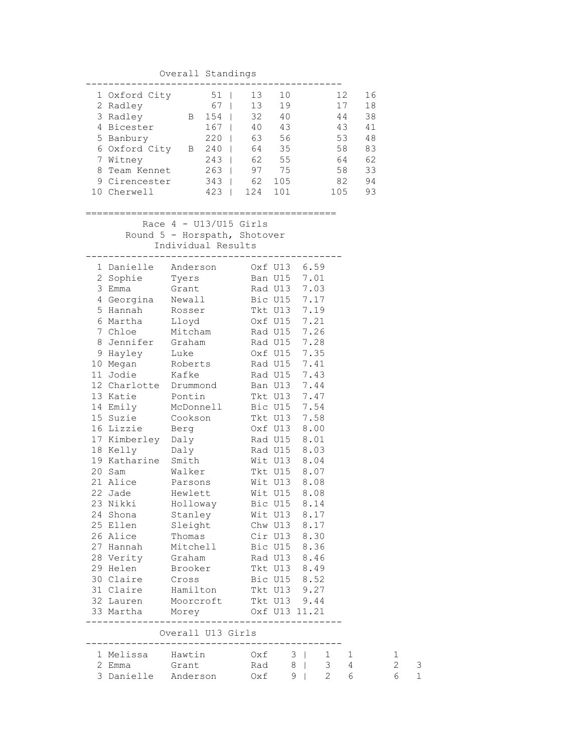| Overall Standings |               |   |     |  |     |     |     |    |  |
|-------------------|---------------|---|-----|--|-----|-----|-----|----|--|
|                   | 1 Oxford City |   | 51  |  | 13  | 10  | 12  | 16 |  |
|                   | 2 Radley      |   | 67  |  | 13  | 19  |     | 18 |  |
|                   | 3 Radley      | B | 154 |  | 32  | 40  | 44  | 38 |  |
|                   | 4 Bicester    |   | 167 |  | 40  | 43  | 43  | 41 |  |
|                   | 5 Banbury     |   | 220 |  | 63  | 56  | 53  | 48 |  |
|                   | 6 Oxford City | В | 240 |  | 64  | 35  | 58  | 83 |  |
|                   | Witney        |   | 243 |  | 62  | 55  | 64  | 62 |  |
| 8                 | Team Kennet   |   | 263 |  | 97  | 75  | 58  | 33 |  |
|                   | 9 Cirencester |   | 343 |  | 62  | 105 | 82  | 94 |  |
|                   | Cherwell      |   | 423 |  | 124 |     | 105 | 93 |  |

## ============================================

 Race 4 - U13/U15 Girls Round 5 - Horspath, Shotover Individual Results

|                     | 1 Danielle Anderson 0xf U13 6.59                                                                                              |              |   |              |                |
|---------------------|-------------------------------------------------------------------------------------------------------------------------------|--------------|---|--------------|----------------|
|                     | 2 Sophie Tyers Ban U15 7.01                                                                                                   |              |   |              |                |
| 3 Emma              | Grant Rad U13 7.03                                                                                                            |              |   |              |                |
|                     | 4 Georgina Newall Bic U15 7.17                                                                                                |              |   |              |                |
|                     | 5 Hannah Rosser Tkt U13 7.19                                                                                                  |              |   |              |                |
| 6 Martha            | Lloyd                                                                                                                         | Oxf U15 7.21 |   |              |                |
|                     |                                                                                                                               |              |   |              |                |
|                     |                                                                                                                               |              |   |              |                |
|                     |                                                                                                                               |              |   |              |                |
|                     | 7 Chloe Mitcham Rad U15 7.26<br>8 Jennifer Graham Rad U15 7.28<br>9 Hayley Luke 0xf U15 7.35<br>10 Megan Roberts Rad U15 7.41 |              |   |              |                |
|                     | 11 Jodie Kafke Rad U15 7.43                                                                                                   |              |   |              |                |
|                     | 12 Charlotte Drummond Ban U13 7.44                                                                                            |              |   |              |                |
|                     | 13 Katie Pontin Tkt U13 7.47                                                                                                  |              |   |              |                |
|                     | 14 Emily McDonnell Bic U15 7.54                                                                                               |              |   |              |                |
|                     | 15 Suzie Cookson<br>16 Lizzie Berg<br>17 Kimberley Daly<br>18 Kelly Daly                                                      | Tkt U13 7.58 |   |              |                |
|                     |                                                                                                                               | Oxf U13 8.00 |   |              |                |
|                     |                                                                                                                               | Rad U15 8.01 |   |              |                |
|                     |                                                                                                                               | Rad U15 8.03 |   |              |                |
|                     | 19 Katharine Smith                                                                                                            | Wit U13 8.04 |   |              |                |
|                     | 20 Sam Walker Tkt U15 8.07                                                                                                    |              |   |              |                |
|                     | 21 Alice Parsons Wit U13 8.08                                                                                                 |              |   |              |                |
|                     | 22 Jade Hewlett Wit U15 8.08                                                                                                  |              |   |              |                |
|                     |                                                                                                                               |              |   |              |                |
|                     |                                                                                                                               |              |   |              |                |
|                     |                                                                                                                               |              |   |              |                |
|                     |                                                                                                                               | Cir U13 8.30 |   |              |                |
|                     | 27 Hannah Mitchell Bic U15 8.36                                                                                               |              |   |              |                |
|                     | 28 Verity Graham Rad U13 8.46                                                                                                 |              |   |              |                |
|                     | 29 Helen Brooker Tkt U13 8.49                                                                                                 |              |   |              |                |
|                     | 30 Claire Cross Bic U15 8.52                                                                                                  |              |   |              |                |
|                     | 31 Claire Hamilton                                                                                                            | Tkt U13 9.27 |   |              |                |
| 32 Lauren           | Moorcroft Tkt U13 9.44                                                                                                        |              |   |              |                |
|                     | 33 Martha Morey 0xf U13 11.21                                                                                                 |              |   |              |                |
|                     | Overall U13 Girls                                                                                                             |              |   |              |                |
|                     |                                                                                                                               |              |   |              |                |
|                     | 1 Melissa Hawtin 0xf 3   1 1                                                                                                  |              |   |              |                |
|                     | 2 Emma Grant Rad 8                                                                                                            |              |   |              | 3 <sup>7</sup> |
| 3 Danielle Anderson |                                                                                                                               | Oxf          | 9 | $\mathbb{R}$ | $\mathfrak{D}$ |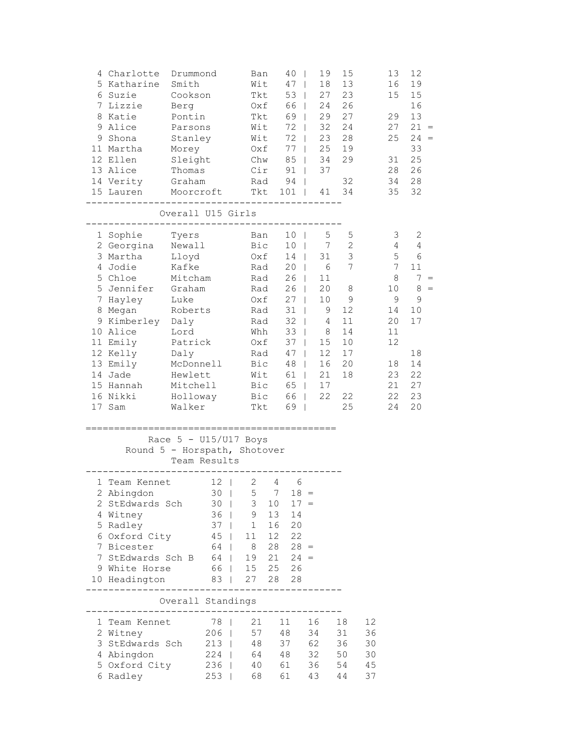| 4 Charlotte<br>5 Katharine<br>6 Suzie<br>7 Lizzie<br>8 Katie<br>9 Alice<br>9 Shona<br>11 Martha<br>12 Ellen<br>13 Alice<br>14 Verity<br>15 Lauren<br>------------                                               | Drummond<br>Smith<br>Cookson<br>Berg<br>Pontin<br>Parsons<br>Stanley<br>Morey<br>Sleight<br>Thomas<br>Graham<br>Moorcroft<br>------------------------          |                                                                                     | Ban<br>Wit<br>Tkt<br>Oxf<br>Tkt<br>Wit<br>Wit<br>Rad                                 | Oxf<br>Chw<br>Cir<br>Tkt                                    | 40<br>47<br>53<br>$\mathbf{I}$<br>66<br>$\Box$<br>69  <br>$72 \mid$<br>72<br>$77 \mid$<br>$85$  <br>$91$  <br>$94$  <br>101<br>- 1                                                                                                  | 19<br>18<br>$\mathbf{I}$<br>27<br>24<br>29<br>32<br>23<br>25<br>34<br>37<br>41                                                   | 15<br>13<br>23<br>26<br>27<br>24<br>28<br>19<br>29<br>32<br>34                                         |                                  | 13<br>16<br>15<br>29<br>27<br>25<br>31<br>28<br>34<br>35                                             | 12<br>19<br>15<br>16<br>13<br>$21 =$<br>$24 =$<br>33<br>25<br>26<br>28<br>32                       |
|-----------------------------------------------------------------------------------------------------------------------------------------------------------------------------------------------------------------|----------------------------------------------------------------------------------------------------------------------------------------------------------------|-------------------------------------------------------------------------------------|--------------------------------------------------------------------------------------|-------------------------------------------------------------|-------------------------------------------------------------------------------------------------------------------------------------------------------------------------------------------------------------------------------------|----------------------------------------------------------------------------------------------------------------------------------|--------------------------------------------------------------------------------------------------------|----------------------------------|------------------------------------------------------------------------------------------------------|----------------------------------------------------------------------------------------------------|
|                                                                                                                                                                                                                 | Overall U15 Girls                                                                                                                                              |                                                                                     |                                                                                      |                                                             |                                                                                                                                                                                                                                     |                                                                                                                                  |                                                                                                        |                                  |                                                                                                      |                                                                                                    |
| 1 Sophie<br>2 Georgina<br>3 Martha<br>4 Jodie<br>5 Chloe<br>5 Jennifer<br>7 Hayley<br>8 Megan<br>9 Kimberley Daly<br>10 Alice<br>11 Emily<br>12 Kelly<br>13 Emily<br>14 Jade<br>15 Hannah<br>16 Nikki<br>17 Sam | Tyers<br>Newall<br>Lloyd<br>Kafke<br>Mitcham<br>Graham<br>Luke<br>Roberts<br>Lord<br>Patrick<br>Daly<br>McDonnell<br>Hewlett<br>Mitchell<br>Holloway<br>Walker |                                                                                     | Rad<br>Oxf<br>Rad<br>Rad<br>Wit<br>Bic<br>Bic<br>Tkt                                 | Ban<br>Bic<br>Oxf<br>Rad<br>Rad<br>Whh<br>Oxf<br>Rad<br>Bic | 10 <sub>1</sub><br>10 <sub>1</sub><br>14  <br>20 <sub>1</sub><br>26<br>$\mathbf{1}$<br>26<br>27<br>$\Box$<br>$31$  <br>$32 \mid$<br>$33 \mid$<br>$37 \mid$<br>$47 \mid$<br>48<br>61<br>65<br>66  <br>69<br>$\overline{\phantom{0}}$ | 5<br>$7\overline{ }$<br>31<br>6<br>11<br>20<br>10<br>9<br>4<br>- 8<br>15<br>12<br>16<br>21<br>$\Box$<br>17<br>$\mathbf{1}$<br>22 | 5<br>$\sqrt{2}$<br>$\mathfrak{Z}$<br>7<br>8<br>9<br>12<br>11<br>14<br>10<br>17<br>20<br>18<br>22<br>25 |                                  | 3<br>4<br>5<br>$7\phantom{.0}$<br>8<br>10<br>9<br>14<br>20<br>11<br>12<br>18<br>23<br>21<br>22<br>24 | 2<br>4<br>6<br>11<br>$7 =$<br>$8 =$<br>$\mathsf 9$<br>10<br>17<br>18<br>14<br>22<br>27<br>23<br>20 |
| Round 5 - Horspath, Shotover                                                                                                                                                                                    | Race $5 - U15/U17$ Boys                                                                                                                                        | Team Results                                                                        |                                                                                      |                                                             |                                                                                                                                                                                                                                     | =================                                                                                                                |                                                                                                        |                                  |                                                                                                      |                                                                                                    |
| 1 Team Kennet<br>2 Abingdon<br>2 StEdwards Sch<br>4 Witney<br>5 Radley<br>6 Oxford City<br>7 Bicester<br>7 StEdwards Sch B 64  <br>9 White Horse<br>10 Headington 83                                            |                                                                                                                                                                | $12 \mid$<br>30 <sup>1</sup><br>$36$  <br>$37 \mid$<br>$45 \mid$<br>64  <br>66   15 | $\overline{2}$<br>$30 \mid 5$<br>$3 -$<br>9<br>1<br>11<br>8 <sup>8</sup><br>19<br>27 | $4\overline{ }$<br>$7\overline{ }$<br>10<br>13<br>16<br>28  | - 6<br>$18 =$<br>$17 =$<br>14<br>20<br>12 22<br>$28 \t 28 =$<br>$21 \t24 =$<br>25 26<br>28                                                                                                                                          |                                                                                                                                  |                                                                                                        |                                  |                                                                                                      |                                                                                                    |
| . <u>.</u> .                                                                                                                                                                                                    | Overall Standings                                                                                                                                              |                                                                                     | --------------------                                                                 |                                                             |                                                                                                                                                                                                                                     |                                                                                                                                  |                                                                                                        |                                  |                                                                                                      |                                                                                                    |
| 1 Team Kennet<br>2 Witney<br>3 StEdwards Sch<br>4 Abingdon<br>5 Oxford City<br>6 Radley                                                                                                                         | ---------------------                                                                                                                                          | 78  <br>$206$  <br>$213$  <br>224<br>236  <br>$253$                                 | 21<br>57<br>48<br>64<br>40<br>68                                                     |                                                             | 11<br>48<br>37<br>48<br>61<br>61                                                                                                                                                                                                    | 16<br>34<br>62<br>32<br>36<br>43                                                                                                 | 18<br>31<br>36<br>50<br>54<br>44                                                                       | 12<br>36<br>30<br>30<br>45<br>37 |                                                                                                      |                                                                                                    |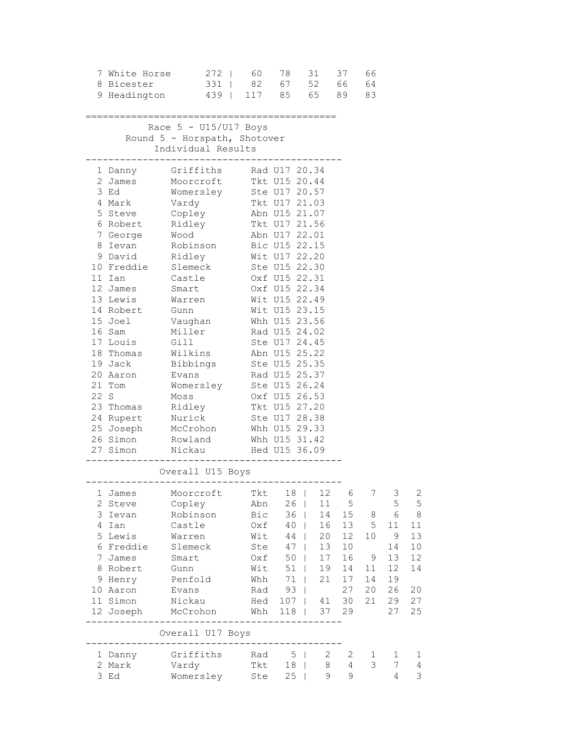| 8 Bicester                                                                                                                                                                                              | 7 White Horse 272   60 78 31 37 66<br>9 Headington 439   117 85 65 89 83                                                                                                                                                                                                                                                                                                                                                                                                              | 331   82 67 52 66 64                                                      |                                                                                                                                                                                                                                                             |                                                                                                                                                                       |                                                               |                                                |                                                                  |                                                             |
|---------------------------------------------------------------------------------------------------------------------------------------------------------------------------------------------------------|---------------------------------------------------------------------------------------------------------------------------------------------------------------------------------------------------------------------------------------------------------------------------------------------------------------------------------------------------------------------------------------------------------------------------------------------------------------------------------------|---------------------------------------------------------------------------|-------------------------------------------------------------------------------------------------------------------------------------------------------------------------------------------------------------------------------------------------------------|-----------------------------------------------------------------------------------------------------------------------------------------------------------------------|---------------------------------------------------------------|------------------------------------------------|------------------------------------------------------------------|-------------------------------------------------------------|
|                                                                                                                                                                                                         | Race $5 - U15/U17$ Boys<br>Round 5 - Horspath, Shotover<br>Individual Results<br>------------------------------                                                                                                                                                                                                                                                                                                                                                                       |                                                                           |                                                                                                                                                                                                                                                             |                                                                                                                                                                       |                                                               |                                                |                                                                  |                                                             |
| 3 Ed<br>4 Mark<br>5 Steve<br>6 Robert Ridley<br>7 George Wood<br>11 Ian<br>12 James<br>13 Lewis<br>14 Robert<br>15 Joel<br>16 Sam<br>17 Louis Gill<br>21 Tom<br>22 S<br>23 Thomas<br>24 Rupert – Nurick | 1 Danny Griffiths Rad U17 20.34<br>2 James Moorcroft Tkt U15 20.44<br>Womersley Ste U17 20.57<br>Vardy Tkt U17 21.03<br>Copley Abn U15 21.07<br>8 Ievan Robinson Bic U15 22.15<br>9 David Ridley Wit U17 22.20<br>10 Freddie Slemeck<br>Castle<br>Smart<br>Warren<br>Gunn<br>Vaughan<br>Miller<br>18 Thomas Wilkins<br>19 Jack Bibbings<br>20 Aaron Evans<br>Womersley Ste U15 26.24<br>Moss<br>25 Joseph McCrohon Whh U15 29.33<br>26 Simon Rowland Whh U15 31.42<br>27 Simon Nickau | Tkt U17 21.56<br>Abn U17 22.01                                            | Ste U15 22.30<br>Oxf U15 22.31<br>Oxf U15 22.34<br>Wit U15 22.49<br>Wit U15 23.15<br>Whh U15 23.56<br>Rad U15 24.02<br>Ste U17 24.45<br>Abn U15 25.22<br>Ste U15 25.35<br>Rad U15 25.37<br>Oxf U15 26.53<br>Tkt U15 27.20<br>Ste U17 28.38<br>Hed U15 36.09 |                                                                                                                                                                       |                                                               |                                                |                                                                  |                                                             |
|                                                                                                                                                                                                         | Overall U15 Boys                                                                                                                                                                                                                                                                                                                                                                                                                                                                      |                                                                           |                                                                                                                                                                                                                                                             |                                                                                                                                                                       |                                                               |                                                |                                                                  |                                                             |
| 1 James<br>2 Steve<br>3 Ievan<br>4 Ian<br>5 Lewis<br>6 Freddie<br>7 James<br>8 Robert<br>9 Henry<br>10 Aaron<br>11 Simon<br>12 Joseph                                                                   | Moorcroft Tkt 18   12 6<br>Copley<br>Robinson<br>Castle<br>Warren<br>Slemeck<br>Smart<br>Gunn<br>Penfold<br>Evans<br>Nickau<br>McCrohon<br>Overall U17 Boys                                                                                                                                                                                                                                                                                                                           | Abn<br>Bic<br>Oxf<br>Wit<br>Ste<br>Oxf<br>Wit<br>Whh<br>Rad<br>Hed<br>Whh | 26<br>36<br>40<br>44<br>47<br>50<br>51<br>71<br>93<br>107<br>118                                                                                                                                                                                            | 11<br>$\overline{\phantom{a}}$<br>14<br>$\mathbf{I}$<br>16<br>$\mathbf{I}$<br>20<br>$\Box$<br>13<br>$17$<br>19<br>$\mathbf{I}$<br>21<br>T<br>41<br>$\mathbf{I}$<br>37 | 5<br>15<br>13<br>12<br>10<br>16<br>14<br>17<br>27<br>30<br>29 | 7<br>8<br>5<br>10<br>9<br>11<br>14<br>20<br>21 | 3<br>5<br>6<br>11<br>9<br>14<br>13<br>12<br>19<br>26<br>29<br>27 | 2<br>5<br>8<br>11<br>13<br>10<br>12<br>14<br>20<br>27<br>25 |
| 1 Danny<br>2 Mark<br>3 Ed                                                                                                                                                                               | $- - - - - - -$<br>Griffiths<br>Vardy<br>Womersley                                                                                                                                                                                                                                                                                                                                                                                                                                    | Rad<br>Tkt<br>Ste                                                         | 5<br>18<br>25                                                                                                                                                                                                                                               | 2<br>- 1<br>8<br>- 1<br>9<br>$\mathbf{I}$                                                                                                                             | 2<br>4<br>9                                                   | 1<br>3                                         | 1<br>7<br>4                                                      | 1<br>$\overline{4}$<br>3                                    |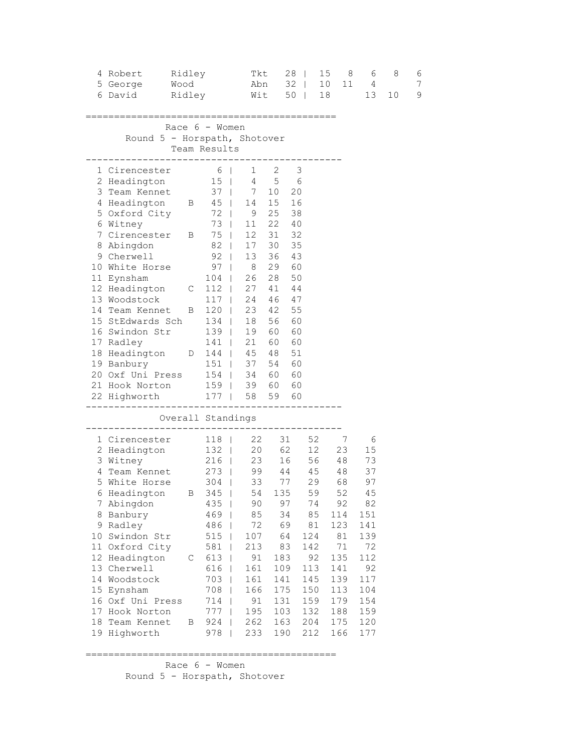| 4 Robert<br>5 George<br>6 David                                                                                                                                                                                                                                                                                                                                                                                                       | Ridley<br>Wood<br>Ridley |                                                                                                                                                                                                                                                                   | Tkt<br>Abn                                                                                                                                                                                                     | $Wit$ 50                                                                                     | $28 \mid$<br>32<br>$\Box$                                                                                                |                                                                                                 | 15<br>8<br>10<br>11<br>18                                                                              | 6<br>$\overline{4}$<br>13                                                                                               | 8<br>10 | 6<br>7<br>9 |
|---------------------------------------------------------------------------------------------------------------------------------------------------------------------------------------------------------------------------------------------------------------------------------------------------------------------------------------------------------------------------------------------------------------------------------------|--------------------------|-------------------------------------------------------------------------------------------------------------------------------------------------------------------------------------------------------------------------------------------------------------------|----------------------------------------------------------------------------------------------------------------------------------------------------------------------------------------------------------------|----------------------------------------------------------------------------------------------|--------------------------------------------------------------------------------------------------------------------------|-------------------------------------------------------------------------------------------------|--------------------------------------------------------------------------------------------------------|-------------------------------------------------------------------------------------------------------------------------|---------|-------------|
| Round 5 - Horspath, Shotover                                                                                                                                                                                                                                                                                                                                                                                                          |                          | Race $6 -$ Women<br>Team Results                                                                                                                                                                                                                                  |                                                                                                                                                                                                                |                                                                                              |                                                                                                                          |                                                                                                 |                                                                                                        |                                                                                                                         |         |             |
| 1 Cirencester<br>2 Headington<br>3 Team Kennet<br>4 Headington B 45  <br>5 Oxford City<br>6 Witney<br>7 Cirencester B 75  <br>8 Abingdon<br>9 Cherwell<br>10 White Horse<br>11 Eynsham<br>12 Headington C<br>13 Woodstock<br>14 Team Kennet B<br>15 StEdwards Sch 134  <br>16 Swindon Str<br>17 Radley<br>18 Headington D 144   45 48<br>19 Banbury 151   37 54<br>20 Oxf Uni Press 154   34 60<br>21 Hook Norton<br>22 Highworth 177 |                          | $\begin{array}{c c} 6 &   \\ 15 &   \end{array}$<br>73  <br>82<br>92<br>97<br>$104$<br>$112$  <br>$117$  <br>$120$  <br>139<br>141                                                                                                                                | $37 \mid 7 \mid 10$<br>72   9 25<br>11 22<br>12 31<br>17 30<br>$\pm$<br>13 36<br>$\mathbb{R}$<br>$\begin{array}{ccc} \end{array}$ 8<br>26 28<br>27 41<br>24 46<br>18 56<br>19<br>21<br>159   39 60<br>58 59 60 | $1 \quad 2$<br>4 5<br>14 15<br>29<br>23 42<br>60<br>60                                       | 3<br>6<br>20<br>16<br>38<br>40<br>32<br>35<br>43<br>60<br>50<br>44<br>47<br>55<br>60<br>60<br>60<br>51<br>60<br>60<br>60 |                                                                                                 |                                                                                                        |                                                                                                                         |         |             |
|                                                                                                                                                                                                                                                                                                                                                                                                                                       |                          |                                                                                                                                                                                                                                                                   | Overall Standings                                                                                                                                                                                              |                                                                                              |                                                                                                                          |                                                                                                 |                                                                                                        |                                                                                                                         |         |             |
| 1 Cirencester<br>2 Headington<br>3 Witney<br>4 Team Kennet<br>5 White Horse<br>6 Headington<br>7 Abingdon<br>8 Banbury<br>9 Radley<br>10 Swindon Str<br>11 Oxford City<br>12 Headington<br>13 Cherwell<br>14 Woodstock<br>15 Eynsham<br>16 Oxf Uni Press<br>17 Hook Norton<br>18 Team Kennet<br>19 Highworth                                                                                                                          | C<br>$\overline{B}$      | 118  <br>132  <br>216  <br>273  <br>304<br>- 1<br>B 345  <br>$435$  <br>$469$  <br>486<br>515<br>$\mathbf{I}$<br>581<br>$\mathbf{I}$<br>613<br>$\perp$<br>616<br>$\mathbf{I}$<br>703<br>$\mathbf{I}$<br>708<br>$\mathbf{I}$<br>714<br>$\Box$<br>777<br>924<br>978 | $\begin{array}{cccc} 22 & 31 & 52 & 7 \\ 20 & 62 & 12 & 23 \\ 23 & 16 & 56 & 48 \\ 99 & 44 & 45 & 48 \end{array}$<br>33<br>90<br>85<br>72<br>107<br>213<br>91<br>161<br>161<br>166<br>91<br>195<br>262<br>233  | 54 135<br>97<br>34<br>69<br>64<br>83<br>183<br>109<br>141<br>175<br>131<br>103<br>163<br>190 | 77                                                                                                                       | 29<br>59<br>74<br>85<br>81<br>124<br>142<br>92<br>113<br>145<br>150<br>159<br>132<br>204<br>212 | 23<br>68<br>52<br>92<br>114<br>123<br>81<br>71<br>135<br>141<br>139<br>113<br>179<br>188<br>175<br>166 | 6<br>15<br>73<br>37<br>97<br>45<br>82<br>151<br>141<br>139<br>72<br>112<br>92<br>117<br>104<br>154<br>159<br>120<br>177 |         |             |

============================================

 Race 6 - Women Round 5 - Horspath, Shotover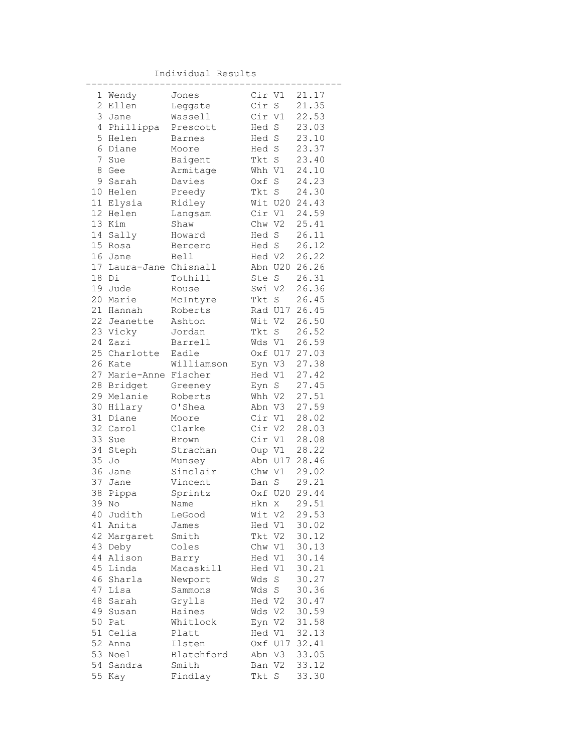Individual Results

|                | 1 Wendy                | Jones      |         | Cir V1      | 21.17         |
|----------------|------------------------|------------|---------|-------------|---------------|
| $\mathbf{2}$   | Ellen                  | Leggate    | Cir S   |             | 21.35         |
| 3              | Jane                   | Wassell    | Cir V1  |             | 22.53         |
| $\overline{4}$ | Phillippa              | Prescott   | Hed S   |             | 23.03         |
| 5              | Helen                  | Barnes     | Hed S   |             | 23.10         |
| 6              | Diane                  | Moore      | Hed S   |             | 23.37         |
| 7              | Sue                    | Baigent    | Tkt S   |             | 23.40         |
| 8              | Gee                    | Armitage   | Whh V1  |             | 24.10         |
| 9              | Sarah                  | Davies     | Oxf     | $\mathbb S$ | 24.23         |
| 10             | Helen                  | Preedy     | Tkt S   |             | 24.30         |
|                | 11 Elysia              | Ridley     |         |             | Wit U20 24.43 |
| 12             | Helen                  | Langsam    |         | Cir V1      | 24.59         |
| 13             | Kim                    | Shaw       |         | Chw V2      | 25.41         |
| 14             | Sally                  | Howard     | Hed S   |             | 26.11         |
| 15             | Rosa                   | Bercero    | Hed S   |             | 26.12         |
| 16             | Jane                   | Bell       | Hed V2  |             | 26.22         |
|                | 17 Laura-Jane Chisnall |            |         | Abn U20     | 26.26         |
| 18             | Di                     | Tothill    | Ste S   |             | 26.31         |
| 19             | Jude                   | Rouse      | Swi V2  |             | 26.36         |
| 20             | Marie                  | McIntyre   | Tkt S   |             | 26.45         |
| 21             | Hannah                 | Roberts    |         |             | Rad U17 26.45 |
| 22             | Jeanette               | Ashton     | Wit V2  |             | 26.50         |
|                | 23 Vicky               | Jordan     |         | Tkt S       | 26.52         |
| 24             | Zazi                   | Barrell    |         | Wds V1      | 26.59         |
|                | 25 Charlotte           | Eadle      |         |             | Oxf U17 27.03 |
| 26             | Kate                   | Williamson |         | Eyn V3      | 27.38         |
| 27             | Marie-Anne Fischer     |            | Hed V1  |             | 27.42         |
| 28             | Bridget                | Greeney    | Eyn S   |             | 27.45         |
| 29             | Melanie                | Roberts    |         | Whh V2      | 27.51         |
| 30             | Hilary                 | O'Shea     |         | Abn V3      | 27.59         |
| 31             | Diane                  | Moore      |         | Cir V1      | 28.02         |
| 32             | Carol                  | Clarke     |         | Cir V2      | 28.03         |
| 33             | Sue                    | Brown      | Cir V1  |             | 28.08         |
| 34             | Steph                  | Strachan   |         | Oup V1      | 28.22         |
| 35             | Jo                     | Munsey     |         | Abn U17     | 28.46         |
| 36             | Jane                   | Sinclair   |         | Chw V1      | 29.02         |
| 37             | Jane                   | Vincent    | Ban     | S           | 29.21         |
| 38             | Pippa                  | Sprintz    |         |             | Oxf U20 29.44 |
| 39             | No                     | Name       | Hkn X   |             | 29.51         |
| 40             | Judith                 | LeGood     | Wit V2  |             | 29.53         |
| 41             | Anita                  | James      | Hed V1  |             | 30.02         |
| 42             | Margaret               | Smith      | Tkt V2  |             | 30.12         |
| 43             | Deby                   | Coles      | Chw V1  |             | 30.13         |
| 44             | Alison                 | Barry      | Hed V1  |             | 30.14         |
| 45             | Linda                  | Macaskill  | Hed V1  |             | 30.21         |
| 46             | Sharla                 | Newport    | Wds     | $\mathbf S$ | 30.27         |
| 47             | Lisa                   | Sammons    | Wds     | S           | 30.36         |
| 48             | Sarah                  | Grylls     | Hed V2  |             | 30.47         |
| 49             | Susan                  | Haines     | Wds     | V2          | 30.59         |
| 50             | Pat                    | Whitlock   | Eyn V2  |             | 31.58         |
| 51             | Celia                  | Platt      | Hed V1  |             | 32.13         |
| 52             | Anna                   | Ilsten     | Oxf U17 |             | 32.41         |
| 53             | Noel                   | Blatchford | Abn V3  |             | 33.05         |
| 54             | Sandra                 | Smith      | Ban V2  |             | 33.12         |
| 55             | Kay                    | Findlay    | Tkt     | S           | 33.30         |
|                |                        |            |         |             |               |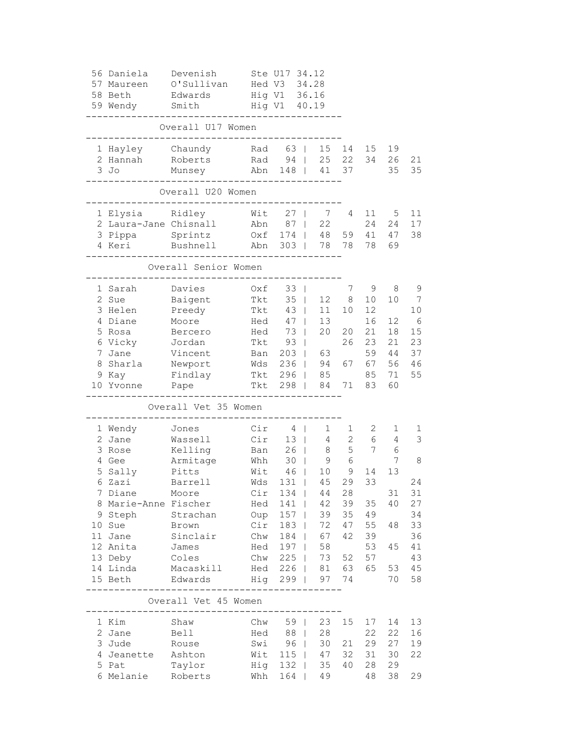| 56 Daniela<br>57 Maureen<br>58 Beth<br>59 Wendy | Devenish<br>O'Sullivan<br>Edwards<br>Smith      | Hed V3  | Ste U17 34.12<br>Hig V1 36.16<br>Hig V1 40.19 | 34.28                |              |          |          |          |
|-------------------------------------------------|-------------------------------------------------|---------|-----------------------------------------------|----------------------|--------------|----------|----------|----------|
|                                                 | Overall U17 Women                               |         |                                               |                      |              |          |          |          |
| 1 Hayley<br>2 Hannah                            | Chaundy<br>Roberts                              |         | Rad 63  <br>Rad 94                            | 15 14<br>25          | 22           | 15<br>34 | 19<br>26 | 21       |
| 3 Jo                                            | Munsey                                          |         |                                               | Abn 148   41 37      |              |          | 35       | 35       |
|                                                 | Overall U20 Women                               |         | -----                                         |                      |              |          |          |          |
| 1 Elysia                                        | Ridley                                          | Wit     | 27                                            | 7                    | 4            | 11       | 5        | 11       |
| 2 Laura-Jane Chisnall                           |                                                 | Abn     | 87                                            | 22<br>$\mathbf{1}$   |              | 24       | 24       | 17       |
| 3 Pippa                                         | Sprintz                                         | Oxf 174 |                                               | 48<br>$\mathbb{R}^n$ | 59           | 41       | 47       | 38       |
| 4 Keri                                          | Bushnell                                        |         |                                               | Abn 303   78 78      |              | 78       | 69       |          |
|                                                 | Overall Senior Women                            |         |                                               |                      |              |          |          |          |
| 1 Sarah                                         | Davies                                          | Oxf     | 33<br>$\Box$                                  |                      | 7            | 9        | 8        | 9        |
| 2 Sue                                           | Baigent                                         | Tkt     | $35 \mid$                                     |                      | 12 8         | 10       | 10       | 7        |
| 3 Helen                                         | Preedy                                          | Tkt     | $43 \mid$                                     | 11                   | 10           | 12       |          | 10       |
| 4 Diane                                         | Moore                                           | Hed     | 47                                            | 13<br>$\mathbb{R}$   |              | 16       | 12       | 6        |
| 5 Rosa                                          | Bercero                                         | Hed     | 73                                            | 20<br>$\mathbb{R}$   | 20           | 21       | 18       | 15       |
| 6 Vicky<br>7 Jane                               | Jordan<br>Vincent                               | Tkt     | 93                                            |                      | 26           | 23<br>59 | 21<br>44 | 23<br>37 |
|                                                 |                                                 |         | Ban 203                                       | 63<br>Wds 236   94   | 67           | 67       | 56       | 46       |
| 8 Sharla<br>9 Kay                               | Newport<br>Findlay                              |         | Tkt 296   85                                  |                      |              | 85       | 71       | 55       |
| 10 Yvonne Pape                                  |                                                 |         | Tkt 298                                       | 84                   | 71           | 83       | 60       |          |
|                                                 | Overall Vet 35 Women                            |         |                                               |                      |              |          |          |          |
| 1 Wendy                                         | Jones                                           | Cir     | $4 \mid$                                      | 1                    | $\mathbf{1}$ | 2        | 1        | 1        |
| 2 Jane                                          | Wassell                                         | Cir     | 13 <sup>1</sup>                               | $4\overline{ }$      | $\mathbf{2}$ | 6        | 4        | 3        |
| 3 Rose                                          | Kelling                                         | Ban     | $26$                                          | 8                    | 5            | 7        | 6        |          |
| 4 Gee                                           | Armitage                                        | Whh     | $30 \mid$                                     | 9                    | 6            |          | 7        | 8        |
| 5 Sally                                         | Pitts                                           | Wit     | $46$                                          | 10                   | 9            | 14       | 13       |          |
| 6 Zazi                                          | Barrell                                         | Wds     | 131                                           | 45<br>$\mathbb{R}$   | 29           | 33       |          | 24       |
| 7 Diane                                         | Moore                                           |         | $Cir$ 134                                     | 44                   | 28           |          | 31       | 31       |
| 8 Marie-Anne Fischer                            |                                                 |         | Hed 141                                       |                      | 42 39        | 35       | 40       | 27       |
| 9 Steph                                         | Strachan                                        |         | Oup 157                                       | 39                   | 35           | 49       |          | 34       |
| 10 Sue                                          | Brown                                           |         | Cir 183                                       | 72<br>$\Box$         | 47           | 55       | 48       | 33       |
| 11 Jane                                         | Sinclair                                        |         | Chw 184                                       | 67                   | 42           | 39       |          | 36       |
| 12 Anita                                        | James                                           |         | Hed 197                                       | 58                   |              | 53       | 45       | 41       |
| 13 Deby                                         | Coles                                           |         | Chw 225                                       | 73                   | 52           | 57       |          | 43       |
| 14 Linda                                        | Macaskill                                       |         |                                               | Hed 226   81 63      |              | 65       | 53       | 45       |
| 15 Beth                                         | Edwards                                         |         | Hig 299                                       |                      | 97 74        |          | 70       | 58       |
|                                                 | Overall Vet 45 Women<br>. _ _ _ _ _ _ _ _ _ _ _ |         |                                               |                      |              |          |          |          |
| 1 Kim                                           | Shaw                                            |         | Chw 59                                        | 23                   | 15           | 17       | 14       | 13       |
| 2 Jane                                          | Bell                                            | Hed     | 88                                            | 28                   |              | 22       | 22       | 16       |
| 3 Jude                                          | Rouse                                           |         | Swi 96                                        | 30                   | 21           | 29       | 27       | 19       |
| 4 Jeanette Ashton                               |                                                 |         | Wit 115                                       | 47                   | 32           | 31       | 30       | 22       |
| 5 Pat                                           | Taylor                                          |         | Hig 132                                       | 35                   | 40           | 28       | 29       |          |
| 6 Melanie Roberts                               |                                                 |         | Whh 164                                       | 49                   |              | 48       | 38       | 29       |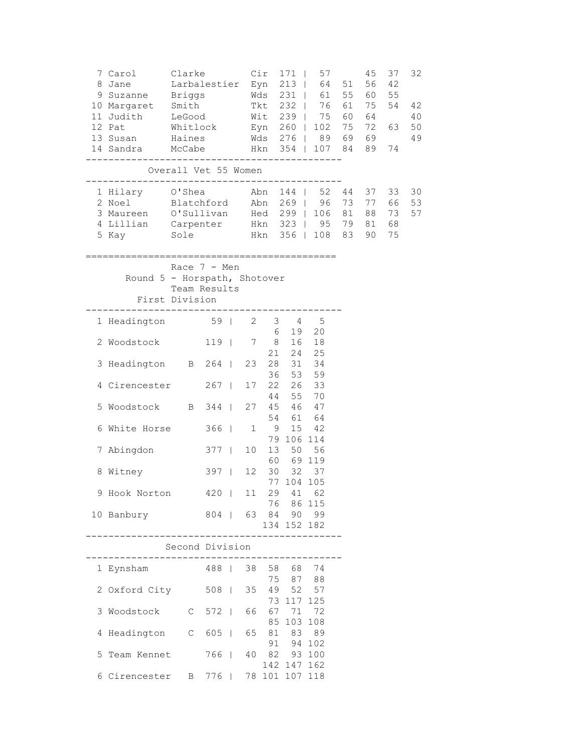| 8 | 7 Carol Clarke<br>Jane<br>9 Suzanne Briggs Mds 231   61 55 60<br>10 Margaret Smith<br>11 Judith LeGood<br>12 Pat Mhitlock<br>13 Susan Haines<br>14 Sandra McCabe Hkn 354   107 84 89<br>------------------------------------ | Larbalestier Eyn 213   64 51 56                  |                   | Cir |                |                          | $171$   57<br>Tkt 232   76 61 75<br>Wit 239   75 60 64<br>Eyn 260   102 75 72<br>Wds 276   89 69 69 | 45 | 37<br>42<br>55<br>54<br>63<br>74 | 32<br>42<br>40<br>50<br>49 |
|---|------------------------------------------------------------------------------------------------------------------------------------------------------------------------------------------------------------------------------|--------------------------------------------------|-------------------|-----|----------------|--------------------------|-----------------------------------------------------------------------------------------------------|----|----------------------------------|----------------------------|
|   |                                                                                                                                                                                                                              | Overall Vet 55 Women                             |                   |     |                |                          |                                                                                                     |    |                                  |                            |
|   | 1 Hilary O'Shea Abn<br>2 Noel Blatchford Abn 269   96 73 77<br>3 Maureen O'Sullivan Hed 299   106 81 88<br>4 Lillian Carpenter Hkn 323   95 79 81<br>5 Kay Sole Hkn 356   108 83 90                                          |                                                  |                   |     |                |                          | 144   52 44 37                                                                                      |    | 33<br>66<br>73<br>68<br>75       | 30<br>53<br>57             |
|   | Round 5 - Horspath, Shotover                                                                                                                                                                                                 | Race $7 - Men$<br>Team Results<br>First Division |                   |     |                |                          |                                                                                                     |    |                                  |                            |
|   | 1 Headington 59   2 3 4 5                                                                                                                                                                                                    |                                                  |                   |     |                |                          |                                                                                                     |    |                                  |                            |
|   | 2 Woodstock 119   7 8 16 18                                                                                                                                                                                                  |                                                  |                   |     | 6              | 21  24  25               | 19 20                                                                                               |    |                                  |                            |
|   | 3 Headington B 264   23 28 31 34                                                                                                                                                                                             |                                                  |                   |     |                |                          |                                                                                                     |    |                                  |                            |
|   | 4 Cirencester 267                                                                                                                                                                                                            |                                                  |                   | 17  | 36<br>22<br>44 | 53<br>55                 | 59<br>26 33                                                                                         |    |                                  |                            |
|   | 5 Woodstock B 344                                                                                                                                                                                                            |                                                  |                   |     | 27  45  46  47 |                          | 70                                                                                                  |    |                                  |                            |
|   | 6 White Horse                                                                                                                                                                                                                |                                                  | $366$             |     | $1 \qquad 9$   | 54 61 64                 | 15 42                                                                                               |    |                                  |                            |
|   | 7 Abingdon                                                                                                                                                                                                                   |                                                  | $377$   10        |     | 13 50 56       | 79 106 114<br>60 69 119  |                                                                                                     |    |                                  |                            |
|   | 8 Witney                                                                                                                                                                                                                     |                                                  | 397   12 30 32 37 |     |                |                          |                                                                                                     |    |                                  |                            |
|   | 9 Hook Norton 420   11 29 41 62                                                                                                                                                                                              |                                                  |                   |     |                | 77 104 105               |                                                                                                     |    |                                  |                            |
|   | 10 Banbury                                                                                                                                                                                                                   |                                                  | 804               |     | 63 84 90 99    | 76 86 115<br>134 152 182 |                                                                                                     |    |                                  |                            |
|   |                                                                                                                                                                                                                              | Second Division                                  |                   |     |                |                          |                                                                                                     |    |                                  |                            |
|   | 1 Eynsham                                                                                                                                                                                                                    |                                                  | 488   38 58 68 74 |     |                |                          |                                                                                                     |    |                                  |                            |
|   | 2 Oxford City 508                                                                                                                                                                                                            |                                                  |                   | 35  |                | 75 87<br>49 52           | 88<br>57                                                                                            |    |                                  |                            |
|   | 3 Woodstock C 572                                                                                                                                                                                                            |                                                  |                   | 66  | 67 71          | 73 117 125<br>85 103 108 | 72                                                                                                  |    |                                  |                            |
|   | 4 Headington C 605                                                                                                                                                                                                           |                                                  |                   | 65  |                | 81 83 89<br>91 94 102    |                                                                                                     |    |                                  |                            |
|   | 5 Team Kennet                                                                                                                                                                                                                |                                                  | 766               | 40  | 82 93 100      | 142 147 162              |                                                                                                     |    |                                  |                            |
|   | 6 Cirencester B 776   78 101 107 118                                                                                                                                                                                         |                                                  |                   |     |                |                          |                                                                                                     |    |                                  |                            |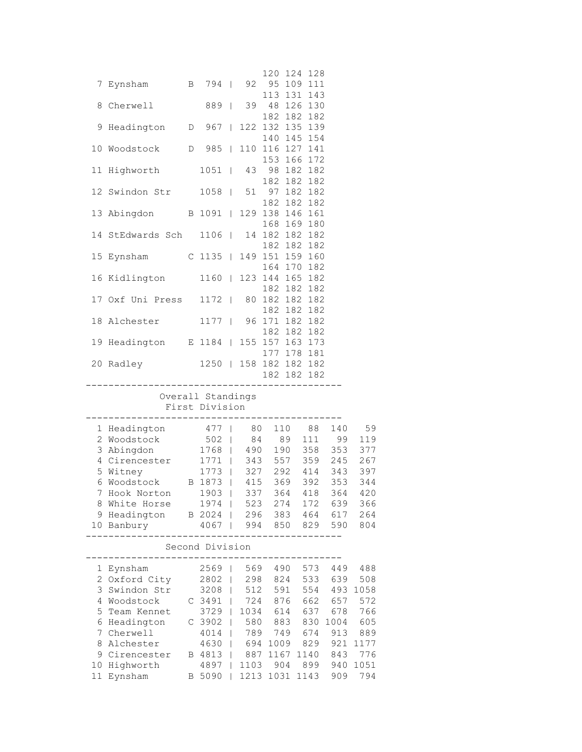|    |                                                                       |                            |              |         |         | 120 124 128                    |     |                 |      |
|----|-----------------------------------------------------------------------|----------------------------|--------------|---------|---------|--------------------------------|-----|-----------------|------|
| 7  | Eynsham B 794   92                                                    |                            |              |         |         | 95 109 111                     |     |                 |      |
| 8  | Cherwell 889                                                          |                            |              |         |         | 113 131 143<br>39 48 126 130   |     |                 |      |
|    |                                                                       |                            |              |         |         | 182 182 182                    |     |                 |      |
| 9  | Headington D 967                                                      |                            |              |         |         | 122 132 135 139                |     |                 |      |
| 10 | Woodstock D 985                                                       |                            |              |         |         | 140 145 154<br>110 116 127 141 |     |                 |      |
|    |                                                                       |                            |              |         |         | 153 166 172                    |     |                 |      |
|    | 11 Highworth 1051   43                                                |                            |              |         |         | 98 182 182                     |     |                 |      |
|    | 12 Swindon Str 1058   51 97 182 182                                   |                            |              |         |         | 182 182 182                    |     |                 |      |
|    |                                                                       |                            |              |         |         | 182 182 182                    |     |                 |      |
|    | 13 Abingdon B 1091   129 138 146 161                                  |                            |              |         |         |                                |     |                 |      |
|    | 14 StEdwards Sch 1106                                                 |                            |              |         |         | 168 169 180<br>14 182 182 182  |     |                 |      |
|    |                                                                       |                            |              |         |         | 182 182 182                    |     |                 |      |
|    | 15 Eynsham C 1135   149 151 159 160                                   |                            |              |         |         |                                |     |                 |      |
|    | 16 Kidlington 1160   123 144 165 182                                  |                            |              |         |         | 164 170 182                    |     |                 |      |
|    |                                                                       |                            |              |         |         | 182 182 182                    |     |                 |      |
|    | 17 Oxf Uni Press 1172   80 182 182 182                                |                            |              |         |         | 182 182 182                    |     |                 |      |
|    | 18 Alchester 1177                                                     |                            |              |         |         | 96 171 182 182                 |     |                 |      |
|    |                                                                       |                            |              |         |         | 182 182 182                    |     |                 |      |
|    | 19 Headington E 1184   155 157 163 173                                |                            |              |         |         | 177 178 181                    |     |                 |      |
|    | 20 Radley 1250   158 182 182 182                                      |                            |              |         |         |                                |     |                 |      |
|    | -------------------------------------                                 |                            |              |         |         | 182 182 182                    |     |                 |      |
|    |                                                                       | Overall Standings          |              |         |         |                                |     |                 |      |
|    |                                                                       | First Division             |              |         |         |                                |     |                 |      |
|    |                                                                       |                            |              |         |         |                                |     |                 |      |
|    | 1 Headington 477   80 110 88 140 59<br>2 Woodstock 502   84 89 111 99 |                            |              |         |         |                                |     |                 | 119  |
|    | 3 Abingdon 1768   490 190 358 353 377                                 |                            |              |         |         |                                |     |                 |      |
|    | 4 Cirencester 1771   343 557 359 245 267                              |                            |              |         |         |                                |     |                 |      |
| 5  | Witney                                                                | 1773   327 292 414 343 397 |              |         |         |                                |     |                 |      |
|    | 6 Woodstock B 1873   415 369 392                                      |                            |              |         |         |                                |     | 353             | 344  |
|    | 7 Hook Norton                                                         | 1903   337 364 418 364     |              |         |         |                                |     |                 | 420  |
| 8  | White Horse                                                           | 1974                       |              | 523     |         | 274                            | 172 | 639             | 366  |
|    | 9 Headington B 2024                                                   |                            |              |         |         |                                |     | 296 383 464 617 | 264  |
|    | 10 Banbury                                                            | 4067                       |              |         |         | 994 850 829                    |     | 590             | 804  |
|    |                                                                       |                            |              |         |         |                                |     |                 |      |
|    |                                                                       | Second Division            |              |         |         |                                |     |                 |      |
| 1  | Eynsham                                                               | 2569                       | T            |         |         | 569 490 573                    |     | 449             | 488  |
|    | 2 Oxford City                                                         | 2802                       | $\mathbf{I}$ |         | 298 824 |                                |     | 533 639         | 508  |
| 3  | Swindon Str                                                           | 3208                       | $\mathbf{I}$ |         | 512 591 |                                | 554 | 493             | 1058 |
| 4  | Woodstock                                                             | $C$ 3491                   |              | 724     | 876     |                                | 662 | 657             | 572  |
| 5  | Team Kennet                                                           | 3729                       |              | 1034    |         | 614                            | 637 | 678             | 766  |
| 6  | Headington                                                            | C 3902                     |              | 580     |         | 883                            | 830 | 1004            | 605  |
| 7  | Cherwell                                                              | 4014                       |              | 789 749 |         |                                | 674 | 913             | 889  |
| 8  | Alchester                                                             | 4630                       |              | 694     |         | 1009                           | 829 | 921             | 1177 |
| 9  | Cirencester                                                           | B 4813   887               |              |         |         | 1167 1140                      |     | 843             | 776  |
| 10 | Highworth                                                             | 4897                       |              | 1103    |         | 904                            |     | 899 940         | 1051 |
| 11 | Eynsham                                                               | B 5090                     |              |         |         | 1213 1031 1143                 |     | 909             | 794  |
|    |                                                                       |                            |              |         |         |                                |     |                 |      |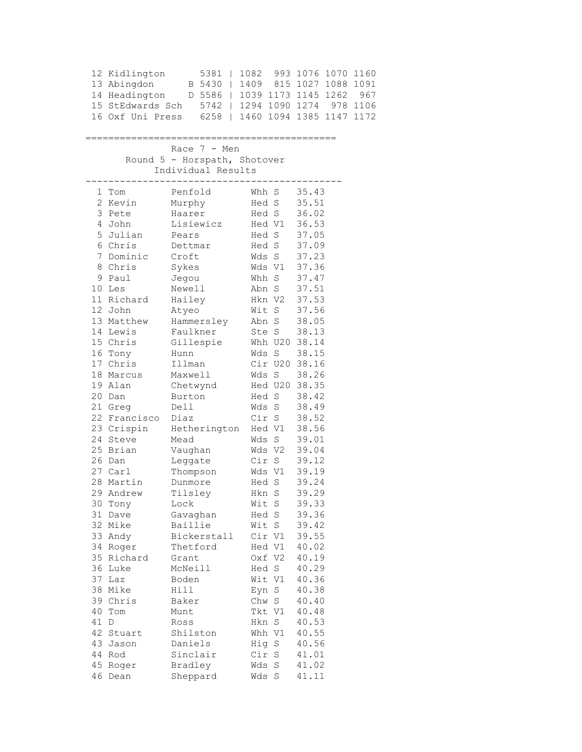|          | 12 Kidlington<br>13 Abingdon | 5381  <br>B 5430   1409 815 1027 1088 1091<br>15 StEdwards Sch 5742   1294 1090 1274 978 1106<br>16 Oxf Uni Press 6258   1460 1094 1385 1147 1172 |                | 1082 993 1076 1070 1160 |  |
|----------|------------------------------|---------------------------------------------------------------------------------------------------------------------------------------------------|----------------|-------------------------|--|
|          |                              | Race $7 - Men$<br>Round 5 - Horspath, Shotover                                                                                                    |                |                         |  |
|          |                              | Individual Results                                                                                                                                |                |                         |  |
|          | 1 Tom                        | ------------------------------------<br>Penfold                                                                                                   | Whh S 35.43    |                         |  |
|          | 2 Kevin                      | Murphy                                                                                                                                            | Hed S 35.51    |                         |  |
| 3        | Pete                         | Haarer                                                                                                                                            | Hed S 36.02    |                         |  |
|          | 4 John                       | Lisiewicz Hed V1 36.53                                                                                                                            |                |                         |  |
|          | 5 Julian                     | Pears                                                                                                                                             | Hed S 37.05    |                         |  |
|          | 6 Chris                      | Dettmar                                                                                                                                           | Hed S 37.09    |                         |  |
|          | 7 Dominic                    | Croft                                                                                                                                             | Wds S 37.23    |                         |  |
|          | 8 Chris                      | Sykes                                                                                                                                             | Wds V1         | 37.36                   |  |
|          | 9 Paul                       | Jegou                                                                                                                                             | Whh S          | 37.47                   |  |
|          | 10 Les                       | Newell                                                                                                                                            | Abn S          | 37.51                   |  |
|          | 11 Richard                   | Hailey                                                                                                                                            | Hkn V2 37.53   |                         |  |
|          | 12 John                      | Atyeo                                                                                                                                             | Wit S 37.56    |                         |  |
|          | 13 Matthew                   | Hammersley Abn S 38.05                                                                                                                            |                |                         |  |
|          | 14 Lewis                     | Faulkner                                                                                                                                          | Ste S 38.13    |                         |  |
|          | 15 Chris                     | Gillespie Whh U20 38.14                                                                                                                           |                |                         |  |
|          | 16 Tony                      | Hunn                                                                                                                                              | Wds S          | 38.15                   |  |
|          | 17 Chris                     | Illman                                                                                                                                            | Cir U20 38.16  |                         |  |
|          | 18 Marcus                    | Maxwell                                                                                                                                           | Wds S 38.26    |                         |  |
|          | 19 Alan                      | Chetwynd                                                                                                                                          | Hed U20 38.35  |                         |  |
|          | 20 Dan                       | Burton                                                                                                                                            | Hed S          | 38.42                   |  |
|          | 21 Greg                      | Dell                                                                                                                                              | Wds S 38.49    |                         |  |
|          | 22 Francisco                 | Diaz                                                                                                                                              | Cir S 38.52    |                         |  |
|          | 23 Crispin                   | Hetherington Hed V1 38.56                                                                                                                         |                |                         |  |
|          | 24 Steve                     | Mead                                                                                                                                              | Wds S 39.01    |                         |  |
|          | 25 Brian                     | Vaughan                                                                                                                                           | Wds V2 39.04   |                         |  |
|          | 26 Dan                       | Leggate                                                                                                                                           | Cir S          | 39.12                   |  |
|          | 27 Carl                      | Thompson                                                                                                                                          | Wds V1<br>     | 39.19                   |  |
|          | 28 Martin                    | Dunmore                                                                                                                                           | Hed S          | 39.24                   |  |
|          | 29 Andrew<br>Tony            | Tilsley                                                                                                                                           | Hkn S<br>Wit S | 39.29                   |  |
| 30<br>31 | Dave                         | Lock<br>Gavaghan                                                                                                                                  | Hed S          | 39.33<br>39.36          |  |
|          | 32 Mike                      | Baillie                                                                                                                                           | Wit S          | 39.42                   |  |
|          | 33 Andy                      | Bickerstall                                                                                                                                       | Cir V1         | 39.55                   |  |
|          | 34 Roger                     | Thetford                                                                                                                                          | Hed V1         | 40.02                   |  |
|          | 35 Richard                   | Grant                                                                                                                                             | Oxf V2         | 40.19                   |  |
|          | 36 Luke                      | McNeill                                                                                                                                           | Hed S          | 40.29                   |  |
| 37       | Laz                          | Boden                                                                                                                                             | Wit V1         | 40.36                   |  |
|          | 38 Mike                      | Hill                                                                                                                                              | Eyn S          | 40.38                   |  |
|          | 39 Chris                     | Baker                                                                                                                                             | Chw S          | 40.40                   |  |
| 40       | Tom                          | Munt                                                                                                                                              | Tkt V1         | 40.48                   |  |
| 41       | D                            | Ross                                                                                                                                              | Hkn S          | 40.53                   |  |
| 42       | Stuart                       | Shilston                                                                                                                                          | Whh V1         | 40.55                   |  |
| 43       | Jason                        | Daniels                                                                                                                                           | Hig S          | 40.56                   |  |
|          | 44 Rod                       | Sinclair                                                                                                                                          | Cir S          | 41.01                   |  |
|          | 45 Roger                     | Bradley                                                                                                                                           | Wds S          | 41.02                   |  |
| 46       | Dean                         | Sheppard                                                                                                                                          | Wds<br>S       | 41.11                   |  |
|          |                              |                                                                                                                                                   |                |                         |  |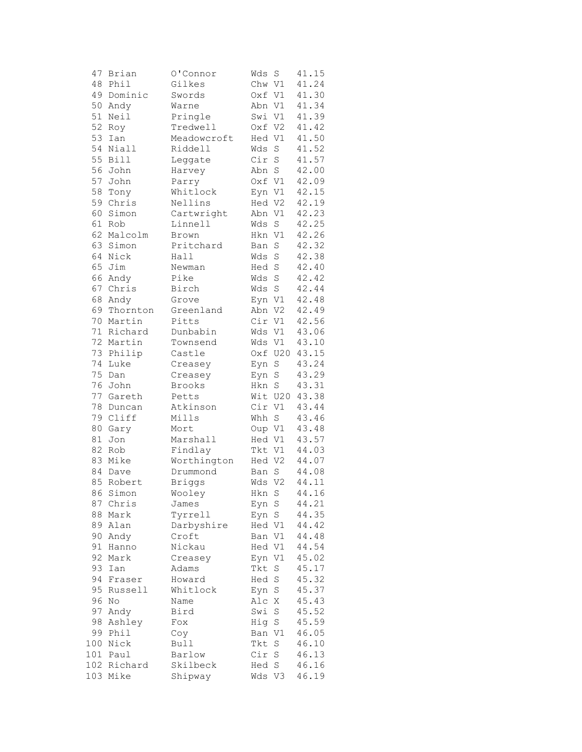| 47     | Brian            | 0'Connor      | Wds    | S           | 41.15 |
|--------|------------------|---------------|--------|-------------|-------|
| 48     | Phil             | Gilkes        | Chw V1 |             | 41.24 |
| 49     | Dominic          | Swords        | Oxf V1 |             | 41.30 |
| 50     | Andy             | Warne         | Abn V1 |             | 41.34 |
| 51     | Neil             | Pringle       | Swi V1 |             | 41.39 |
| 52     | Roy              | Tredwell      | Oxf V2 |             | 41.42 |
| 53     | Ian              | Meadowcroft   | Hed V1 |             | 41.50 |
| 54     | Niall            | Riddell       | Wds    | $\rm S$     | 41.52 |
| 55     | <b>Bill</b>      | Leggate       | Cir S  |             | 41.57 |
| 56     | John             | Harvey        | Abn S  |             | 42.00 |
| 57     | John             | Parry         | Oxf V1 |             | 42.09 |
| 58     | Tony             | Whitlock      | Eyn V1 |             | 42.15 |
| 59     | Chris            | Nellins       | Hed V2 |             | 42.19 |
| 60     | Simon            | Cartwright    | Abn V1 |             | 42.23 |
| 61     | Rob              | Linnell       | Wds    | S           | 42.25 |
| 62     | Malcolm          | Brown         | Hkn V1 |             | 42.26 |
|        | 63 Simon         | Pritchard     | Ban    | $\rm S$     | 42.32 |
| 64     | Nick             | Hall          | Wds    | $\rm S$     | 42.38 |
| 65     | Jim              | Newman        | Hed S  |             | 42.40 |
| 66     | Andy             | Pike          | Wds    | $\rm S$     | 42.42 |
| 67     | Chris            | Birch         | Wds    | $\rm S$     | 42.44 |
| 68     |                  |               |        |             | 42.48 |
| 69     | Andy<br>Thornton | Grove         |        | Eyn V1      |       |
|        |                  | Greenland     | Abn V2 |             | 42.49 |
| 70     | Martin           | Pitts         | Cir    | V1          | 42.56 |
| 71     | Richard          | Dunbabin      | Wds V1 |             | 43.06 |
| 72     | Martin           | Townsend      | Wds V1 |             | 43.10 |
| 73     | Philip           | Castle        |        | Oxf U20     | 43.15 |
| 74     | Luke             | Creasey       | Eyn S  |             | 43.24 |
| 75     | Dan              | Creasey       | Eyn    | $\rm S$     | 43.29 |
| 76     | John             | Brooks        | Hkn S  |             | 43.31 |
| 77     | Gareth           | Petts         |        | Wit U20     | 43.38 |
| 78     | Duncan           | Atkinson      | Cir    | V1          | 43.44 |
| 79     | Cliff            | Mills         | Whh S  |             | 43.46 |
| 80     | Gary             | Mort          | Oup V1 |             | 43.48 |
| $8\,1$ | Jon              | Marshall      | Hed V1 |             | 43.57 |
| 82     | Rob              | Findlay       | Tkt V1 |             | 44.03 |
| 83     | Mike             | Worthington   | Hed V2 |             | 44.07 |
| 84     | Dave             | Drummond      | Ban    | $\rm S$     | 44.08 |
| 85     | Robert           | <b>Briggs</b> | Wds V2 |             | 44.11 |
|        | 86 Simon         | Wooley        | Hkn S  |             | 44.16 |
| 87     | Chris            | James         | Eyn    | S           | 44.21 |
| 88     | Mark             | Tyrrell       | Eyn    | $\rm S$     | 44.35 |
| 89     | Alan             | Darbyshire    | Hed V1 |             | 44.42 |
| 90     | Andy             | Croft         | Ban    | V1          | 44.48 |
| 91     | Hanno            | Nickau        | Hed V1 |             | 44.54 |
| 92     | Mark             | Creasey       | Eyn V1 |             | 45.02 |
| 93     | Ian              | Adams         | Tkt    | $\rm S$     | 45.17 |
| 94     | Fraser           | Howard        | Hed    | S           | 45.32 |
| 95     | Russell          | Whitlock      | Eyn    | S           | 45.37 |
| 96     | No               | Name          | Alc    | Χ           | 45.43 |
| 97     | Andy             | Bird          | Swi    | S           | 45.52 |
| 98     | Ashley           | Fox           | Hig    | $\mathbf S$ | 45.59 |
|        | 99 Phil          | Coy           | Ban V1 |             | 46.05 |
|        | 100 Nick         | Bull          | Tkt    | S           | 46.10 |
|        | 101 Paul         | Barlow        | Cir    | S           | 46.13 |
|        | 102 Richard      | Skilbeck      | Hed    | S           | 46.16 |
| 103    | Mike             | Shipway       | Wds    | V3          | 46.19 |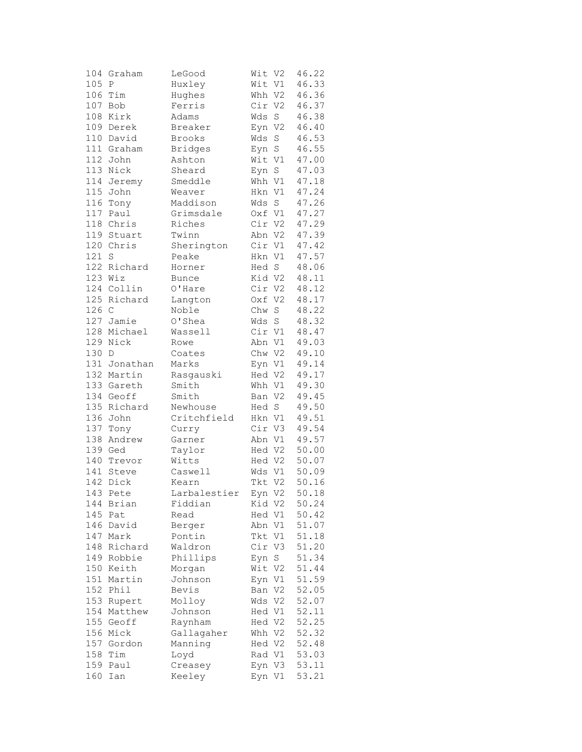|       | 104 Graham   | LeGood         | Wit V2 |             | 46.22 |
|-------|--------------|----------------|--------|-------------|-------|
| 105   | Ρ            | Huxley         | Wit V1 |             | 46.33 |
|       | 106 Tim      | Hughes         | Whh V2 |             | 46.36 |
| 107   | Bob          | Ferris         | Cir V2 |             | 46.37 |
| 108   | Kirk         | Adams          | Wds    | $\mathbf S$ | 46.38 |
|       | 109 Derek    | Breaker        | Eyn    | V2          | 46.40 |
| 110   | David        | Brooks         | Wds    | $\mathbf S$ | 46.53 |
|       | 111 Graham   | <b>Bridges</b> | Eyn    | $\mathbf S$ | 46.55 |
|       | 112 John     | Ashton         | Wit V1 |             | 47.00 |
|       | 113 Nick     | Sheard         | Eyn    | $\mathbf S$ | 47.03 |
| 114   |              | Smeddle        | Whh V1 |             | 47.18 |
|       | Jeremy       |                |        |             |       |
| 115   | John         | Weaver         | Hkn V1 |             | 47.24 |
| 116   | Tony         | Maddison       | Wds    | S           | 47.26 |
| $117$ | Paul         | Grimsdale      | Oxf V1 |             | 47.27 |
|       | 118 Chris    | Riches         | Cir V2 |             | 47.29 |
|       | 119 Stuart   | Twinn          | Abn V2 |             | 47.39 |
|       | 120 Chris    | Sherington     | Cir V1 |             | 47.42 |
| 121   | $\rm S$      | Peake          | Hkn V1 |             | 47.57 |
|       | 122 Richard  | Horner         | Hed S  |             | 48.06 |
|       | 123 Wiz      | Bunce          | Kid V2 |             | 48.11 |
|       | 124 Collin   | O'Hare         | Cir V2 |             | 48.12 |
|       | 125 Richard  | Langton        | Oxf V2 |             | 48.17 |
| 126 C |              | Noble          | Chw    | $\mathbf S$ | 48.22 |
| 127   | Jamie        | O'Shea         | Wds    | $\mathbf S$ | 48.32 |
|       | 128 Michael  | Wassell        | Cir V1 |             | 48.47 |
|       | 129 Nick     | Rowe           | Abn V1 |             | 49.03 |
| 130 D |              | Coates         | Chw V2 |             | 49.10 |
|       | 131 Jonathan | Marks          | Eyn V1 |             | 49.14 |
|       | 132 Martin   |                |        |             | 49.17 |
|       |              | Rasgauski      | Hed V2 |             |       |
|       | 133 Gareth   | Smith          | Whh V1 |             | 49.30 |
|       | 134 Geoff    | Smith          | Ban V2 |             | 49.45 |
|       | 135 Richard  | Newhouse       | Hed S  |             | 49.50 |
| 136   | John         | Critchfield    | Hkn V1 |             | 49.51 |
| 137   | Tony         | Curry          | Cir V3 |             | 49.54 |
| 138   | Andrew       | Garner         | Abn V1 |             | 49.57 |
|       | 139 Ged      | Taylor         | Hed V2 |             | 50.00 |
| 140   | Trevor       | Witts          | Hed V2 |             | 50.07 |
| 141   | Steve        | Caswell        | Wds V1 |             | 50.09 |
| 142   | Dick         | Kearn          | Tkt V2 |             | 50.16 |
|       | 143 Pete     | Larbalestier   | Eyn V2 |             | 50.18 |
| 144   | Brian        | Fiddian        | Kid V2 |             | 50.24 |
| 145   | Pat          | Read           | Hed V1 |             | 50.42 |
| 146   | David        | Berger         | Abn V1 |             | 51.07 |
| 147   | Mark         | Pontin         | Tkt V1 |             | 51.18 |
| 148   | Richard      | Waldron        | Cir    | V3          | 51.20 |
|       | 149 Robbie   | Phillips       | Eyn    | $\rm S$     | 51.34 |
|       | 150 Keith    | Morgan         | Wit V2 |             | 51.44 |
|       | Martin       |                |        |             | 51.59 |
| 151   |              | Johnson        | Eyn V1 |             |       |
| 152   | Phil         | Bevis          | Ban V2 |             | 52.05 |
| 153   | Rupert       | Molloy         | Wds V2 |             | 52.07 |
| 154   | Matthew      | Johnson        | Hed V1 |             | 52.11 |
|       | 155 Geoff    | Raynham        | Hed V2 |             | 52.25 |
|       | 156 Mick     | Gallagaher     | Whh V2 |             | 52.32 |
|       | 157 Gordon   | Manning        | Hed V2 |             | 52.48 |
| 158   | Tim          | Loyd           | Rad V1 |             | 53.03 |
| 159   | Paul         | Creasey        | Eyn V3 |             | 53.11 |
| 160   | Ian          | Keeley         | Eyn V1 |             | 53.21 |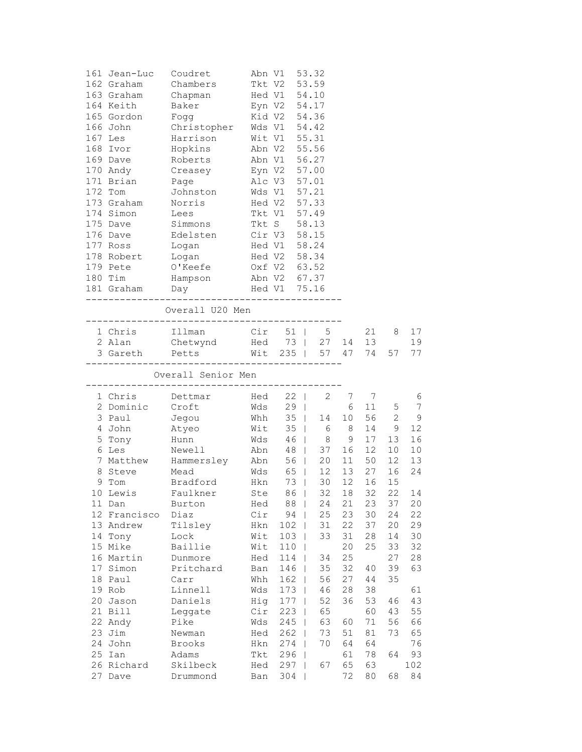|    | 161 Jean-Luc    | Coudret                                                                                                | Abn V1                                 |              | 53.32             |       |                 |                 |                |
|----|-----------------|--------------------------------------------------------------------------------------------------------|----------------------------------------|--------------|-------------------|-------|-----------------|-----------------|----------------|
|    | 162 Graham      | Chambers                                                                                               | Tkt V2                                 |              | 53.59             |       |                 |                 |                |
|    | 163 Graham      | Chapman                                                                                                |                                        | Hed V1 54.10 |                   |       |                 |                 |                |
|    | 164 Keith       | Baker                                                                                                  |                                        | Eyn V2 54.17 |                   |       |                 |                 |                |
|    |                 | 165 Gordon Fogg                                                                                        |                                        | Kid V2 54.36 |                   |       |                 |                 |                |
|    |                 | 166 John Christopher                                                                                   |                                        | Wds V1 54.42 |                   |       |                 |                 |                |
|    | 167 Les         | Harrison                                                                                               |                                        | Wit V1 55.31 |                   |       |                 |                 |                |
|    | 168 Ivor        | Hopkins                                                                                                | Abn V2                                 |              | 55.56             |       |                 |                 |                |
|    | 169 Dave        | Roberts                                                                                                |                                        | Abn V1 56.27 |                   |       |                 |                 |                |
|    | 170 Andy        | Creasey                                                                                                |                                        |              |                   |       |                 |                 |                |
|    | 171 Brian       | Page                                                                                                   | Eyn V2 57.00<br>Alc V3 57.01<br>Alc V3 |              | 57.01             |       |                 |                 |                |
|    | 172 Tom         | Johnston                                                                                               |                                        | Wds V1 57.21 |                   |       |                 |                 |                |
|    | 173 Graham      | Norris                                                                                                 |                                        | Hed V2 57.33 |                   |       |                 |                 |                |
|    | 174 Simon Lees  |                                                                                                        |                                        | Tkt V1 57.49 |                   |       |                 |                 |                |
|    | 175 Dave        | Simmons                                                                                                |                                        | Tkt S 58.13  |                   |       |                 |                 |                |
|    | 176 Dave        | Edelsten Cir V3 58.15                                                                                  |                                        |              |                   |       |                 |                 |                |
|    | 177 Ross        |                                                                                                        | Hed V1                                 |              | 58.24             |       |                 |                 |                |
|    | 178 Robert      | Logan<br>Logan                                                                                         |                                        | Hed V2 58.34 |                   |       |                 |                 |                |
|    | 179 Pete        | O'Keefe                                                                                                | Oxf V2 63.52                           |              |                   |       |                 |                 |                |
|    | 180 Tim         | Hampson                                                                                                |                                        | Abn V2 67.37 |                   |       |                 |                 |                |
|    |                 |                                                                                                        | Hed V1 75.16                           |              |                   |       |                 |                 |                |
|    |                 | 181 Graham Day                                                                                         |                                        |              |                   |       |                 |                 |                |
|    |                 | Overall U20 Men                                                                                        |                                        |              |                   |       |                 |                 |                |
|    |                 |                                                                                                        |                                        |              |                   |       |                 |                 |                |
|    | 1 Chris         | Illman                                                                                                 |                                        |              | Cir 51   5        |       | 21              | 8               | 17             |
|    | 2 Alan          |                                                                                                        |                                        |              |                   |       |                 |                 | 19             |
|    |                 |                                                                                                        |                                        |              |                   |       |                 |                 | 77             |
|    |                 |                                                                                                        |                                        |              |                   |       |                 |                 |                |
|    |                 | Overall Senior Men                                                                                     |                                        |              |                   |       |                 |                 |                |
|    | 1 Chris         | Dettmar                                                                                                |                                        | Hed 22       |                   | 2 7 7 |                 |                 | 6              |
|    | 2 Dominic Croft |                                                                                                        |                                        | Wds 29       |                   |       | 6 11            | 5               | $\overline{7}$ |
|    | 3 Paul          | Jegou                                                                                                  |                                        |              | Whh 35   14 10 56 |       |                 | $\mathbf{2}$    | 9              |
|    | 4 John          | Atyeo                                                                                                  |                                        |              | Wit 35   6 8      |       | 14              | 9               | 12             |
|    |                 |                                                                                                        |                                        |              |                   | 9     | 17              | 13              | 16             |
|    |                 |                                                                                                        |                                        |              |                   | 16    | 12 <sup>7</sup> | 10 <sub>1</sub> | $10$           |
|    |                 | Hunn Wds 46   8<br>6 Les Newell Abn 48   37<br>7 Matthew Hammersley Abn 56   20<br>8 Steve Mead Wds Cr |                                        |              |                   | 11    | 50              | 12 <sup>°</sup> | 13             |
|    |                 |                                                                                                        |                                        |              |                   | 13    | 27              | 16              | 24             |
|    | 9 Tom           | Bradford Hkn 73                                                                                        |                                        |              | 30                | 12    | 16              | 15              |                |
|    |                 | 10 Lewis Faulkner Ste 86   32 18 32                                                                    |                                        |              |                   |       |                 | 22              | 14             |
|    | 11 Dan          | Burton                                                                                                 | Hed                                    | 88           | 24                | 21    | 23              | 37              | 20             |
|    | 12 Francisco    | Diaz                                                                                                   | Cir                                    | 94           | 25                | 23    | 30              | 24              | 22             |
|    | 13 Andrew       | Tilsley                                                                                                | Hkn                                    | 102          | 31                | 22    | 37              | 20              | 29             |
|    | 14 Tony         | Lock                                                                                                   | Wit                                    | 103          | 33                | 31    | 28              | 14              | 30             |
|    | 15 Mike         | Baillie                                                                                                | Wit                                    | 110          | T                 | 20    | 25              | 33              | 32             |
|    | 16 Martin       | Dunmore                                                                                                | Hed                                    | 114          | 34                | 25    |                 | 27              | 28             |
|    | 17 Simon        | Pritchard                                                                                              | Ban                                    | 146          | 35<br>T           | 32    | 40              | 39              | 63             |
| 18 | Paul            | Carr                                                                                                   | Whh                                    | 162          | 56<br>ı           | 27    | 44              | 35              |                |
|    | 19 Rob          | Linnell                                                                                                | Wds                                    | 173          | 46                | 28    | 38              |                 | 61             |
| 20 | Jason           | Daniels                                                                                                | Hig                                    | 177          | 52                | 36    | 53              | 46              | 43             |
|    | 21 Bill         | Leggate                                                                                                | Cir                                    | 223          | 65                |       | 60              | 43              | 55             |
|    | 22 Andy         | Pike                                                                                                   | Wds                                    | 245          | 63                | 60    | 71              | 56              | 66             |
|    | 23 Jim          | Newman                                                                                                 | Hed                                    | 262          | 73                | 51    | 81              | 73              | 65             |
|    | 24 John         | Brooks                                                                                                 | Hkn                                    | 274          | 70                | 64    | 64              |                 | 76             |
|    | 25 Ian          | Adams                                                                                                  | Tkt                                    | 296          |                   | 61    | 78              | 64              | 93             |
|    | 26 Richard      | Skilbeck                                                                                               | Hed                                    | 297          | 67                | 65    | 63              |                 | 102            |
| 27 | Dave            | Drummond                                                                                               | Ban                                    | 304          |                   | 72    | 80              | 68              | 84             |
|    |                 |                                                                                                        |                                        |              |                   |       |                 |                 |                |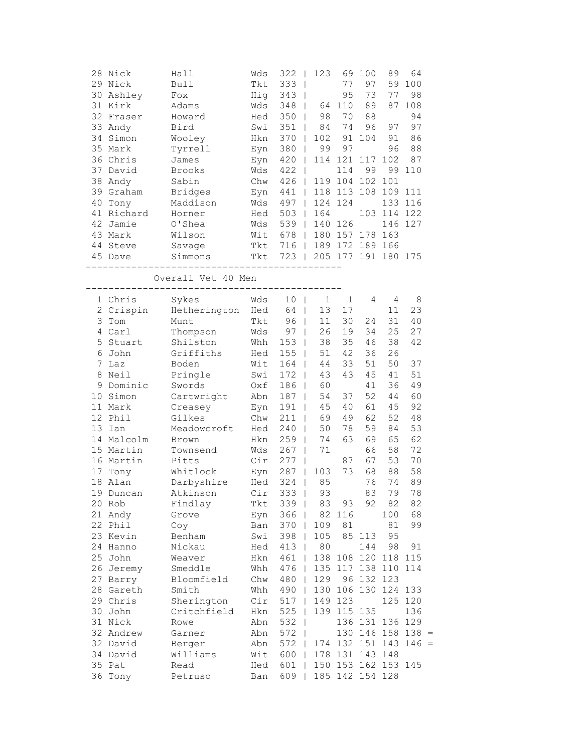| 30<br>32<br>40<br>41 | 28 Nick<br>29 Nick<br>Ashley<br>31 Kirk<br>Fraser<br>33 Andy<br>34 Simon<br>35 Mark<br>36 Chris<br>37 David<br>38 Andy<br>39 Graham<br>Tony<br>Richard | Hall<br><b>Bull</b><br>Fox<br>Adams<br>Howard<br>Bird<br>Wooley<br>Tyrrell<br>James<br><b>Brooks</b><br>Sabin<br><b>Bridges</b><br>Maddison<br>Horner | Wds<br>Tkt<br>Hig<br>Wds<br>Hed<br>Swi<br>Hkn<br>Eyn<br>Eyn<br>Wds<br>Chw<br>Eyn<br>Wds<br>Hed | 322<br>$\blacksquare$<br>333<br>$\overline{\phantom{a}}$<br>343<br>348<br>350<br>351<br>370<br>380<br>420<br>422<br>$\overline{\phantom{a}}$<br>426<br>441<br>497<br>503 | 123<br>$\overline{\phantom{a}}$<br>64<br>$\mathbf{I}$<br>98<br>84<br>102<br>99<br>$\overline{\phantom{a}}$<br>114<br>$\overline{\phantom{a}}$<br>119<br>$\Box$<br>118<br>$\mathbf{I}$<br>124<br>164 | 69<br>77<br>95<br>110<br>70<br>74<br>91<br>97<br>121<br>114<br>104<br>113<br>124 | 100<br>97<br>73<br>89<br>88<br>96<br>104<br>117<br>99<br>102<br>108<br>103 | 89<br>59<br>77<br>87<br>97<br>91<br>96<br>102<br>99<br>101<br>109<br>133<br>114 | 64<br>100<br>98<br>108<br>94<br>97<br>86<br>88<br>87<br>110<br>111<br>116<br>122 |  |
|----------------------|--------------------------------------------------------------------------------------------------------------------------------------------------------|-------------------------------------------------------------------------------------------------------------------------------------------------------|------------------------------------------------------------------------------------------------|--------------------------------------------------------------------------------------------------------------------------------------------------------------------------|-----------------------------------------------------------------------------------------------------------------------------------------------------------------------------------------------------|----------------------------------------------------------------------------------|----------------------------------------------------------------------------|---------------------------------------------------------------------------------|----------------------------------------------------------------------------------|--|
| 42                   | Jamie                                                                                                                                                  | O'Shea                                                                                                                                                | Wds                                                                                            | 539                                                                                                                                                                      | 140                                                                                                                                                                                                 | 126                                                                              |                                                                            | 146                                                                             | 127                                                                              |  |
|                      | 43 Mark<br>44 Steve                                                                                                                                    | Wilson<br>Savage                                                                                                                                      | Wit<br>Tkt                                                                                     | 678<br>716                                                                                                                                                               | 180<br>$\perp$<br>$\Box$                                                                                                                                                                            | 157<br>189 172 189                                                               | 178                                                                        | 163<br>166                                                                      |                                                                                  |  |
|                      | 45 Dave                                                                                                                                                | Simmons                                                                                                                                               | Tkt                                                                                            | 723<br>$\Box$                                                                                                                                                            |                                                                                                                                                                                                     | 205 177 191                                                                      |                                                                            | 180 175                                                                         |                                                                                  |  |
|                      |                                                                                                                                                        | Overall Vet 40 Men                                                                                                                                    |                                                                                                |                                                                                                                                                                          |                                                                                                                                                                                                     |                                                                                  |                                                                            |                                                                                 |                                                                                  |  |
|                      | 1 Chris                                                                                                                                                | Sykes                                                                                                                                                 | Wds                                                                                            | 10                                                                                                                                                                       | $\mathbf 1$                                                                                                                                                                                         | $\mathbf 1$                                                                      | 4                                                                          | 4                                                                               | 8                                                                                |  |
|                      | 2 Crispin                                                                                                                                              | Hetherington                                                                                                                                          | Hed                                                                                            | 64                                                                                                                                                                       | 13<br>$\mathbf{I}$                                                                                                                                                                                  | 17                                                                               |                                                                            | 11                                                                              | 23                                                                               |  |
| 3                    | Tom                                                                                                                                                    | Munt                                                                                                                                                  | Tkt                                                                                            | 96                                                                                                                                                                       | 11                                                                                                                                                                                                  | 30                                                                               | 24<br>34                                                                   | 31                                                                              | 40                                                                               |  |
|                      | 4 Carl<br>5 Stuart                                                                                                                                     | Thompson<br>Shilston                                                                                                                                  | Wds<br>Whh                                                                                     | 97<br>153                                                                                                                                                                | 26<br>$\mathbf{I}$<br>38<br>$\mathbf{I}$                                                                                                                                                            | 19<br>35                                                                         | 46                                                                         | 25<br>38                                                                        | 27<br>42                                                                         |  |
|                      | 6 John                                                                                                                                                 | Griffiths                                                                                                                                             | Hed                                                                                            | 155                                                                                                                                                                      | 51<br>$\overline{\phantom{a}}$                                                                                                                                                                      | 42                                                                               | 36                                                                         | 26                                                                              |                                                                                  |  |
| $7^{\circ}$          | Laz                                                                                                                                                    | Boden                                                                                                                                                 | Wit                                                                                            | 164                                                                                                                                                                      | 44<br>$\overline{1}$                                                                                                                                                                                | 33                                                                               | 51                                                                         | 50                                                                              | 37                                                                               |  |
| 8                    | Neil                                                                                                                                                   | Pringle                                                                                                                                               | Swi                                                                                            | 172                                                                                                                                                                      | 43<br>$\mathbf{I}$                                                                                                                                                                                  | 43                                                                               | 45                                                                         | 41                                                                              | 51                                                                               |  |
| 9                    | Dominic                                                                                                                                                | Swords                                                                                                                                                | Oxf                                                                                            | 186                                                                                                                                                                      | 60<br>$\mathbf{I}$                                                                                                                                                                                  |                                                                                  | 41                                                                         | 36                                                                              | 49                                                                               |  |
| 10                   | Simon                                                                                                                                                  | Cartwright                                                                                                                                            | Abn                                                                                            | 187                                                                                                                                                                      | 54                                                                                                                                                                                                  | 37                                                                               | 52                                                                         | 44                                                                              | 60                                                                               |  |
|                      | 11 Mark                                                                                                                                                | Creasey                                                                                                                                               | Eyn                                                                                            | 191                                                                                                                                                                      | 45                                                                                                                                                                                                  | 40                                                                               | 61                                                                         | 45                                                                              | 92                                                                               |  |
| 12                   | Phil                                                                                                                                                   | Gilkes                                                                                                                                                | Chw                                                                                            | 211                                                                                                                                                                      | 69                                                                                                                                                                                                  | 49                                                                               | 62                                                                         | 52                                                                              | 48                                                                               |  |
| 13                   | Ian                                                                                                                                                    | Meadowcroft                                                                                                                                           | Hed                                                                                            | 240                                                                                                                                                                      | 50                                                                                                                                                                                                  | 78                                                                               | 59                                                                         | 84                                                                              | 53                                                                               |  |
|                      | 14 Malcolm                                                                                                                                             | Brown                                                                                                                                                 | Hkn                                                                                            | 259                                                                                                                                                                      | 74                                                                                                                                                                                                  | 63                                                                               | 69                                                                         | 65                                                                              | 62                                                                               |  |
|                      | 15 Martin                                                                                                                                              | Townsend                                                                                                                                              | Wds                                                                                            | 267                                                                                                                                                                      | 71<br>$\overline{\phantom{a}}$                                                                                                                                                                      |                                                                                  | 66                                                                         | 58                                                                              | 72                                                                               |  |
|                      | 16 Martin                                                                                                                                              | Pitts                                                                                                                                                 | Cir                                                                                            | 277                                                                                                                                                                      |                                                                                                                                                                                                     | 87                                                                               | 67                                                                         | 53                                                                              | 70                                                                               |  |
| 17                   | Tony                                                                                                                                                   | Whitlock                                                                                                                                              | Eyn                                                                                            | 287                                                                                                                                                                      | 103<br>$\overline{1}$                                                                                                                                                                               | 73                                                                               | 68                                                                         | 88                                                                              | 58                                                                               |  |
| 18                   | Alan                                                                                                                                                   | Darbyshire                                                                                                                                            | Hed                                                                                            | 324                                                                                                                                                                      | 85<br>T                                                                                                                                                                                             |                                                                                  | 76                                                                         | 74                                                                              | 89                                                                               |  |
| 19                   | Duncan                                                                                                                                                 | Atkinson                                                                                                                                              | Cir                                                                                            | 333                                                                                                                                                                      | 93                                                                                                                                                                                                  |                                                                                  | 83                                                                         | 79                                                                              | 78                                                                               |  |
|                      | 20 Rob                                                                                                                                                 | Findlay                                                                                                                                               | Tkt                                                                                            | 339                                                                                                                                                                      | 83                                                                                                                                                                                                  | 93                                                                               | 92                                                                         | 82                                                                              | 82                                                                               |  |
|                      | 21 Andy                                                                                                                                                | Grove                                                                                                                                                 | Eyn                                                                                            | 366                                                                                                                                                                      | 82                                                                                                                                                                                                  | 116                                                                              |                                                                            | 100                                                                             | 68                                                                               |  |
|                      | 22 Phil                                                                                                                                                | Coy                                                                                                                                                   | Ban                                                                                            | 370                                                                                                                                                                      | 109                                                                                                                                                                                                 | 81                                                                               |                                                                            | 81                                                                              | 99                                                                               |  |
|                      | 23 Kevin                                                                                                                                               | Benham                                                                                                                                                | Swi                                                                                            | 398                                                                                                                                                                      | 105                                                                                                                                                                                                 | 85                                                                               | 113                                                                        | 95                                                                              |                                                                                  |  |
|                      | 24 Hanno                                                                                                                                               | Nickau                                                                                                                                                | Hed                                                                                            | 413                                                                                                                                                                      | 80<br>$\perp$                                                                                                                                                                                       |                                                                                  | 144                                                                        | 98                                                                              | 91                                                                               |  |
|                      | 25 John                                                                                                                                                | Weaver                                                                                                                                                | Hkn                                                                                            | 461<br>$\perp$                                                                                                                                                           | 138                                                                                                                                                                                                 | 108                                                                              | 120                                                                        | 118                                                                             | 115                                                                              |  |
|                      | 26 Jeremy                                                                                                                                              | Smeddle                                                                                                                                               | Whh                                                                                            | 476                                                                                                                                                                      | 135<br>$\perp$                                                                                                                                                                                      | 117                                                                              | 138                                                                        | 110                                                                             | 114                                                                              |  |
| 27                   | Barry                                                                                                                                                  | Bloomfield                                                                                                                                            | Chw                                                                                            | 480                                                                                                                                                                      | 129<br>$\mathbf{I}$                                                                                                                                                                                 | 96                                                                               | 132                                                                        | 123                                                                             |                                                                                  |  |
|                      | 28 Gareth                                                                                                                                              | Smith                                                                                                                                                 | Whh                                                                                            | 490                                                                                                                                                                      | 130                                                                                                                                                                                                 |                                                                                  | 106 130                                                                    | 124                                                                             | 133                                                                              |  |
|                      | 29 Chris                                                                                                                                               | Sherington                                                                                                                                            | Cir                                                                                            | 517                                                                                                                                                                      | 149                                                                                                                                                                                                 | 123                                                                              |                                                                            | 125                                                                             | 120                                                                              |  |
|                      | 30 John                                                                                                                                                | Critchfield                                                                                                                                           | Hkn                                                                                            | 525                                                                                                                                                                      |                                                                                                                                                                                                     | 139 115 135                                                                      |                                                                            |                                                                                 | 136                                                                              |  |
|                      | 31 Nick                                                                                                                                                | Rowe                                                                                                                                                  | Abn                                                                                            | 532                                                                                                                                                                      |                                                                                                                                                                                                     |                                                                                  | 136 131                                                                    |                                                                                 | 136 129                                                                          |  |
|                      | 32 Andrew<br>32 David                                                                                                                                  | Garner                                                                                                                                                | Abn                                                                                            | 572                                                                                                                                                                      | 174                                                                                                                                                                                                 |                                                                                  | 130 146<br>132 151                                                         | $158$ 138 =                                                                     |                                                                                  |  |
|                      | 34 David                                                                                                                                               | Berger<br>Williams                                                                                                                                    | Abn<br>Wit                                                                                     | 572<br>600                                                                                                                                                               | 178                                                                                                                                                                                                 |                                                                                  | 131 143                                                                    | 148                                                                             | $143$ 146 =                                                                      |  |
|                      | 35 Pat                                                                                                                                                 | Read                                                                                                                                                  | Hed                                                                                            | 601                                                                                                                                                                      | 150                                                                                                                                                                                                 |                                                                                  |                                                                            | 153 162 153 145                                                                 |                                                                                  |  |
| 36                   | Tony                                                                                                                                                   | Petruso                                                                                                                                               | Ban                                                                                            | 609                                                                                                                                                                      | 185                                                                                                                                                                                                 |                                                                                  | 142 154 128                                                                |                                                                                 |                                                                                  |  |
|                      |                                                                                                                                                        |                                                                                                                                                       |                                                                                                |                                                                                                                                                                          |                                                                                                                                                                                                     |                                                                                  |                                                                            |                                                                                 |                                                                                  |  |